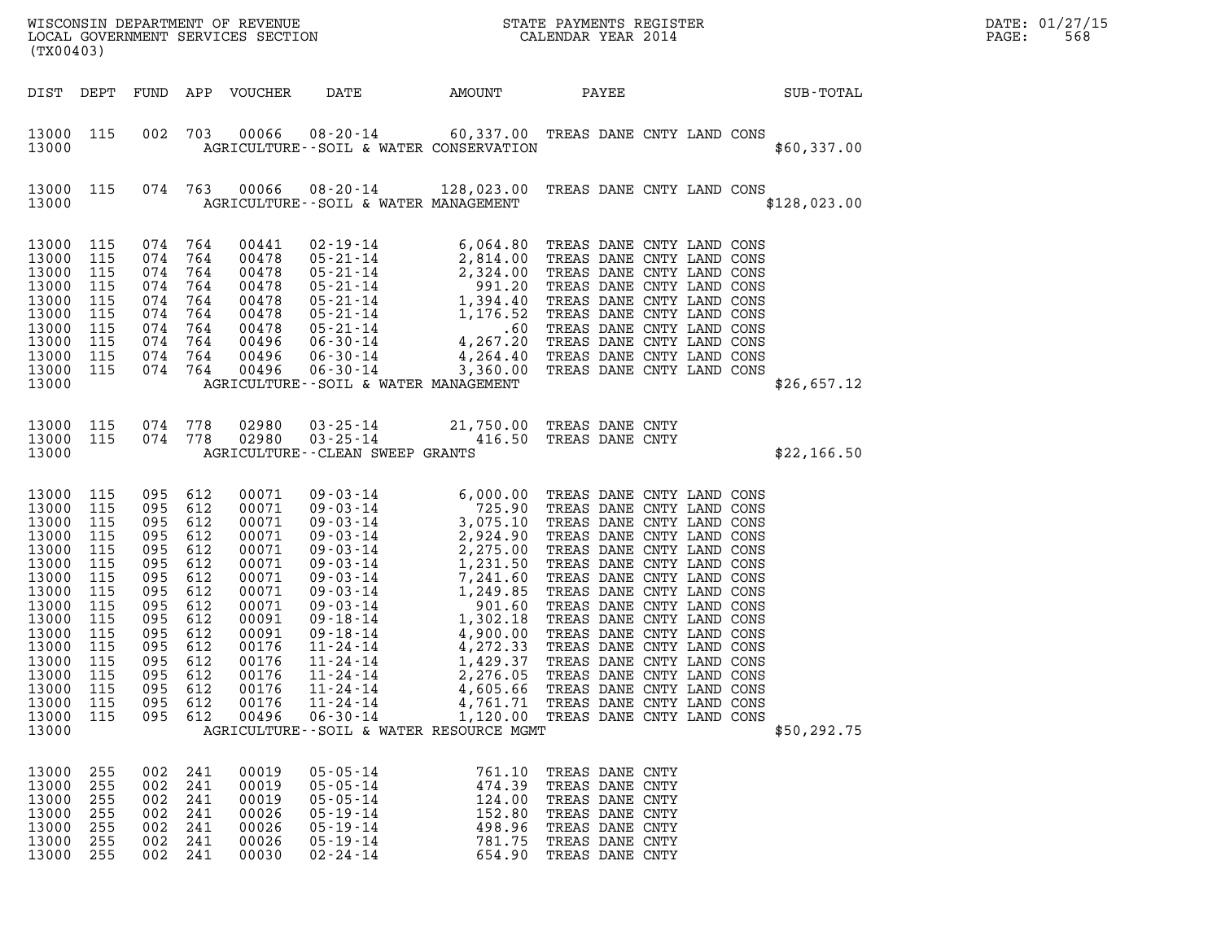| (TX00403)                                                                                                                                                          |                                                                                                              |                                                                                                                     |                                                                                                                     | LOCAL GOVERNMENT SERVICES SECTION                                                                                                                     |                                                                                                                                                                                                                                                                                                                                                                                                                                                                                  |                                                                    | WISCONSIN DEPARTMENT OF REVENUE<br>LOCAL GOVERNMENT SERVICES SECTION<br>CALENDAR YEAR 2014                                                                                                                                                                                                                                                                                                                                                                                                                                         | DATE: 01/27/15<br>PAGE:<br>568 |
|--------------------------------------------------------------------------------------------------------------------------------------------------------------------|--------------------------------------------------------------------------------------------------------------|---------------------------------------------------------------------------------------------------------------------|---------------------------------------------------------------------------------------------------------------------|-------------------------------------------------------------------------------------------------------------------------------------------------------|----------------------------------------------------------------------------------------------------------------------------------------------------------------------------------------------------------------------------------------------------------------------------------------------------------------------------------------------------------------------------------------------------------------------------------------------------------------------------------|--------------------------------------------------------------------|------------------------------------------------------------------------------------------------------------------------------------------------------------------------------------------------------------------------------------------------------------------------------------------------------------------------------------------------------------------------------------------------------------------------------------------------------------------------------------------------------------------------------------|--------------------------------|
| DIST DEPT                                                                                                                                                          |                                                                                                              | FUND                                                                                                                |                                                                                                                     | APP VOUCHER                                                                                                                                           | DATE                                                                                                                                                                                                                                                                                                                                                                                                                                                                             | AMOUNT                                                             | PAYEE<br>SUB-TOTAL                                                                                                                                                                                                                                                                                                                                                                                                                                                                                                                 |                                |
| 13000 115<br>13000                                                                                                                                                 |                                                                                                              | 002                                                                                                                 | 703                                                                                                                 | 00066                                                                                                                                                 | 08-20-14<br>AGRICULTURE--SOIL & WATER CONSERVATION                                                                                                                                                                                                                                                                                                                                                                                                                               |                                                                    | 60,337.00 TREAS DANE CNTY LAND CONS<br>\$60,337.00                                                                                                                                                                                                                                                                                                                                                                                                                                                                                 |                                |
| 13000 115<br>13000                                                                                                                                                 |                                                                                                              |                                                                                                                     | 074 763                                                                                                             | 00066                                                                                                                                                 | 08-20-14<br>AGRICULTURE--SOIL & WATER MANAGEMENT                                                                                                                                                                                                                                                                                                                                                                                                                                 |                                                                    | 128,023.00 TREAS DANE CNTY LAND CONS<br>\$128,023.00                                                                                                                                                                                                                                                                                                                                                                                                                                                                               |                                |
| 13000 115<br>13000<br>13000<br>13000<br>13000<br>13000<br>13000<br>13000<br>13000<br>13000 115<br>13000                                                            | 115<br>115<br>115<br>115<br>115<br>115<br>115<br>115                                                         | 074 764<br>074<br>074<br>074<br>074<br>074<br>074 764<br>074 764<br>074 764<br>074 764                              | 764<br>764<br>764<br>764<br>764                                                                                     | 00441<br>00478<br>00478<br>00478<br>00478<br>00478<br>00478<br>00496<br>00496<br>00496                                                                | AGRICULTURE--SOIL & WATER MANAGEMENT                                                                                                                                                                                                                                                                                                                                                                                                                                             |                                                                    | \$26,657.12                                                                                                                                                                                                                                                                                                                                                                                                                                                                                                                        |                                |
| 13000 115<br>13000 115<br>13000                                                                                                                                    |                                                                                                              | 074 778<br>074 778                                                                                                  |                                                                                                                     | 02980<br>02980                                                                                                                                        | $03 - 25 - 14$<br>$03 - 25 - 14$<br>AGRICULTURE - - CLEAN SWEEP GRANTS                                                                                                                                                                                                                                                                                                                                                                                                           |                                                                    | 21,750.00 TREAS DANE CNTY<br>416.50 TREAS DANE CNTY<br>\$22,166.50                                                                                                                                                                                                                                                                                                                                                                                                                                                                 |                                |
| 13000 115<br>13000<br>13000<br>13000<br>13000<br>13000<br>13000<br>13000<br>13000<br>13000<br>13000<br>13000<br>13000<br>13000<br>13000<br>13000<br>13000<br>13000 | 115<br>115<br>115<br>115<br>115<br>115<br>115<br>115<br>115<br>115<br>115<br>115<br>115<br>115<br>115<br>115 | 095<br>095<br>095<br>095<br>095<br>095<br>095<br>095<br>095<br>095<br>095<br>095<br>095<br>095<br>095<br>095<br>095 | 612<br>612<br>612<br>612<br>612<br>612<br>612<br>612<br>612<br>612<br>612<br>612<br>612<br>612<br>612<br>612<br>612 | 00071<br>00071<br>00071<br>00071<br>00071<br>00071<br>00071<br>00071<br>00071<br>00091<br>00091<br>00176<br>00176<br>00176<br>00176<br>00176<br>00496 | $\begin{array}{cccc} 09 \cdot 03 \cdot 14 & 6,000.00 \\ 09 \cdot 03 \cdot 14 & 725.90 \\ 09 \cdot 03 \cdot 14 & 3,075.10 \\ 09 \cdot 03 \cdot 14 & 2,924.90 \\ 09 \cdot 03 \cdot 14 & 2,275.00 \\ 09 \cdot 03 \cdot 14 & 1,231.50 \\ 09 \cdot 03 \cdot 14 & 7,241.60 \\ 09 \cdot 03 \cdot 14 & 1,249.85 \\ 09 \cdot 03 \cdot 14 & 1,249.85$<br>$11 - 24 - 14$<br>$11 - 24 - 14$<br>$11 - 24 - 14$<br>$11 - 24 - 14$<br>$06 - 30 - 14$<br>AGRICULTURE--SOIL & WATER RESOURCE MGMT | 1,429.37<br>2,276.05<br>4,605.66<br>4,761.71<br>1,120.00           | 6,000.00 TREAS DANE CNTY LAND CONS<br>TREAS DANE CNTY LAND CONS<br>TREAS DANE CNTY LAND CONS<br>TREAS DANE CNTY LAND CONS<br>TREAS DANE CNTY LAND CONS<br>TREAS DANE CNTY LAND CONS<br>TREAS DANE CNTY LAND CONS<br>TREAS DANE CNTY LAND CONS<br>TREAS DANE CNTY LAND CONS<br>TREAS DANE CNTY LAND CONS<br>TREAS DANE CNTY LAND CONS<br>TREAS DANE CNTY LAND CONS<br>TREAS DANE CNTY LAND CONS<br>TREAS DANE CNTY LAND CONS<br>TREAS DANE CNTY LAND CONS<br>TREAS DANE CNTY LAND CONS<br>TREAS DANE CNTY LAND CONS<br>\$50, 292.75 |                                |
| 13000<br>13000<br>13000<br>13000<br>13000<br>13000<br>13000                                                                                                        | 255<br>255<br>255<br>255<br>255<br>255<br>255                                                                | 002<br>002<br>002<br>002<br>002<br>002<br>002                                                                       | 241<br>241<br>241<br>241<br>241<br>241<br>241                                                                       | 00019<br>00019<br>00019<br>00026<br>00026<br>00026<br>00030                                                                                           | $05 - 05 - 14$<br>$05 - 05 - 14$<br>$05 - 05 - 14$<br>$05 - 19 - 14$<br>$05 - 19 - 14$<br>$05 - 19 - 14$<br>$02 - 24 - 14$                                                                                                                                                                                                                                                                                                                                                       | 761.10<br>474.39<br>124.00<br>152.80<br>498.96<br>781.75<br>654.90 | TREAS DANE CNTY<br>TREAS DANE CNTY<br>TREAS DANE CNTY<br>TREAS DANE CNTY<br>TREAS DANE CNTY<br>TREAS DANE CNTY<br>TREAS DANE CNTY                                                                                                                                                                                                                                                                                                                                                                                                  |                                |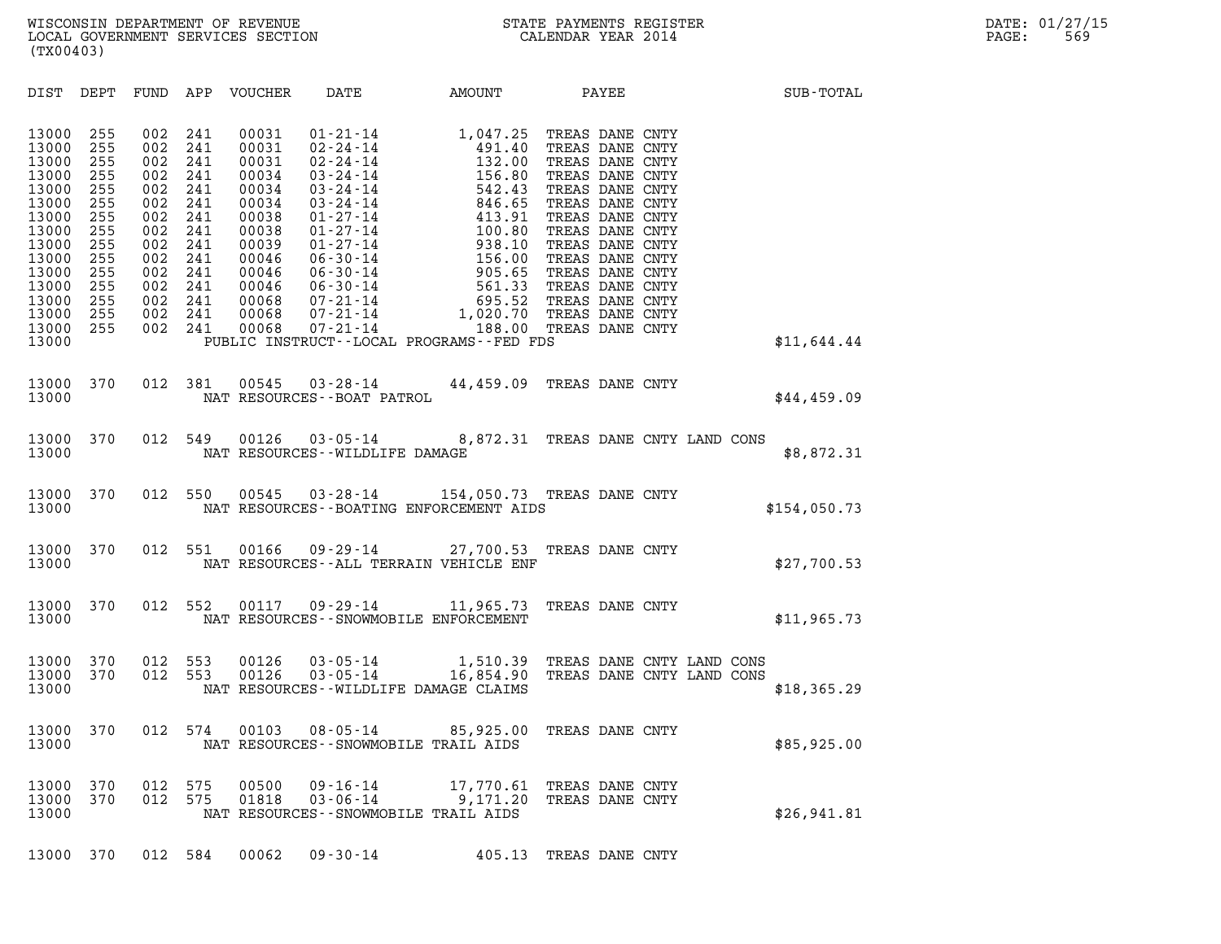| (TX00403)                                                                                                                                    |                                                                                                       |                                                                                                       |                                                                                                       |                                                                                                                                     |                                                                                                                                        |           |                                    |              |  |
|----------------------------------------------------------------------------------------------------------------------------------------------|-------------------------------------------------------------------------------------------------------|-------------------------------------------------------------------------------------------------------|-------------------------------------------------------------------------------------------------------|-------------------------------------------------------------------------------------------------------------------------------------|----------------------------------------------------------------------------------------------------------------------------------------|-----------|------------------------------------|--------------|--|
| DIST                                                                                                                                         | DEPT                                                                                                  | FUND                                                                                                  |                                                                                                       |                                                                                                                                     | APP VOUCHER DATE AMOUNT PAYEE                                                                                                          |           |                                    | SUB-TOTAL    |  |
| 13000<br>13000<br>13000<br>13000<br>13000<br>13000<br>13000<br>13000<br>13000<br>13000<br>13000<br>13000<br>13000<br>13000<br>13000<br>13000 | 255<br>255<br>255<br>255<br>255<br>255<br>255<br>255<br>255<br>255<br>255<br>255<br>255<br>255<br>255 | 002<br>002<br>002<br>002<br>002<br>002<br>002<br>002<br>002<br>002<br>002<br>002<br>002<br>002<br>002 | 241<br>241<br>241<br>241<br>241<br>241<br>241<br>241<br>241<br>241<br>241<br>241<br>241<br>241<br>241 | 00031<br>00031<br>00031<br>00034<br>00034<br>00034<br>00038<br>00038<br>00039<br>00046<br>00046<br>00046<br>00068<br>00068<br>00068 | PUBLIC INSTRUCT--LOCAL PROGRAMS--FED FDS                                                                                               |           |                                    | \$11,644.44  |  |
| 13000<br>13000                                                                                                                               | 370                                                                                                   | 012                                                                                                   | 381                                                                                                   |                                                                                                                                     | $00545$ $03-28-14$ $44,459.09$<br>NAT RESOURCES--BOAT PATROL                                                                           |           | TREAS DANE CNTY                    | \$44,459.09  |  |
| 13000<br>13000                                                                                                                               | 370                                                                                                   | 012                                                                                                   | 549                                                                                                   |                                                                                                                                     | 00126  03-05-14  8,872.31  TREAS DANE CNTY LAND CONS<br>NAT RESOURCES -- WILDLIFE DAMAGE                                               |           |                                    | \$8,872.31   |  |
| 13000<br>13000                                                                                                                               | 370                                                                                                   |                                                                                                       | 012 550                                                                                               |                                                                                                                                     | 00545  03-28-14  154,050.73  TREAS DANE CNTY<br>NAT RESOURCES--BOATING ENFORCEMENT AIDS                                                |           |                                    | \$154,050.73 |  |
| 13000<br>13000                                                                                                                               | 370                                                                                                   |                                                                                                       | 012 551                                                                                               |                                                                                                                                     | 00166 09-29-14 27,700.53<br>NAT RESOURCES--ALL TERRAIN VEHICLE ENF                                                                     |           | TREAS DANE CNTY                    | \$27,700.53  |  |
| 13000<br>13000                                                                                                                               | 370                                                                                                   | 012                                                                                                   | 552                                                                                                   |                                                                                                                                     | 00117 09-29-14 11,965.73<br>NAT RESOURCES - - SNOWMOBILE ENFORCEMENT                                                                   |           | TREAS DANE CNTY                    | \$11,965.73  |  |
| 13000<br>13000<br>13000                                                                                                                      | 370<br>370                                                                                            | 012<br>012 553                                                                                        | 553                                                                                                   | 00126<br>00126                                                                                                                      | 03-05-14 1,510.39 TREAS DANE CNTY LAND CONS<br>03-05-14 16,854.90 TREAS DANE CNTY LAND CONS<br>NAT RESOURCES -- WILDLIFE DAMAGE CLAIMS |           |                                    | \$18,365.29  |  |
| 13000<br>13000                                                                                                                               | 370                                                                                                   | 012 574                                                                                               |                                                                                                       | 00103                                                                                                                               | $08 - 05 - 14$<br>NAT RESOURCES - - SNOWMOBILE TRAIL AIDS                                                                              | 85,925.00 | TREAS DANE CNTY                    | \$85,925.00  |  |
| 13000<br>13000<br>13000                                                                                                                      | 370<br>370                                                                                            | 012<br>012                                                                                            | 575<br>575                                                                                            | 00500<br>01818                                                                                                                      | 09-16-14 17,770.61<br>$03 - 06 - 14$ 9, 171.20<br>NAT RESOURCES - - SNOWMOBILE TRAIL AIDS                                              |           | TREAS DANE CNTY<br>TREAS DANE CNTY | \$26,941.81  |  |
| 13000                                                                                                                                        | 370                                                                                                   | 012 584                                                                                               |                                                                                                       | 00062                                                                                                                               | $09 - 30 - 14$                                                                                                                         | 405.13    | TREAS DANE CNTY                    |              |  |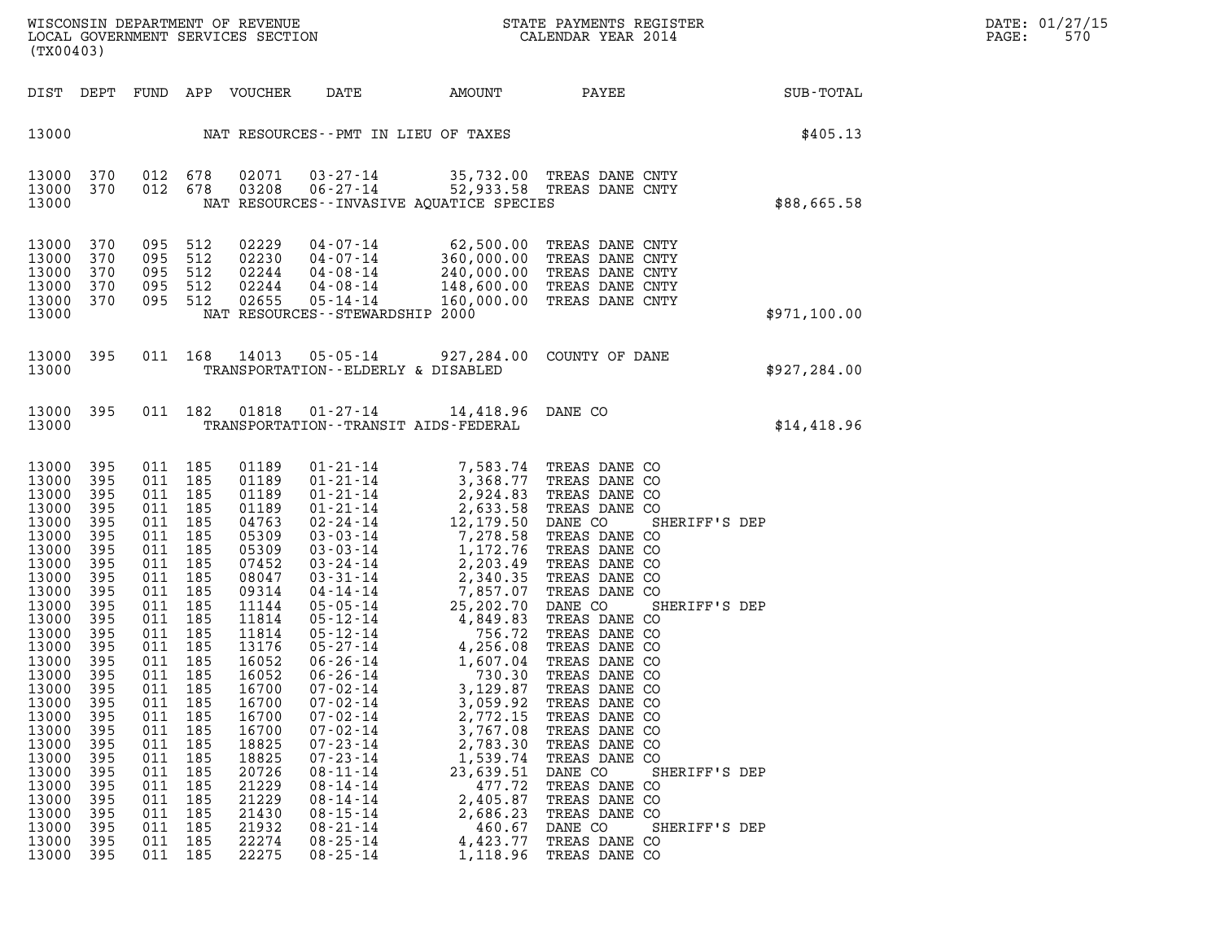| DATE: | 01/27/15 |
|-------|----------|
| PAGE: | 570      |

WISCONSIN DEPARTMENT OF REVENUE<br>LOCAL GOVERNMENT SERVICES SECTION STATE PAYMENTS REGISTER STANDAR SERISTER STO DATE: 01/27/15 WISCONSIN DEPARTMENT OF REVENUE<br>LOCAL GOVERNMENT SERVICES SECTION CALENDAR YEAR 2014<br>(TX00403) (TX00403) DIST DEPT FUND APP VOUCHER DATE AMOUNT PAYEE SUB-TOTAL 13000 NAT RESOURCES--PMT IN LIEU OF TAXES 13000 370 012 678 02071 03-27-14 35,732.00 TREAS DANE CNTY 13000 370 012 678 03208 06-27-14 52,933.58 TREAS DANE CNTY 13000 FILED STRESOURCES--INVASIVE AQUATICE SPECIES \$88,665.58 13000 370 095 512 02229 04-07-14 62,500.00 TREAS DANE CNTY 13000 370 095 512 02230 04-07-14 360,000.00 TREAS DANE CNTY 13000 370 095 512 02244 04-08-14 240,000.00 TREAS DANE CNTY 13000 370 095 512 02229 04-07-14 62,500.00 TREAS DANE CNTY<br>13000 370 095 512 02230 04-07-14 360,000.00 TREAS DANE CNTY<br>13000 370 095 512 02244 04-08-14 240,000.00 TREAS DANE CNTY<br>13000 370 095 512 02244 04-08-14 148,600.00 13000 370 095 512 02230 04-07-14 360,000.00 TREAS DANE CNTY<br>13000 370 095 512 02244 04-08-14 240,000.00 TREAS DANE CNTY<br>13000 370 095 512 02244 04-08-14 148,600.00 TREAS DANE CNTY<br>13000 370 095 512 02655 05-14-14 160,000.0 13000 NAT RESOURCES--STEWARDSHIP 2000 \$971,100.00 13000 395 011 168 14013 05-05-14 927,284.00 COUNTY OF DANE 13000 370 095 512 02655 05-14-14 100,000.00 18280 2011 168 14013 05-05-14 927,284.00 COUNTY OF DANE \$971,100.00<br>13000 195 011 168 14013 05-05-14 927,284.00 COUNTY OF DANE \$927,284.00 TRANSPORTATION--ELDERLY & DISABLED 13000 395 011 182 01818 01-27-14 14,418.96 DANE CO 13000 TRANSPORTATION--TRANSIT AIDS-FEDERAL \$14,418.96 13000 395 011 185 01189 01-21-14 7,583.74 TREAS DANE CO 13000 395 011 185 01189 01-21-14 7,583.74 TREASDANE CO<br>13000 395 011 185 01189 01-21-14 3,368.77 TREASDANE CO<br>13000 395 011 185 01189 01-21-14 2.924.83 TREASDANE CO 13000 395 011 185 01189 01-21-14 7,583.74 TREAS DANE CO<br>13000 395 011 185 01189 01-21-14 3,368.77 TREAS DANE CO<br>13000 395 011 185 01189 01-21-14 2,924.83 TREAS DANE CO<br>13000 395 011 185 01189 01-21-14 2,633.58 TREAS DANE C  $13000$  395 011 185 01189 01-21-14 7,583.74 TREAS DANE CO<br>13000 395 011 185 01189 01-21-14 3,368.77 TREAS DANE CO<br>13000 395 011 185 01189 01-21-14 2,633.58 TREAS DANE CO<br>13000 395 011 185 04763 02-24-14 2,633.58 TREAS DAN 13000 395 011 185 01189 01-21-14 3,368.77 TREAS DANE CO<br>13000 395 011 185 01189 01-21-14 2,924.83 TREAS DANE CO<br>13000 395 011 185 01189 01-21-14 2,633.58 TREAS DANE CO<br>13000 395 011 185 04763 02-24-14 12,179.50 DANE CO SHE 13000 395 011 185 01189 01-21-14 2,924.83 TREAS DANE CO<br>13000 395 011 185 01189 01-21-14 2,633.58 TREAS DANE CO<br>13000 395 011 185 04763 02-24-14 12,179.50 DANE CO SHER:<br>13000 395 011 185 05309 03-03-14 7,278.58 TREAS DANE 13000 395 011 185 01189 01-21-14 2,633.58 TREAS DANE CO<br>13000 395 011 185 04763 02-24-14 12,179.50 DANE CO SHER:<br>13000 395 011 185 05309 03-03-14 1,172.76 TREAS DANE CO<br>13000 395 011 185 07452 03-24-14 1,172.76 TREAS DANE 13000 395 011 185 04763 02-24-14 12,179.50 DANE CO SHER:<br>13000 395 011 185 05309 03-03-14 7,278.58 TREAS DANE CO<br>13000 395 011 185 05309 03-03-14 1,172.76 TREAS DANE CO<br>13000 395 011 185 08047 03-31-14 2,203.49 TREAS DANE 13000 395 011 185 05309 03-03-14 7,278.58 TREAS DANE CO<br>13000 395 011 185 05309 03-03-14 1,172.76 TREAS DANE CO<br>13000 395 011 185 07452 03-24-14 2,203.49 TREAS DANE CO<br>13000 395 011 185 09314 04-14-14 7,857.07 TREAS DANE C 13000 395 011 185 05309 03-03-14 1,172.76 TREAS DANE CO<br>13000 395 011 185 07452 03-24-14 2,203.49 TREAS DANE CO<br>13000 395 011 185 08047 03-31-14 2,340.35 TREAS DANE CO<br>13000 395 011 185 11144 05-05-14 7,857.07 TREAS DANE C 13000 395 011 185 07452 03-24-14 2,203.49 TREAS DANE CO<br>13000 395 011 185 08047 03-31-14 2,340.35 TREAS DANE CO<br>13000 395 011 185 09314 04-14-14 7,857.07 TREAS DANE CO<br>13000 395 011 185 11144 05-05-14 25,202.70 DANE CO SHE 13000 395 011 185 08047 03-31-14 2,340.35 TREAS DANE CO<br>13000 395 011 185 09314 04-14-14 7,857.07 TREAS DANE CO<br>13000 395 011 185 111814 05-05-14 25,202.70 DANE CO SHER:<br>13000 395 011 185 11814 05-12-14 4,849.83 TREAS DANE 13000 395 011 185 09314 04-14-14 7,857.07 TREAS DANE CO<br>13000 395 011 185 11144 05-05-14 25,202.70 DANE CO SHER:<br>13000 395 011 185 11814 05-12-14 4,849.83 TREAS DANE CO<br>13000 395 011 185 13176 05-27-14 4,256.08 TREAS DANE 13000 395 011 185 11144 05-05-14 25,202.70 DANE CO SHER:<br>13000 395 011 185 11814 05-12-14 4,849.83 TREAS DANE CO<br>13000 395 011 185 11814 05-12-14 756.72 TREAS DANE CO<br>13000 395 011 185 16052 06-26-14 1.607.04 TREAS DANE CO 13000 395 011 185 11814 05-12-14 4,849.83 TREAS DANE CO<br>13000 395 011 185 11814 05-12-14 756.72 TREAS DANE CO<br>13000 395 011 185 13176 05-27-14 4,256.08 TREAS DANE CO<br>13000 395 011 185 16052 06-26-14 1,607.04 TREAS DANE CO<br> 13000 395 011 185 11814 05-12-14 756.72 TREAS DANE CO<br>13000 395 011 185 13176 05-27-14 4,256.08 TREAS DANE CO<br>13000 395 011 185 16052 06-26-14 730.30 TREAS DANE CO<br>13000 395 011 185 16700 07-02-14 3.129.87 TREAS DANE CO 13000 395 011 185 13176 05-27-14 4,256.08 TREAS DANE CO<br>13000 395 011 185 16052 06-26-14 1,607.04 TREAS DANE CO<br>13000 395 011 185 16052 06-26-14 730.30 TREAS DANE CO<br>13000 395 011 185 16700 07-02-14 3,059.92 TREAS DANE CO<br> 13000 395 011 185 16052 06-26-14 1,607.04 TREAS DANE CO<br>13000 395 011 185 16052 06-26-14 730.30 TREAS DANE CO<br>13000 395 011 185 16700 07-02-14 3,059.92 TREAS DANE CO<br>13000 395 011 185 16700 07-02-14 2,059.92 TREAS DANE CO<br> 13000 395 011 185 16052 06-26-14 730.30 TREAS DANE CO<br>13000 395 011 185 16700 07-02-14 3,129.87 TREAS DANE CO<br>13000 395 011 185 16700 07-02-14 3,059.92 TREAS DANE CO<br>13000 395 011 185 16700 07-02-14 2,772.15 TREAS DANE CO<br> 13000 395 011 185 16700 07-02-14 3,129.87 TREAS DANE CO<br>13000 395 011 185 16700 07-02-14 3,059.92 TREAS DANE CO<br>13000 395 011 185 16700 07-02-14 2,772.15 TREAS DANE CO<br>13000 395 011 185 18825 07-23-14 3,767.08 TREAS DANE C 13000 395 011 185 16700 07-02-14 3,059.92 TREAS DANE CO<br>13000 395 011 185 16700 07-02-14 2,772.15 TREAS DANE CO<br>13000 395 011 185 16700 07-02-14 3,767.08 TREAS DANE CO<br>13000 395 011 185 18825 07-23-14 2,783.30 TREAS DANE C  $13000$  395 011 185 16700 07-02-14 2,772.15 TREAS DANE CO<br>13000 395 011 185 16700 07-02-14 3,767.08 TREAS DANE CO<br>13000 395 011 185 18825 07-23-14 2,783.30 TREAS DANE CO<br>13000 395 011 185 20726 08-11-14 23.639.51 DANE CO 13000 395 011 185 16700 07-02-14 3,767.08 TREAS DANE CO<br>13000 395 011 185 18825 07-23-14 2,783.30 TREAS DANE CO<br>13000 395 011 185 18825 07-23-14 1,539.74 TREAS DANE CO<br>13000 395 011 185 20726 08-11-14 23,639.51 DANE CO SHE 13000 395 011 185 18825 07-23-14 2,783.30 TREAS DANE CO<br>13000 395 011 185 18825 07-23-14 1,539.74 TREAS DANE CO<br>13000 395 011 185 20726 08-11-14 23,639.51 DANE CO SHER:<br>13000 395 011 185 21229 08-14-14 2.405.87 TREAS DANE 13000 395 011 185 18825 07-23-14 1,539.74 TREAS DANE CO<br>13000 395 011 185 20726 08-11-14 23,639.51 DANE CO SHER:<br>13000 395 011 185 21229 08-14-14 4 477.72 TREAS DANE CO<br>13000 395 011 185 21430 08-14-14 2,686.23 TREAS DANE 13000 395 011 185 20726 08-11-14 23,639.51 DANE CO SHER:<br>13000 395 011 185 21229 08-14-14 477.72 TREAS DANE CO<br>13000 395 011 185 21229 08-14-14 2,405.87 TREAS DANE CO<br>13000 395 011 185 21932 08-15-14 460.67 DANE CO 13000 395 011 185 21229 08-14-14 477.72 TREASDANE CO<br>13000 395 011 185 21229 08-14-14 2,405.87 TREASDANE CO<br>13000 395 011 185 21430 08-15-14 2,686.23 TREASDANE CO<br>13000 395 011 185 21932 08-21-14 460.67 DANE CO SHERIFF'SDE 13000 395 011 185 21229 08-14-14 2,405.87 TREAS DANE CO<br>13000 395 011 185 21430 08-15-14 2,686.23 TREAS DANE CO<br>13000 395 011 185 21932 08-21-14 460.67 DANE CO SHER:<br>13000 395 011 185 22275 08-25-14 4,423.77 TREAS DANE CO 13000 395 011 185 21430 08-15-14 2,686.23 TREAS DANE CO<br>13000 395 011 185 21932 08-21-14 460.67 DANE CO SHEI<br>13000 395 011 185 22274 08-25-14 4,423.77 TREAS DANE CO<br>13000 395 011 185 22275 08-25-14 1,118.96 TREAS DANE CO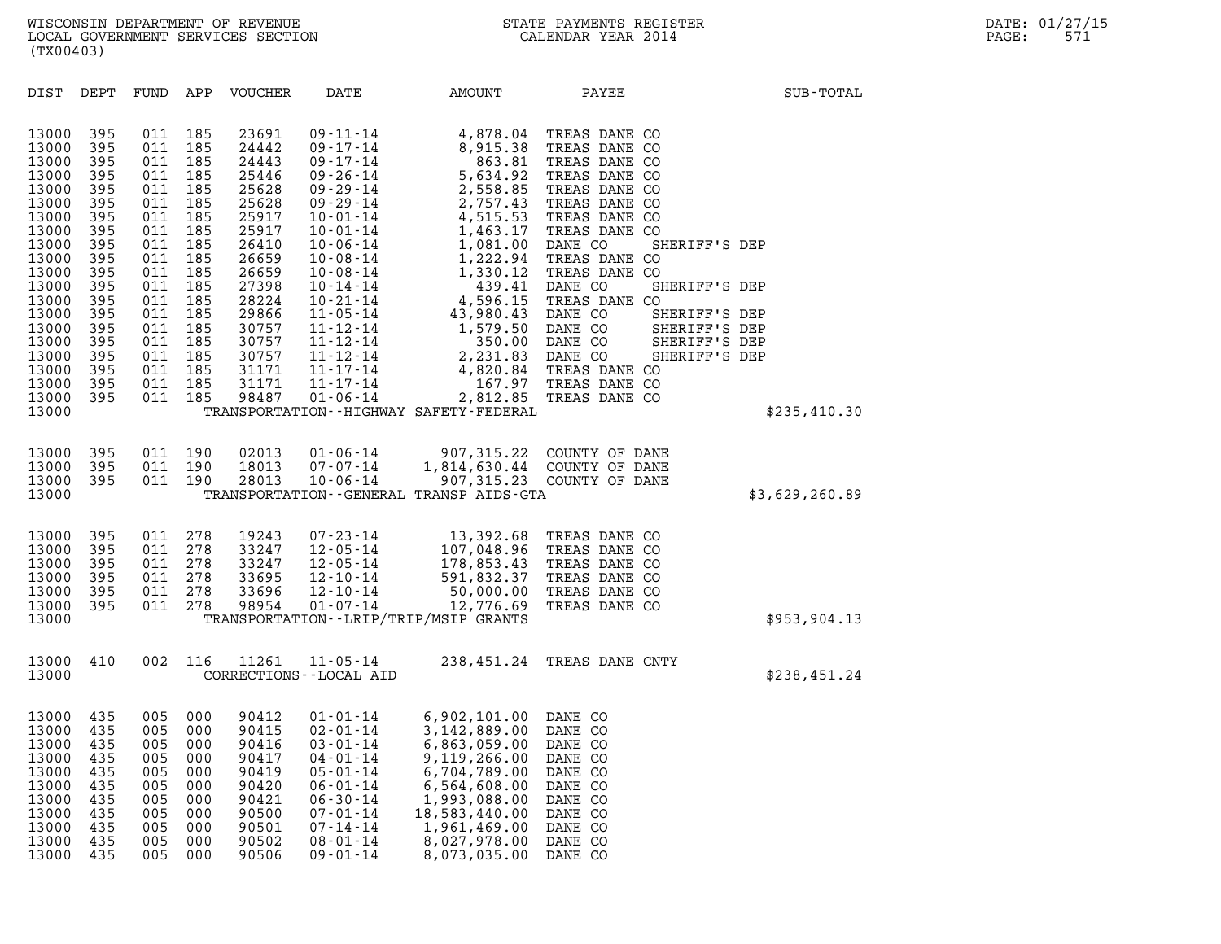DIST DEPT FUND APP VOUCHER DATE AMOUNT PAYEE SUB-TOTAL DIST DEPT FUND APP VOUCHER DATE AMOUNT PAYEE<br>13000 395 011 185 23691 09-11-14 4,878.04 TREAS DANE CO<br>13000 395 011 185 24442 09-17-14 8,915.38 TREAS DANE CO 13000 395 011 185 23691 09-11-14 4,878.04 TREAS DANE CO<br>13000 395 011 185 24442 09-17-14 8,915.38 TREAS DANE CO<br>13000 395 011 185 24443 09-17-14 863.81 TREAS DANE CO 13000 395 011 185 24443 09-17-14 863.81 TREAS DANE CO 13000 395 011 185 23691 09-11-14 4,878.04 TREAS DANE CO<br>13000 395 011 185 24442 09-17-14 8,915.38 TREAS DANE CO<br>13000 395 011 185 24443 09-17-14 563.81 TREAS DANE CO<br>13000 395 011 185 25628 09-29-14 2,558.85 TREAS DANE CO 13000 395 011 185 24442 09-17-14 8,915.38 TREAS DANE CO<br>13000 395 011 185 24443 09-17-14 863.81 TREAS DANE CO<br>13000 395 011 185 25628 09-26-14 5,634.92 TREAS DANE CO<br>13000 395 011 185 25628 09-29-14 2,757.43 TREAS DANE CO 13000 395 011 185 24443 09-17-14 863.81 TREAS DANE CO<br>13000 395 011 185 25446 09-26-14 5,634.92 TREAS DANE CO<br>13000 395 011 185 25628 09-29-14 2,558.85 TREAS DANE CO<br>13000 395 011 185 25917 10-01-14 4.515.53 TREAS DANE CO 13000 395 011 185 25446 09-26-14 5,634.92 TREAS DANE CO<br>13000 395 011 185 25628 09-29-14 2,558.85 TREAS DANE CO<br>13000 395 011 185 25628 09-29-14 2,757.43 TREAS DANE CO<br>13000 395 011 185 25917 10-01-14 4,463.17 TREAS DANE C 13000 395 011 185 25628 09-29-14 2,558.85 TREAS DANE CO<br>13000 395 011 185 25628 09-29-14 2,757.43 TREAS DANE CO<br>13000 395 011 185 25917 10-01-14 4,515.53 TREAS DANE CO<br>13000 395 011 185 26410 10-06-14 1,463.17 TREAS DANE C 13000 395 011 185 25628 09-29-14 2,757.43 TREAS DANE CO<br>13000 395 011 185 25917 10-01-14 4,515.53 TREAS DANE CO<br>13000 395 011 185 25917 10-01-14 1,463.17 TREAS DANE CO<br>13000 395 011 185 26410 10-06-14 1,081.00 DANE CO SHER 13000 395 011 185 25917 10-01-14 4,515.53 TREAS DANE CO<br>13000 395 011 185 25917 10-01-14 1,463.17 TREAS DANE CO<br>13000 395 011 185 26659 10-06-14 1,081.00 DANE CO SHER:<br>13000 395 011 185 26659 10-08-14 1,222.94 TREAS DANE C 13000 395 011 185 25917 10-01-14 1,463.17 TREAS DANE CO<br>13000 395 011 185 26410 10-06-14 1,081.00 DANE CO SHER:<br>13000 395 011 185 26659 10-08-14 1,222.94 TREAS DANE CO<br>13000 395 011 185 27398 10-14-14 439.41 DANE CO SHER: 13000 395 011 185 26410 10-06-14 1,081.00 DANE CO SHERIFF'S DEP<br>13000 395 011 185 26659 10-08-14 1,222.94 TREAS DANE CO<br>13000 395 011 185 26659 10-08-14 1,330.12 TREAS DANE CO<br>13000 395 011 185 28224 10-14-14 439.41 DANE C 13000 395 011 185 26659 10-08-14 1,222.94 TREAS DANE CO<br>13000 395 011 185 26659 10-08-14 1,330.12 TREAS DANE CO<br>13000 395 011 185 27398 10-14-14 4 439.41 DANE CO SHER:<br>13000 395 011 185 29866 11-05-14 4,596.15 TREAS DANE C 13000 395 011 185 26659 10-08-14 1,330.12 TREAS DANE CO<br>13000 395 011 185 27398 10-14-14 439.41 DANE CO SHERIFF'S DEP<br>13000 395 011 185 28224 10-21-14 4,596.13 DANE CO SHERIFF'S DEP<br>13000 395 011 185 30757 11-12-14 1,579.5 13000 395 011 185 27398 10-14-14 439.41 DANE CO SHERIFF'S DEP<br>13000 395 011 185 28224 10-21-14 4,596.15 TREAS DANE CO<br>13000 395 011 185 29866 11-05-14 43,980.43 DANE CO SHERIFF'S DEP<br>13000 395 011 185 30757 11-12-14 550.00 13000 395 011 185 28224 10-21-14 4,596.15 TREAS DANE CO<br>13000 395 011 185 29866 11-05-14 43,980.43 DANE CO SHERIFF'S DEP<br>13000 395 011 185 30757 11-12-14 1550.50 DANE CO SHERIFF'S DEP<br>13000 395 011 185 30757 11-12-14 2.231 13000 395 011 185 29866 11-05-14 43,980.43 DANE CO SHERIFF'S DEP<br>13000 395 011 185 30757 11-12-14 1,579.50 DANE CO SHERIFF'S DEP<br>13000 395 011 185 30757 11-12-14 3250.00 DANE CO SHERIFF'S DEP<br>13000 395 011 185 31171 11-12-13000 395 011 185 30757 11-12-14 1,579.50 DANE CO SHER:<br>13000 395 011 185 30757 11-12-14 350.00 DANE CO SHER:<br>13000 395 011 185 30757 11-12-14 2,231.83 DANE CO SHER:<br>13000 395 011 185 31171 11-17-14 4,820.84 TREAS DANE CO<br> 13000 395 011 185 30757 11-12-14 350.00 DANE CO SHER:<br>13000 395 011 185 30757 11-12-14 2,231.83 DANE CO SHER:<br>13000 395 011 185 31171 11-17-14 4,820.84 TREAS DANE CO<br>13000 395 011 185 98487 01-06-14 2,812.85 TREAS DANE CO 13000 395 011 185 30757 11-12-14 2,231.83 DANE CO SHER:<br>13000 395 011 185 31171 11-17-14 4,820.84 TREAS DANE CO<br>13000 395 011 185 31171 11-17-14 167.97 TREAS DANE CO<br>13000 395 011 185 98487 01-06-14 2,812.85 TREAS DANE CO<br> 13000 TRANSPORTATION--HIGHWAY SAFETY-FEDERAL \$235,410.30 13000 395 011 190 02013 01-06-14 907,315.22 COUNTY OF DANE 13000 395 011 190 02013 01–06–14 907,315.22 COUNTY OF DANE<br>13000 395 011 190 18013 07–07–14 1,814,630.44 COUNTY OF DANE<br>13000 395 011 190 28013 10–06–14 907,315.23 COUNTY OF DANE 13000 395 011 190 02013 01-06-14 907,315.22 COUNTY OF DANE<br>13000 395 011 190 18013 07-07-14 1,814,630.44 COUNTY OF DANE<br>13000 395 011 190 28013 10-06-14 907,315.23 COUNTY OF DANE<br>13000 TRANSPORTATION--GENERAL TRANSP AIDS-G 13000 395 011 190 02013 01-06-14 907,315.22 COUNTY. OF DANE<br>13000 395 011 190 18013 07-07-14 1,814,630.44 COUNTY. OF DANE<br>13000 395 011 190 28013 10-06-14 907,315.23 COUNTY. OF DANE \$3,629,260.89<br>13000 13000 395 011 278 19243 07-23-14 13,392.68 TREAS DANE CO 13000 395 011 278 19243 07-23-14 13,392.68 TREASDANE CO<br>13000 395 011 278 33247 12-05-14 107,048.96 TREASDANE CO<br>13000 395 011 278 33247 12-05-14 178,853.43 TREASDANE CO 13000 395 011 278 19243 07-23-14 13,392.68 TREAS DANE CO<br>13000 395 011 278 33247 12-05-14 107,048.96 TREAS DANE CO<br>13000 395 011 278 33247 12-05-14 178,853.43 TREAS DANE CO<br>13000 395 011 278 33695 12-10-14 591.832.37 TREAS 13000 395 011 278 19243 07-23-14 13,392.68 TREAS DANE CO<br>13000 395 011 278 33247 12-05-14 107,048.96 TREAS DANE CO<br>13000 395 011 278 33247 12-05-14 178,853.43 TREAS DANE CO<br>13000 395 011 278 33695 12-10-14 591,832.37 TREAS 13000 395 011 278 33247 12-05-14 107,048.96 TREAS DANE CO<br>13000 395 011 278 33247 12-05-14 178,853.43 TREAS DANE CO<br>13000 395 011 278 33695 12-10-14 591,832.37 TREAS DANE CO<br>13000 395 011 278 98954 01-07-14 12.776.69 TREAS 13000 395 011 278 33247 12-05-14 178,853.43 TREAS DANE CO<br>13000 395 011 278 33695 12-10-14 591,832.37 TREAS DANE CO<br>13000 395 011 278 33696 12-10-14 590,000.00 TREAS DANE CO<br>13000 395 011 278 98954 01-07-14 12,776.69 TREAS 13000 TRANSPORTATION--LRIP/TRIP/MSIP GRANTS \$953,904.13 13000 410 002 116 11261 11-05-14 238,451.24 TREAS DANE CNTY 13000 CORRECTIONS--LOCAL AID \$238,451.24 13000 435 005 000 90412 01-01-14 6,902,101.00 DANE CO 13000 435 005 000 90415 02-01-14 3,142,889.00 DANE CO 13000 435 005 000 90412 01-01-14 6,902,101.00 DANE CO<br>13000 435 005 000 90415 02-01-14 3,142,889.00 DANE CO<br>13000 435 005 000 90416 03-01-14 6,863,059.00 DANE CO<br>13000 435 005 000 90417 04-01-14 9,119,266.00 DANE CO  $13000$   $435$   $005$   $000$   $90412$   $01-01-14$   $6,902,101.00$   $DANE CO$ <br> $13000$   $435$   $005$   $000$   $90415$   $02-01-14$   $3,142,889.00$   $DANE CO$ <br> $13000$   $435$   $005$   $000$   $90417$   $04-01-14$   $9,119,266.00$   $DANE CO$ <br> $13000$   $435$   $005$   $00$  $13000$   $435$   $005$   $000$   $90415$   $03$ -01-14  $14000$   $435$   $005$   $000$   $90416$   $03$ -01-14  $6,863,059.00$  DANE CO<br> $13000$   $435$   $005$   $000$   $90417$   $04$ -01-14  $9,119,266.00$  DANE CO<br> $13000$   $435$   $005$   $000$   $90419$   $05$ -0  $13000$   $435$   $005$   $000$   $90416$   $03$ -01-14  $6,863,059.00$  DANE CO<br> $13000$   $435$   $005$   $000$   $90417$   $04$ -01-14  $9,119,266.00$  DANE CO<br> $13000$   $435$   $005$   $000$   $90420$   $05$ -01-14  $6,704,789.00$  DANE CO<br> $13000$   $435$   $00$  $13000$   $435$   $005$   $000$   $90417$   $04$ - $01$ - $14$   $9$ , $119$ , $266$ . $00$  DANE CO<br> $13000$   $435$   $005$   $000$   $90420$   $06$ - $01$ - $14$   $6$ , $704$ , $789$ . $00$  DANE CO<br> $13000$   $435$   $005$   $000$   $90421$   $06$ - $30$ - $14$   $1,993$ , $088.00$  $13000$   $435$   $005$   $000$   $90419$   $05-01-14$   $6,704,789.00$  DANE CO<br> $13000$   $435$   $005$   $000$   $90420$   $06-01-14$   $6,564,608.00$  DANE CO<br> $13000$   $435$   $005$   $000$   $90421$   $06-30-14$   $1,993,088.00$  DANE CO<br> $13000$   $435$   $00$  $13000$   $435$   $005$   $000$   $90420$   $06-01-14$   $6,564,608.00$  DANE CO<br> $13000$   $435$   $005$   $000$   $90421$   $06-30-14$   $1,993,088.00$  DANE CO<br> $13000$   $435$   $005$   $000$   $90500$   $07-01-14$   $14$   $1,961,469.00$  DANE CO<br> $13000$   $435$  $13000$   $435$   $005$   $000$   $90421$   $06-30-14$   $1,993,088.00$  DANE CO<br> $13000$   $435$   $005$   $000$   $90500$   $07-01-14$   $18,583,440.00$  DANE CO<br> $13000$   $435$   $005$   $000$   $90501$   $07-14-14$   $1,961,469.00$  DANE CO<br> $13000$   $435$   $0$ 13000 435 005 000 90500 07-01-14 18,583,440.00 DANE CO<br>13000 435 005 000 90501 07-14-14 1,961,469.00 DANE CO<br>13000 435 005 000 90502 08-01-14 8,027,978.00 DANE CO<br>13000 435 005 000 90506 09-01-14 8,073,035.00 DANE CO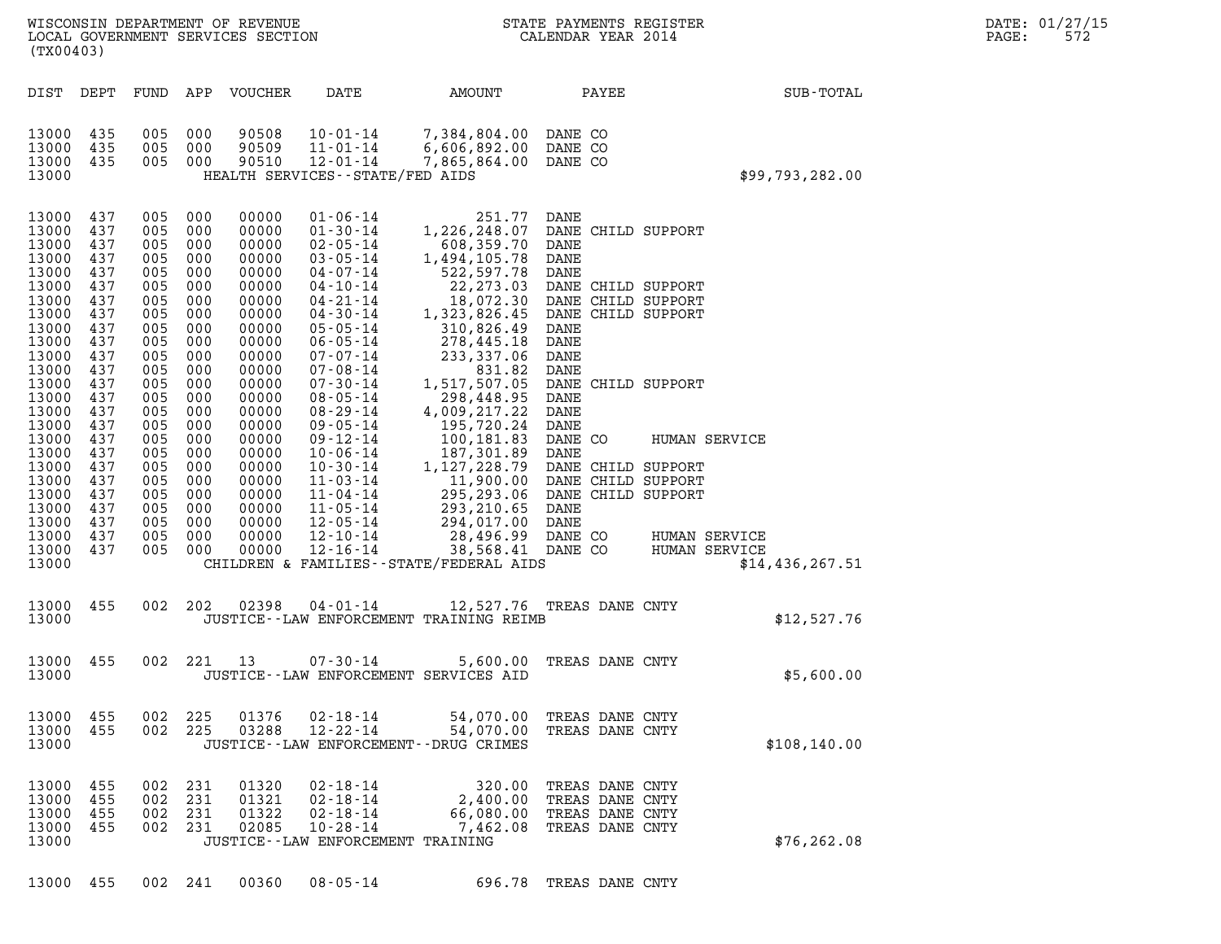| (TX00403)                                                                                                                                                                                                            |                                                                                                                                                                      |                                                                                                                                                                      |                                                                                                                                                                      | WISCONSIN DEPARTMENT OF REVENUE<br>LOCAL GOVERNMENT SERVICES SECTION                                                                                                                                                 | $\mathbf{N}$                                                                                                                                                                                                                                                                                                                                                                                                                           |                                                                                                                                                                                                                                                                                                                                                                                         | STATE PAYMENTS REGISTER<br>CALENDAR YEAR 2014                                                                                                                                                                                                                                                                      |                                  | DATE: 01/27/15<br>PAGE:<br>572 |
|----------------------------------------------------------------------------------------------------------------------------------------------------------------------------------------------------------------------|----------------------------------------------------------------------------------------------------------------------------------------------------------------------|----------------------------------------------------------------------------------------------------------------------------------------------------------------------|----------------------------------------------------------------------------------------------------------------------------------------------------------------------|----------------------------------------------------------------------------------------------------------------------------------------------------------------------------------------------------------------------|----------------------------------------------------------------------------------------------------------------------------------------------------------------------------------------------------------------------------------------------------------------------------------------------------------------------------------------------------------------------------------------------------------------------------------------|-----------------------------------------------------------------------------------------------------------------------------------------------------------------------------------------------------------------------------------------------------------------------------------------------------------------------------------------------------------------------------------------|--------------------------------------------------------------------------------------------------------------------------------------------------------------------------------------------------------------------------------------------------------------------------------------------------------------------|----------------------------------|--------------------------------|
| DIST DEPT                                                                                                                                                                                                            |                                                                                                                                                                      |                                                                                                                                                                      |                                                                                                                                                                      | FUND APP VOUCHER                                                                                                                                                                                                     | DATE                                                                                                                                                                                                                                                                                                                                                                                                                                   | AMOUNT                                                                                                                                                                                                                                                                                                                                                                                  | PAYEE                                                                                                                                                                                                                                                                                                              | SUB-TOTAL                        |                                |
| 13000<br>13000<br>13000 435<br>13000                                                                                                                                                                                 | 435<br>435                                                                                                                                                           | 005<br>005<br>005                                                                                                                                                    | 000<br>000<br>000                                                                                                                                                    | 90508<br>90509<br>90510                                                                                                                                                                                              | $10 - 01 - 14$<br>$11 - 01 - 14$<br>$12 - 01 - 14$<br>HEALTH SERVICES - - STATE/FED AIDS                                                                                                                                                                                                                                                                                                                                               | 7,384,804.00<br>6,606,892.00<br>7,865,864.00                                                                                                                                                                                                                                                                                                                                            | DANE CO<br>DANE CO<br>DANE CO                                                                                                                                                                                                                                                                                      | \$99,793,282.00                  |                                |
| 13000<br>13000<br>13000<br>13000<br>13000<br>13000<br>13000<br>13000<br>13000<br>13000<br>13000<br>13000<br>13000<br>13000<br>13000<br>13000<br>13000<br>13000<br>13000<br>13000<br>13000<br>13000<br>13000<br>13000 | 437<br>437<br>437<br>437<br>437<br>437<br>437<br>437<br>437<br>437<br>437<br>437<br>437<br>437<br>437<br>437<br>437<br>437<br>437<br>437<br>437<br>437<br>437<br>437 | 005<br>005<br>005<br>005<br>005<br>005<br>005<br>005<br>005<br>005<br>005<br>005<br>005<br>005<br>005<br>005<br>005<br>005<br>005<br>005<br>005<br>005<br>005<br>005 | 000<br>000<br>000<br>000<br>000<br>000<br>000<br>000<br>000<br>000<br>000<br>000<br>000<br>000<br>000<br>000<br>000<br>000<br>000<br>000<br>000<br>000<br>000<br>000 | 00000<br>00000<br>00000<br>00000<br>00000<br>00000<br>00000<br>00000<br>00000<br>00000<br>00000<br>00000<br>00000<br>00000<br>00000<br>00000<br>00000<br>00000<br>00000<br>00000<br>00000<br>00000<br>00000<br>00000 | $01 - 06 - 14$<br>$01 - 30 - 14$<br>$02 - 05 - 14$<br>$03 - 05 - 14$<br>04-07-14<br>$04 - 10 - 14$<br>$04 - 21 - 14$<br>$04 - 30 - 14$<br>$05 - 05 - 14$<br>$06 - 05 - 14$<br>$07 - 07 - 14$<br>$07 - 08 - 14$<br>$07 - 30 - 14$<br>$08 - 05 - 14$<br>$08 - 29 - 14$<br>$09 - 05 - 14$<br>$09 - 12 - 14$<br>$10 - 06 - 14$<br>$10 - 30 - 14$<br>$11 - 03 - 14$<br>$11 - 04 - 14$<br>$11 - 05 - 14$<br>$12 - 05 - 14$<br>$12 - 10 - 14$ | 251.77<br>1,226,248.07<br>608,359.70<br>1,494,105.78<br>522,597.78<br>22, 273.03<br>18,072.30<br>1,323,826.45<br>310,826.49<br>278,445.18<br>233,337.06<br>831.82<br>1,517,507.05<br>298,448.95<br>4,009,217.22<br>195,720.24<br>100,181.83<br>187,301.89<br>1, 127, 228.79<br>$\begin{array}{r} -11,900.00\ 295,293.06\ 293,210.65\ 294,017.00 \end{array}$<br>294,017.00<br>28,496.99 | DANE<br>DANE CHILD SUPPORT<br>DANE<br>DANE<br>DANE<br>DANE CHILD SUPPORT<br>DANE CHILD SUPPORT<br>DANE CHILD SUPPORT<br>DANE<br>DANE<br>DANE<br>DANE<br>DANE CHILD SUPPORT<br>DANE<br>DANE<br>DANE<br>DANE CO<br>DANE<br>DANE CHILD SUPPORT<br>DANE CHILD SUPPORT<br>DANE CHILD SUPPORT<br>DANE<br>DANE<br>DANE CO | HUMAN SERVICE<br>HUMAN SERVICE   |                                |
| 13000 437<br>13000                                                                                                                                                                                                   |                                                                                                                                                                      | 005                                                                                                                                                                  | 000                                                                                                                                                                  | 00000                                                                                                                                                                                                                | $12 - 16 - 14$                                                                                                                                                                                                                                                                                                                                                                                                                         | 38,568.41 DANE CO<br>CHILDREN & FAMILIES - - STATE/FEDERAL AIDS                                                                                                                                                                                                                                                                                                                         |                                                                                                                                                                                                                                                                                                                    | HUMAN SERVICE<br>\$14,436,267.51 |                                |
| 13000 455<br>13000                                                                                                                                                                                                   |                                                                                                                                                                      | 002 202                                                                                                                                                              |                                                                                                                                                                      | 02398                                                                                                                                                                                                                | 04-01-14                                                                                                                                                                                                                                                                                                                                                                                                                               | JUSTICE -- LAW ENFORCEMENT TRAINING REIMB                                                                                                                                                                                                                                                                                                                                               | 12,527.76 TREAS DANE CNTY                                                                                                                                                                                                                                                                                          | \$12,527.76                      |                                |
| 13000 455<br>13000                                                                                                                                                                                                   |                                                                                                                                                                      | 002 221                                                                                                                                                              |                                                                                                                                                                      | 13                                                                                                                                                                                                                   | $07 - 30 - 14$<br>JUSTICE -- LAW ENFORCEMENT SERVICES AID                                                                                                                                                                                                                                                                                                                                                                              |                                                                                                                                                                                                                                                                                                                                                                                         | 5,600.00 TREAS DANE CNTY                                                                                                                                                                                                                                                                                           | \$5,600.00                       |                                |
| 13000 455<br>13000 455<br>13000                                                                                                                                                                                      |                                                                                                                                                                      | 002 225<br>002 225                                                                                                                                                   |                                                                                                                                                                      | 01376<br>03288                                                                                                                                                                                                       | 02-18-14<br>12-22-14<br>JUSTICE - - LAW ENFORCEMENT - - DRUG CRIMES                                                                                                                                                                                                                                                                                                                                                                    | 54,070.00<br>54,070.00                                                                                                                                                                                                                                                                                                                                                                  | TREAS DANE CNTY<br>TREAS DANE CNTY                                                                                                                                                                                                                                                                                 | \$108, 140.00                    |                                |
| 13000 455<br>13000<br>13000<br>13000<br>13000                                                                                                                                                                        | 455<br>455<br>455                                                                                                                                                    | 002<br>002<br>002<br>002                                                                                                                                             | 231<br>231<br>231<br>231                                                                                                                                             | 01320<br>01321<br>01322<br>02085                                                                                                                                                                                     | $02 - 18 - 14$<br>$02 - 18 - 14$<br>$02 - 18 - 14$<br>$10 - 28 - 14$<br>JUSTICE--LAW ENFORCEMENT TRAINING                                                                                                                                                                                                                                                                                                                              | 320.00<br>2,400.00<br>66,080.00<br>7,462.08                                                                                                                                                                                                                                                                                                                                             | TREAS DANE CNTY<br>TREAS DANE CNTY<br>TREAS DANE CNTY<br>TREAS DANE CNTY                                                                                                                                                                                                                                           | \$76, 262.08                     |                                |

13000 455 002 241 00360 08-05-14 696.78 TREAS DANE CNTY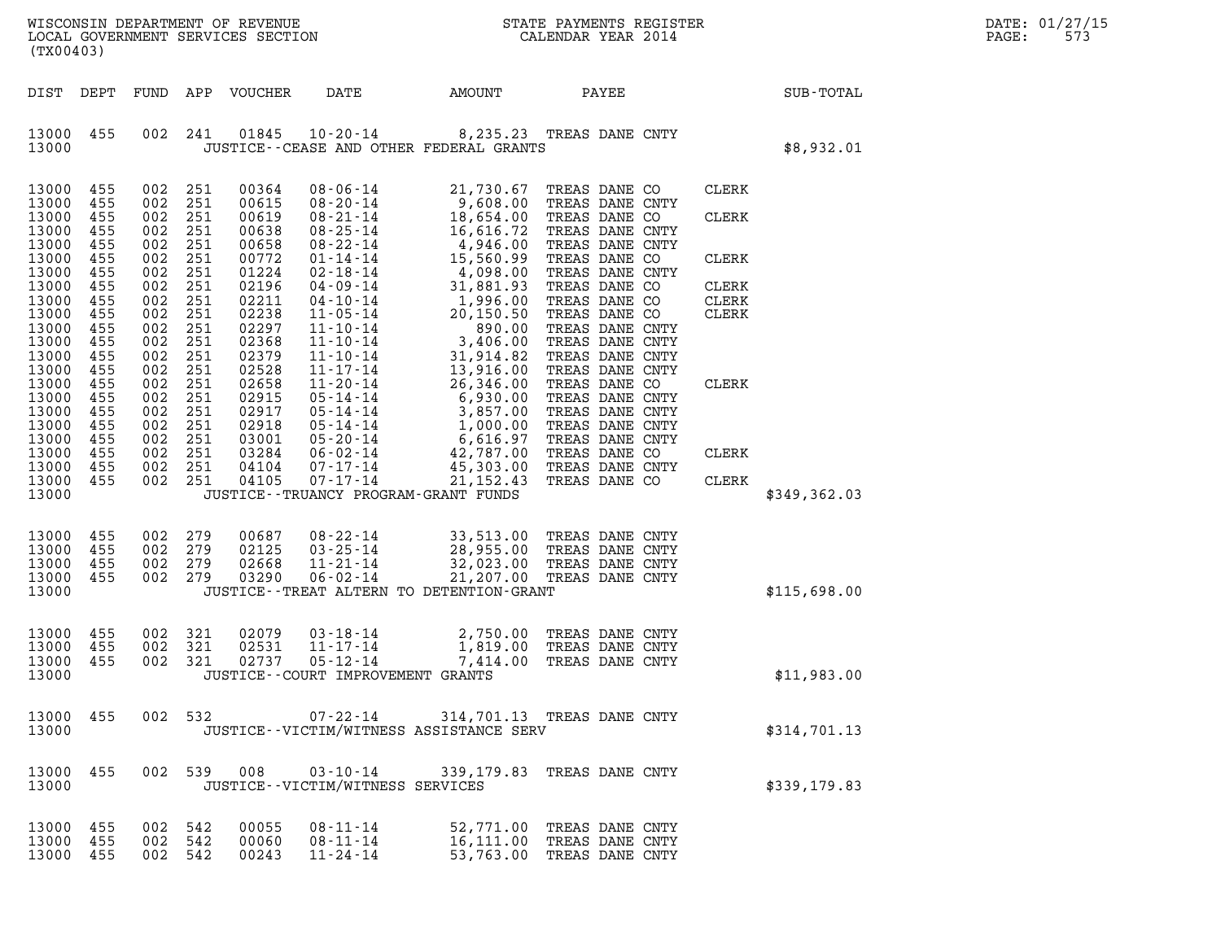|       | DATE: 01/27/15 |
|-------|----------------|
| PAGE: | 573            |

| (TX00403)                                                                                                                                                                                                       |                                                                                                                                                 |                                                                                                                                                                        |                                                                                                                            |                                                                                                                                                                                                    |                                                                                            |                                                                                                                                                                                                                                                                                                                                                                                                                          | WISCONSIN DEPARTMENT OF REVENUE                               STATE PAYMENTS REGISTER LOCAL GOVERNMENT SERVICES SECTION                               CALENDAR YEAR 2014                                                                                                                                                                                                                                                                  |                                                                               |              | DATE: 01/27/15<br>PAGE:<br>573 |
|-----------------------------------------------------------------------------------------------------------------------------------------------------------------------------------------------------------------|-------------------------------------------------------------------------------------------------------------------------------------------------|------------------------------------------------------------------------------------------------------------------------------------------------------------------------|----------------------------------------------------------------------------------------------------------------------------|----------------------------------------------------------------------------------------------------------------------------------------------------------------------------------------------------|--------------------------------------------------------------------------------------------|--------------------------------------------------------------------------------------------------------------------------------------------------------------------------------------------------------------------------------------------------------------------------------------------------------------------------------------------------------------------------------------------------------------------------|-------------------------------------------------------------------------------------------------------------------------------------------------------------------------------------------------------------------------------------------------------------------------------------------------------------------------------------------------------------------------------------------------------------------------------------------|-------------------------------------------------------------------------------|--------------|--------------------------------|
| DIST DEPT                                                                                                                                                                                                       |                                                                                                                                                 | FUND                                                                                                                                                                   |                                                                                                                            | APP VOUCHER                                                                                                                                                                                        | DATE                                                                                       | AMOUNT                                                                                                                                                                                                                                                                                                                                                                                                                   | PAYEE                                                                                                                                                                                                                                                                                                                                                                                                                                     |                                                                               | SUB-TOTAL    |                                |
| 13000 455<br>13000                                                                                                                                                                                              |                                                                                                                                                 | 002                                                                                                                                                                    | 241                                                                                                                        | 01845                                                                                                                                                                                              |                                                                                            | JUSTICE -- CEASE AND OTHER FEDERAL GRANTS                                                                                                                                                                                                                                                                                                                                                                                | 10-20-14 8,235.23 TREAS DANE CNTY                                                                                                                                                                                                                                                                                                                                                                                                         |                                                                               | \$8,932.01   |                                |
| 13000<br>13000<br>13000<br>13000<br>13000<br>13000<br>13000<br>13000<br>13000<br>13000<br>13000<br>13000<br>13000<br>13000<br>13000<br>13000<br>13000<br>13000<br>13000<br>13000<br>13000<br>13000 455<br>13000 | 455<br>455<br>455<br>455<br>455<br>455<br>455<br>455<br>455<br>455<br>455<br>455<br>455<br>455<br>455<br>455<br>455<br>455<br>455<br>455<br>455 | 002<br>002<br>002<br>002<br>002<br>002<br>002<br>002<br>002<br>002<br>002<br>002<br>002<br>002<br>002<br>002<br>002<br>002<br>002 251<br>002 251<br>002 251<br>002 251 | 251<br>251<br>251<br>251<br>251<br>251<br>251<br>251<br>251<br>251<br>251<br>251<br>251<br>251<br>251<br>251<br>251<br>251 | 00364<br>00615<br>00619<br>00638<br>00658<br>00772<br>01224<br>02196<br>02211<br>02238<br>02297<br>02368<br>02379<br>02528<br>02658<br>02915<br>02917<br>02918<br>03001<br>03284<br>04104<br>04105 | $08 - 06 - 14$<br>08-20-14<br>08-21-14<br>$08 - 25 - 14$<br>07-17-14                       | 16,616.72<br>$\begin{array}{cccc} 08\text{-}25\text{-}14 & 16\text{,}616\text{-}72\ 08\text{-}22\text{-}14 & 4\text{,}946\text{-}00\ 01\text{-}14\text{-}14 & 15\text{,}560\text{-}99\ 02\text{-}18\text{-}14 & 4\text{,}998\text{-}00\ 04\text{-}09\text{-}14 & 15\text{,}560\text{-}99\ 04\text{-}10\text{-}14 & 1,996\text{-}00\ 11\text{-}05\text{-}14 &$<br>21, 152.43<br>JUSTICE - - TRUANCY PROGRAM - GRANT FUNDS | 21,730.67 TREAS DANE CO<br>9,608.00 TREAS DANE CNTY<br>18,654.00 TREAS DANE CO<br>TREAS DANE CNTY<br>TREAS DANE CNTY<br>TREAS DANE CO<br>TREAS DANE CNTY<br>TREAS DANE CO<br>TREAS DANE CO<br>TREAS DANE CO<br>TREAS DANE CNTY<br>TREAS DANE CNTY<br>TREAS DANE CNTY<br>TREAS DANE CNTY<br>TREAS DANE CO<br>TREAS DANE CNTY<br>TREAS DANE CNTY<br>TREAS DANE CNTY<br>TREAS DANE CNTY<br>TREAS DANE CO<br>TREAS DANE CNTY<br>TREAS DANE CO | CLERK<br>CLERK<br>CLERK<br>CLERK<br>CLERK<br>CLERK<br>CLERK<br>CLERK<br>CLERK | \$349,362.03 |                                |
| 13000<br>13000<br>13000<br>13000 455<br>13000                                                                                                                                                                   | 455<br>455<br>455                                                                                                                               | 002<br>002 279<br>002<br>002 279                                                                                                                                       | 279<br>279                                                                                                                 | 00687<br>02125<br>02668<br>03290                                                                                                                                                                   | 08-22-14<br>$03 - 25 - 14$<br>11-21-14<br>$06 - 02 - 14$                                   | 32,023.00<br>21,207.00<br>JUSTICE - TREAT ALTERN TO DETENTION - GRANT                                                                                                                                                                                                                                                                                                                                                    | 33,513.00 TREAS DANE CNTY<br>28,955.00 TREAS DANE CNTY<br>TREAS DANE CNTY<br>TREAS DANE CNTY                                                                                                                                                                                                                                                                                                                                              |                                                                               | \$115,698.00 |                                |
| 13000<br>13000<br>13000<br>13000                                                                                                                                                                                | 455<br>455<br>455                                                                                                                               | 002 321<br>002<br>002                                                                                                                                                  | 321<br>321                                                                                                                 | 02079<br>02531<br>02737                                                                                                                                                                            | $03 - 18 - 14$<br>$11 - 17 - 14$<br>$05 - 12 - 14$<br>JUSTICE - - COURT IMPROVEMENT GRANTS | 2,750.00<br>1,819.00<br>7,414.00                                                                                                                                                                                                                                                                                                                                                                                         | TREAS DANE CNTY<br>TREAS DANE CNTY<br>TREAS DANE CNTY                                                                                                                                                                                                                                                                                                                                                                                     |                                                                               | \$11,983.00  |                                |
| 13000 455<br>13000                                                                                                                                                                                              |                                                                                                                                                 |                                                                                                                                                                        |                                                                                                                            |                                                                                                                                                                                                    |                                                                                            | JUSTICE - - VICTIM/WITNESS ASSISTANCE SERV                                                                                                                                                                                                                                                                                                                                                                               | 002 532 07-22-14 314,701.13 TREAS DANE CNTY                                                                                                                                                                                                                                                                                                                                                                                               |                                                                               | \$314,701.13 |                                |
| 13000 455<br>13000                                                                                                                                                                                              |                                                                                                                                                 |                                                                                                                                                                        |                                                                                                                            |                                                                                                                                                                                                    | JUSTICE - - VICTIM/WITNESS SERVICES                                                        |                                                                                                                                                                                                                                                                                                                                                                                                                          | 002 539 008 03-10-14 339,179.83 TREAS DANE CNTY                                                                                                                                                                                                                                                                                                                                                                                           |                                                                               | \$339,179.83 |                                |
| 13000 455<br>13000 455<br>13000 455                                                                                                                                                                             |                                                                                                                                                 | 002 542<br>002 542<br>002 542                                                                                                                                          |                                                                                                                            | 00055<br>00060<br>00243                                                                                                                                                                            | 08-11-14<br>$08 - 11 - 14$<br>11-24-14                                                     |                                                                                                                                                                                                                                                                                                                                                                                                                          | 52,771.00 TREAS DANE CNTY<br>16,111.00 TREAS DANE CNTY<br>53,763.00 TREAS DANE CNTY                                                                                                                                                                                                                                                                                                                                                       |                                                                               |              |                                |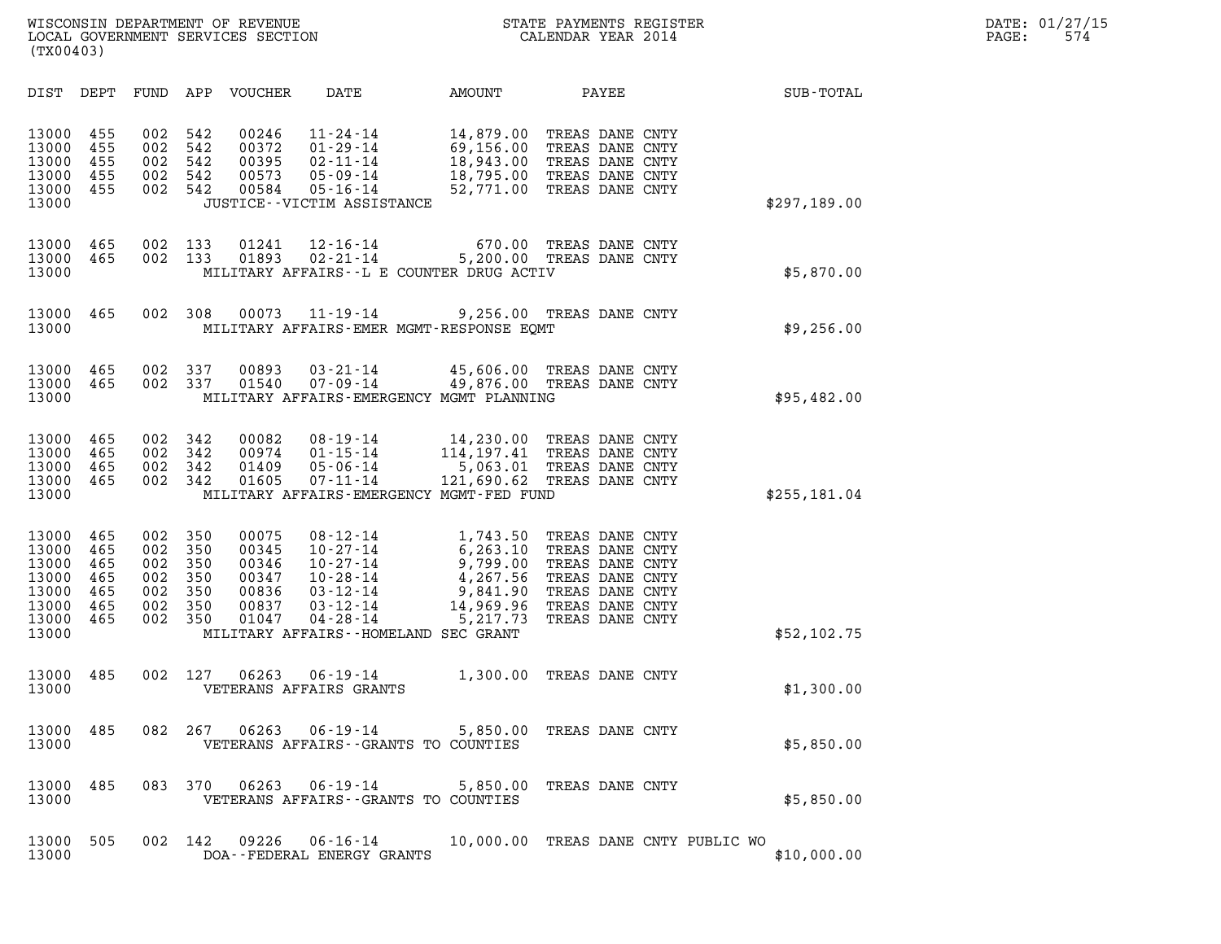| (TX00403)                                                            |                                               |                                               |                                               |                                                             |                                                                                                                                                                    |                                                                                    |                                                                                                                                   |              |
|----------------------------------------------------------------------|-----------------------------------------------|-----------------------------------------------|-----------------------------------------------|-------------------------------------------------------------|--------------------------------------------------------------------------------------------------------------------------------------------------------------------|------------------------------------------------------------------------------------|-----------------------------------------------------------------------------------------------------------------------------------|--------------|
| DIST                                                                 | DEPT                                          | FUND                                          | APP                                           | VOUCHER                                                     | DATE                                                                                                                                                               | AMOUNT                                                                             | PAYEE                                                                                                                             | SUB-TOTAL    |
| 13000<br>13000<br>13000<br>13000<br>13000<br>13000                   | 455<br>455<br>455<br>455<br>455               | 002<br>002<br>002<br>002<br>002               | 542<br>542<br>542<br>542<br>542               | 00246<br>00372<br>00395<br>00573<br>00584                   | $11 - 24 - 14$<br>$01 - 29 - 14$<br>$02 - 11 - 14$<br>$05 - 09 - 14$<br>$05 - 16 - 14$<br>JUSTICE - - VICTIM ASSISTANCE                                            | 14,879.00<br>69,156.00<br>18,943.00<br>18,795.00<br>52,771.00                      | TREAS DANE CNTY<br>TREAS DANE CNTY<br>TREAS DANE CNTY<br>TREAS DANE CNTY<br>TREAS DANE CNTY                                       | \$297,189.00 |
| 13000<br>13000<br>13000                                              | 465<br>465                                    | 002<br>002                                    | 133<br>133                                    | 01241<br>01893                                              | $12 - 16 - 14$<br>$02 - 21 - 14$<br>MILITARY AFFAIRS -- L E COUNTER DRUG ACTIV                                                                                     | 670.00<br>5,200.00                                                                 | TREAS DANE CNTY<br>TREAS DANE CNTY                                                                                                | \$5,870.00   |
| 13000<br>13000                                                       | 465                                           | 002                                           | 308                                           | 00073                                                       | $11 - 19 - 14$<br>MILITARY AFFAIRS-EMER MGMT-RESPONSE EQMT                                                                                                         | 9,256.00                                                                           | TREAS DANE CNTY                                                                                                                   | \$9,256.00   |
| 13000<br>13000<br>13000                                              | 465<br>465                                    | 002<br>002                                    | 337<br>337                                    | 00893<br>01540                                              | $03 - 21 - 14$<br>$07 - 09 - 14$<br>MILITARY AFFAIRS-EMERGENCY MGMT PLANNING                                                                                       | 45,606.00<br>49,876.00                                                             | TREAS DANE CNTY<br>TREAS DANE CNTY                                                                                                | \$95,482.00  |
| 13000<br>13000<br>13000<br>13000<br>13000                            | 465<br>465<br>465<br>465                      | 002<br>002<br>002<br>002                      | 342<br>342<br>342<br>342                      | 00082<br>00974<br>01409<br>01605                            | $08 - 19 - 14$<br>$01 - 15 - 14$<br>$05 - 06 - 14$<br>$07 - 11 - 14$<br>MILITARY AFFAIRS-EMERGENCY MGMT-FED FUND                                                   | 14,230.00<br>114,197.41<br>5,063.01<br>121,690.62                                  | TREAS DANE CNTY<br>TREAS DANE CNTY<br>TREAS DANE CNTY<br>TREAS DANE CNTY                                                          | \$255,181.04 |
| 13000<br>13000<br>13000<br>13000<br>13000<br>13000<br>13000<br>13000 | 465<br>465<br>465<br>465<br>465<br>465<br>465 | 002<br>002<br>002<br>002<br>002<br>002<br>002 | 350<br>350<br>350<br>350<br>350<br>350<br>350 | 00075<br>00345<br>00346<br>00347<br>00836<br>00837<br>01047 | $08 - 12 - 14$<br>$10 - 27 - 14$<br>$10 - 27 - 14$<br>$10 - 28 - 14$<br>$03 - 12 - 14$<br>$03 - 12 - 14$<br>$04 - 28 - 14$<br>MILITARY AFFAIRS--HOMELAND SEC GRANT | 1,743.50<br>6, 263.10<br>9,799.00<br>4,267.56<br>9,841.90<br>14,969.96<br>5,217.73 | TREAS DANE CNTY<br>TREAS DANE CNTY<br>TREAS DANE CNTY<br>TREAS DANE CNTY<br>TREAS DANE CNTY<br>TREAS DANE CNTY<br>TREAS DANE CNTY | \$52,102.75  |
| 13000<br>13000                                                       | 485                                           | 002                                           | 127                                           | 06263                                                       | $06 - 19 - 14$<br>VETERANS AFFAIRS GRANTS                                                                                                                          | 1,300.00                                                                           | TREAS DANE CNTY                                                                                                                   | \$1,300.00   |
| 13000<br>13000                                                       | 485                                           | 082                                           | 267                                           | 06263                                                       | $06 - 19 - 14$<br>VETERANS AFFAIRS -- GRANTS TO COUNTIES                                                                                                           | 5,850.00                                                                           | TREAS DANE CNTY                                                                                                                   | \$5,850.00   |
| 13000<br>13000                                                       | 485                                           | 083                                           | 370                                           | 06263                                                       | VETERANS AFFAIRS - - GRANTS TO COUNTIES                                                                                                                            |                                                                                    | 06-19-14 5,850.00 TREAS DANE CNTY                                                                                                 | \$5,850.00   |
| 13000<br>13000                                                       | 505                                           | 002                                           | 142                                           |                                                             | 09226 06-16-14<br>DOA--FEDERAL ENERGY GRANTS                                                                                                                       |                                                                                    | 10,000.00 TREAS DANE CNTY PUBLIC WO                                                                                               | \$10,000.00  |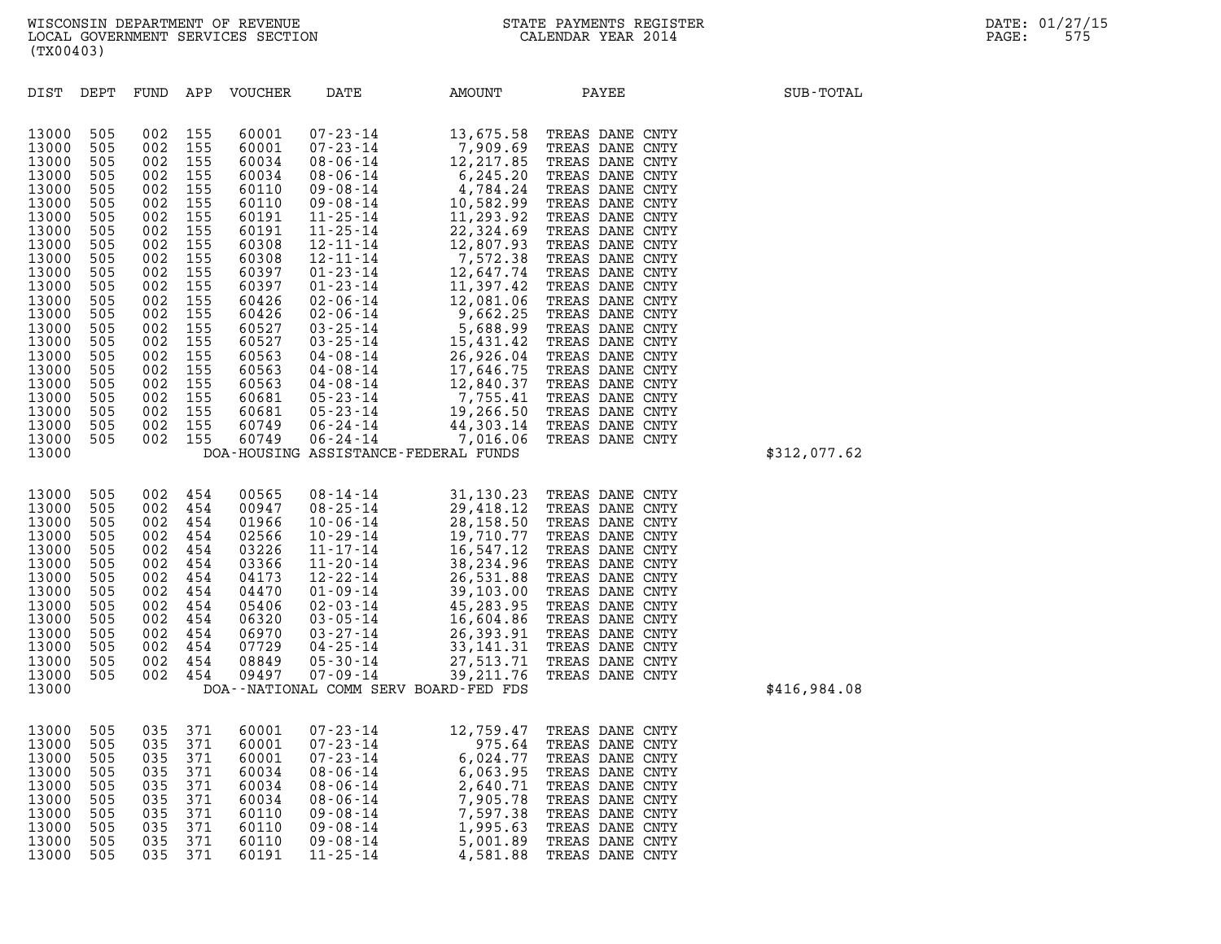| (TX00403)                                                                                                                                                                                                            |                                                                                                                                                               |                                                                                                                                                               |                                                                                                                                                               |                                                                                                                                                                                                             |                                                                                                                                                                                  |                                                                                                                     |                                                                                                                                                                                                                                                                                                                                      |              |
|----------------------------------------------------------------------------------------------------------------------------------------------------------------------------------------------------------------------|---------------------------------------------------------------------------------------------------------------------------------------------------------------|---------------------------------------------------------------------------------------------------------------------------------------------------------------|---------------------------------------------------------------------------------------------------------------------------------------------------------------|-------------------------------------------------------------------------------------------------------------------------------------------------------------------------------------------------------------|----------------------------------------------------------------------------------------------------------------------------------------------------------------------------------|---------------------------------------------------------------------------------------------------------------------|--------------------------------------------------------------------------------------------------------------------------------------------------------------------------------------------------------------------------------------------------------------------------------------------------------------------------------------|--------------|
| DIST                                                                                                                                                                                                                 | DEPT                                                                                                                                                          | FUND APP                                                                                                                                                      |                                                                                                                                                               | VOUCHER                                                                                                                                                                                                     | DATE                                                                                                                                                                             | AMOUNT                                                                                                              | PAYEE                                                                                                                                                                                                                                                                                                                                | SUB-TOTAL    |
| 13000<br>13000<br>13000<br>13000<br>13000<br>13000<br>13000<br>13000<br>13000<br>13000<br>13000<br>13000<br>13000<br>13000<br>13000<br>13000<br>13000<br>13000<br>13000<br>13000<br>13000<br>13000<br>13000<br>13000 | 505<br>505<br>505<br>505<br>505<br>505<br>505<br>505<br>505<br>505<br>505<br>505<br>505<br>505<br>505<br>505<br>505<br>505<br>505<br>505<br>505<br>505<br>505 | 002<br>002<br>002<br>002<br>002<br>002<br>002<br>002<br>002<br>002<br>002<br>002<br>002<br>002<br>002<br>002<br>002<br>002<br>002<br>002<br>002<br>002<br>002 | 155<br>155<br>155<br>155<br>155<br>155<br>155<br>155<br>155<br>155<br>155<br>155<br>155<br>155<br>155<br>155<br>155<br>155<br>155<br>155<br>155<br>155<br>155 | 60001<br>60001<br>60034<br>60034<br>60110<br>60110<br>60191<br>60191<br>60308<br>60308<br>60397<br>60397<br>60426<br>60426<br>60527<br>60527<br>60563<br>60563<br>60563<br>60681<br>60681<br>60749<br>60749 | $07 - 23 - 14$                                                                                                                                                                   | 13,675.58<br>DOA-HOUSING ASSISTANCE-FEDERAL FUNDS                                                                   | TREAS DANE CNTY                                                                                                                                                                                                                                                                                                                      | \$312,077.62 |
| 13000<br>13000<br>13000<br>13000<br>13000<br>13000<br>13000<br>13000<br>13000<br>13000<br>13000<br>13000<br>13000<br>13000<br>13000                                                                                  | 505<br>505<br>505<br>505<br>505<br>505<br>505<br>505<br>505<br>505<br>505<br>505<br>505<br>505                                                                | 002<br>002<br>002<br>002<br>002<br>002<br>002<br>002<br>002<br>002<br>002<br>002<br>002<br>002                                                                | 454<br>454<br>454<br>454<br>454<br>454<br>454<br>454<br>454<br>454<br>454<br>454<br>454<br>454                                                                | 00565<br>00947<br>01966<br>02566<br>03226<br>03366<br>04173<br>04470<br>05406<br>06320<br>06970<br>07729<br>08849<br>09497                                                                                  | 08-14-14<br>07-09-14                                                                                                                                                             | DOA--NATIONAL COMM SERV BOARD-FED FDS                                                                               | 31,130.23 TREAS DANE CNTY<br>08-14-14<br>08-25-14<br>10-06-14<br>10-29-14<br>10-29-14<br>10-29-14<br>10-29-14<br>10:70-14<br>10:70-71<br>10:70-71<br>10:71<br>10:71<br>10:71<br>10:71<br>10:71<br>10:71<br>TREAS DANE CNTY<br>11-17-14<br>38,234.96<br>TREAS DANE CNTY<br>12-22-14<br>26,531.88<br>TREA<br>39,211.76 TREAS DANE CNTY | \$416,984.08 |
| 13000<br>13000<br>13000<br>13000<br>13000<br>13000<br>13000<br>13000<br>13000<br>13000                                                                                                                               | 505<br>505<br>505<br>505<br>505<br>505<br>505<br>505<br>505<br>505                                                                                            | 035<br>035<br>035<br>035<br>035<br>035<br>035<br>035<br>035                                                                                                   | 035 371<br>371<br>371<br>371<br>371<br>371<br>371<br>371<br>371<br>371                                                                                        | 60001<br>60001<br>60001<br>60034<br>60034<br>60034<br>60110<br>60110<br>60110<br>60191                                                                                                                      | $07 - 23 - 14$<br>$07 - 23 - 14$<br>$07 - 23 - 14$<br>$08 - 06 - 14$<br>$08 - 06 - 14$<br>$08 - 06 - 14$<br>$09 - 08 - 14$<br>$09 - 08 - 14$<br>$09 - 08 - 14$<br>$11 - 25 - 14$ | 12,759.47<br>975.64<br>6,024.77<br>6,063.95<br>2,640.71<br>7,905.78<br>7,597.38<br>1,995.63<br>5,001.89<br>4,581.88 | TREAS DANE CNTY<br>TREAS DANE CNTY<br>TREAS DANE CNTY<br>TREAS DANE CNTY<br>TREAS DANE CNTY<br>TREAS DANE CNTY<br>TREAS DANE CNTY<br>TREAS DANE CNTY<br>TREAS DANE CNTY<br>TREAS DANE CNTY                                                                                                                                           |              |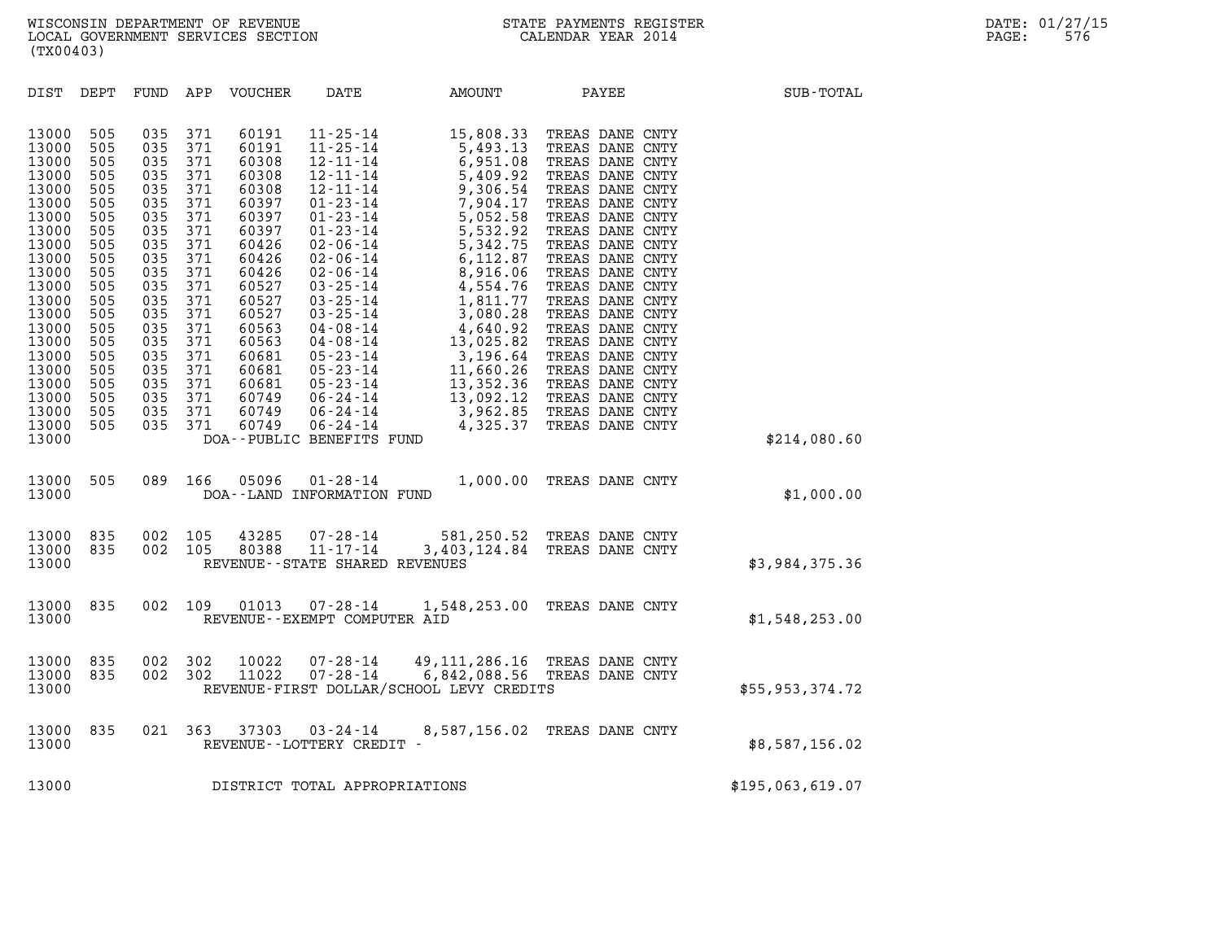DIST DEPT FUND APP VOUCHER DATE AMOUNT PAYEE SUB-TOTAL 13000 505 035 371 60191 11-25-14 15,808.33 TREAS DANE CNTY 13000 505 035 371 60191 11-25-14 15,808.33 TREAS DANE CNTY<br>13000 505 035 371 60191 11-25-14 5,493.13 TREAS DANE CNTY<br>13000 505 035 371 60308 12-11-14 6.951.08 TREAS DANE CNTY 13000 505 035 371 60191 11-25-14 15,808.33 TREAS DANE CNTY<br>13000 505 035 371 60191 11-25-14 5,493.13 TREAS DANE CNTY<br>13000 505 035 371 60308 12-11-14 6,951.08 TREAS DANE CNTY<br>13000 505 035 371 60308 12-11-14 5.409.92 TREAS 13000 505 035 371 60191 11-25-14 15,808.33 TREAS DANE CNTY<br>13000 505 035 371 60191 11-25-14 5,493.13 TREAS DANE CNTY<br>13000 505 035 371 60308 12-11-14 6,951.08 TREAS DANE CNTY<br>13000 505 035 371 60308 12-11-14 5,409.92 TREAS 13000 505 035 371 60191 11-25-14 5,493.13 TREAS DANE CNTY<br>13000 505 035 371 60308 12-11-14 6,951.08 TREAS DANE CNTY<br>13000 505 035 371 60308 12-11-14 5,409.92 TREAS DANE CNTY<br>13000 505 035 371 60397 01-23-14 7,904.17 TREAS 13000 505 035 371 60308 12-11-14 6,951.08 TREAS DANE CNTY<br>13000 505 035 371 60308 12-11-14 5,409.92 TREAS DANE CNTY<br>13000 505 035 371 60308 12-11-14 9,306.54 TREAS DANE CNTY<br>13000 505 035 371 60397 01-23-14 7,904.17 TREAS 13000 505 035 371 60308 12-11-14 5,409.92 TREAS DANE CNTY<br>13000 505 035 371 60308 12-11-14 9,306.54 TREAS DANE CNTY<br>13000 505 035 371 60397 01-23-14 7,904.17 TREAS DANE CNTY<br>13000 505 035 371 60397 01-23-14 5,532.92 TREAS 13000 505 035 371 60308 12-11-14 9,306.54 TREAS DANE CNTY<br>13000 505 035 371 60397 01-23-14 7,904.17 TREAS DANE CNTY<br>13000 505 035 371 60397 01-23-14 5,052.58 TREAS DANE CNTY<br>13000 505 035 371 60426 02-06-14 5,532.92 TREAS 13000 505 035 371 60397 01-23-14 7,904.17 TREAS DANE CNTY<br>13000 505 035 371 60397 01-23-14 5,052.58 TREAS DANE CNTY<br>13000 505 035 371 60426 02-06-14 5,5342.92 TREAS DANE CNTY<br>13000 505 035 371 60426 02-06-14 5,342.75 TREAS 13000 505 035 371 60397 01-23-14 5,052.58 TREAS DANE CNTY<br>13000 505 035 371 60397 01-23-14 5,532.92 TREAS DANE CNTY<br>13000 505 035 371 60426 02-06-14 5,342.75 TREAS DANE CNTY<br>13000 505 035 371 60426 02-06-14 6,916.06 TREAS 13000 505 035 371 60397 01-23-14 5,532.92 TREAS DANE CNTY<br>13000 505 035 371 60426 02-06-14 5,342.75 TREAS DANE CNTY<br>13000 505 035 371 60426 02-06-14 6,112.87 TREAS DANE CNTY<br>13000 505 035 371 60527 03-25-14 4,554.76 TREAS 13000 505 035 371 60426 02-06-14 5,342.75 TREAS DANE CNTY<br>13000 505 035 371 60426 02-06-14 6,112.87 TREAS DANE CNTY<br>13000 505 035 371 60527 03-25-14 4 8,916.06 TREAS DANE CNTY<br>13000 505 035 371 60527 03-25-14 4,554.76 TREA 13000 505 035 371 60426 02-06-14 6,112.87 TREAS DANE CNTY<br>13000 505 035 371 60426 02-06-14 8,916.06 TREAS DANE CNTY<br>13000 505 035 371 60527 03-25-14 4,554.76 TREAS DANE CNTY<br>13000 505 035 371 60527 03-25-14 1,811.77 TREAS 13000 505 035 371 60426 02-06-14 8,916.06 TREAS DANE CNTY<br>13000 505 035 371 60527 03-25-14 4,554.76 TREAS DANE CNTY<br>13000 505 035 371 60527 03-25-14 1,811.77 TREAS DANE CNTY<br>13000 505 035 371 60527 03-25-14 3,080.28 TREAS 13000 505 035 371 60527 03-25-14 4,554.76 TREAS DANE CNTY<br>13000 505 035 371 60527 03-25-14 1,811.77 TREAS DANE CNTY<br>13000 505 035 371 60563 04-08-14 3,080.28 TREAS DANE CNTY<br>13000 505 035 371 60563 04-08-14 4,640.92 TREAS 13000 505 035 371 60527 03-25-14 1,811.77 TREAS DANE CNTY<br>13000 505 035 371 60527 03-25-14 3,080.28 TREAS DANE CNTY<br>13000 505 035 371 60563 04-08-14 4,640.92 TREAS DANE CNTY<br>13000 505 035 371 60663 04-08-14 13,025.82 TREAS 13000 505 035 371 60527 03-25-14 3,080.28 TREAS DANE CNTY<br>13000 505 035 371 60563 04-08-14 4,640.92 TREAS DANE CNTY<br>13000 505 035 371 60663 04-08-14 13,025.82 TREAS DANE CNTY<br>13000 505 035 371 60681 05-23-14 11.660.26 TREA 13000 505 035 371 60563 04-08-14 4,640.92 TREAS DANE CNTY<br>13000 505 035 371 60563 04-08-14 13,025.82 TREAS DANE CNTY<br>13000 505 035 371 60681 05-23-14 1,660.26 TREAS DANE CNTY<br>13000 505 035 371 60681 05-23-14 11,660.26 TREA 13000 505 035 371 60563 04-08-14 13,025.82 TREAS DANE CNTY<br>13000 505 035 371 60681 05-23-14 3,196.64 TREAS DANE CNTY<br>13000 505 035 371 60681 05-23-14 11,660.26 TREAS DANE CNTY<br>13000 505 035 371 60681 05-23-14 13,352.36 TRE 13000 505 035 371 60681 05-23-14 3,196.64 TREAS DANE CNTY<br>13000 505 035 371 60681 05-23-14 11,660.26 TREAS DANE CNTY<br>13000 505 035 371 60681 05-23-14 13,352.36 TREAS DANE CNTY<br>13000 505 035 371 60749 06-24-14 13,092.12 TRE 13000 505 035 371 60681 05-23-14 11,660.26 TREAS DANE CNTY<br>13000 505 035 371 60681 05-23-14 13,352.36 TREAS DANE CNTY<br>13000 505 035 371 60749 06-24-14 3,962.12 TREAS DANE CNTY<br>13000 505 035 371 60749 06-24-14 3,962.85 TREA 13000 505 035 371 60681 05-23-14 13,352.36 TREAS DANE CNTY<br>13000 505 035 371 60749 06-24-14 13,092.12 TREAS DANE CNTY<br>13000 505 035 371 60749 06-24-14 3,962.85 TREAS DANE CNTY<br>13000 505 035 371 60749 06-24-14 4,325.37 TREA 13000 DOA--PUBLIC BENEFITS FUND \$214,080.60 13000 505 089 166 05096 01-28-14 1,000.00 TREAS DANE CNTY 13000 DOA--LAND INFORMATION FUND \$1,000.00 13000 835 002 105 43285 07-28-14 581,250.52 TREAS DANE CNTY 13000 835 002 105 43285 07-28-14 581,250.52 TREAS DANE CNTY<br>13000 835 002 105 80388 11-17-14 3,403,124.84 TREAS DANE CNTY<br>13000 REVENUE--STATE SHARED REVENUES 13000 835 002 105 43285 07–28–14 581,250.52 TREASDANECNTY<br>13000 835 002 105 80388 11–17–14 3,403,124.84 TREASDANECNTY \$3,984,375.36<br>13000 REVENUE--STATESHAREDREVENUES 13000 835 002 109 01013 07-28-14 1,548,253.00 TREAS DANE CNTY 13000 REVENUE--EXEMPT COMPUTER AID \$1,548,253.00 13000 835 002 302 10022 07-28-14 49,111,286.16 TREAS DANE CNTY 13000 835 002 302 11022 07-28-14 6,842,088.56 TREAS DANE CNTY 13000 835 002 302 10022 07–28–14 49,111,286.16 TREASDANECNTY<br>13000 835 002 302 11022 07–28–14 6,842,088.56 TREASDANECNTY<br>13000 REVENUE-FIRSTDOLLAR/SCHOOL LEVYCREDITS \$55,953,374.72 13000 835 021 363 37303 03-24-14 8,587,156.02 TREAS DANE CNTY 13000 REVENUE--LOTTERY CREDIT - \$8,587,156.02 13000 REVENUE - LOTTERY CREDIT - 1999 (1999) 88,587,156.02<br>13000 DISTRICT TOTAL APPROPRIATIONS \$195,063,619.07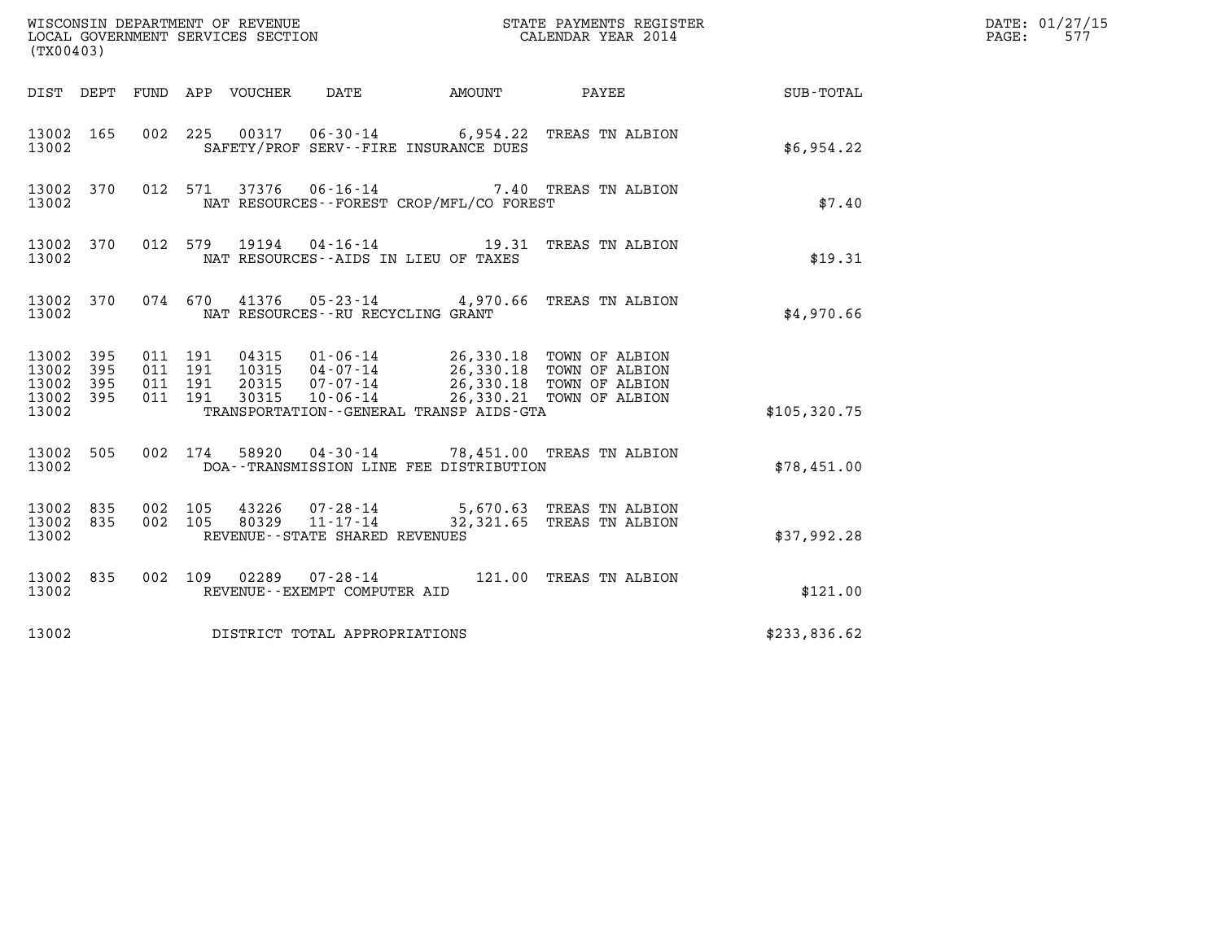| (TX00403)                                         |            |                                          |         |                            | WISCONSIN DEPARTMENT OF REVENUE<br>LOCAL GOVERNMENT SERVICES SECTION | STATE PAYMENTS REGISTER<br>CALENDAR YEAR 2014                                                                                                                                                                                                                                                                                      |                        | DATE: 01/27/15<br>$\mathtt{PAGE}$ :<br>577 |
|---------------------------------------------------|------------|------------------------------------------|---------|----------------------------|----------------------------------------------------------------------|------------------------------------------------------------------------------------------------------------------------------------------------------------------------------------------------------------------------------------------------------------------------------------------------------------------------------------|------------------------|--------------------------------------------|
|                                                   |            |                                          |         | DIST DEPT FUND APP VOUCHER | DATE                                                                 |                                                                                                                                                                                                                                                                                                                                    | AMOUNT PAYEE SUB-TOTAL |                                            |
| 13002 165<br>13002                                |            | 002 225                                  |         |                            | SAFETY/PROF SERV--FIRE INSURANCE DUES                                | 00317  06-30-14  6,954.22  TREAS TN ALBION                                                                                                                                                                                                                                                                                         | \$6,954.22             |                                            |
| 13002 370<br>13002                                |            |                                          |         |                            | NAT RESOURCES--FOREST CROP/MFL/CO FOREST                             | 012 571 37376 06-16-14 7.40 TREAS TN ALBION                                                                                                                                                                                                                                                                                        | \$7.40                 |                                            |
| 13002 370<br>13002                                |            |                                          |         |                            | NAT RESOURCES -- AIDS IN LIEU OF TAXES                               | 012 579 19194 04-16-14 19.31 TREAS TN ALBION                                                                                                                                                                                                                                                                                       | \$19.31                |                                            |
| 13002 370<br>13002                                |            |                                          |         |                            | NAT RESOURCES -- RU RECYCLING GRANT                                  | 074 670 41376 05-23-14 4,970.66 TREAS TN ALBION                                                                                                                                                                                                                                                                                    | \$4,970.66             |                                            |
| 13002 395<br>13002<br>13002<br>13002 395<br>13002 | 395<br>395 | 011 191<br>011 191<br>011 191<br>011 191 |         |                            | TRANSPORTATION--GENERAL TRANSP AIDS-GTA                              | $\begin{array}{cccc} 04315 & 01\cdot 06\cdot 14 & 26\, , 330\, .18 & \text{TOWN OF ALBION} \\ 10315 & 04\cdot 07\cdot 14 & 26\, , 330\, .18 & \text{TOWN OF ALBION} \\ 20315 & 07\cdot 07\cdot 14 & 26\, , 330\, .18 & \text{TOWN OF ALBION} \\ 30315 & 10\cdot 06\cdot 14 & 26\, , 330\, .21 & \text{TOWN OF ALBION} \end{array}$ | \$105,320.75           |                                            |
| 13002 505<br>13002                                |            |                                          | 002 174 |                            | DOA--TRANSMISSION LINE FEE DISTRIBUTION                              | 58920  04-30-14  78,451.00 TREAS TN ALBION                                                                                                                                                                                                                                                                                         | \$78,451.00            |                                            |
| 13002 835<br>13002 835<br>13002                   |            | 002 105<br>002 105                       |         |                            | REVENUE - - STATE SHARED REVENUES                                    | 43226  07-28-14  5,670.63  TREAS TN ALBION<br>80329  11-17-14  32,321.65  TREAS TN ALBION                                                                                                                                                                                                                                          | \$37,992.28            |                                            |
| 13002 835<br>13002                                |            |                                          |         |                            | REVENUE--EXEMPT COMPUTER AID                                         | 002 109 02289 07-28-14 121.00 TREAS TN ALBION                                                                                                                                                                                                                                                                                      | \$121.00               |                                            |
| 13002                                             |            |                                          |         |                            | DISTRICT TOTAL APPROPRIATIONS                                        |                                                                                                                                                                                                                                                                                                                                    | \$233,836.62           |                                            |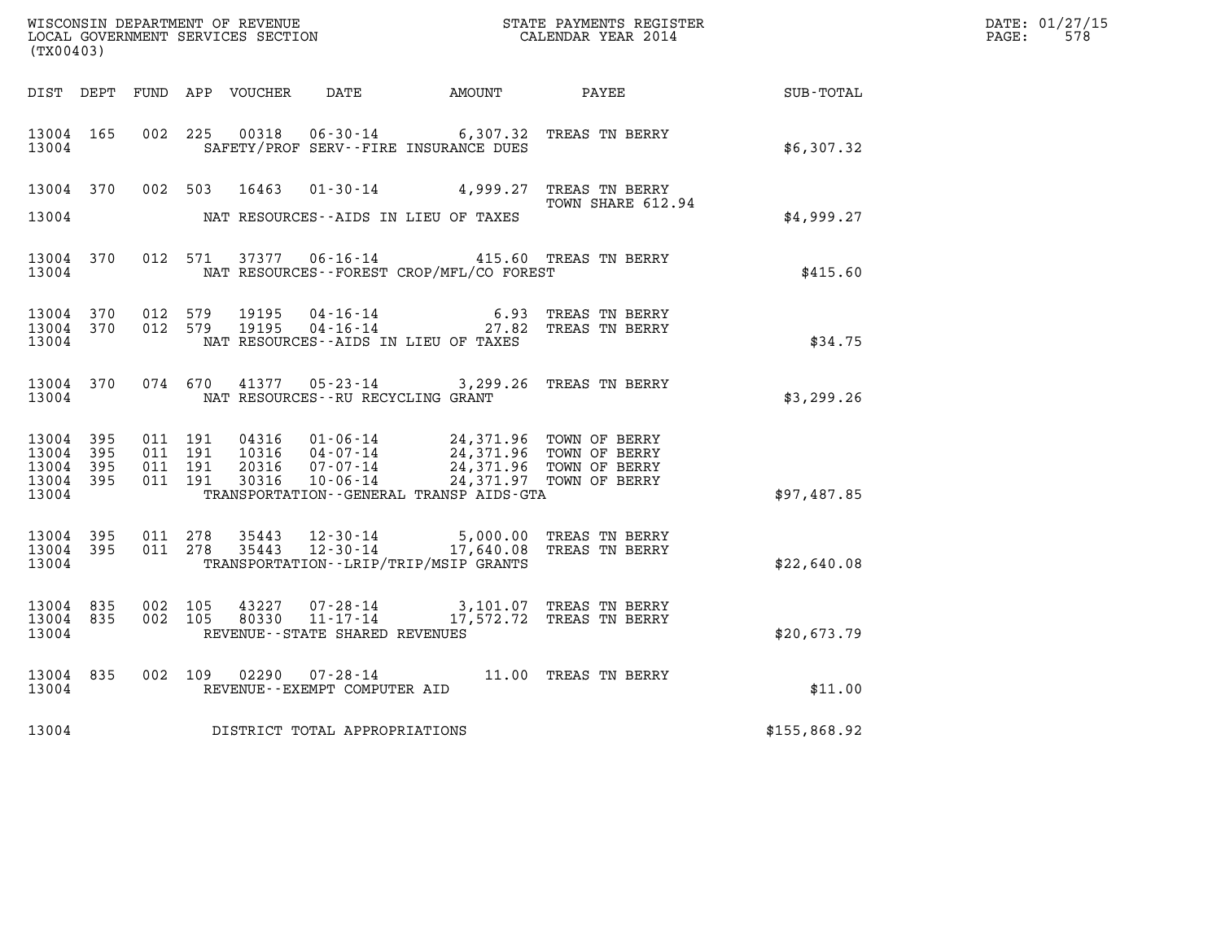| (TX00403)          |  |  |                                   |                                                                                                                                                                                                                                                                                                                                                 |                                                                                                                                                                                                                                                                                                     |              | DATE: 01/27/15<br>$\mathtt{PAGE:}$<br>578 |
|--------------------|--|--|-----------------------------------|-------------------------------------------------------------------------------------------------------------------------------------------------------------------------------------------------------------------------------------------------------------------------------------------------------------------------------------------------|-----------------------------------------------------------------------------------------------------------------------------------------------------------------------------------------------------------------------------------------------------------------------------------------------------|--------------|-------------------------------------------|
|                    |  |  |                                   | DIST DEPT FUND APP VOUCHER DATE AMOUNT PAYEE                                                                                                                                                                                                                                                                                                    |                                                                                                                                                                                                                                                                                                     | SUB - TOTAL  |                                           |
| 13004 165<br>13004 |  |  |                                   | 002 225 00318 06-30-14 6,307.32 TREAS TN BERRY<br>SAFETY/PROF SERV--FIRE INSURANCE DUES                                                                                                                                                                                                                                                         |                                                                                                                                                                                                                                                                                                     | \$6,307.32   |                                           |
|                    |  |  |                                   |                                                                                                                                                                                                                                                                                                                                                 | 13004 370 002 503 16463 01-30-14 4,999.27 TREAS TN BERRY<br>TOWN SHARE 612.94                                                                                                                                                                                                                       |              |                                           |
| 13004              |  |  |                                   | NAT RESOURCES--AIDS IN LIEU OF TAXES                                                                                                                                                                                                                                                                                                            |                                                                                                                                                                                                                                                                                                     | \$4,999.27   |                                           |
| 13004 370<br>13004 |  |  |                                   | 012 571 37377 06-16-14 415.60 TREAS TN BERRY<br>NAT RESOURCES--FOREST CROP/MFL/CO FOREST                                                                                                                                                                                                                                                        |                                                                                                                                                                                                                                                                                                     | \$415.60     |                                           |
| 13004              |  |  |                                   | NAT RESOURCES--AIDS IN LIEU OF TAXES                                                                                                                                                                                                                                                                                                            | $\begin{array}{cccccc} 13004 & 370 & 012 & 579 & 19195 & 04\cdot 16\cdot 14 & & & & & 6.93 & \text{TREAS TN BERRY} \\ 13004 & 370 & 012 & 579 & 19195 & 04\cdot 16\cdot 14 & & & & 27.82 & \text{TREAS TN BERRY} \end{array}$                                                                       | \$34.75      |                                           |
| 13004 370<br>13004 |  |  | NAT RESOURCES--RU RECYCLING GRANT | 074 670 41377 05-23-14 3,299.26 TREAS TN BERRY                                                                                                                                                                                                                                                                                                  |                                                                                                                                                                                                                                                                                                     | \$3,299.26   |                                           |
| 13004              |  |  |                                   | $\begin{tabular}{cccc} 13004 & 395 & 011 & 191 & 04316 & 01-06-14 & 24,371.96 & TOWN OF BERRY \\ 13004 & 395 & 011 & 191 & 10316 & 04-07-14 & 24,371.96 & TOWN OF BERRY \\ 13004 & 395 & 011 & 191 & 20316 & 07-07-14 & 24,371.96 & TOWN OF BERRY \\ 13004 & 395 & 011 & 191 & 30316 & 10-06-14 & 2$<br>TRANSPORTATION--GENERAL TRANSP AIDS-GTA |                                                                                                                                                                                                                                                                                                     | \$97,487.85  |                                           |
| 13004              |  |  |                                   | TRANSPORTATION--LRIP/TRIP/MSIP GRANTS                                                                                                                                                                                                                                                                                                           |                                                                                                                                                                                                                                                                                                     | \$22,640.08  |                                           |
| 13004              |  |  | REVENUE--STATE SHARED REVENUES    |                                                                                                                                                                                                                                                                                                                                                 | $\begin{array}{cccccc} 13004 & 835 & 002 & 105 & 43227 & 07\,\text{-}\,28\,\text{-}\,14 & & & 3\,\text{/}\,101\,\text{/}\,07 & \text{TREAS TN BERRY} \\ 13004 & 835 & 002 & 105 & 80330 & 11\,\text{-}\,17\,\text{-}\,14 & & & 17\,\text{/}\,572\,\text{-}\,72 & \text{TREAS TN BERRY} \end{array}$ | \$20,673.79  |                                           |
| 13004              |  |  | REVENUE--EXEMPT COMPUTER AID      |                                                                                                                                                                                                                                                                                                                                                 | 13004 835 002 109 02290 07-28-14 11.00 TREAS TN BERRY                                                                                                                                                                                                                                               | \$11.00      |                                           |
| 13004              |  |  | DISTRICT TOTAL APPROPRIATIONS     |                                                                                                                                                                                                                                                                                                                                                 |                                                                                                                                                                                                                                                                                                     | \$155,868.92 |                                           |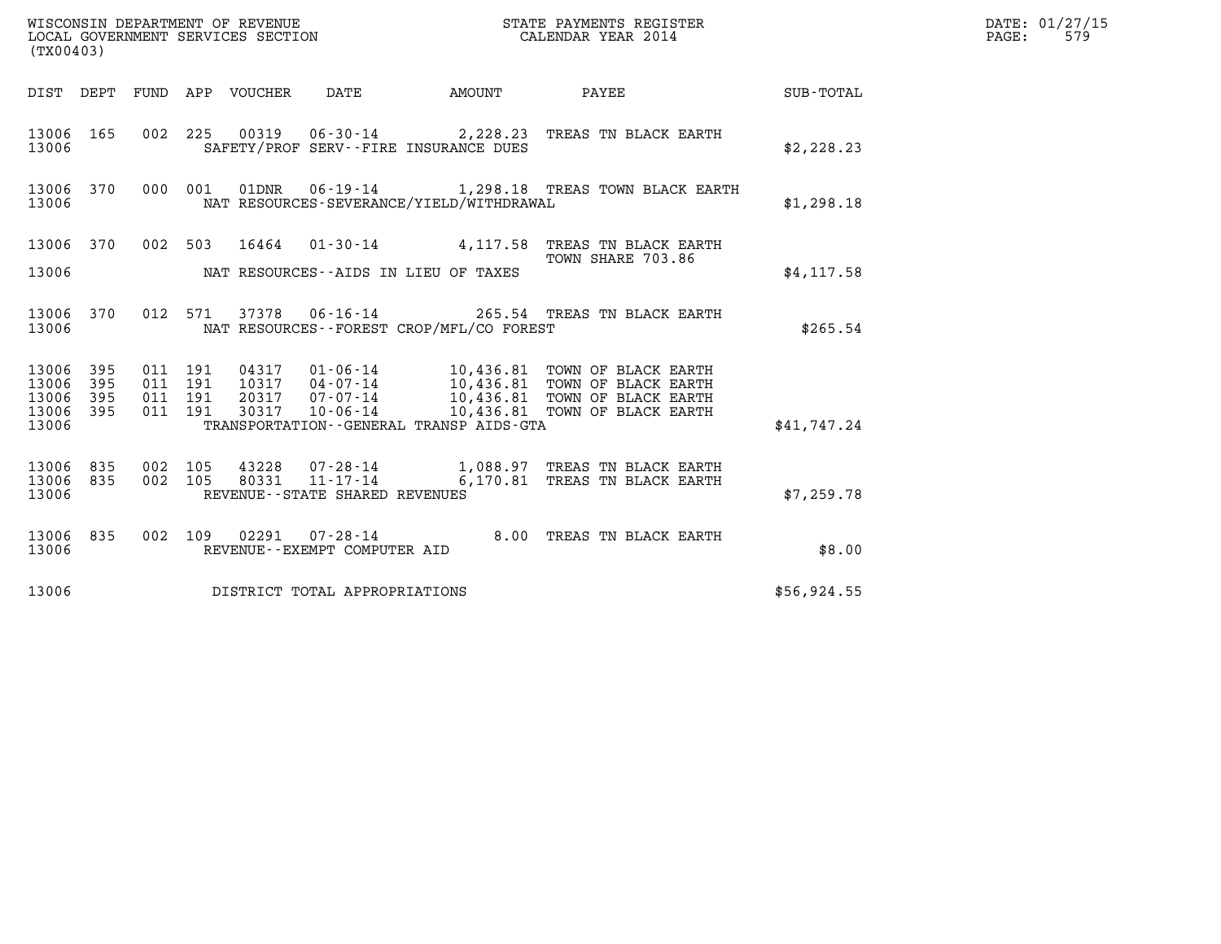| (TX00403)                                 |                          |                                          |         |                                 | WISCONSIN DEPARTMENT OF REVENUE<br>LOCAL GOVERNMENT SERVICES SECTION |                                             | STATE PAYMENTS REGISTER<br>CALENDAR YEAR 2014                                                                                                      |             | DATE: 01/27/15<br>$\mathtt{PAGE}$ :<br>579 |
|-------------------------------------------|--------------------------|------------------------------------------|---------|---------------------------------|----------------------------------------------------------------------|---------------------------------------------|----------------------------------------------------------------------------------------------------------------------------------------------------|-------------|--------------------------------------------|
|                                           |                          |                                          |         | DIST DEPT FUND APP VOUCHER DATE |                                                                      | AMOUNT                                      | <b>PAYEE</b>                                                                                                                                       | SUB-TOTAL   |                                            |
| 13006 165<br>13006                        |                          |                                          |         |                                 |                                                                      | SAFETY/PROF SERV--FIRE INSURANCE DUES       | 002 225 00319 06-30-14 2,228.23 TREAS TN BLACK EARTH                                                                                               | \$2,228.23  |                                            |
| 13006 370<br>13006                        |                          | 000 001                                  |         | 01DNR                           |                                                                      | NAT RESOURCES-SEVERANCE/YIELD/WITHDRAWAL    | 06-19-14 1,298.18 TREAS TOWN BLACK EARTH                                                                                                           | \$1,298.18  |                                            |
| 13006 370                                 |                          |                                          | 002 503 |                                 |                                                                      |                                             | 16464  01-30-14  4,117.58  TREAS TN BLACK EARTH<br>TOWN SHARE 703.86                                                                               |             |                                            |
| 13006                                     |                          |                                          |         |                                 |                                                                      | NAT RESOURCES--AIDS IN LIEU OF TAXES        |                                                                                                                                                    | \$4,117.58  |                                            |
| 13006 370<br>13006                        |                          |                                          |         |                                 |                                                                      | NAT RESOURCES - - FOREST CROP/MFL/CO FOREST | 012 571 37378 06-16-14 265.54 TREAS TN BLACK EARTH                                                                                                 | \$265.54    |                                            |
| 13006<br>13006<br>13006<br>13006<br>13006 | 395<br>395<br>395<br>395 | 011 191<br>011 191<br>011 191<br>011 191 |         | 30317                           | 10-06-14                                                             | TRANSPORTATION--GENERAL TRANSP AIDS-GTA     | 04317  01-06-14  10,436.81  TOWN OF BLACK EARTH<br>10,436.81 TOWN OF BLACK EARTH<br>10,436.81 TOWN OF BLACK EARTH<br>10,436.81 TOWN OF BLACK EARTH | \$41,747.24 |                                            |
| 13006 835<br>13006 835<br>13006           |                          | 002 105<br>002 105                       |         |                                 | $80331$ $11-17-14$<br>REVENUE - - STATE SHARED REVENUES              |                                             | 43228 07-28-14 1,088.97 TREAS TN BLACK EARTH<br>6,170.81 TREAS TN BLACK EARTH                                                                      | \$7,259.78  |                                            |
| 13006 835<br>13006                        |                          |                                          |         |                                 | 002 109 02291 07-28-14<br>REVENUE--EXEMPT COMPUTER AID               |                                             | 8.00 TREAS TN BLACK EARTH                                                                                                                          | \$8.00      |                                            |
| 13006                                     |                          |                                          |         |                                 | DISTRICT TOTAL APPROPRIATIONS                                        |                                             |                                                                                                                                                    | \$56,924.55 |                                            |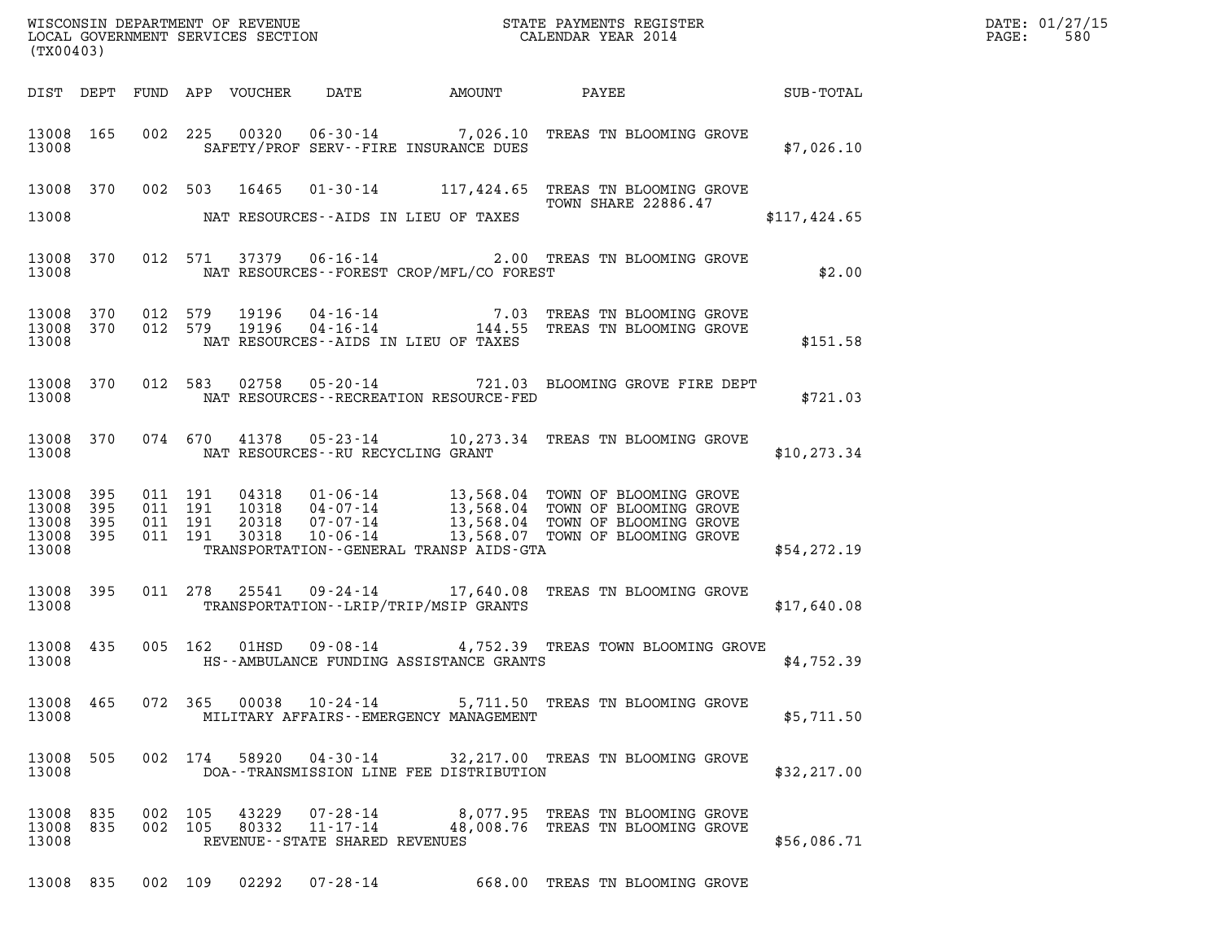| (TX00403)                       |           |                    |               |                                                     |                                                 |                                                                                                                                                                                                                                                                                                                                                                                              |              | R B DATE: 01/27/15 PAGE: 580 |
|---------------------------------|-----------|--------------------|---------------|-----------------------------------------------------|-------------------------------------------------|----------------------------------------------------------------------------------------------------------------------------------------------------------------------------------------------------------------------------------------------------------------------------------------------------------------------------------------------------------------------------------------------|--------------|------------------------------|
|                                 |           |                    |               |                                                     |                                                 | DIST DEPT FUND APP VOUCHER DATE AMOUNT PAYEE SUB-TOTAL                                                                                                                                                                                                                                                                                                                                       |              |                              |
|                                 | 13008 165 |                    |               |                                                     | 13008 SAFETY/PROF SERV--FIRE INSURANCE DUES     | 002 225 00320 06-30-14 7,026.10 TREAS TN BLOOMING GROVE<br>\$7,026.10                                                                                                                                                                                                                                                                                                                        |              |                              |
|                                 |           |                    |               |                                                     |                                                 | 13008 370 002 503 16465 01-30-14 117,424.65 TREAS TN BLOOMING GROVE<br><b>TOWN SHARE 22886.47</b>                                                                                                                                                                                                                                                                                            |              |                              |
|                                 |           |                    |               |                                                     |                                                 | 13008 NAT RESOURCES--AIDS IN LIEU OF TAXES                                                                                                                                                                                                                                                                                                                                                   | \$117,424.65 |                              |
|                                 |           |                    |               |                                                     | 13008 NAT RESOURCES--FOREST CROP/MFL/CO FOREST  | 13008 370 012 571 37379 06-16-14 2.00 TREAS TN BLOOMING GROVE                                                                                                                                                                                                                                                                                                                                | \$2.00       |                              |
|                                 |           |                    |               |                                                     | 13008 NAT RESOURCES--AIDS IN LIEU OF TAXES      | $\begin{array}{cccccccc} 13008 & 370 & 012 & 579 & 19196 & 04\cdot 16\cdot 14 & & & & 7.03 & \text{TREAS TN BLOOMING GROVE} \\ 13008 & 370 & 012 & 579 & 19196 & 04\cdot 16\cdot 14 & & & & 144\cdot 55 & \text{TREAS TN BLOOMING GROVE} \end{array}$                                                                                                                                        | \$151.58     |                              |
|                                 |           |                    |               |                                                     | 13008 MAT RESOURCES - RECREATION RESOURCE - FED | 13008 370 012 583 02758 05-20-14 721.03 BLOOMING GROVE FIRE DEPT                                                                                                                                                                                                                                                                                                                             | $T$ \$721.03 |                              |
|                                 |           |                    |               |                                                     | 13008 NAT RESOURCES--RU RECYCLING GRANT         | 13008 370 074 670 41378 05-23-14 10,273.34 TREAS TN BLOOMING GROVE                                                                                                                                                                                                                                                                                                                           | \$10, 273.34 |                              |
|                                 |           |                    |               |                                                     |                                                 | $\begin{tabular}{cccc} 13008 & 395 & 011 & 191 & 04318 & 01\text{-}06\text{-}14 & 13,568.04 & TOWN OF BLOOMING GROVE \\ 13008 & 395 & 011 & 191 & 10318 & 04\text{-}07\text{-}14 & 13,568.04 & TOWN OF BLOOMING GROVE \\ 13008 & 395 & 011 & 191 & 20318 & 07\text{-}07\text{-}14 & 13,568.04 & TOWN OF BLOOMING GROVE \\ 13008 & 395$<br>13008 TRANSPORTATION - - GENERAL TRANSP AIDS - GTA | \$54,272.19  |                              |
|                                 | 13008 395 |                    |               |                                                     |                                                 | 011  278  25541  09-24-14  17,640.08  TREAS TN BLOOMING GROVE<br>13008 TRANSPORTATION - - LRIP/TRIP/MSIP GRANTS                                                                                                                                                                                                                                                                              | \$17,640.08  |                              |
|                                 |           |                    |               |                                                     |                                                 | 13008 435 005 162 01HSD 09-08-14 4,752.39 TREAS TOWN BLOOMING GROVE<br>13008 HS--AMBULANCE FUNDING ASSISTANCE GRANTS                                                                                                                                                                                                                                                                         | \$4,752.39   |                              |
| 13008                           | 13008 465 |                    |               |                                                     | MILITARY AFFAIRS - - EMERGENCY MANAGEMENT       | 072 365 00038 10-24-14 5,711.50 TREAS TN BLOOMING GROVE                                                                                                                                                                                                                                                                                                                                      | \$5,711.50   |                              |
| 13008 505<br>13008              |           |                    | 002 174 58920 |                                                     | DOA--TRANSMISSION LINE FEE DISTRIBUTION         | 04-30-14 32,217.00 TREAS TN BLOOMING GROVE                                                                                                                                                                                                                                                                                                                                                   | \$32, 217.00 |                              |
| 13008 835<br>13008 835<br>13008 |           | 002 105<br>002 105 | 43229         | 80332 11-17-14<br>REVENUE - - STATE SHARED REVENUES |                                                 | 07-28-14 8,077.95 TREAS TN BLOOMING GROVE<br>48,008.76 TREAS TN BLOOMING GROVE                                                                                                                                                                                                                                                                                                               | \$56,086.71  |                              |
|                                 |           |                    |               | 13008 835 002 109 02292 07-28-14                    |                                                 | 668.00 TREAS TN BLOOMING GROVE                                                                                                                                                                                                                                                                                                                                                               |              |                              |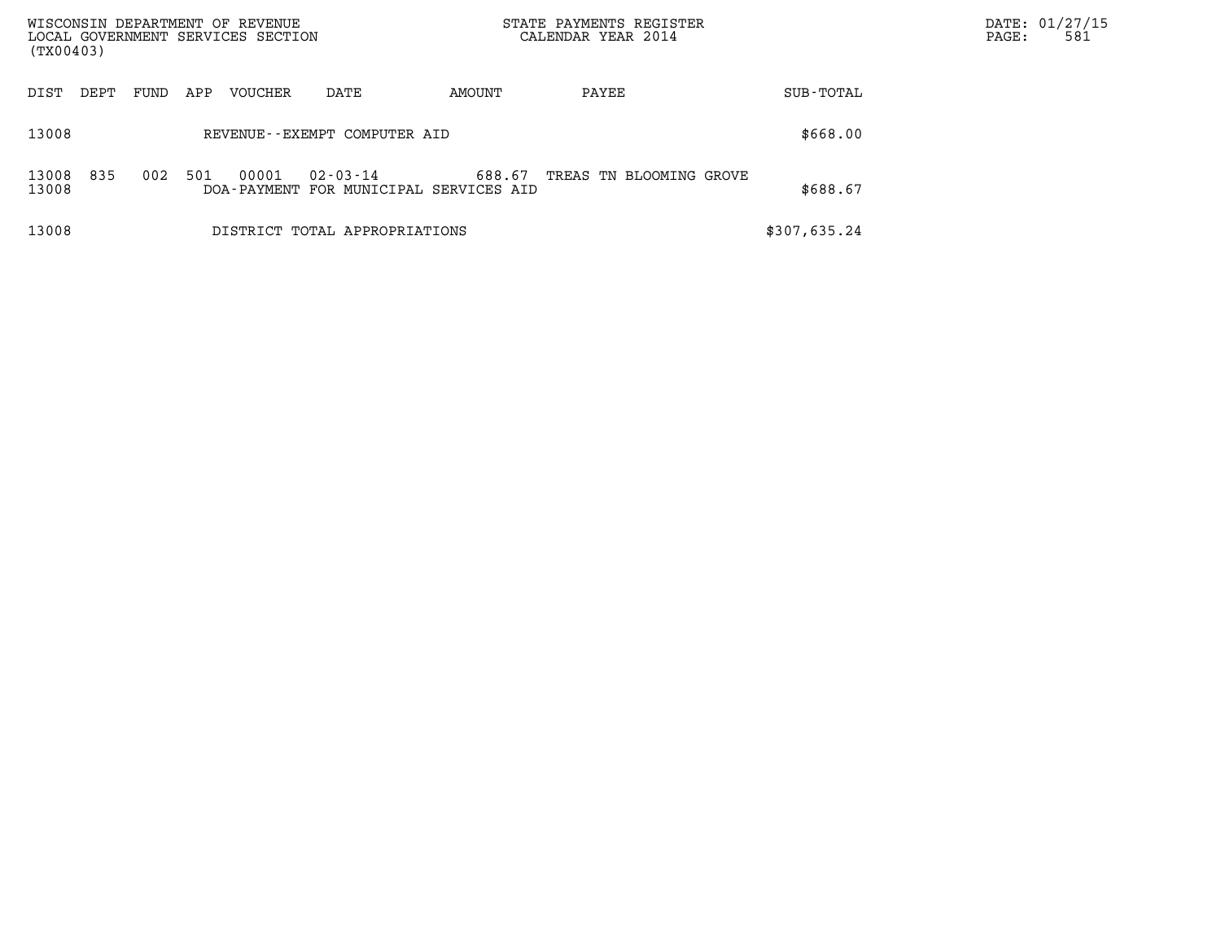| WISCONSIN DEPARTMENT OF REVENUE<br>LOCAL GOVERNMENT SERVICES SECTION<br>(TX00403) |      |      |     |         |                               |                                        | STATE PAYMENTS REGISTER<br>CALENDAR YEAR 2014 |              | PAGE: | DATE: 01/27/15<br>581 |
|-----------------------------------------------------------------------------------|------|------|-----|---------|-------------------------------|----------------------------------------|-----------------------------------------------|--------------|-------|-----------------------|
| DIST                                                                              | DEPT | FUND | APP | VOUCHER | DATE                          | AMOUNT                                 | PAYEE                                         | SUB-TOTAL    |       |                       |
| 13008                                                                             |      |      |     |         | REVENUE--EXEMPT COMPUTER AID  |                                        |                                               | \$668.00     |       |                       |
| 13008                                                                             | 835  | 002  | 501 | 00001   | $02 - 03 - 14$                | 688.67                                 | TREAS TN BLOOMING GROVE                       |              |       |                       |
| 13008                                                                             |      |      |     |         |                               | DOA-PAYMENT FOR MUNICIPAL SERVICES AID |                                               | \$688.67     |       |                       |
| 13008                                                                             |      |      |     |         | DISTRICT TOTAL APPROPRIATIONS |                                        |                                               | \$307,635.24 |       |                       |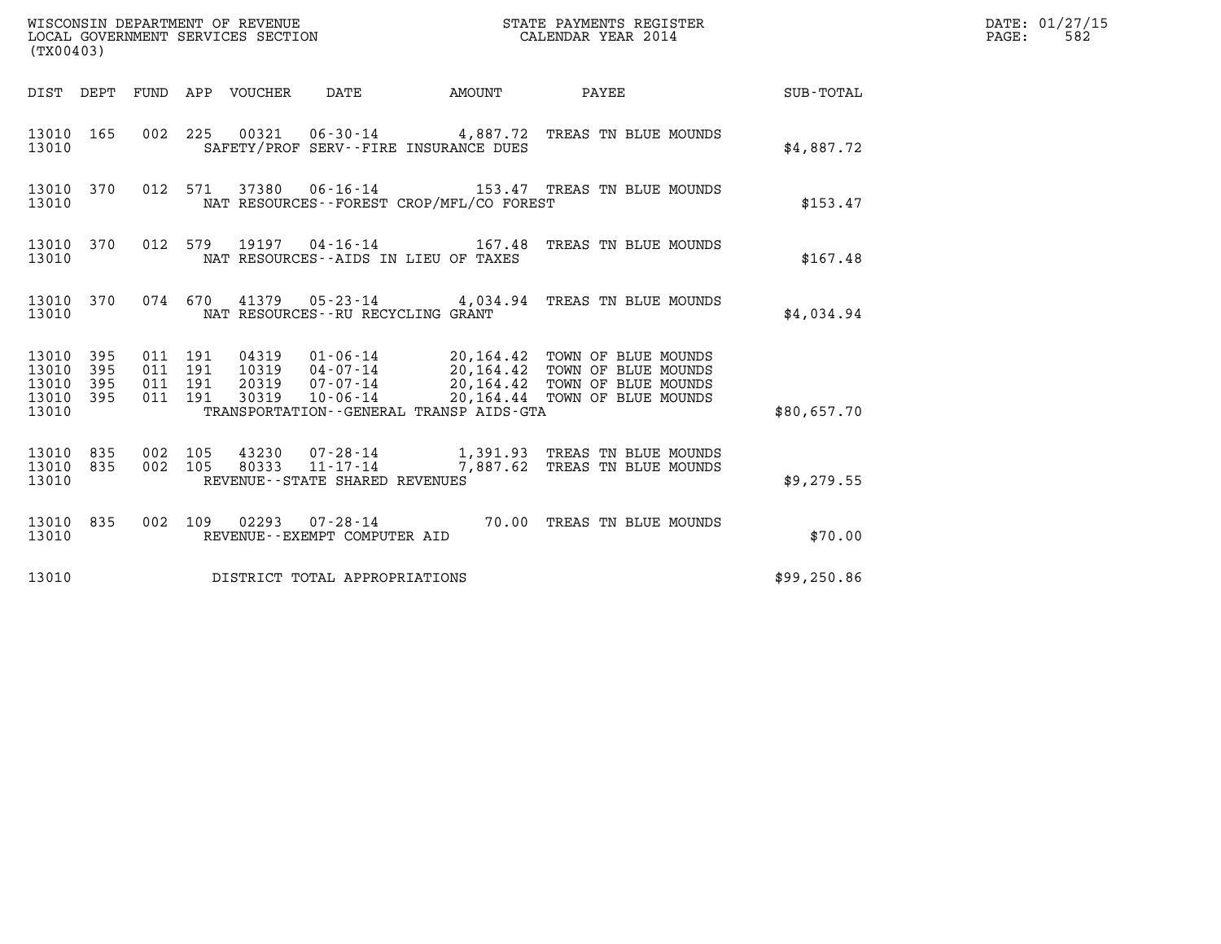| (TX00403)                                     |                   |                                      |         |                                  | WISCONSIN DEPARTMENT OF REVENUE<br>LOCAL GOVERNMENT SERVICES SECTION  |                           | STATE PAYMENTS REGISTER<br>CALENDAR YEAR 2014                                                                                                       |              | DATE: 01/27/15<br>PAGE:<br>582 |
|-----------------------------------------------|-------------------|--------------------------------------|---------|----------------------------------|-----------------------------------------------------------------------|---------------------------|-----------------------------------------------------------------------------------------------------------------------------------------------------|--------------|--------------------------------|
| DIST DEPT                                     |                   |                                      |         | FUND APP VOUCHER                 | DATE                                                                  | <b>EXAMPLE THE AMOUNT</b> | PAYEE                                                                                                                                               | SUB-TOTAL    |                                |
| 13010 165<br>13010                            |                   |                                      |         |                                  | SAFETY/PROF SERV--FIRE INSURANCE DUES                                 |                           | 002 225 00321 06-30-14 4,887.72 TREAS TN BLUE MOUNDS                                                                                                | \$4,887.72   |                                |
| 13010 370<br>13010                            |                   |                                      | 012 571 |                                  | NAT RESOURCES--FOREST CROP/MFL/CO FOREST                              |                           | 37380  06-16-14   153.47   TREAS TN BLUE MOUNDS                                                                                                     | \$153.47     |                                |
| 13010 370<br>13010                            |                   | 012 579                              |         |                                  | NAT RESOURCES--AIDS IN LIEU OF TAXES                                  |                           | 19197   04-16-14   167.48   TREAS TN BLUE MOUNDS                                                                                                    | \$167.48     |                                |
| 13010 370<br>13010                            |                   |                                      |         |                                  | NAT RESOURCES - - RU RECYCLING GRANT                                  |                           | 074 670 41379 05-23-14 4,034.94 TREAS TN BLUE MOUNDS                                                                                                | \$4,034.94   |                                |
| 13010 395<br>13010<br>13010<br>13010<br>13010 | 395<br>395<br>395 | 011 191<br>011 191<br>011<br>011 191 | 191     | 04319<br>10319<br>20319<br>30319 | 07-07-14<br>$10 - 06 - 14$<br>TRANSPORTATION--GENERAL TRANSP AIDS-GTA |                           | 01-06-14 20,164.42 TOWN OF BLUE MOUNDS<br>04-07-14 20,164.42 TOWN OF BLUE MOUNDS<br>20, 164.42 TOWN OF BLUE MOUNDS<br>20,164.44 TOWN OF BLUE MOUNDS | \$80,657.70  |                                |
| 13010 835<br>13010<br>13010                   | 835               | 002 105<br>002 105                   |         | 43230<br>80333                   | $11 - 17 - 14$<br>REVENUE--STATE SHARED REVENUES                      |                           | 07-28-14 1,391.93 TREAS TN BLUE MOUNDS<br>7,887.62 TREAS TN BLUE MOUNDS                                                                             | \$9,279.55   |                                |
| 13010 835<br>13010                            |                   |                                      |         |                                  | REVENUE--EXEMPT COMPUTER AID                                          |                           | 002 109 02293 07-28-14 70.00 TREAS TN BLUE MOUNDS                                                                                                   | \$70.00      |                                |
| 13010                                         |                   |                                      |         |                                  | DISTRICT TOTAL APPROPRIATIONS                                         |                           |                                                                                                                                                     | \$99, 250.86 |                                |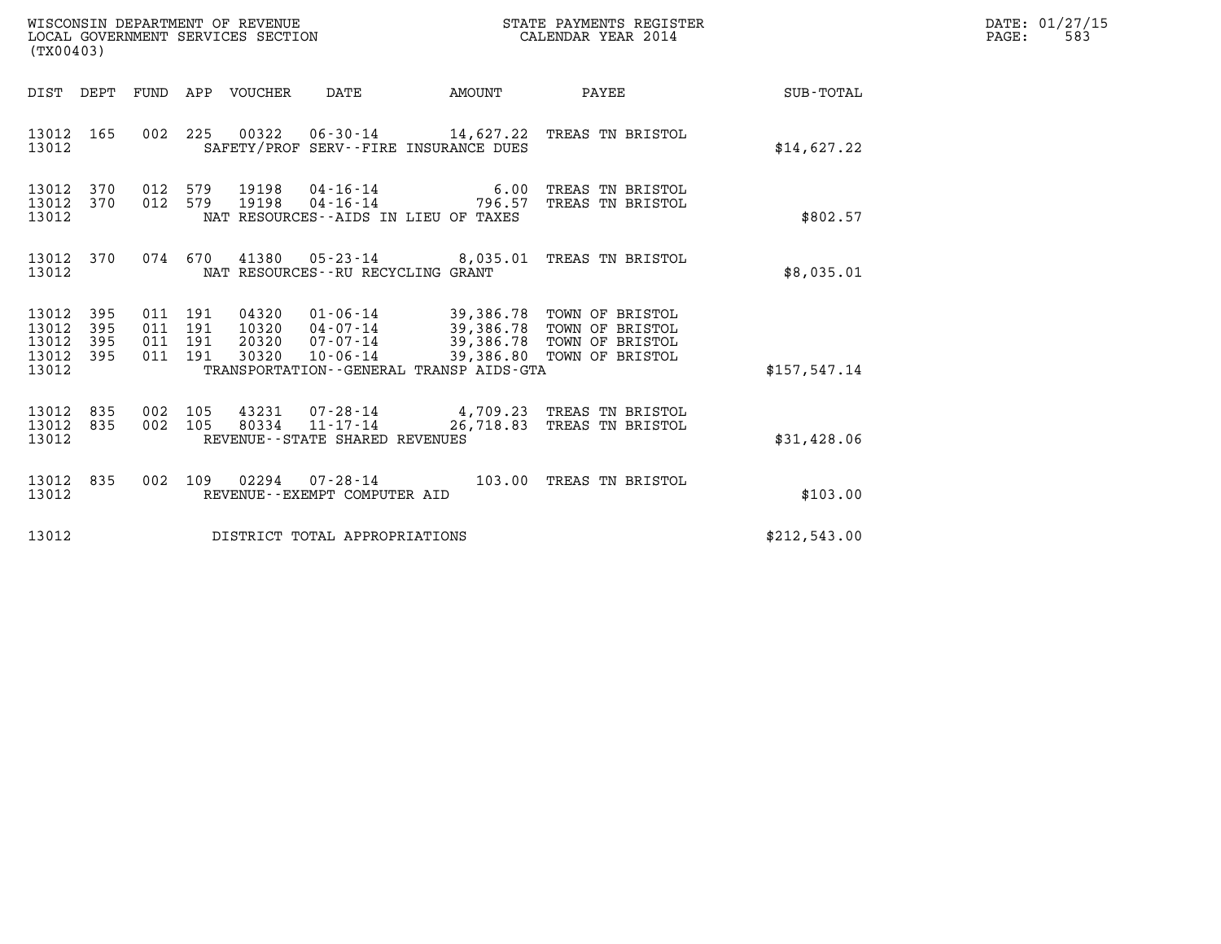| WISCONSIN DEPARTMENT OF REVENUE<br>LOCAL GOVERNMENT SERVICES SECTION<br>(TX00403) |                   |                                          |         |                                  |                                      |                                                                         | STATE PAYMENTS REGISTER<br>CALENDAR YEAR 2014                                                                             |               | DATE: 01/27/15<br>PAGE:<br>583 |
|-----------------------------------------------------------------------------------|-------------------|------------------------------------------|---------|----------------------------------|--------------------------------------|-------------------------------------------------------------------------|---------------------------------------------------------------------------------------------------------------------------|---------------|--------------------------------|
|                                                                                   |                   |                                          |         | DIST DEPT FUND APP VOUCHER       | DATE                                 |                                                                         | AMOUNT PAYEE SUB-TOTAL                                                                                                    |               |                                |
| 13012 165<br>13012                                                                |                   |                                          | 002 225 |                                  |                                      | SAFETY/PROF SERV--FIRE INSURANCE DUES                                   | 00322  06-30-14  14,627.22  TREAS TN BRISTOL                                                                              | \$14,627.22   |                                |
| 13012 370<br>13012<br>13012                                                       | 370               | 012 579<br>012 579                       |         | 19198<br>19198                   | $04 - 16 - 14$                       | $04 - 16 - 14$ 6.00<br>796.57<br>NAT RESOURCES -- AIDS IN LIEU OF TAXES | TREAS TN BRISTOL<br>TREAS TN BRISTOL                                                                                      | \$802.57      |                                |
| 13012 370<br>13012                                                                |                   |                                          |         |                                  | NAT RESOURCES - - RU RECYCLING GRANT |                                                                         | 074 670 41380 05-23-14 8,035.01 TREAS TN BRISTOL                                                                          | \$8,035.01    |                                |
| 13012 395<br>13012<br>13012<br>13012<br>13012                                     | 395<br>395<br>395 | 011 191<br>011 191<br>011 191<br>011 191 |         | 04320<br>10320<br>20320<br>30320 | 04-07-14<br>07-07-14<br>10-06-14     | TRANSPORTATION - - GENERAL TRANSP AIDS - GTA                            | 01-06-14 39,386.78 TOWN OF BRISTOL<br>39,386.78 TOWN OF BRISTOL<br>39,386.78 TOWN OF BRISTOL<br>39,386.80 TOWN OF BRISTOL | \$157, 547.14 |                                |
| 13012<br>13012<br>13012                                                           | 835<br>835        | 002 105<br>002 105                       |         | 80334                            | REVENUE--STATE SHARED REVENUES       |                                                                         | 43231 07-28-14 4,709.23 TREAS TN BRISTOL<br>11-17-14 26,718.83 TREAS TN BRISTOL                                           | \$31,428.06   |                                |
| 13012 835<br>13012                                                                |                   | 002 109                                  |         |                                  | REVENUE--EXEMPT COMPUTER AID         |                                                                         | 02294  07-28-14  103.00 TREAS TN BRISTOL                                                                                  | \$103.00      |                                |
| 13012                                                                             |                   |                                          |         |                                  | DISTRICT TOTAL APPROPRIATIONS        |                                                                         |                                                                                                                           | \$212,543.00  |                                |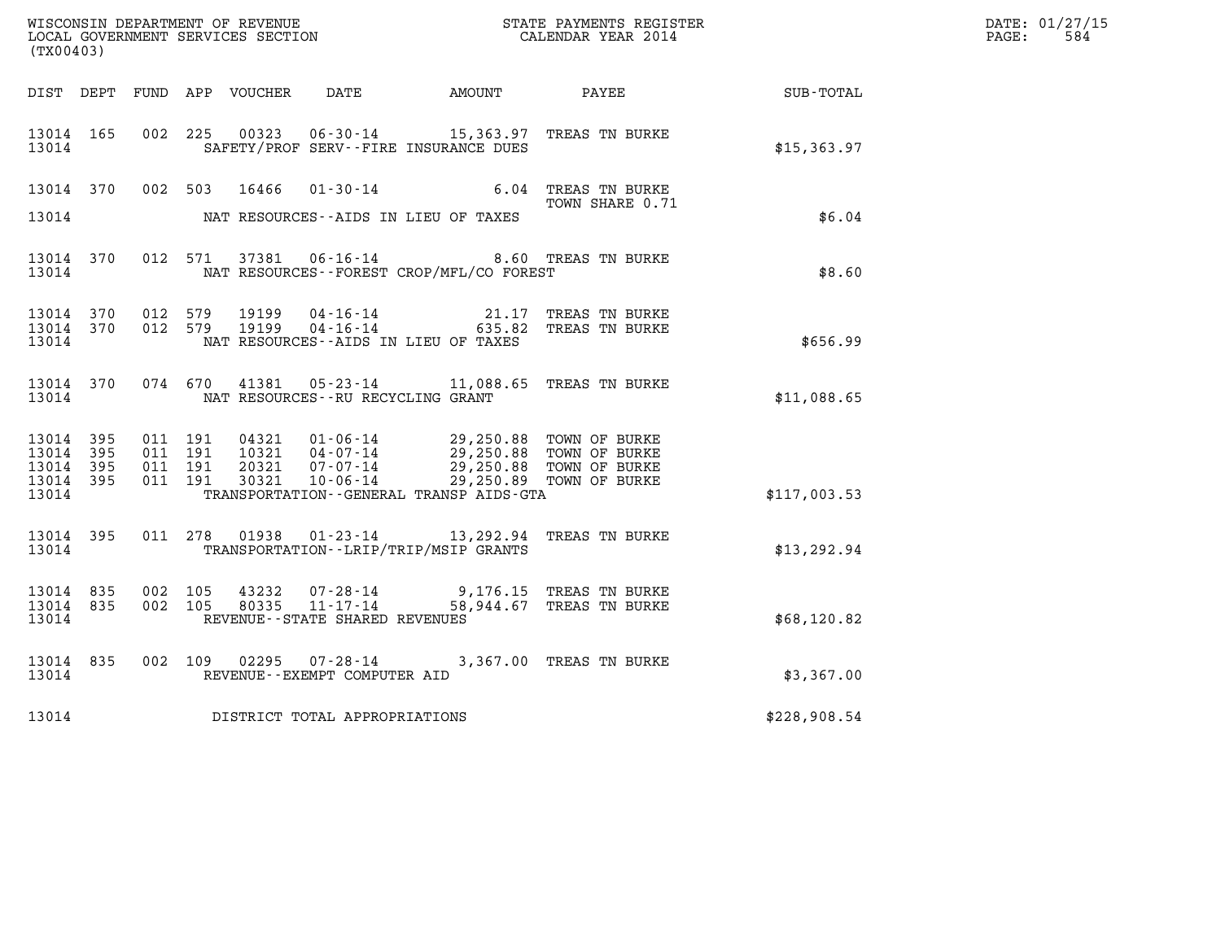| (TX00403)                                                 |           |  |                                   |                                                                                                                                                                                                                                                 |                                                                                                   |                  | DATE: 01/27/15<br>$\mathtt{PAGE:}$<br>584 |
|-----------------------------------------------------------|-----------|--|-----------------------------------|-------------------------------------------------------------------------------------------------------------------------------------------------------------------------------------------------------------------------------------------------|---------------------------------------------------------------------------------------------------|------------------|-------------------------------------------|
|                                                           |           |  |                                   |                                                                                                                                                                                                                                                 |                                                                                                   | <b>SUB-TOTAL</b> |                                           |
| 13014 165<br>13014                                        |           |  |                                   | 002 225 00323 06-30-14 15,363.97 TREAS TN BURKE<br>SAFETY/PROF SERV--FIRE INSURANCE DUES                                                                                                                                                        |                                                                                                   | \$15,363.97      |                                           |
|                                                           |           |  |                                   |                                                                                                                                                                                                                                                 | 13014 370 002 503 16466 01-30-14 6.04 TREAS TN BURKE<br>TOWN SHARE 0.71                           |                  |                                           |
| 13014                                                     |           |  |                                   | NAT RESOURCES--AIDS IN LIEU OF TAXES                                                                                                                                                                                                            |                                                                                                   | \$6.04           |                                           |
| 13014                                                     |           |  |                                   | NAT RESOURCES--FOREST CROP/MFL/CO FOREST                                                                                                                                                                                                        | 13014 370 012 571 37381 06-16-14 8.60 TREAS TN BURKE                                              | \$8.60           |                                           |
| 13014                                                     |           |  |                                   | NAT RESOURCES--AIDS IN LIEU OF TAXES                                                                                                                                                                                                            |                                                                                                   | \$656.99         |                                           |
| 13014                                                     |           |  | NAT RESOURCES--RU RECYCLING GRANT | 13014 370 074 670 41381 05-23-14 11,088.65 TREAS TN BURKE                                                                                                                                                                                       |                                                                                                   | \$11,088.65      |                                           |
| 13014 395<br>13014 395<br>13014 395<br>13014 395<br>13014 |           |  |                                   | 011 191 04321 01-06-14 29,250.88 TOWN OF BURKE<br>011 191 10321 04-07-14 29,250.88 TOWN OF BURKE<br>011 191 20321 07-07-14 29,250.88 TOWN OF BURKE<br>011 191 30321 10-06-14 29,250.89 TOWN OF BURKE<br>TRANSPORTATION--GENERAL TRANSP AIDS-GTA |                                                                                                   | \$117,003.53     |                                           |
| 13014                                                     | 13014 395 |  |                                   | 011 278 01938 01-23-14 13, 292.94 TREAS TN BURKE<br>TRANSPORTATION--LRIP/TRIP/MSIP GRANTS                                                                                                                                                       |                                                                                                   | \$13,292.94      |                                           |
| 13014 835<br>13014 835<br>13014                           |           |  | REVENUE--STATE SHARED REVENUES    |                                                                                                                                                                                                                                                 | 002 105 43232 07-28-14 9,176.15 TREAS TN BURKE<br>002 105 80335 11-17-14 58,944.67 TREAS TN BURKE | \$68,120.82      |                                           |
| 13014                                                     |           |  | REVENUE--EXEMPT COMPUTER AID      | 13014 835 002 109 02295 07-28-14 3,367.00 TREAS TN BURKE                                                                                                                                                                                        |                                                                                                   | \$3,367.00       |                                           |
| 13014                                                     |           |  | DISTRICT TOTAL APPROPRIATIONS     |                                                                                                                                                                                                                                                 |                                                                                                   | \$228,908.54     |                                           |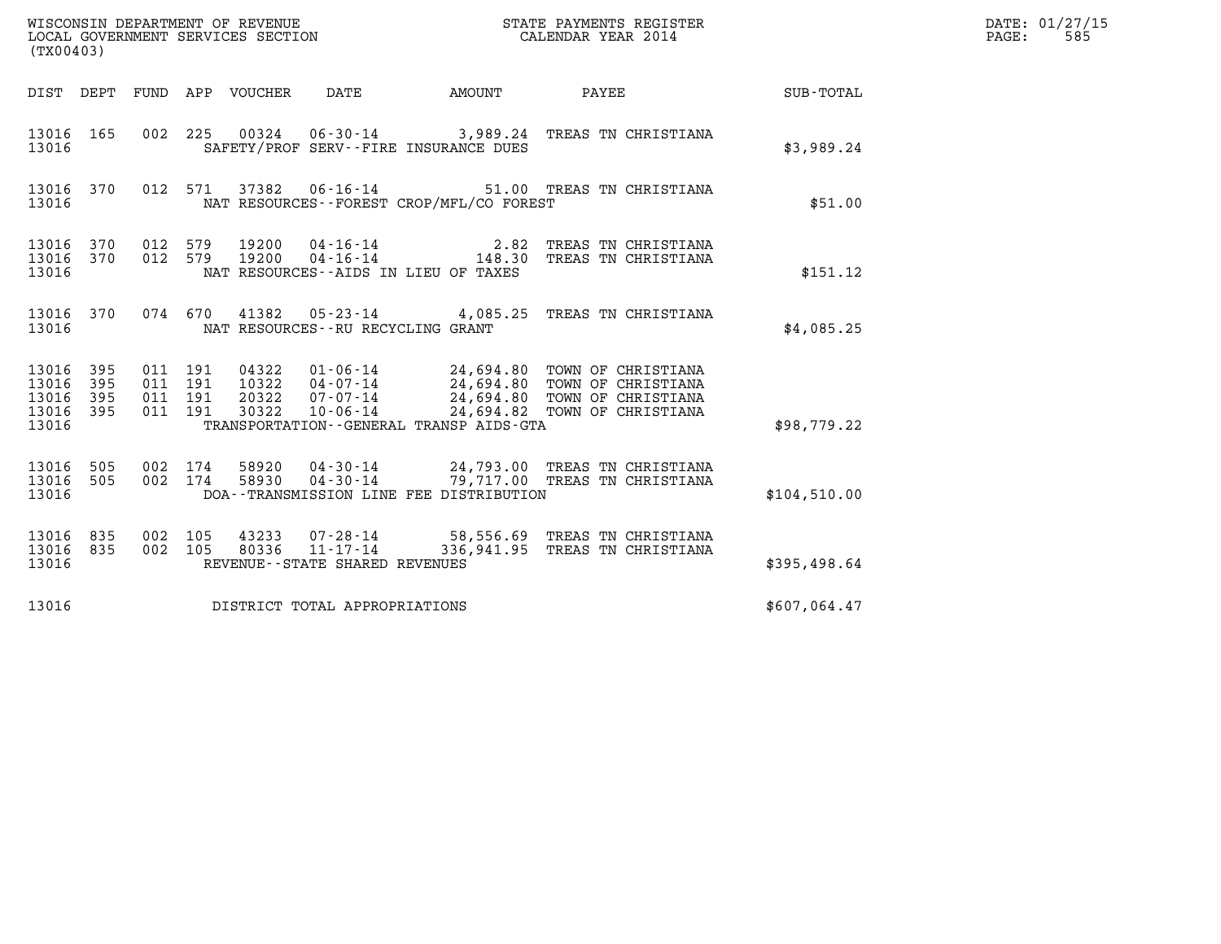| (TX00403)                                     |                   |                                          |         | WISCONSIN DEPARTMENT OF REVENUE<br>LOCAL GOVERNMENT SERVICES SECTION | NC<br>NGC 11                                        |                                          | STATE PAYMENTS REGISTER<br>CALENDAR YEAR 2014                                                                                                                    |              | DATE: 01/27/15<br>$\mathtt{PAGE}$ :<br>585 |
|-----------------------------------------------|-------------------|------------------------------------------|---------|----------------------------------------------------------------------|-----------------------------------------------------|------------------------------------------|------------------------------------------------------------------------------------------------------------------------------------------------------------------|--------------|--------------------------------------------|
|                                               |                   |                                          |         | DIST DEPT FUND APP VOUCHER                                           | DATE                                                | AMOUNT                                   | PAYEE                                                                                                                                                            | SUB-TOTAL    |                                            |
| 13016 165<br>13016                            |                   |                                          |         |                                                                      |                                                     | SAFETY/PROF SERV--FIRE INSURANCE DUES    | 002 225 00324 06-30-14 3,989.24 TREAS TN CHRISTIANA                                                                                                              | \$3,989.24   |                                            |
| 13016 370<br>13016                            |                   |                                          | 012 571 |                                                                      |                                                     | NAT RESOURCES--FOREST CROP/MFL/CO FOREST | 37382   06-16-14   51.00 TREAS TN CHRISTIANA                                                                                                                     | \$51.00      |                                            |
| 13016 370<br>13016 370<br>13016               |                   | 012 579<br>012 579                       |         |                                                                      |                                                     | NAT RESOURCES -- AIDS IN LIEU OF TAXES   | 19200  04-16-14  2.82  TREAS TN CHRISTIANA<br>19200  04-16-14  148.30  TREAS TN CHRISTIANA                                                                       | \$151.12     |                                            |
| 13016 370<br>13016                            |                   |                                          |         | 074 670 41382                                                        | NAT RESOURCES - - RU RECYCLING GRANT                |                                          | 05-23-14 4,085.25 TREAS TN CHRISTIANA                                                                                                                            | \$4,085.25   |                                            |
| 13016 395<br>13016<br>13016<br>13016<br>13016 | 395<br>395<br>395 | 011 191<br>011 191<br>011 191<br>011 191 |         | 04322<br>10322<br>20322<br>30322                                     |                                                     | TRANSPORTATION--GENERAL TRANSP AIDS-GTA  | 01-06-14 24,694.80 TOWN OF CHRISTIANA<br>04-07-14 24,694.80 TOWN OF CHRISTIANA<br>07-07-14 24,694.80 TOWN OF CHRISTIANA<br>10-06-14 24,694.82 TOWN OF CHRISTIANA | \$98,779.22  |                                            |
| 13016<br>13016<br>13016                       | 505<br>505        | 002 174<br>002 174                       |         | 58920<br>58930                                                       |                                                     | DOA--TRANSMISSION LINE FEE DISTRIBUTION  | 04-30-14 24,793.00 TREAS TN CHRISTIANA<br>04-30-14 79,717.00 TREAS TN CHRISTIANA                                                                                 | \$104,510.00 |                                            |
| 13016 835<br>13016 835<br>13016               |                   | 002 105<br>002 105                       |         | 43233<br>80336                                                       | $11 - 17 - 14$<br>REVENUE - - STATE SHARED REVENUES |                                          | 07-28-14 58,556.69 TREAS TN CHRISTIANA<br>336,941.95 TREAS TN CHRISTIANA                                                                                         | \$395,498.64 |                                            |
| 13016                                         |                   |                                          |         |                                                                      | DISTRICT TOTAL APPROPRIATIONS                       |                                          |                                                                                                                                                                  | \$607,064.47 |                                            |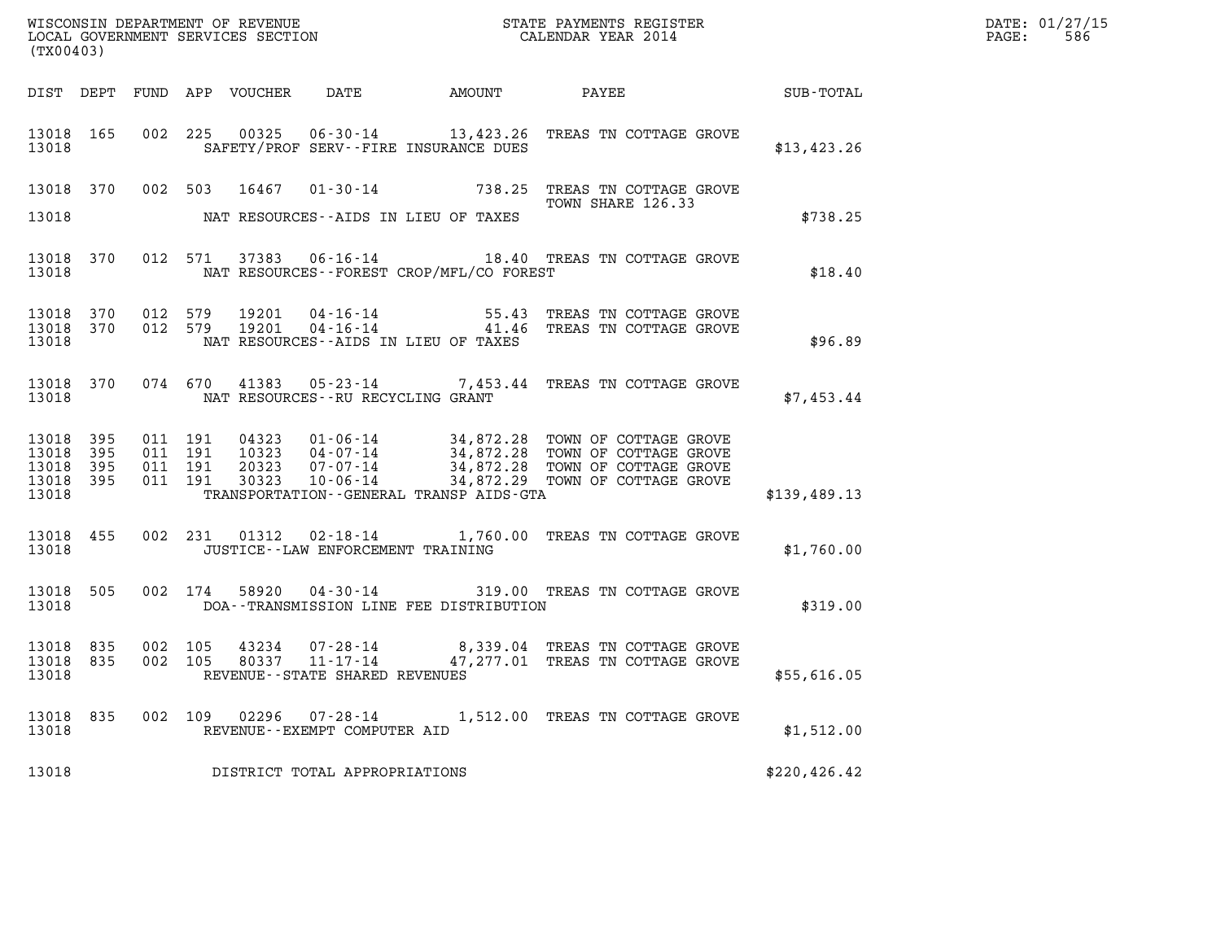| (TX00403)          |  |  |                                         |                                                |                                                                                                                                                                                                                                                                                                                                                             |               | DATE: 01/27/15<br>$\mathtt{PAGE:}$<br>586 |
|--------------------|--|--|-----------------------------------------|------------------------------------------------|-------------------------------------------------------------------------------------------------------------------------------------------------------------------------------------------------------------------------------------------------------------------------------------------------------------------------------------------------------------|---------------|-------------------------------------------|
|                    |  |  |                                         |                                                | DIST DEPT FUND APP VOUCHER DATE AMOUNT PAYEE SUB-TOTAL                                                                                                                                                                                                                                                                                                      |               |                                           |
| 13018              |  |  |                                         |                                                | 13018 165 002 225 00325 06-30-14 13,423.26 TREAS TN COTTAGE GROVE<br>SAFETY/PROF SERV--FIRE INSURANCE DUES                                                                                                                                                                                                                                                  | \$13,423.26   |                                           |
|                    |  |  |                                         | 13018 MAT RESOURCES--AIDS IN LIEU OF TAXES     | 13018 370 002 503 16467 01-30-14 738.25 TREAS TN COTTAGE GROVE 7000 16467 01-30-14<br>TOWN SHARE 126.33                                                                                                                                                                                                                                                     | \$738.25      |                                           |
|                    |  |  |                                         | 13018 MAT RESOURCES--FOREST CROP/MFL/CO FOREST | 13018 370 012 571 37383 06-16-14 18.40 TREAS TN COTTAGE GROVE                                                                                                                                                                                                                                                                                               | \$18.40       |                                           |
|                    |  |  |                                         | 13018 NAT RESOURCES--AIDS IN LIEU OF TAXES     | $\begin{array}{cccccc} 13018 & 370 & 012 & 579 & 19201 & 04\cdot 16\cdot 14 & & & & 55.43 & \text{TREAS TN COTTAGE GROVE} \\ 13018 & 370 & 012 & 579 & 19201 & 04\cdot 16\cdot 14 & & & & 41.46 & \text{TREAS TN COTTAGE GROVE} \end{array}$                                                                                                                | \$96.89       |                                           |
|                    |  |  | 13018 MAT RESOURCES--RU RECYCLING GRANT |                                                | 13018 370 074 670 41383 05-23-14 7,453.44 TREAS TN COTTAGE GROVE \$7,453.44                                                                                                                                                                                                                                                                                 |               |                                           |
| 13018              |  |  |                                         |                                                | $\begin{tabular}{cccc} 13018 & 395 & 011 & 191 & 04323 & 01-06-14 & 34,872.28 & TOWN OF COTTAGE GROVE \\ 13018 & 395 & 011 & 191 & 10323 & 04-07-14 & 34,872.28 & TOWN OF COTTAGE GROVE \\ 13018 & 395 & 011 & 191 & 20323 & 07-07-14 & 34,872.28 & TOWN OF COTTAGE GROVE \\ 13018 & 395 & 011 & 191 & 303$<br>TRANSPORTATION - - GENERAL TRANSP AIDS - GTA | \$139,489.13  |                                           |
|                    |  |  |                                         | 13018 JUSTICE--LAW ENFORCEMENT TRAINING        | 13018 455 002 231 01312 02-18-14 1,760.00 TREAS TN COTTAGE GROVE                                                                                                                                                                                                                                                                                            | \$1,760.00    |                                           |
|                    |  |  |                                         |                                                | 13018 505 002 174 58920 04-30-14 319.00 TREAS TN COTTAGE GROVE<br>13018 DOA--TRANSMISSION LINE FEE DISTRIBUTION                                                                                                                                                                                                                                             | \$319.00      |                                           |
| 13018              |  |  | REVENUE - - STATE SHARED REVENUES       |                                                | 13018 835 002 105 43234 07-28-14 8,339.04 TREAS TN COTTAGE GROVE 13018 835 002 105 80337 11-17-14 47,277.01 TREAS TN COTTAGE GROVE                                                                                                                                                                                                                          | \$55,616.05   |                                           |
| 13018 835<br>13018 |  |  | REVENUE--EXEMPT COMPUTER AID            |                                                | 002 109 02296 07-28-14 1,512.00 TREAS TN COTTAGE GROVE                                                                                                                                                                                                                                                                                                      | \$1,512.00    |                                           |
| 13018              |  |  | DISTRICT TOTAL APPROPRIATIONS           |                                                |                                                                                                                                                                                                                                                                                                                                                             | \$220, 426.42 |                                           |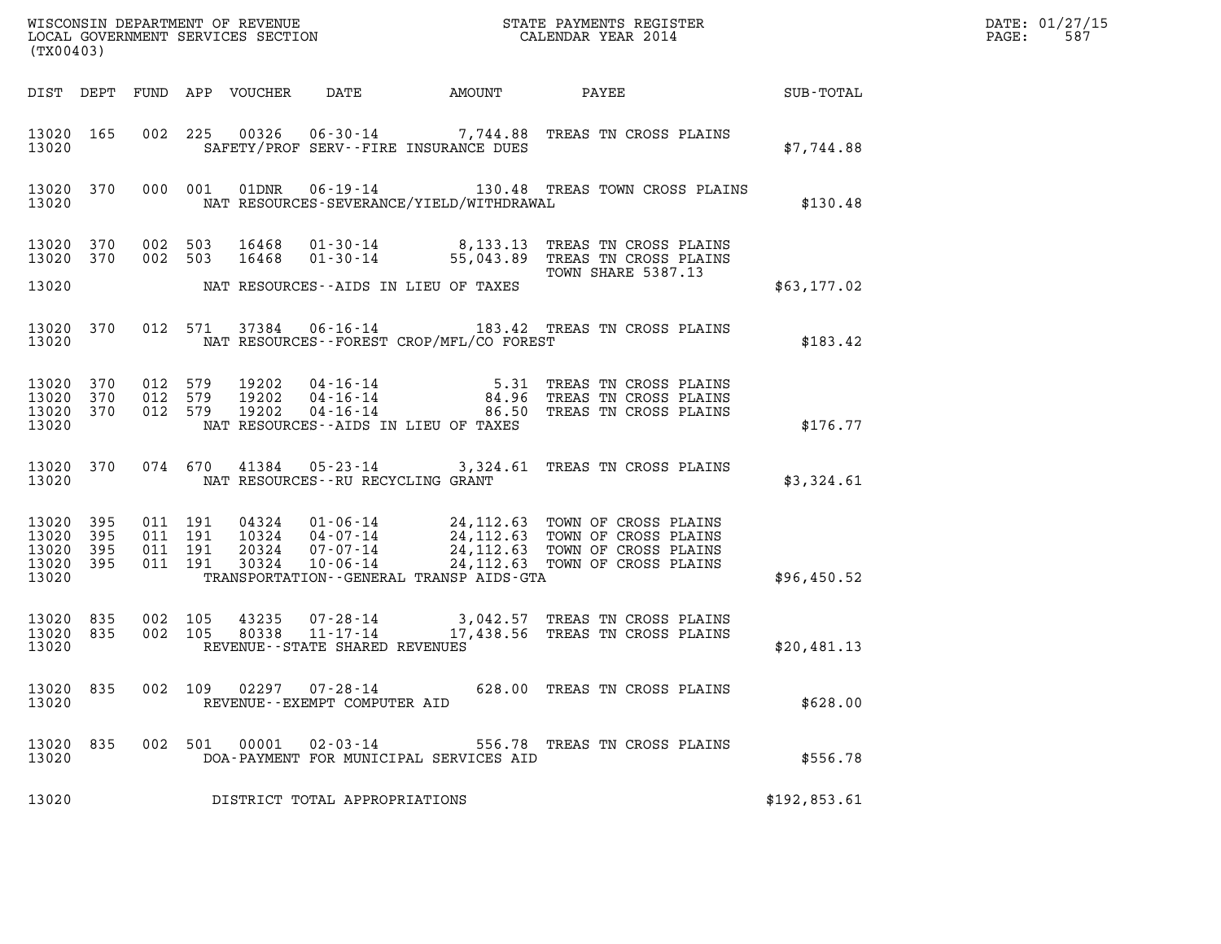| WISCONSIN DEPARTMENT OF REVENUE<br>LOCAL GOVERNMENT SERVICES SECTION<br>CALENDAR YEAR 2014<br>(TX00403) |     |                    |                    |               |                                   |                                             |                                                                                                                                                                                                  |              | DATE: 01/27/15<br>$\mathtt{PAGE}$ :<br>587 |
|---------------------------------------------------------------------------------------------------------|-----|--------------------|--------------------|---------------|-----------------------------------|---------------------------------------------|--------------------------------------------------------------------------------------------------------------------------------------------------------------------------------------------------|--------------|--------------------------------------------|
|                                                                                                         |     |                    |                    |               |                                   |                                             |                                                                                                                                                                                                  |              |                                            |
| 13020 165<br>13020                                                                                      |     |                    |                    |               |                                   | SAFETY/PROF SERV--FIRE INSURANCE DUES       | 002 225 00326 06-30-14 7,744.88 TREAS TN CROSS PLAINS                                                                                                                                            | \$7,744.88   |                                            |
| 13020                                                                                                   |     | 13020 370 000 001  |                    |               |                                   | NAT RESOURCES-SEVERANCE/YIELD/WITHDRAWAL    | 01DNR  06-19-14  130.48 TREAS TOWN CROSS PLAINS                                                                                                                                                  | \$130.48     |                                            |
| 13020 370<br>13020 370                                                                                  |     |                    |                    |               |                                   |                                             | 002 503 16468 01-30-14 8,133.13 TREAS TN CROSS PLAINS<br>002 503 16468 01-30-14 55,043.89 TREAS TN CROSS PLAINS<br>TOWN SHARE 5387.13                                                            |              |                                            |
|                                                                                                         |     |                    |                    |               |                                   | 13020 NAT RESOURCES--AIDS IN LIEU OF TAXES  |                                                                                                                                                                                                  | \$63,177.02  |                                            |
| 13020                                                                                                   |     |                    |                    |               |                                   | NAT RESOURCES - - FOREST CROP/MFL/CO FOREST | 13020 370 012 571 37384 06-16-14 183.42 TREAS TN CROSS PLAINS                                                                                                                                    | \$183.42     |                                            |
| 13020 370<br>13020 370<br>13020 370<br>13020                                                            |     | 012 579            | 012 579<br>012 579 |               |                                   | NAT RESOURCES--AIDS IN LIEU OF TAXES        | 19202  04-16-14  5.31 TREAS TN CROSS PLAINS<br>19202  04-16-14  84.96 TREAS TN CROSS PLAINS<br>19202  04-16-14  86.50 TREAS TN CROSS PLAINS                                                      | \$176.77     |                                            |
| 13020 370<br>13020                                                                                      |     |                    |                    |               | NAT RESOURCES--RU RECYCLING GRANT |                                             | 074 670 41384 05-23-14 3,324.61 TREAS TN CROSS PLAINS                                                                                                                                            | \$3,324.61   |                                            |
| 13020 395<br>13020<br>13020 395<br>13020 395<br>13020                                                   | 395 | 011 191<br>011 191 | 011 191<br>011 191 |               |                                   | TRANSPORTATION--GENERAL TRANSP AIDS-GTA     | 04324 01-06-14 24,112.63 TOWN OF CROSS PLAINS<br>10324 04-07-14 24,112.63 TOWN OF CROSS PLAINS<br>20324 07-07-14 24,112.63 TOWN OF CROSS PLAINS<br>30324 10-06-14 24,112.63 TOWN OF CROSS PLAINS | \$96,450.52  |                                            |
| 13020 835<br>13020 835<br>13020                                                                         |     | 002 105            |                    | 002 105 80338 | REVENUE--STATE SHARED REVENUES    |                                             | 43235  07-28-14  3,042.57  TREAS TN CROSS PLAINS<br>80338  11-17-14  17,438.56  TREAS TN CROSS PLAINS                                                                                            | \$20,481.13  |                                            |
| 13020 835<br>13020                                                                                      |     |                    | 002 109            |               | REVENUE--EXEMPT COMPUTER AID      |                                             | 628.00 TREAS TN CROSS PLAINS                                                                                                                                                                     | \$628.00     |                                            |
| 13020 835<br>13020                                                                                      |     |                    | 002 501            | 00001         | 02-03-14                          | DOA-PAYMENT FOR MUNICIPAL SERVICES AID      | 556.78 TREAS TN CROSS PLAINS                                                                                                                                                                     | \$556.78     |                                            |
| 13020                                                                                                   |     |                    |                    |               | DISTRICT TOTAL APPROPRIATIONS     |                                             |                                                                                                                                                                                                  | \$192,853.61 |                                            |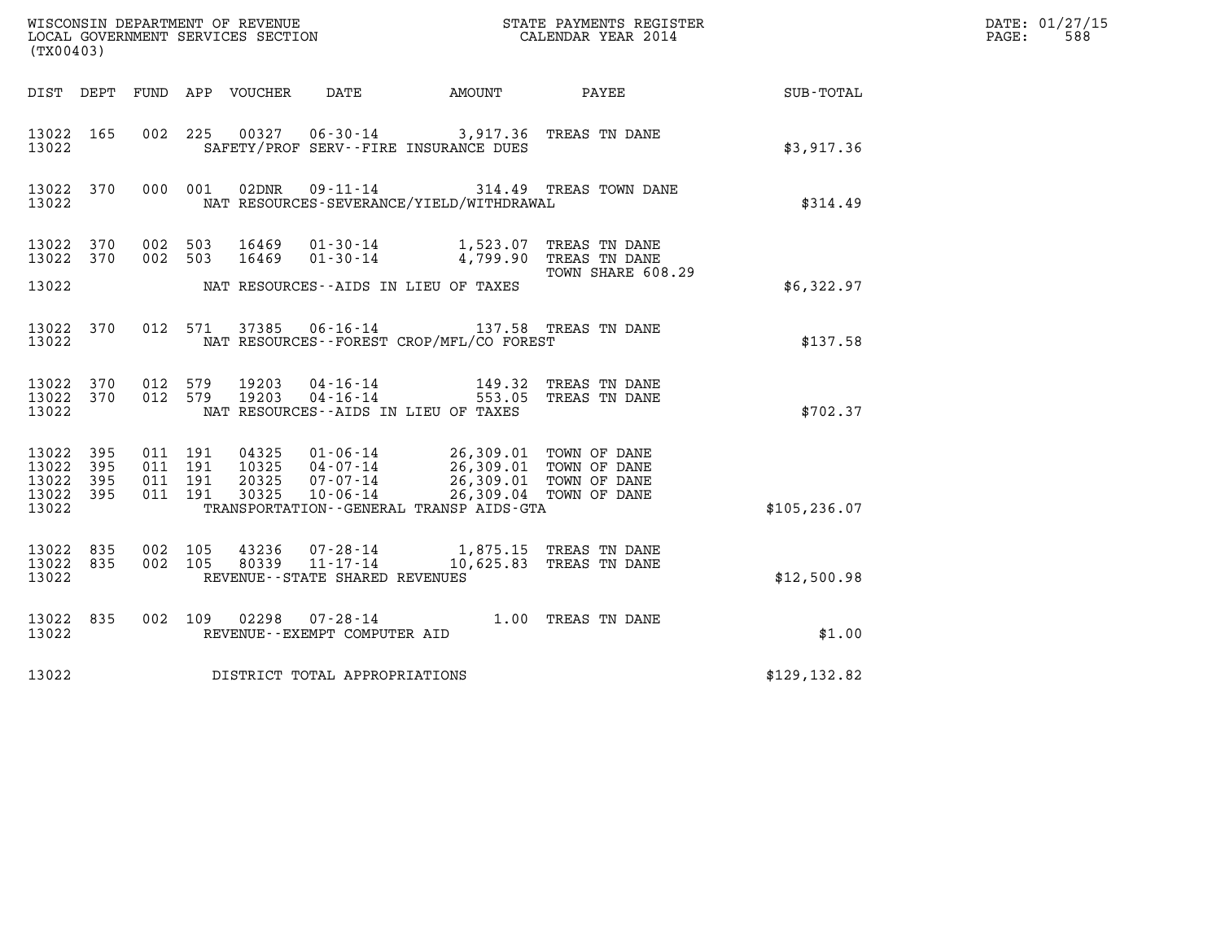| (TX00403)                                    |           |                                          |         |                                  |                                                              |                                                                                                                                                                                                                                                                    |                                                   |               | DATE: 01/27/15<br>$\mathtt{PAGE}$ :<br>588 |
|----------------------------------------------|-----------|------------------------------------------|---------|----------------------------------|--------------------------------------------------------------|--------------------------------------------------------------------------------------------------------------------------------------------------------------------------------------------------------------------------------------------------------------------|---------------------------------------------------|---------------|--------------------------------------------|
|                                              |           |                                          |         |                                  |                                                              | DIST DEPT FUND APP VOUCHER DATE AMOUNT PAYEE                                                                                                                                                                                                                       |                                                   | SUB - TOTAL   |                                            |
| 13022 165<br>13022                           |           |                                          |         |                                  |                                                              | 002 225 00327 06-30-14 3,917.36 TREAS TN DANE<br>SAFETY/PROF SERV--FIRE INSURANCE DUES                                                                                                                                                                             |                                                   | \$3,917.36    |                                            |
| 13022                                        | 13022 370 |                                          | 000 001 |                                  |                                                              | NAT RESOURCES-SEVERANCE/YIELD/WITHDRAWAL                                                                                                                                                                                                                           | 02DNR  09-11-14  314.49 TREAS TOWN DANE           | \$314.49      |                                            |
| 13022 370<br>13022 370                       |           | 002 503<br>002 503                       |         | 16469                            |                                                              | 01-30-14 4,799.90 TREAS TN DANE                                                                                                                                                                                                                                    |                                                   |               |                                            |
| 13022                                        |           |                                          |         |                                  |                                                              | NAT RESOURCES--AIDS IN LIEU OF TAXES                                                                                                                                                                                                                               | TOWN SHARE 608.29                                 | \$6,322.97    |                                            |
| 13022                                        | 13022 370 |                                          | 012 571 |                                  |                                                              | 37385 06-16-14 137.58 TREAS TN DANE<br>NAT RESOURCES - - FOREST CROP/MFL/CO FOREST                                                                                                                                                                                 |                                                   | \$137.58      |                                            |
| 13022 370<br>13022                           | 13022 370 | 012 579<br>012 579                       |         | 19203<br>19203                   |                                                              | 04 - 16 - 14<br>04 - 16 - 14<br>04 - 16 - 14<br>553 . 05<br>NAT RESOURCES--AIDS IN LIEU OF TAXES                                                                                                                                                                   | TREAS TN DANE<br>553.05 TREAS TN DANE             | \$702.37      |                                            |
| 13022 395<br>13022<br>13022 395<br>13022 395 | 395       | 011 191<br>011 191<br>011 191<br>011 191 |         | 04325<br>10325<br>20325<br>30325 |                                                              | 01-06-14<br>04-07-14<br>07-07-14<br>07-06-14<br>07-06-14<br>06-14<br>07-06-14<br>06-14<br>07-06-14<br>06-14<br>06-14<br>07-07-14<br>06-14<br>06-14<br>07-07-14<br>06-309.01<br>07-07-14<br>06-309.01<br>07-07-14<br>06-309.04<br>07-07-14<br>06-309.04<br>07-07-14 |                                                   |               |                                            |
| 13022                                        |           |                                          |         |                                  |                                                              | TRANSPORTATION--GENERAL TRANSP AIDS-GTA                                                                                                                                                                                                                            |                                                   | \$105, 236.07 |                                            |
| 13022 835<br>13022 835<br>13022              |           | 002 105<br>002 105                       |         | 80339                            | 43236 07-28-14<br>11-17-14<br>REVENUE--STATE SHARED REVENUES |                                                                                                                                                                                                                                                                    | 1,875.15 TREAS TN DANE<br>10,625.83 TREAS TN DANE | \$12,500.98   |                                            |
| 13022 835<br>13022                           |           |                                          |         |                                  | REVENUE--EXEMPT COMPUTER AID                                 | 002 109 02298 07-28-14 1.00 TREAS TN DANE                                                                                                                                                                                                                          |                                                   | \$1.00        |                                            |
| 13022                                        |           |                                          |         |                                  | DISTRICT TOTAL APPROPRIATIONS                                |                                                                                                                                                                                                                                                                    |                                                   | \$129, 132.82 |                                            |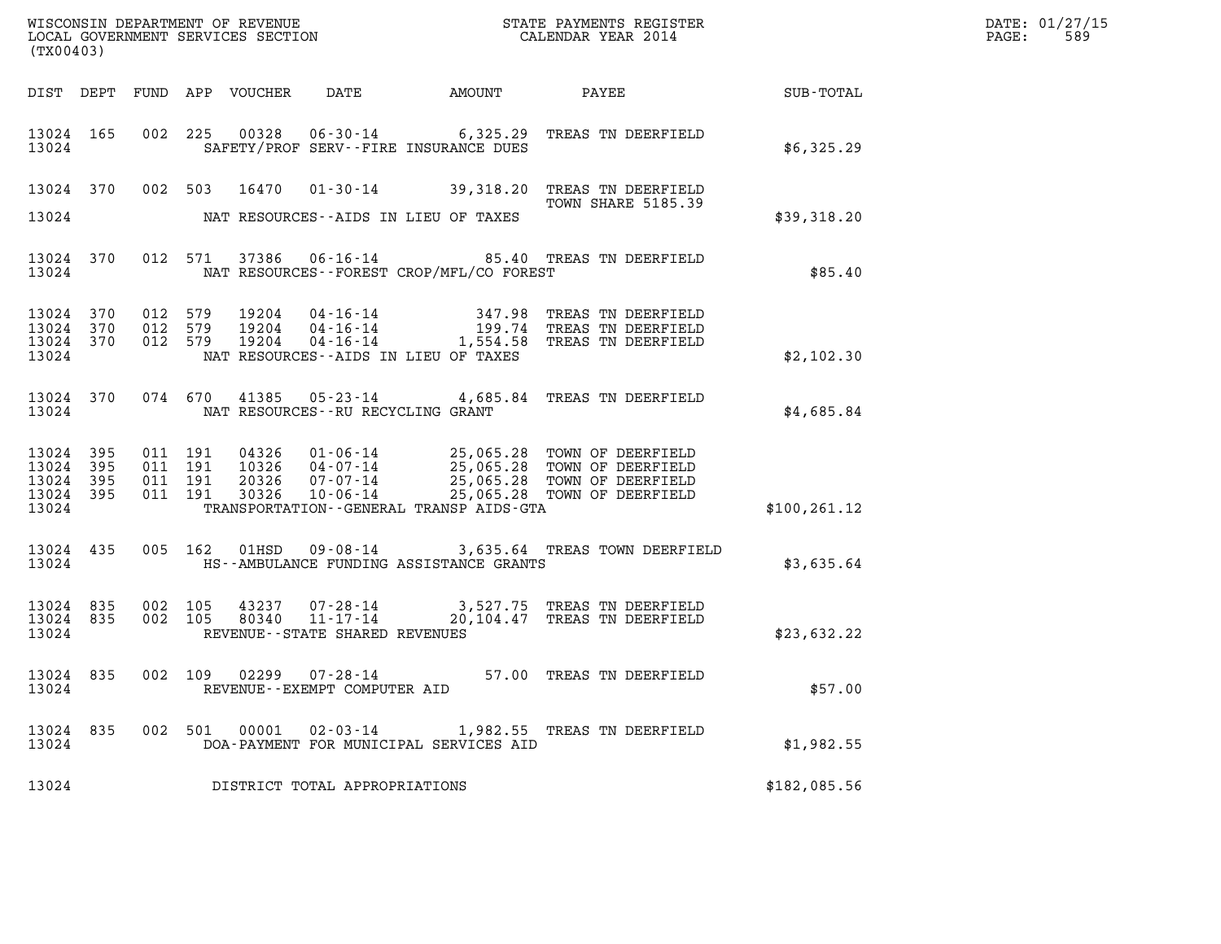| (TX00403)                                             |       |                               |                                 |       |                                                                    |                                          |                                                                                                                                                                       |               | DATE: 01/27/15<br>$\mathtt{PAGE}$ :<br>589 |
|-------------------------------------------------------|-------|-------------------------------|---------------------------------|-------|--------------------------------------------------------------------|------------------------------------------|-----------------------------------------------------------------------------------------------------------------------------------------------------------------------|---------------|--------------------------------------------|
|                                                       |       |                               | DIST DEPT FUND APP VOUCHER DATE |       |                                                                    |                                          |                                                                                                                                                                       |               |                                            |
| 13024 165<br>13024                                    |       |                               |                                 |       |                                                                    | SAFETY/PROF SERV--FIRE INSURANCE DUES    | 002 225 00328 06-30-14 6,325.29 TREAS TN DEERFIELD                                                                                                                    | \$6,325.29    |                                            |
|                                                       |       |                               |                                 |       |                                                                    |                                          | 13024 370 002 503 16470 01-30-14 39,318.20 TREAS TN DEERFIELD<br>TOWN SHARE 5185.39                                                                                   |               |                                            |
| 13024                                                 |       |                               |                                 |       | NAT RESOURCES--AIDS IN LIEU OF TAXES                               |                                          |                                                                                                                                                                       | \$39,318.20   |                                            |
| 13024 370<br>13024                                    |       |                               |                                 |       |                                                                    | NAT RESOURCES--FOREST CROP/MFL/CO FOREST | 012 571 37386 06-16-14 85.40 TREAS TN DEERFIELD                                                                                                                       | \$85.40       |                                            |
| 13024 370<br>13024 370<br>13024 370<br>13024          |       | 012 579<br>012 579<br>012 579 |                                 |       | NAT RESOURCES -- AIDS IN LIEU OF TAXES                             |                                          | 19204  04-16-14   347.98   TREAS TN DEERFIELD<br>19204  04-16-14   199.74   TREAS TN DEERFIELD<br>19204  04-16-14   1,554.58   TREAS TN DEERFIELD                     | \$2,102.30    |                                            |
| 13024 370<br>13024                                    |       |                               |                                 |       | NAT RESOURCES - - RU RECYCLING GRANT                               |                                          | 074 670 41385 05-23-14 4,685.84 TREAS TN DEERFIELD                                                                                                                    | \$4,685.84    |                                            |
| 13024 395<br>13024 395<br>13024<br>13024 395<br>13024 | - 395 | 011 191<br>011 191<br>011 191 | 011 191                         | 30326 | $10 - 06 - 14$                                                     | TRANSPORTATION--GENERAL TRANSP AIDS-GTA  | 04326 01-06-14 25,065.28 TOWN OF DEERFIELD<br>10326 04-07-14 25,065.28 TOWN OF DEERFIELD<br>20326 07-07-14 25,065.28 TOWN OF DEERFIELD<br>25,065.28 TOWN OF DEERFIELD | \$100, 261.12 |                                            |
| 13024 435<br>13024                                    |       |                               |                                 |       |                                                                    | HS--AMBULANCE FUNDING ASSISTANCE GRANTS  | 005 162 01HSD 09-08-14 3,635.64 TREAS TOWN DEERFIELD                                                                                                                  | \$3,635.64    |                                            |
| 13024 835<br>13024 835<br>13024                       |       | 002 105<br>002 105            |                                 | 80340 | 43237 07-28-14<br>$11 - 17 - 14$<br>REVENUE--STATE SHARED REVENUES |                                          | 3,527.75 TREAS TN DEERFIELD<br>20,104.47 TREAS TN DEERFIELD                                                                                                           | \$23,632.22   |                                            |
| 13024 835<br>13024                                    |       |                               |                                 |       | 002 109 02299 07-28-14<br>REVENUE--EXEMPT COMPUTER AID             |                                          | 57.00 TREAS TN DEERFIELD                                                                                                                                              | \$57.00       |                                            |
| 13024 835<br>13024                                    |       |                               |                                 |       |                                                                    | DOA-PAYMENT FOR MUNICIPAL SERVICES AID   | 002 501 00001 02-03-14 1,982.55 TREAS TN DEERFIELD                                                                                                                    | \$1,982.55    |                                            |
| 13024                                                 |       |                               |                                 |       | DISTRICT TOTAL APPROPRIATIONS                                      |                                          |                                                                                                                                                                       | \$182,085.56  |                                            |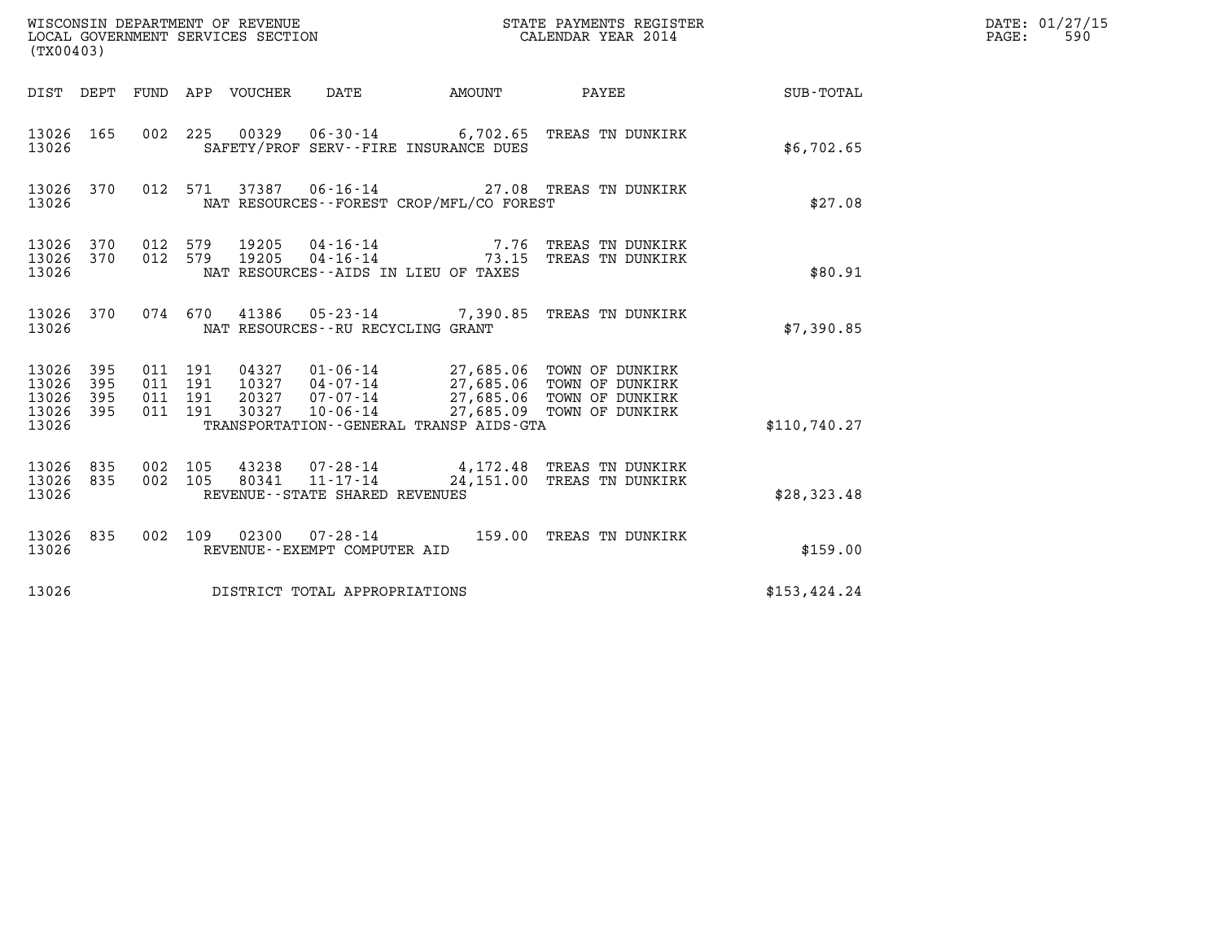| (TX00403)                                 |                          |                                          |                                 | WISCONSIN DEPARTMENT OF REVENUE<br>LOCAL GOVERNMENT SERVICES SECTION | STATE PAYMENTS REGISTER<br>CALENDAR YEAR 2014 |                                                                                                                                                                        | DATE: 01/27/15<br>$\mathtt{PAGE}$ :<br>590 |  |
|-------------------------------------------|--------------------------|------------------------------------------|---------------------------------|----------------------------------------------------------------------|-----------------------------------------------|------------------------------------------------------------------------------------------------------------------------------------------------------------------------|--------------------------------------------|--|
|                                           |                          |                                          | DIST DEPT FUND APP VOUCHER DATE |                                                                      | <b>AMOUNT</b>                                 |                                                                                                                                                                        | PAYEE SUB-TOTAL                            |  |
| 13026 165<br>13026                        |                          |                                          |                                 |                                                                      | SAFETY/PROF SERV--FIRE INSURANCE DUES         | 002 225 00329 06-30-14 6,702.65 TREAS TN DUNKIRK                                                                                                                       | \$6,702.65                                 |  |
| 13026 370<br>13026                        |                          |                                          |                                 |                                                                      | NAT RESOURCES--FOREST CROP/MFL/CO FOREST      | 012 571 37387 06-16-14 27.08 TREAS TN DUNKIRK                                                                                                                          | \$27.08                                    |  |
| 13026 370<br>13026<br>13026               | 370                      | 012 579<br>012 579                       | 19205<br>19205                  |                                                                      | NAT RESOURCES -- AIDS IN LIEU OF TAXES        | 04-16-14 7.76 TREAS TN DUNKIRK<br>04-16-14 73.15 TREAS TN DUNKIRK                                                                                                      | \$80.91                                    |  |
| 13026 370<br>13026                        |                          |                                          |                                 | NAT RESOURCES--RU RECYCLING GRANT                                    |                                               | 074 670 41386 05-23-14 7,390.85 TREAS TN DUNKIRK                                                                                                                       | \$7,390.85                                 |  |
| 13026<br>13026<br>13026<br>13026<br>13026 | 395<br>395<br>395<br>395 | 011 191<br>011 191<br>011 191<br>011 191 | 30327                           | $10 - 06 - 14$                                                       | TRANSPORTATION - - GENERAL TRANSP AIDS - GTA  | 04327  01-06-14  27,685.06  TOWN OF DUNKIRK<br>10327  04-07-14  27,685.06  TOWN OF DUNKIRK<br>20327  07-07-14  27,685.06  TOWN OF DUNKIRK<br>27,685.09 TOWN OF DUNKIRK | \$110.740.27                               |  |
| 13026 835<br>13026 835<br>13026           |                          | 002 105<br>002 105                       | 80341                           | REVENUE - - STATE SHARED REVENUES                                    |                                               | 43238 07-28-14 4,172.48 TREAS TN DUNKIRK<br>11-17-14 24,151.00 TREAS TN DUNKIRK                                                                                        | \$28, 323.48                               |  |
| 13026 835<br>13026                        |                          |                                          |                                 | REVENUE--EXEMPT COMPUTER AID                                         |                                               | 002 109 02300 07-28-14 159.00 TREAS TN DUNKIRK                                                                                                                         | \$159.00                                   |  |
| 13026                                     |                          |                                          |                                 | DISTRICT TOTAL APPROPRIATIONS                                        |                                               |                                                                                                                                                                        | \$153,424.24                               |  |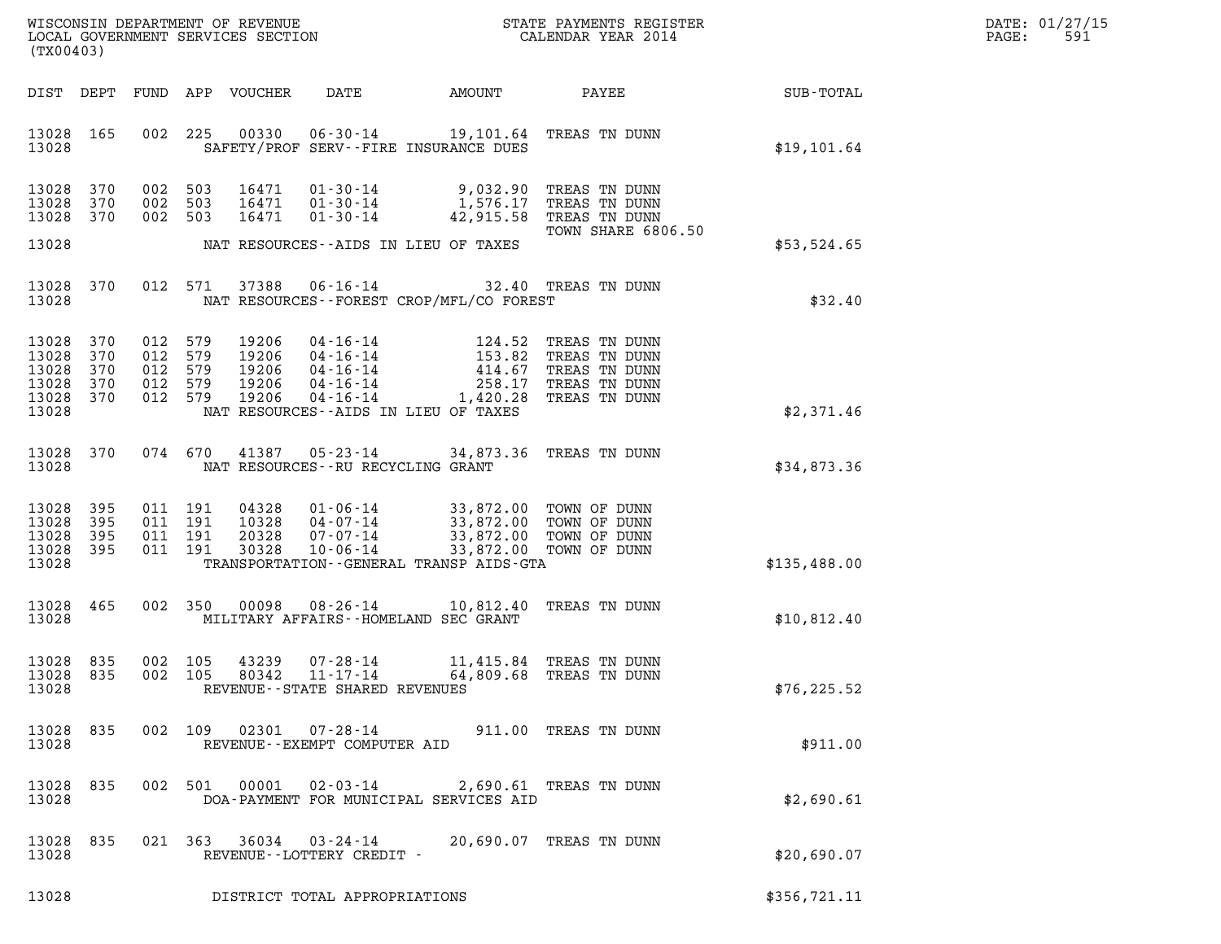| DATE: | 01/27/15 |
|-------|----------|
| PAGE: | 591      |

| (TX00403)                                          |                                 |                                                     | WISCONSIN DEPARTMENT OF REVENUE<br>LOCAL GOVERNMENT SERVICES SECTION |                                                                                      |                                                                                             | STATE PAYMENTS REGISTER<br>CALENDAR YEAR 2014                  |              | DATE: 01/27/15<br>PAGE:<br>591 |
|----------------------------------------------------|---------------------------------|-----------------------------------------------------|----------------------------------------------------------------------|--------------------------------------------------------------------------------------|---------------------------------------------------------------------------------------------|----------------------------------------------------------------|--------------|--------------------------------|
| DIST DEPT                                          |                                 |                                                     | FUND APP VOUCHER                                                     | DATE                                                                                 | AMOUNT                                                                                      | PAYEE                                                          | SUB-TOTAL    |                                |
| 13028 165<br>13028                                 |                                 | 002 225                                             |                                                                      | SAFETY/PROF SERV--FIRE INSURANCE DUES                                                | 00330  06-30-14  19,101.64  TREAS TN DUNN                                                   |                                                                | \$19,101.64  |                                |
| 13028<br>13028<br>13028                            | 370<br>370<br>370               | 002 503<br>002 503<br>002 503                       | 16471<br>16471<br>16471                                              | 01-30-14<br>$01 - 30 - 14$                                                           | 01-30-14 9,032.90 TREAS TN DUNN<br>1,576.17                                                 | TREAS TN DUNN<br>42,915.58 TREAS TN DUNN<br>TOWN SHARE 6806.50 |              |                                |
| 13028                                              |                                 |                                                     |                                                                      | NAT RESOURCES--AIDS IN LIEU OF TAXES                                                 |                                                                                             |                                                                | \$53,524.65  |                                |
| 13028<br>13028                                     | 370                             | 012 571                                             | 37388                                                                | $06 - 16 - 14$                                                                       | NAT RESOURCES--FOREST CROP/MFL/CO FOREST                                                    | 32.40 TREAS TN DUNN                                            | \$32.40      |                                |
| 13028<br>13028<br>13028<br>13028<br>13028<br>13028 | 370<br>370<br>370<br>370<br>370 | 012 579<br>012 579<br>012 579<br>012 579<br>012 579 | 19206<br>19206<br>19206<br>19206<br>19206                            | $04 - 16 - 14$<br>04-16-14<br>$04 - 16 - 14$<br>NAT RESOURCES--AIDS IN LIEU OF TAXES | 04-16-14 124.52 TREAS TN DUNN 04-16-14 153.82 TREAS TN DUNN<br>414.67<br>258.17             | TREAS TN DUNN<br>TREAS TN DUNN<br>1,420.28 TREAS TN DUNN       | \$2,371.46   |                                |
| 13028<br>13028                                     | 370                             | 074 670                                             | 41387                                                                | $05 - 23 - 14$<br>NAT RESOURCES - - RU RECYCLING GRANT                               | 34,873.36 TREAS TN DUNN                                                                     |                                                                | \$34,873.36  |                                |
| 13028<br>13028<br>13028<br>13028<br>13028          | 395<br>395<br>395<br>395        | 011 191<br>011 191<br>011 191<br>011 191            | 04328<br>10328<br>20328<br>30328                                     | $01 - 06 - 14$<br>04-07-14<br>07-07-14<br>$10 - 06 - 14$                             | 33,872.00 TOWN OF DUNN<br>33,872.00 TOWN OF DUNN<br>TRANSPORTATION--GENERAL TRANSP AIDS-GTA | 33,872.00 TOWN OF DUNN<br>33,872.00 TOWN OF DUNN               | \$135,488.00 |                                |
| 13028 465<br>13028                                 |                                 |                                                     | 002 350<br>00098                                                     | MILITARY AFFAIRS -- HOMELAND SEC GRANT                                               | 08-26-14 10,812.40 TREAS TN DUNN                                                            |                                                                | \$10,812.40  |                                |
| 13028 835<br>13028<br>13028                        | 835                             | 002 105                                             | 43239                                                                | $07 - 28 - 14$<br>002 105 80342 11-17-14<br>REVENUE--STATE SHARED REVENUES           |                                                                                             | 11,415.84 TREAS TN DUNN<br>64,809.68 TREAS TN DUNN             | \$76, 225.52 |                                |
| 13028<br>13028                                     | 835                             |                                                     |                                                                      | REVENUE--EXEMPT COMPUTER AID                                                         | 002 109 02301 07-28-14 911.00 TREAS TN DUNN                                                 |                                                                | \$911.00     |                                |
| 13028<br>13028                                     | 835                             |                                                     |                                                                      |                                                                                      | 002 501 00001 02-03-14 2,690.61 TREAS TN DUNN<br>DOA-PAYMENT FOR MUNICIPAL SERVICES AID     |                                                                | \$2,690.61   |                                |
| 13028<br>13028                                     | 835                             |                                                     |                                                                      | REVENUE--LOTTERY CREDIT -                                                            | 021 363 36034 03-24-14 20,690.07 TREAS TN DUNN                                              |                                                                | \$20,690.07  |                                |
| 13028                                              |                                 |                                                     |                                                                      | DISTRICT TOTAL APPROPRIATIONS                                                        |                                                                                             |                                                                | \$356,721.11 |                                |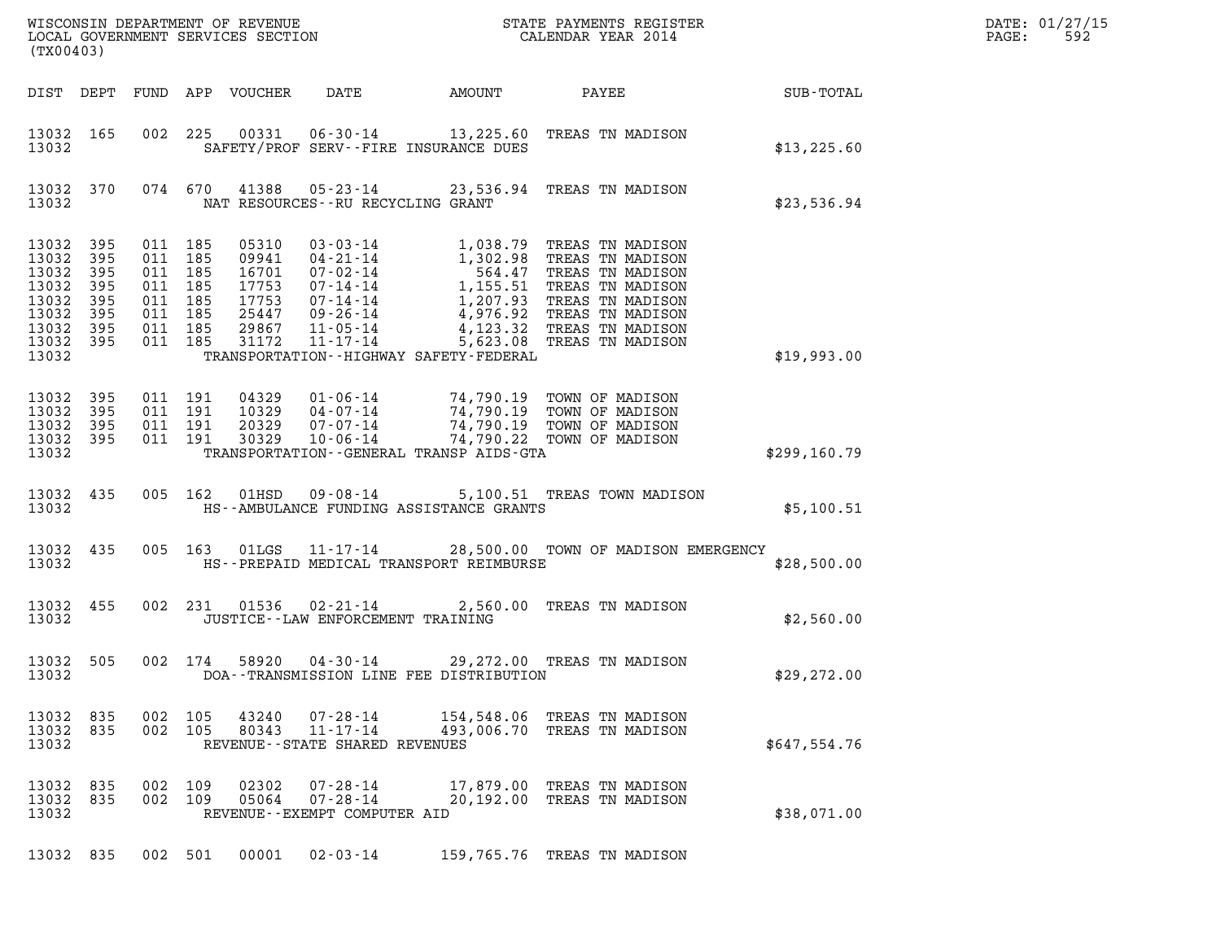| DATE: | 01/27/15 |
|-------|----------|
| PAGE: | 592      |

| (TX00403)                                                                     |                                                      |                                                                           |                    |                                                                      |                                                                     |                                             |                                                                                                                                                                                                                                                                                                         |                  | DATE: 01/27/15<br>PAGE:<br>592 |
|-------------------------------------------------------------------------------|------------------------------------------------------|---------------------------------------------------------------------------|--------------------|----------------------------------------------------------------------|---------------------------------------------------------------------|---------------------------------------------|---------------------------------------------------------------------------------------------------------------------------------------------------------------------------------------------------------------------------------------------------------------------------------------------------------|------------------|--------------------------------|
| DIST DEPT                                                                     |                                                      |                                                                           |                    | FUND APP VOUCHER                                                     | DATE                                                                | AMOUNT                                      | PAYEE                                                                                                                                                                                                                                                                                                   | <b>SUB-TOTAL</b> |                                |
| 13032 165<br>13032                                                            |                                                      | 002                                                                       | 225                | 00331                                                                |                                                                     | SAFETY/PROF SERV--FIRE INSURANCE DUES       | 06-30-14 13,225.60 TREAS TN MADISON                                                                                                                                                                                                                                                                     | \$13,225.60      |                                |
| 13032 370<br>13032                                                            |                                                      |                                                                           | 074 670            | 41388                                                                | NAT RESOURCES - - RU RECYCLING GRANT                                |                                             | 05-23-14 23,536.94 TREAS TN MADISON                                                                                                                                                                                                                                                                     | \$23,536.94      |                                |
| 13032<br>13032<br>13032<br>13032<br>13032<br>13032<br>13032<br>13032<br>13032 | 395<br>395<br>395<br>395<br>395<br>395<br>395<br>395 | 011 185<br>011 185<br>011 185<br>011 185<br>011 185<br>011 185<br>011 185 | 011 185            | 05310<br>09941<br>16701<br>17753<br>17753<br>25447<br>29867<br>31172 | 04-21-14<br>$11 - 17 - 14$                                          | TRANSPORTATION - - HIGHWAY SAFETY - FEDERAL | 03-03-14 1,038.79 TREAS TN MADISON<br>1,302.98 TREAS TN MADISON<br>07-02-14<br>07-14-14<br>07-14-14<br>1,155.51 TREAS TN MADISON<br>07-14-14<br>1,207.93 TREAS TN MADISON<br>09-26-14<br>4,976.92 TREAS TN MADISON<br>4,976.92 TREAS TN MADISON<br>193.32 TREAS TN MADISON<br>5,623.08 TREAS TN MADISON | \$19,993.00      |                                |
| 13032<br>13032<br>13032<br>13032 395<br>13032                                 | 395<br>395<br>395                                    | 011 191<br>011 191                                                        | 011 191<br>011 191 | 04329<br>10329<br>20329<br>30329                                     | $01 - 06 - 14$<br>04-07-14<br>$07 - 07 - 14$<br>$10 - 06 - 14$      | TRANSPORTATION--GENERAL TRANSP AIDS-GTA     | 74,790.19   TOWN OF MADISON<br>74,790.19   TOWN OF MADISON<br>74,790.19 TOWN OF MADISON<br>74,790.22 TOWN OF MADISON                                                                                                                                                                                    | \$299,160.79     |                                |
| 13032 435<br>13032                                                            |                                                      |                                                                           | 005 162            | 01HSD                                                                | $09 - 08 - 14$                                                      | HS--AMBULANCE FUNDING ASSISTANCE GRANTS     | 5,100.51 TREAS TOWN MADISON                                                                                                                                                                                                                                                                             | \$5,100.51       |                                |
| 13032 435<br>13032                                                            |                                                      |                                                                           | 005 163            | 01LGS                                                                |                                                                     | HS--PREPAID MEDICAL TRANSPORT REIMBURSE     | 11-17-14 28,500.00 TOWN OF MADISON EMERGENCY                                                                                                                                                                                                                                                            | \$28,500.00      |                                |
| 13032 455<br>13032                                                            |                                                      |                                                                           | 002 231            | 01536                                                                | $02 - 21 - 14$<br>JUSTICE -- LAW ENFORCEMENT TRAINING               |                                             | 2,560.00 TREAS TN MADISON                                                                                                                                                                                                                                                                               | \$2,560.00       |                                |
| 13032 505<br>13032                                                            |                                                      |                                                                           | 002 174            | 58920                                                                | 04-30-14                                                            | DOA--TRANSMISSION LINE FEE DISTRIBUTION     | 29,272.00 TREAS TN MADISON                                                                                                                                                                                                                                                                              | \$29,272.00      |                                |
| 13032 835<br>13032 835<br>13032                                               |                                                      | 002 105                                                                   | 002 105            | 43240<br>80343                                                       | 07-28-14<br>11-17-14<br>REVENUE--STATE SHARED REVENUES              |                                             | 154,548.06 TREAS TN MADISON<br>493,006.70 TREAS TN MADISON                                                                                                                                                                                                                                              | \$647,554.76     |                                |
| 13032 835<br>13032 835<br>13032                                               |                                                      | 002 109<br>002 109                                                        |                    | 02302<br>05064                                                       | $07 - 28 - 14$<br>$07 - 28 - 14$<br>REVENUE - - EXEMPT COMPUTER AID |                                             | 17,879.00 TREAS TN MADISON<br>20,192.00 TREAS TN MADISON                                                                                                                                                                                                                                                | \$38,071.00      |                                |
| 13032 835                                                                     |                                                      |                                                                           | 002 501            | 00001                                                                | $02 - 03 - 14$                                                      |                                             | 159,765.76 TREAS TN MADISON                                                                                                                                                                                                                                                                             |                  |                                |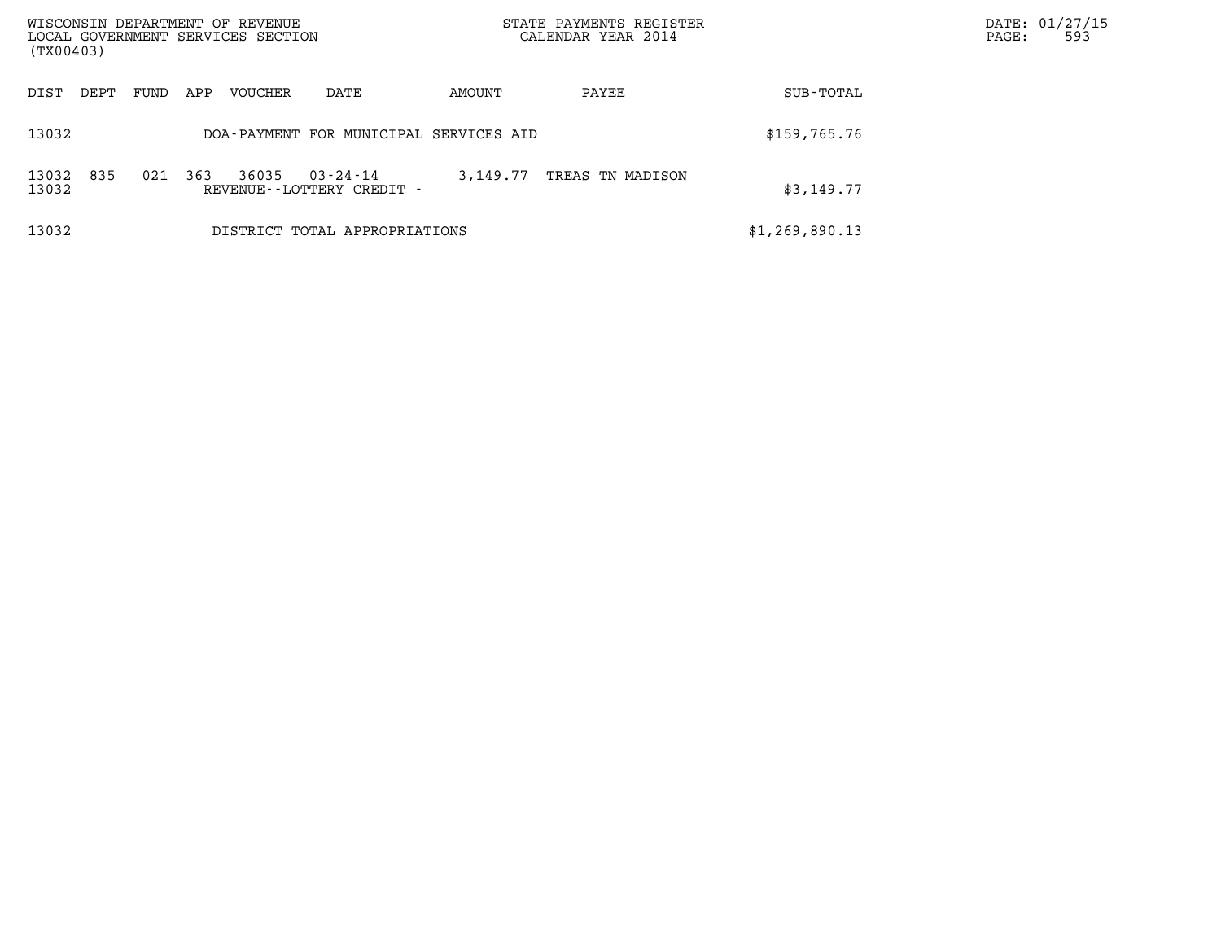| WISCONSIN DEPARTMENT OF REVENUE<br>LOCAL GOVERNMENT SERVICES SECTION<br>(TX00403) |      |     |         |                                        |          | STATE PAYMENTS REGISTER<br>CALENDAR YEAR 2014 |                | DATE: 01/27/15<br>593<br>PAGE: |
|-----------------------------------------------------------------------------------|------|-----|---------|----------------------------------------|----------|-----------------------------------------------|----------------|--------------------------------|
| DIST<br>DEPT                                                                      | FUND | APP | VOUCHER | DATE                                   | AMOUNT   | PAYEE                                         | SUB-TOTAL      |                                |
| 13032                                                                             |      |     |         | DOA-PAYMENT FOR MUNICIPAL SERVICES AID |          |                                               | \$159,765.76   |                                |
| 835<br>13032<br>13032                                                             | 021  | 363 | 36035   | 03-24-14<br>REVENUE--LOTTERY CREDIT -  | 3,149.77 | TREAS TN MADISON                              | \$3,149.77     |                                |
| 13032                                                                             |      |     |         | DISTRICT TOTAL APPROPRIATIONS          |          |                                               | \$1,269,890.13 |                                |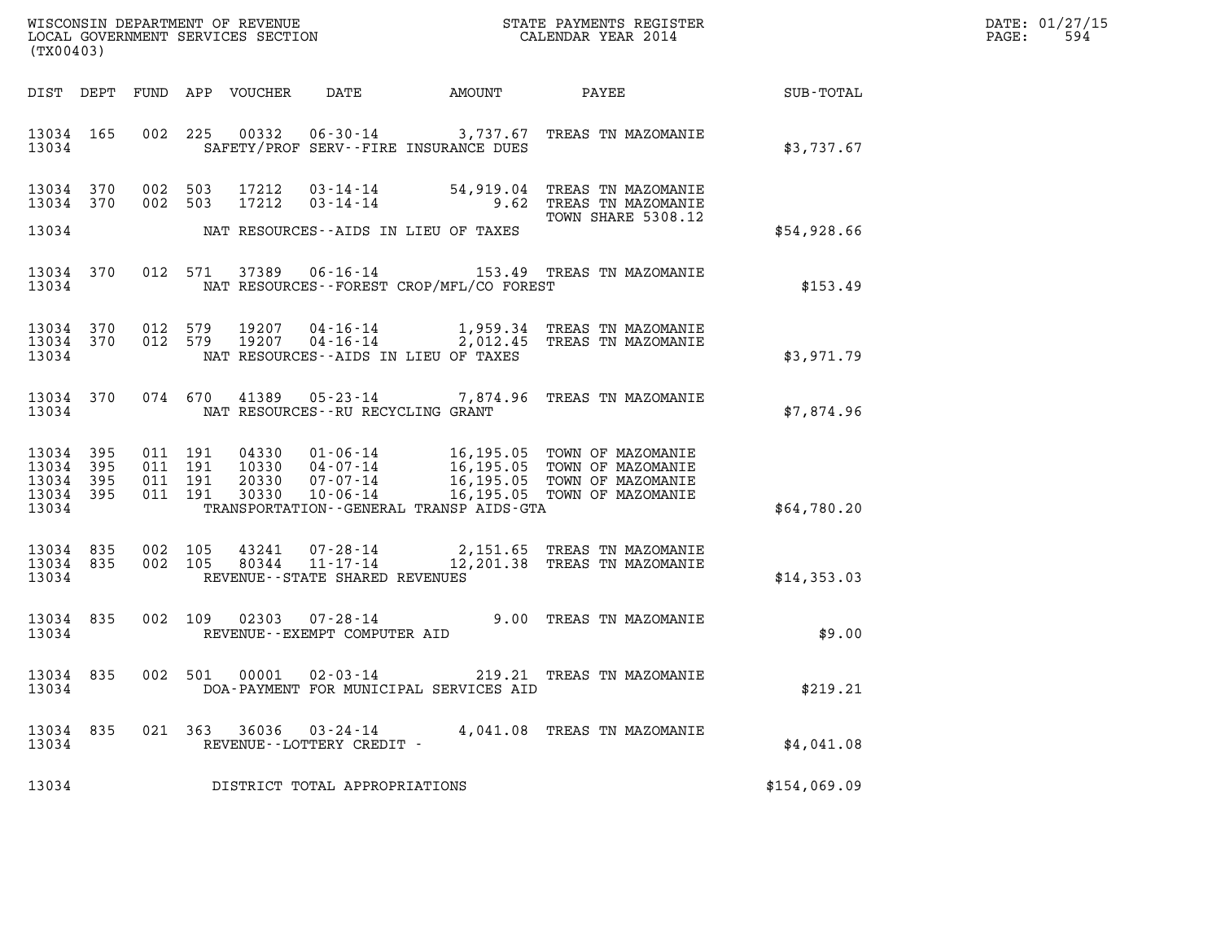| WISCONSIN DEPARTMENT OF REVENUE   | STATE PAYMENTS REGISTER | DATE: 01/27/15 |
|-----------------------------------|-------------------------|----------------|
| LOCAL GOVERNMENT SERVICES SECTION | CALENDAR YEAR 2014      | 594<br>PAGE:   |

| (TX00403)                                 |                          |                          |                          |                                  |                                                                            |                                                                   |                                                                                                      |              |  |
|-------------------------------------------|--------------------------|--------------------------|--------------------------|----------------------------------|----------------------------------------------------------------------------|-------------------------------------------------------------------|------------------------------------------------------------------------------------------------------|--------------|--|
| DIST                                      | DEPT                     | FUND                     | APP                      | VOUCHER                          | DATE AMOUNT                                                                |                                                                   | PAYEE                                                                                                | SUB-TOTAL    |  |
| 13034<br>13034                            | 165                      | 002                      | 225                      | 00332                            | $06 - 30 - 14$                                                             | 3,737.67<br>SAFETY/PROF SERV--FIRE INSURANCE DUES                 | TREAS TN MAZOMANIE                                                                                   | \$3,737.67   |  |
| 13034<br>13034<br>13034                   | 370<br>370               | 002<br>002               | 503<br>503               | 17212<br>17212                   | $03 - 14 - 14$<br>$03 - 14 - 14$<br>NAT RESOURCES--AIDS IN LIEU OF TAXES   | 54,919.04<br>9.62                                                 | TREAS TN MAZOMANIE<br>TREAS TN MAZOMANIE<br>TOWN SHARE 5308.12                                       | \$54,928.66  |  |
| 13034<br>13034                            | 370                      | 012                      | 571                      | 37389                            | $06 - 16 - 14$                                                             | NAT RESOURCES - - FOREST CROP/MFL/CO FOREST                       | 153.49 TREAS TN MAZOMANIE                                                                            | \$153.49     |  |
| 13034<br>13034<br>13034                   | 370<br>370               | 012<br>012               | 579<br>579               | 19207<br>19207                   | $04 - 16 - 14$<br>$04 - 16 - 14$<br>NAT RESOURCES -- AIDS IN LIEU OF TAXES | 1,959.34<br>2,012.45                                              | TREAS TN MAZOMANIE<br>TREAS TN MAZOMANIE                                                             | \$3,971.79   |  |
| 13034<br>13034                            | 370                      | 074                      | 670                      | 41389                            | $05 - 23 - 14$<br>NAT RESOURCES - - RU RECYCLING GRANT                     | 7,874.96                                                          | TREAS TN MAZOMANIE                                                                                   | \$7,874.96   |  |
| 13034<br>13034<br>13034<br>13034<br>13034 | 395<br>395<br>395<br>395 | 011<br>011<br>011<br>011 | 191<br>191<br>191<br>191 | 04330<br>10330<br>20330<br>30330 | $01 - 06 - 14$<br>04-07-14<br>$07 - 07 - 14$<br>$10 - 06 - 14$             | 16,195.05<br>16,195.05<br>TRANSPORTATION--GENERAL TRANSP AIDS-GTA | 16,195.05 TOWN OF MAZOMANIE<br>16,195.05 TOWN OF MAZOMANIE<br>TOWN OF MAZOMANIE<br>TOWN OF MAZOMANIE | \$64,780.20  |  |
| 13034<br>13034<br>13034                   | 835<br>835               | 002<br>002               | 105<br>105               | 43241<br>80344                   | $07 - 28 - 14$<br>$11 - 17 - 14$<br>REVENUE - - STATE SHARED REVENUES      | 12,201.38                                                         | 2,151.65 TREAS TN MAZOMANIE<br>TREAS TN MAZOMANIE                                                    | \$14,353.03  |  |
| 13034<br>13034                            | 835                      | 002                      | 109                      | 02303                            | $07 - 28 - 14$<br>REVENUE - - EXEMPT COMPUTER AID                          | 9.00                                                              | TREAS TN MAZOMANIE                                                                                   | \$9.00       |  |
| 13034<br>13034                            | 835                      | 002                      | 501                      | 00001                            | $02 - 03 - 14$                                                             | 219.21<br>DOA-PAYMENT FOR MUNICIPAL SERVICES AID                  | TREAS TN MAZOMANIE                                                                                   | \$219.21     |  |
| 13034<br>13034                            | 835                      | 021                      | 363                      | 36036                            | $03 - 24 - 14$<br>REVENUE--LOTTERY CREDIT -                                | 4,041.08                                                          | TREAS TN MAZOMANIE                                                                                   | \$4,041.08   |  |
| 13034                                     |                          |                          |                          |                                  | DISTRICT TOTAL APPROPRIATIONS                                              |                                                                   |                                                                                                      | \$154,069.09 |  |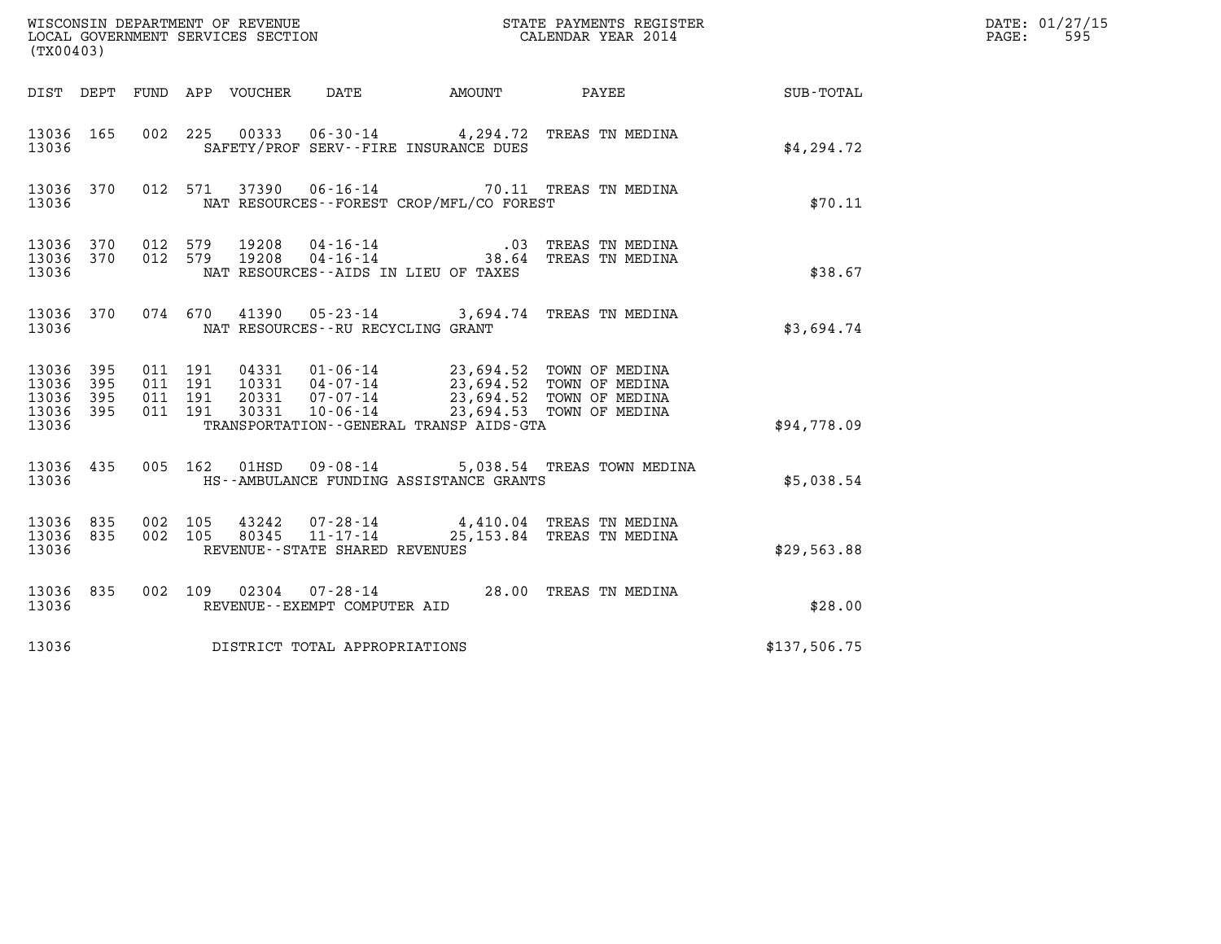| (TX00403)                                         |            |                                          |                               |                                                     |                                             |                                                                                                                                                                    |              | DATE: 01/27/15<br>595<br>PAGE: |
|---------------------------------------------------|------------|------------------------------------------|-------------------------------|-----------------------------------------------------|---------------------------------------------|--------------------------------------------------------------------------------------------------------------------------------------------------------------------|--------------|--------------------------------|
|                                                   |            |                                          | DIST DEPT FUND APP VOUCHER    | DATE                                                | AMOUNT PAYEE                                |                                                                                                                                                                    | SUB-TOTAL    |                                |
| 13036 165<br>13036                                |            |                                          |                               |                                                     | SAFETY/PROF SERV--FIRE INSURANCE DUES       | 002 225 00333 06-30-14 4,294.72 TREAS TN MEDINA                                                                                                                    | \$4,294.72   |                                |
| 13036 370<br>13036                                |            |                                          |                               |                                                     | NAT RESOURCES - - FOREST CROP/MFL/CO FOREST | 012 571 37390 06-16-14 70.11 TREAS TN MEDINA                                                                                                                       | \$70.11      |                                |
| 13036 370<br>13036 370<br>13036                   |            | 012 579<br>012 579                       | 19208<br>19208                |                                                     | NAT RESOURCES -- AIDS IN LIEU OF TAXES      | 04-16-14 04-16-14 04-16-14 04-16-14 04-16-14                                                                                                                       | \$38.67      |                                |
| 13036 370<br>13036                                |            |                                          | 074 670                       | NAT RESOURCES -- RU RECYCLING GRANT                 |                                             | 41390  05-23-14  3,694.74  TREAS TN MEDINA                                                                                                                         | \$3,694.74   |                                |
| 13036 395<br>13036<br>13036<br>13036 395<br>13036 | 395<br>395 | 011 191<br>011 191<br>011 191<br>011 191 | 30331                         | $10 - 06 - 14$                                      | TRANSPORTATION--GENERAL TRANSP AIDS-GTA     | 04331  01-06-14  23,694.52  TOWN OF MEDINA<br>10331  04-07-14  23,694.52  TOWN OF MEDINA<br>20331  07-07-14  23,694.52  TOWN OF MEDINA<br>23,694.53 TOWN OF MEDINA | \$94,778.09  |                                |
| 13036 435<br>13036                                |            |                                          |                               |                                                     | HS--AMBULANCE FUNDING ASSISTANCE GRANTS     | 005 162 01HSD 09-08-14 5,038.54 TREAS TOWN MEDINA                                                                                                                  | \$5,038.54   |                                |
| 13036 835<br>13036 835<br>13036                   |            | 002 105<br>002 105                       | 43242<br>80345                | $11 - 17 - 14$<br>REVENUE - - STATE SHARED REVENUES |                                             | 07-28-14 4,410.04 TREAS TN MEDINA<br>25,153.84 TREAS TN MEDINA                                                                                                     | \$29,563.88  |                                |
| 13036 835<br>13036                                |            |                                          |                               | REVENUE--EXEMPT COMPUTER AID                        |                                             | 002 109 02304 07-28-14 28.00 TREAS TN MEDINA                                                                                                                       | \$28.00      |                                |
| 13036                                             |            |                                          | DISTRICT TOTAL APPROPRIATIONS |                                                     |                                             |                                                                                                                                                                    | \$137,506.75 |                                |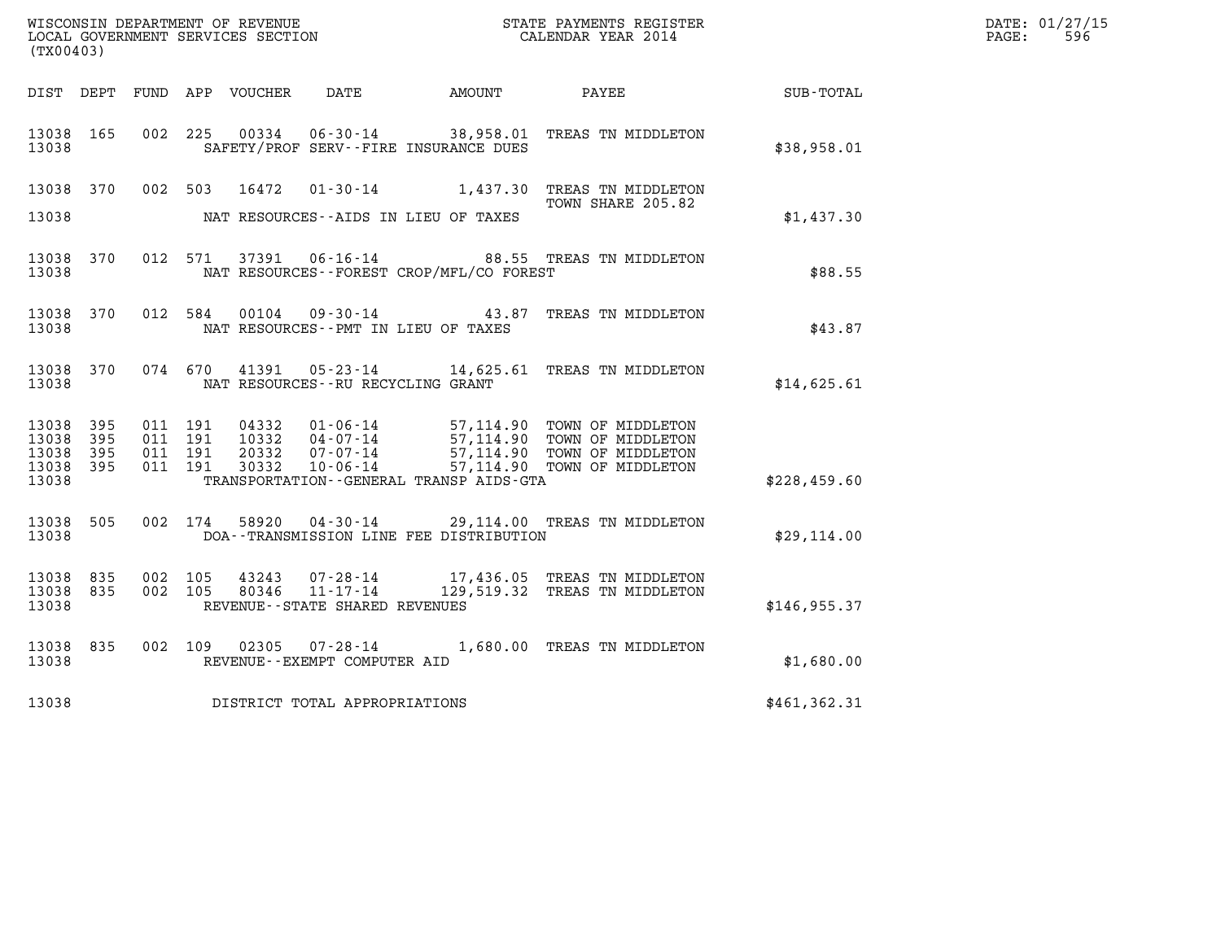|                                               |                   |                               |         | WISCONSIN DEPARTMENT OF REVENUE<br>LOCAL GOVERNMENT SERVICES SECTION |                                                  |                                              | STATE PAYMENTS REGISTER<br>CALENDAR YEAR 2014                                                                                                                                                    |              | DATE: 01/27/15<br>$\mathtt{PAGE:}$<br>596 |
|-----------------------------------------------|-------------------|-------------------------------|---------|----------------------------------------------------------------------|--------------------------------------------------|----------------------------------------------|--------------------------------------------------------------------------------------------------------------------------------------------------------------------------------------------------|--------------|-------------------------------------------|
| (TX00403)                                     |                   |                               |         |                                                                      |                                                  |                                              |                                                                                                                                                                                                  |              |                                           |
|                                               |                   |                               |         |                                                                      |                                                  | DIST DEPT FUND APP VOUCHER DATE AMOUNT PAYEE |                                                                                                                                                                                                  | SUB-TOTAL    |                                           |
| 13038 165<br>13038                            |                   |                               |         |                                                                      |                                                  | SAFETY/PROF SERV--FIRE INSURANCE DUES        | 002 225 00334 06-30-14 38,958.01 TREAS TN MIDDLETON                                                                                                                                              | \$38,958.01  |                                           |
| 13038 370                                     |                   |                               |         |                                                                      |                                                  |                                              | 002 503 16472 01-30-14 1,437.30 TREAS TN MIDDLETON<br>TOWN SHARE 205.82                                                                                                                          |              |                                           |
| 13038                                         |                   |                               |         |                                                                      |                                                  | NAT RESOURCES--AIDS IN LIEU OF TAXES         |                                                                                                                                                                                                  | \$1,437.30   |                                           |
| 13038 370<br>13038                            |                   |                               |         |                                                                      |                                                  | NAT RESOURCES--FOREST CROP/MFL/CO FOREST     | 012 571 37391 06-16-14 88.55 TREAS TN MIDDLETON                                                                                                                                                  | \$88.55      |                                           |
| 13038 370<br>13038                            |                   |                               |         |                                                                      |                                                  | NAT RESOURCES -- PMT IN LIEU OF TAXES        | 012 584 00104 09-30-14 43.87 TREAS TN MIDDLETON                                                                                                                                                  | \$43.87      |                                           |
| 13038 370<br>13038                            |                   |                               |         |                                                                      | NAT RESOURCES - - RU RECYCLING GRANT             |                                              | 074 670 41391 05-23-14 14,625.61 TREAS TN MIDDLETON                                                                                                                                              | \$14,625.61  |                                           |
| 13038 395<br>13038<br>13038<br>13038<br>13038 | 395<br>395<br>395 | 011 191<br>011 191<br>011 191 | 011 191 |                                                                      |                                                  | TRANSPORTATION--GENERAL TRANSP AIDS-GTA      | 04332  01-06-14  57,114.90  TOWN OF MIDDLETON<br>10332  04-07-14  57,114.90  TOWN OF MIDDLETON<br>20332  07-07-14  57,114.90  TOWN OF MIDDLETON<br>30332  10-06-14  57,114.90  TOWN OF MIDDLETON | \$228,459.60 |                                           |
| 13038 505<br>13038                            |                   |                               |         |                                                                      |                                                  | DOA--TRANSMISSION LINE FEE DISTRIBUTION      | 002 174 58920 04-30-14 29,114.00 TREAS TN MIDDLETON                                                                                                                                              | \$29,114.00  |                                           |
| 13038 835<br>13038 835<br>13038               |                   | 002 105                       | 002 105 | 43243<br>80346                                                       | $11 - 17 - 14$<br>REVENUE--STATE SHARED REVENUES |                                              | 07-28-14 17,436.05 TREAS TN MIDDLETON<br>129,519.32 TREAS TN MIDDLETON                                                                                                                           | \$146,955.37 |                                           |
| 13038 835<br>13038                            |                   |                               |         |                                                                      | REVENUE--EXEMPT COMPUTER AID                     |                                              | 002 109 02305 07-28-14 1,680.00 TREAS TN MIDDLETON                                                                                                                                               | \$1,680.00   |                                           |
| 13038                                         |                   |                               |         |                                                                      | DISTRICT TOTAL APPROPRIATIONS                    |                                              |                                                                                                                                                                                                  | \$461,362.31 |                                           |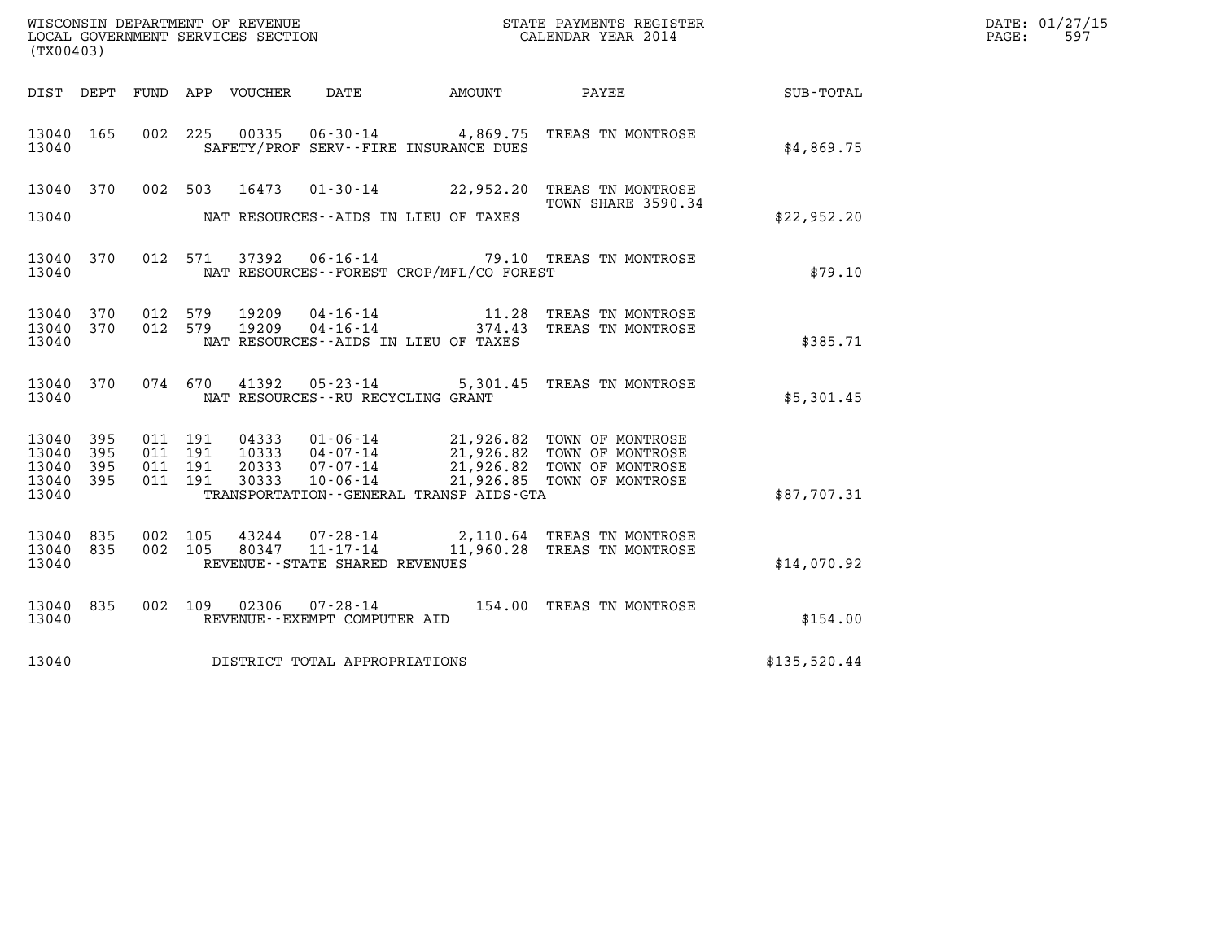| (TX00403)                                                             |                                          |                                                                                                                |               |                                                                                                                                        |              | DATE: 01/27/15<br>PAGE:<br>597 |
|-----------------------------------------------------------------------|------------------------------------------|----------------------------------------------------------------------------------------------------------------|---------------|----------------------------------------------------------------------------------------------------------------------------------------|--------------|--------------------------------|
| DIST DEPT                                                             |                                          | FUND APP VOUCHER<br>DATE                                                                                       | <b>AMOUNT</b> | PAYEE                                                                                                                                  | SUB-TOTAL    |                                |
| 13040 165<br>13040                                                    |                                          | 00335  06-30-14  4,869.75  TREAS TN MONTROSE<br>002 225<br>SAFETY/PROF SERV--FIRE INSURANCE DUES               |               |                                                                                                                                        | \$4,869.75   |                                |
| 13040 370<br>13040                                                    | 002 503                                  | 16473<br>NAT RESOURCES--AIDS IN LIEU OF TAXES                                                                  |               | 01-30-14 22,952.20 TREAS TN MONTROSE<br>TOWN SHARE 3590.34                                                                             | \$22,952.20  |                                |
| 13040 370<br>13040                                                    |                                          | 012 571 37392 06-16-14 79.10 TREAS TN MONTROSE<br>NAT RESOURCES - - FOREST CROP/MFL/CO FOREST                  |               |                                                                                                                                        | \$79.10      |                                |
| 13040 370<br>13040<br>370<br>13040                                    | 012 579<br>012 579                       | 19209<br>04-16-14<br>$04 - 16 - 14$<br>19209<br>NAT RESOURCES--AIDS IN LIEU OF TAXES                           |               | 11.28 TREAS TN MONTROSE<br>374.43 TREAS TN MONTROSE                                                                                    | \$385.71     |                                |
| 13040 370<br>13040                                                    | 074 670                                  | 41392<br>NAT RESOURCES--RU RECYCLING GRANT                                                                     |               | 05-23-14 5,301.45 TREAS TN MONTROSE                                                                                                    | \$5,301.45   |                                |
| 13040<br>395<br>13040<br>395<br>13040<br>395<br>13040<br>395<br>13040 | 011 191<br>011 191<br>011 191<br>011 191 | 04333<br>10333<br>20333<br>07-07-14<br>$10 - 06 - 14$<br>30333<br>TRANSPORTATION - - GENERAL TRANSP AIDS - GTA |               | 01-06-14 21,926.82 TOWN OF MONTROSE<br>04-07-14 21,926.82 TOWN OF MONTROSE<br>21,926.82 TOWN OF MONTROSE<br>21,926.85 TOWN OF MONTROSE | \$87,707.31  |                                |
| 13040 835<br>835<br>13040<br>13040                                    | 002 105<br>002 105                       | 43244<br>$07 - 28 - 14$<br>$11 - 17 - 14$<br>80347<br>REVENUE--STATE SHARED REVENUES                           |               | 2,110.64 TREAS TN MONTROSE<br>11,960.28 TREAS TN MONTROSE                                                                              | \$14,070.92  |                                |
| 13040 835<br>13040                                                    | 002 109                                  | 02306<br>REVENUE--EXEMPT COMPUTER AID                                                                          |               |                                                                                                                                        | \$154.00     |                                |
| 13040                                                                 |                                          | DISTRICT TOTAL APPROPRIATIONS                                                                                  |               |                                                                                                                                        | \$135,520.44 |                                |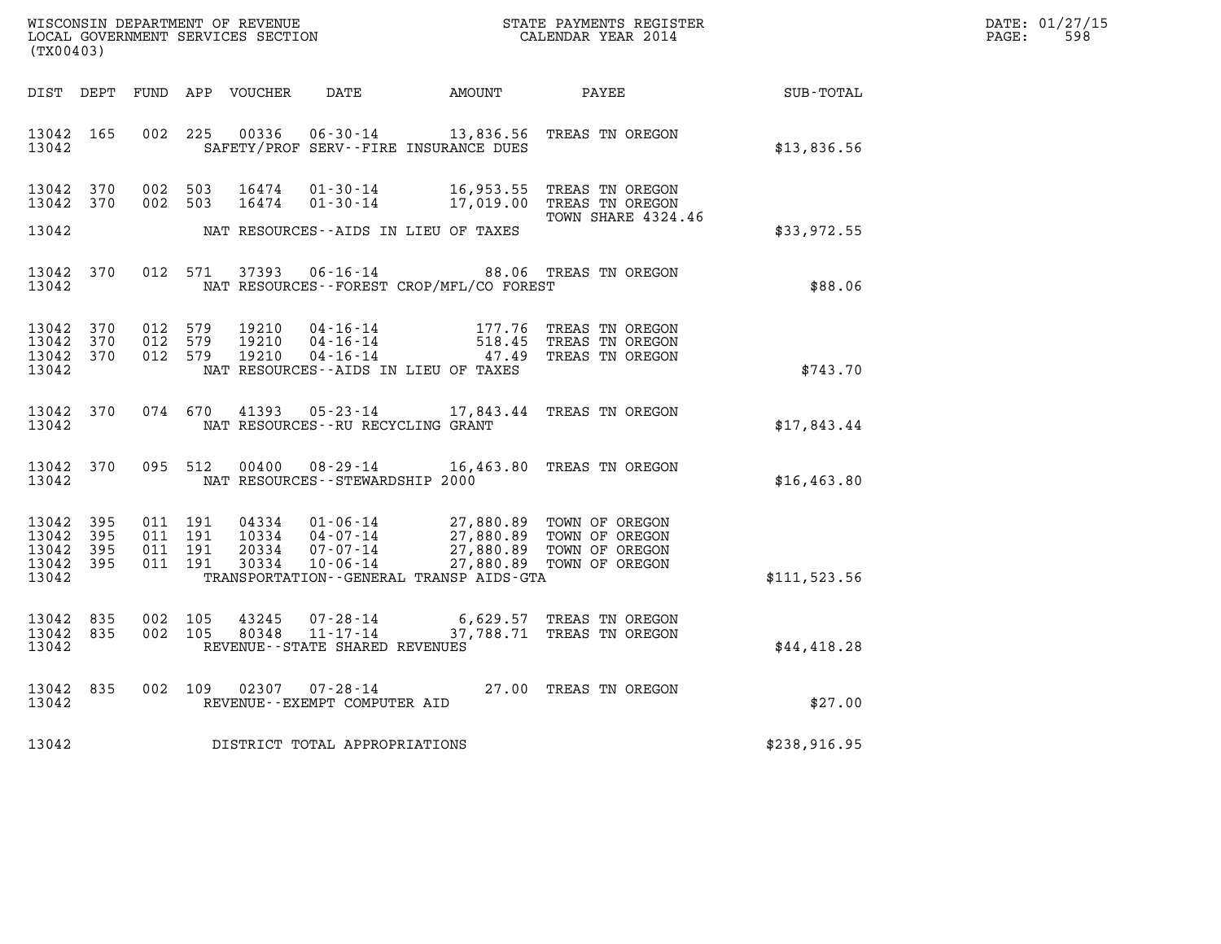| DATE: | 01/27/15 |
|-------|----------|
| PAGE: | 598      |

| (TX00403)                                         |            |                                          |                         |                                      |                                          |                                                                                                                                                                                                                                                                                                        |                                                        | DATE: 01/27/15<br>$\mathtt{PAGE}$ :<br>598 |
|---------------------------------------------------|------------|------------------------------------------|-------------------------|--------------------------------------|------------------------------------------|--------------------------------------------------------------------------------------------------------------------------------------------------------------------------------------------------------------------------------------------------------------------------------------------------------|--------------------------------------------------------|--------------------------------------------|
|                                                   |            |                                          |                         |                                      |                                          |                                                                                                                                                                                                                                                                                                        | DIST DEPT FUND APP VOUCHER DATE AMOUNT PAYEE SUB-TOTAL |                                            |
| 13042 165<br>13042                                |            | 002 225                                  |                         |                                      | SAFETY/PROF SERV--FIRE INSURANCE DUES    | 00336  06-30-14  13,836.56  TREAS  TN OREGON                                                                                                                                                                                                                                                           | \$13,836.56                                            |                                            |
| 13042<br>13042 370                                | 370        | 002 503<br>002 503                       | 16474<br>16474          |                                      |                                          | 01-30-14 16,953.55 TREAS TN OREGON<br>01-30-14 17,019.00 TREAS TN OREGON<br>TOWN SHARE 4324.46                                                                                                                                                                                                         |                                                        |                                            |
| 13042                                             |            |                                          |                         |                                      | NAT RESOURCES--AIDS IN LIEU OF TAXES     |                                                                                                                                                                                                                                                                                                        | \$33,972.55                                            |                                            |
| 13042 370<br>13042                                |            | 012 571                                  | 37393                   |                                      | NAT RESOURCES--FOREST CROP/MFL/CO FOREST | 06-16-14 88.06 TREAS TN OREGON                                                                                                                                                                                                                                                                         | \$88.06                                                |                                            |
| 13042<br>13042 370<br>13042 370<br>13042          | 370        | 012 579<br>012 579<br>012 579            | 19210<br>19210<br>19210 |                                      | NAT RESOURCES--AIDS IN LIEU OF TAXES     | 04-16-14 177.76 TREAS TN OREGON<br>04-16-14 518.45 TREAS TN OREGON<br>04-16-14 47.49 TREAS TN OREGON                                                                                                                                                                                                   | \$743.70                                               |                                            |
| 13042<br>13042                                    | 370        | 074 670                                  |                         | NAT RESOURCES - - RU RECYCLING GRANT |                                          | 41393  05-23-14  17,843.44  TREAS TN OREGON                                                                                                                                                                                                                                                            | \$17,843.44                                            |                                            |
| 13042<br>13042                                    | 370        | 095 512                                  | 00400                   | NAT RESOURCES -- STEWARDSHIP 2000    |                                          | 08-29-14 16,463.80 TREAS TN OREGON                                                                                                                                                                                                                                                                     | \$16,463.80                                            |                                            |
| 13042 395<br>13042<br>13042 395<br>13042<br>13042 | 395<br>395 | 011 191<br>011 191<br>011 191<br>011 191 |                         |                                      | TRANSPORTATION--GENERAL TRANSP AIDS-GTA  | $\begin{array}{cccc} 04334 & 01\cdot 06\cdot 14 & 27,880.89 & \text{TOWN OF OREGON} \\ 10334 & 04\cdot 07\cdot 14 & 27,880.89 & \text{TOWN OF OREGON} \\ 20334 & 07\cdot 07\cdot 14 & 27,880.89 & \text{TOWN OF OREGON} \\ 30334 & 10\cdot 06\cdot 14 & 27,880.89 & \text{TOWN OF OREGON} \end{array}$ | \$111,523.56                                           |                                            |
| 13042 835<br>13042<br>13042                       | 835        | 002 105<br>002 105                       |                         | REVENUE--STATE SHARED REVENUES       |                                          | $\begin{array}{cccc} 43245 & 07\cdot 28\cdot 14 & 6,629.57 & \text{TREAS TN OREGON} \\ 80348 & 11\cdot 17\cdot 14 & 37,788.71 & \text{TREAS TN OREGON} \end{array}$                                                                                                                                    | \$44,418.28                                            |                                            |
| 13042 835<br>13042                                |            |                                          | 002 109 02307           | REVENUE--EXEMPT COMPUTER AID         |                                          | 07-28-14 27.00 TREAS TN OREGON                                                                                                                                                                                                                                                                         | \$27.00                                                |                                            |
| 13042                                             |            |                                          |                         | DISTRICT TOTAL APPROPRIATIONS        |                                          |                                                                                                                                                                                                                                                                                                        | \$238,916.95                                           |                                            |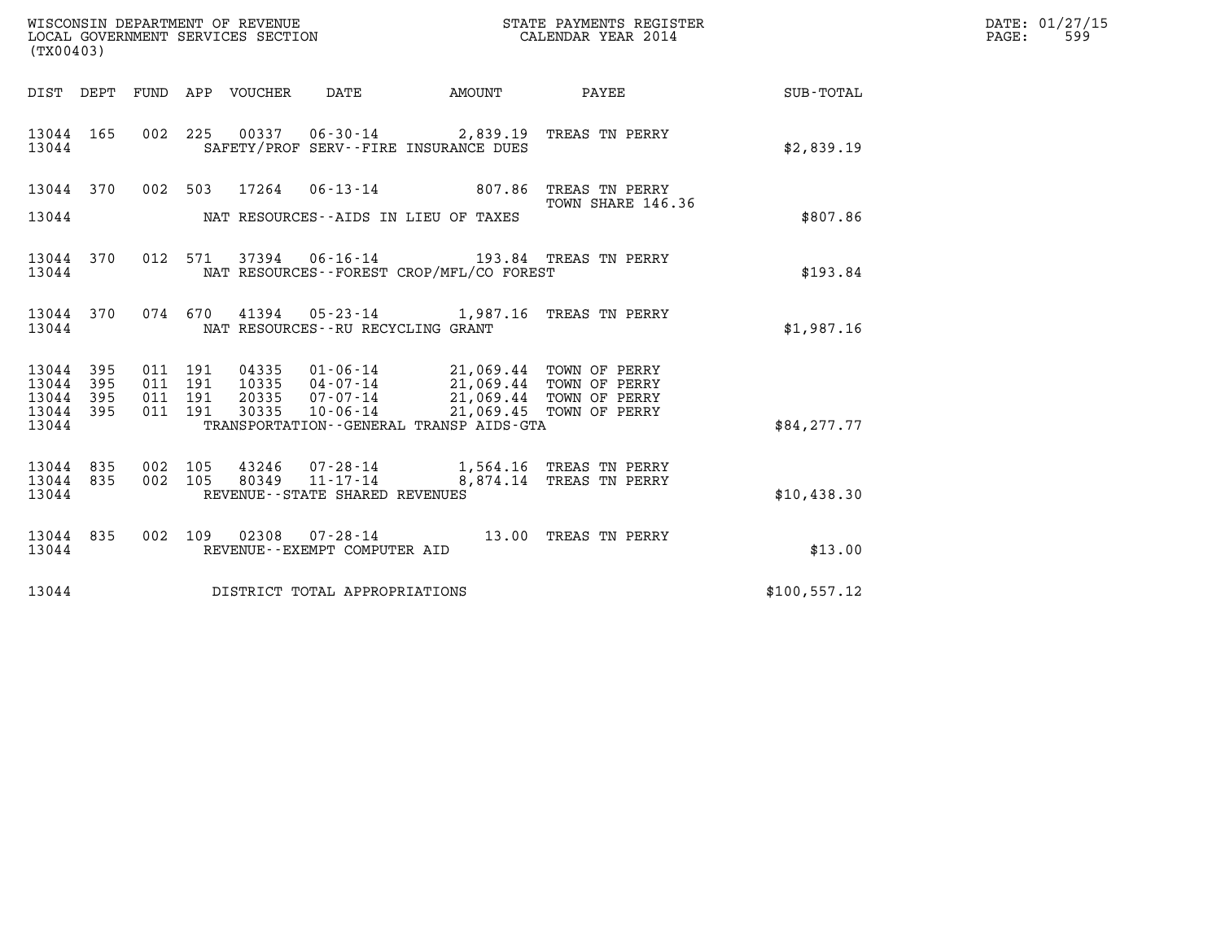| (TX00403)                   |                   |                               |                                 | WISCONSIN DEPARTMENT OF REVENUE<br>LOCAL GOVERNMENT SERVICES SECTION |                                                                                                                   | STATE PAYMENTS REGISTER<br>CALENDAR YEAR 2014 |              | DATE: 01/27/15<br>$\mathtt{PAGE}$ :<br>599 |
|-----------------------------|-------------------|-------------------------------|---------------------------------|----------------------------------------------------------------------|-------------------------------------------------------------------------------------------------------------------|-----------------------------------------------|--------------|--------------------------------------------|
|                             |                   |                               | DIST DEPT FUND APP VOUCHER DATE |                                                                      |                                                                                                                   | AMOUNT PAYEE                                  | SUB-TOTAL    |                                            |
| 13044 165<br>13044          |                   |                               |                                 |                                                                      | 002 225 00337 06-30-14 2,839.19 TREAS TN PERRY<br>SAFETY/PROF SERV--FIRE INSURANCE DUES                           |                                               | \$2,839.19   |                                            |
|                             |                   |                               |                                 |                                                                      | 13044 370 002 503 17264 06-13-14 807.86 TREAS TN PERRY                                                            | TOWN SHARE 146.36                             |              |                                            |
| 13044                       |                   |                               |                                 |                                                                      | NAT RESOURCES--AIDS IN LIEU OF TAXES                                                                              |                                               | \$807.86     |                                            |
| 13044 370<br>13044          |                   |                               |                                 |                                                                      | 012 571 37394 06-16-14 193.84 TREAS TN PERRY<br>NAT RESOURCES - - FOREST CROP/MFL/CO FOREST                       |                                               | \$193.84     |                                            |
| 13044                       | 13044 370         |                               |                                 | NAT RESOURCES--RU RECYCLING GRANT                                    | 074 670 41394 05-23-14 1,987.16 TREAS TN PERRY                                                                    |                                               | \$1,987.16   |                                            |
| 13044<br>13044<br>13044     | 395<br>395<br>395 | 011 191<br>011 191<br>011 191 | 10335<br>20335                  |                                                                      | 04335  01-06-14  21,069.44  TOWN OF PERRY<br>04-07-14 21,069.44 TOWN OF PERRY<br>07-07-14 21,069.44 TOWN OF PERRY |                                               |              |                                            |
| 13044<br>13044              | 395               | 011 191                       | 30335                           | $10 - 06 - 14$                                                       | TRANSPORTATION--GENERAL TRANSP AIDS-GTA                                                                           | 21,069.45 TOWN OF PERRY                       | \$84,277.77  |                                            |
| 13044 835<br>13044<br>13044 | 835               | 002 105<br>002 105            |                                 | REVENUE - - STATE SHARED REVENUES                                    | 43246  07-28-14   1,564.16  TREAS TN PERRY<br>80349  11-17-14  8,874.14  TREAS TN PERRY                           |                                               | \$10,438.30  |                                            |
| 13044 835<br>13044          |                   |                               |                                 | REVENUE--EXEMPT COMPUTER AID                                         | 002 109 02308 07-28-14 13.00 TREAS TN PERRY                                                                       |                                               | \$13.00      |                                            |
| 13044                       |                   |                               |                                 | DISTRICT TOTAL APPROPRIATIONS                                        |                                                                                                                   |                                               | \$100,557.12 |                                            |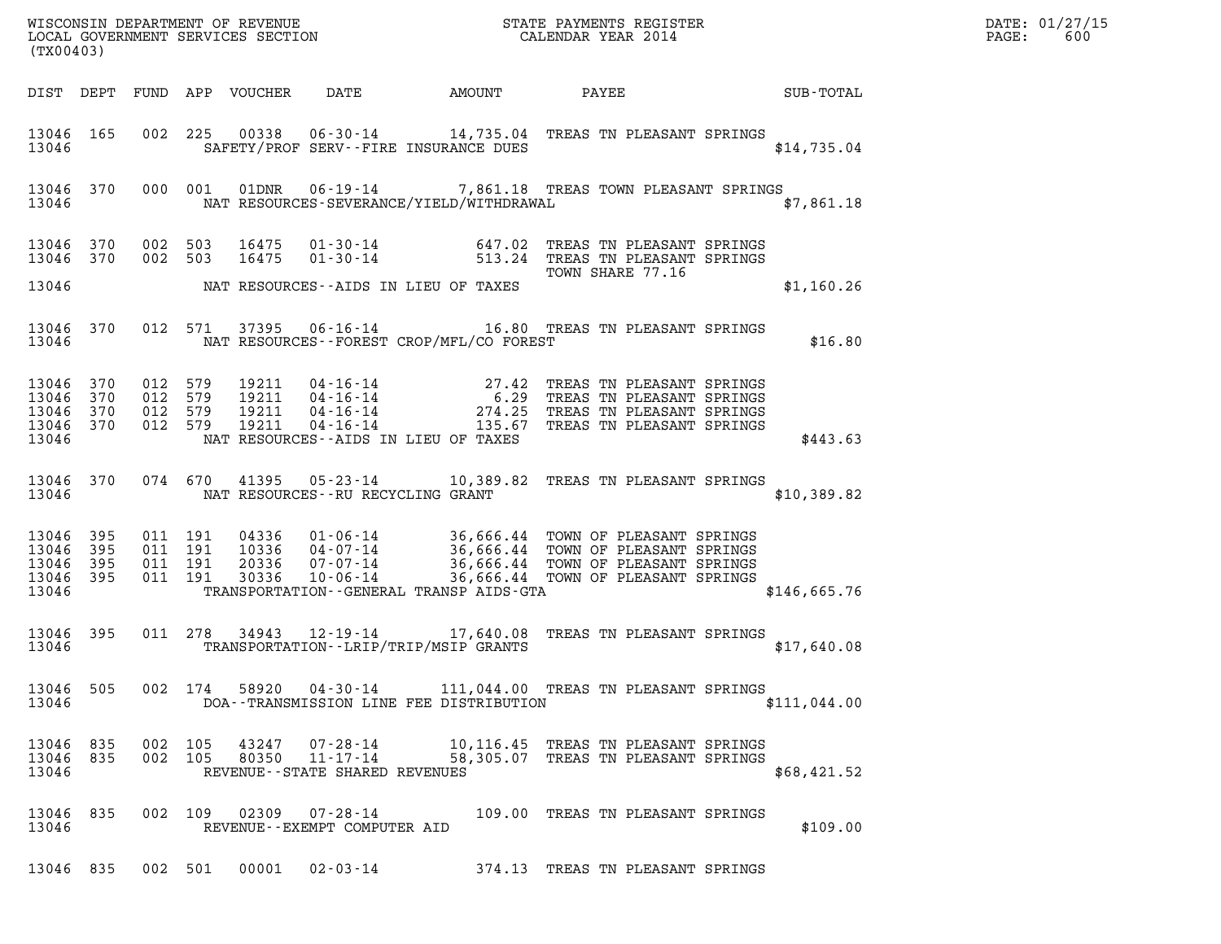| DATE: | 01/27/15 |
|-------|----------|
| PAGE: | 600      |

| (TX00403)                                         |            |                               |               |                |                                                              |                                                |                                                                                                                                                                                                                                                                                                                                                                    |              | DATE: 01/27/15<br>PAGE:<br>600 |
|---------------------------------------------------|------------|-------------------------------|---------------|----------------|--------------------------------------------------------------|------------------------------------------------|--------------------------------------------------------------------------------------------------------------------------------------------------------------------------------------------------------------------------------------------------------------------------------------------------------------------------------------------------------------------|--------------|--------------------------------|
|                                                   |            |                               |               |                |                                                              |                                                | DIST DEPT FUND APP VOUCHER DATE AMOUNT PAYEE TO SUB-TOTAL                                                                                                                                                                                                                                                                                                          |              |                                |
| 13046 165<br>13046                                |            |                               |               |                |                                                              |                                                | 002 225 00338 06-30-14 14,735.04 TREAS TN PLEASANT SPRINGS<br>SAFETY/PROF SERV--FIRE INSURANCE DUES                                                                                                                                                                                                                                                                | \$14,735.04  |                                |
| 13046                                             |            |                               |               |                |                                                              |                                                | 13046 370 000 001 01DNR 06-19-14 7,861.18 TREAS TOWN PLEASANT SPRINGS<br>NAT RESOURCES-SEVERANCE/YIELD/WITHDRAWAL                                                                                                                                                                                                                                                  | \$7,861.18   |                                |
| 13046 370                                         |            | 13046 370 002 503<br>002 503  |               |                |                                                              |                                                | 16475  01-30-14  647.02  TREAS TN PLEASANT SPRINGS<br>16475  01-30-14  513.24  TREAS TN PLEASANT SPRINGS<br>TOWN SHARE 77.16                                                                                                                                                                                                                                       |              |                                |
|                                                   |            |                               |               |                |                                                              | 13046 NAT RESOURCES--AIDS IN LIEU OF TAXES     |                                                                                                                                                                                                                                                                                                                                                                    | \$1,160.26   |                                |
|                                                   |            |                               |               |                |                                                              | 13046 NAT RESOURCES--FOREST CROP/MFL/CO FOREST | 13046 370 012 571 37395 06-16-14 16.80 TREAS TN PLEASANT SPRINGS                                                                                                                                                                                                                                                                                                   |              | \$16.80                        |
| 13046                                             |            |                               |               |                |                                                              | NAT RESOURCES--AIDS IN LIEU OF TAXES           | $\begin{array}{cccccccc} 13046 & 370 & 012 & 579 & 19211 & 04\texttt{-}16\texttt{-}14 & & 27.42 & \texttt{TREAS IN PLEASANT SPRINGS} \\ 13046 & 370 & 012 & 579 & 19211 & 04\texttt{-}16\texttt{-}14 & & 6.29 & \texttt{TREAS IN PLEASANT SPRINGS} \\ 13046 & 370 & 012 & 579 & 19211 & 04\texttt{-}16\texttt{-}14 & & 274.25 & \texttt{TREAS IN PLEASANT SPRINGS$ | \$443.63     |                                |
| 13046                                             |            |                               |               |                |                                                              | NAT RESOURCES-- RU RECYCLING GRANT             | 13046 370 074 670 41395 05-23-14 10,389.82 TREAS TN PLEASANT SPRINGS                                                                                                                                                                                                                                                                                               | \$10,389.82  |                                |
| 13046<br>13046<br>13046 395<br>13046 395<br>13046 | 395<br>395 | 011 191<br>011 191<br>011 191 | 011 191       |                |                                                              |                                                | 04336 01-06-14 36,666.44 TOWN OF PLEASANT SPRINGS<br>10336 04-07-14 36,666.44 TOWN OF PLEASANT SPRINGS<br>20336 07-07-14 36,666.44 TOWN OF PLEASANT SPRINGS<br>30336 10-06-14 36,666.44 TOWN OF PLEASANT SPRINGS<br>TRANSPORTATION - - GENERAL TRANSP AIDS - GTA                                                                                                   | \$146,665.76 |                                |
| 13046 395<br>13046                                |            |                               |               |                |                                                              | TRANSPORTATION - - LRIP/TRIP/MSIP GRANTS       | 011 278 34943 12-19-14 17,640.08 TREAS TN PLEASANT SPRINGS                                                                                                                                                                                                                                                                                                         | \$17,640.08  |                                |
| 13046 505<br>13046                                |            |                               | 002 174 58920 |                | 04-30-14                                                     | DOA--TRANSMISSION LINE FEE DISTRIBUTION        | 111,044.00 TREAS TN PLEASANT SPRINGS                                                                                                                                                                                                                                                                                                                               | \$111,044.00 |                                |
| 13046 835<br>13046 835<br>13046                   |            | 002 105                       | 002 105       | 43247<br>80350 | 07-28-14<br>$11 - 17 - 14$<br>REVENUE--STATE SHARED REVENUES |                                                | 10,116.45 TREAS TN PLEASANT SPRINGS<br>58,305.07 TREAS TN PLEASANT SPRINGS                                                                                                                                                                                                                                                                                         | \$68,421.52  |                                |
| 13046 835<br>13046                                |            |                               |               |                | 002 109 02309 07-28-14<br>REVENUE--EXEMPT COMPUTER AID       |                                                | 109.00 TREAS TN PLEASANT SPRINGS                                                                                                                                                                                                                                                                                                                                   | \$109.00     |                                |
| 13046 835                                         |            |                               | 002 501       | 00001          | $02 - 03 - 14$                                               |                                                | 374.13 TREAS TN PLEASANT SPRINGS                                                                                                                                                                                                                                                                                                                                   |              |                                |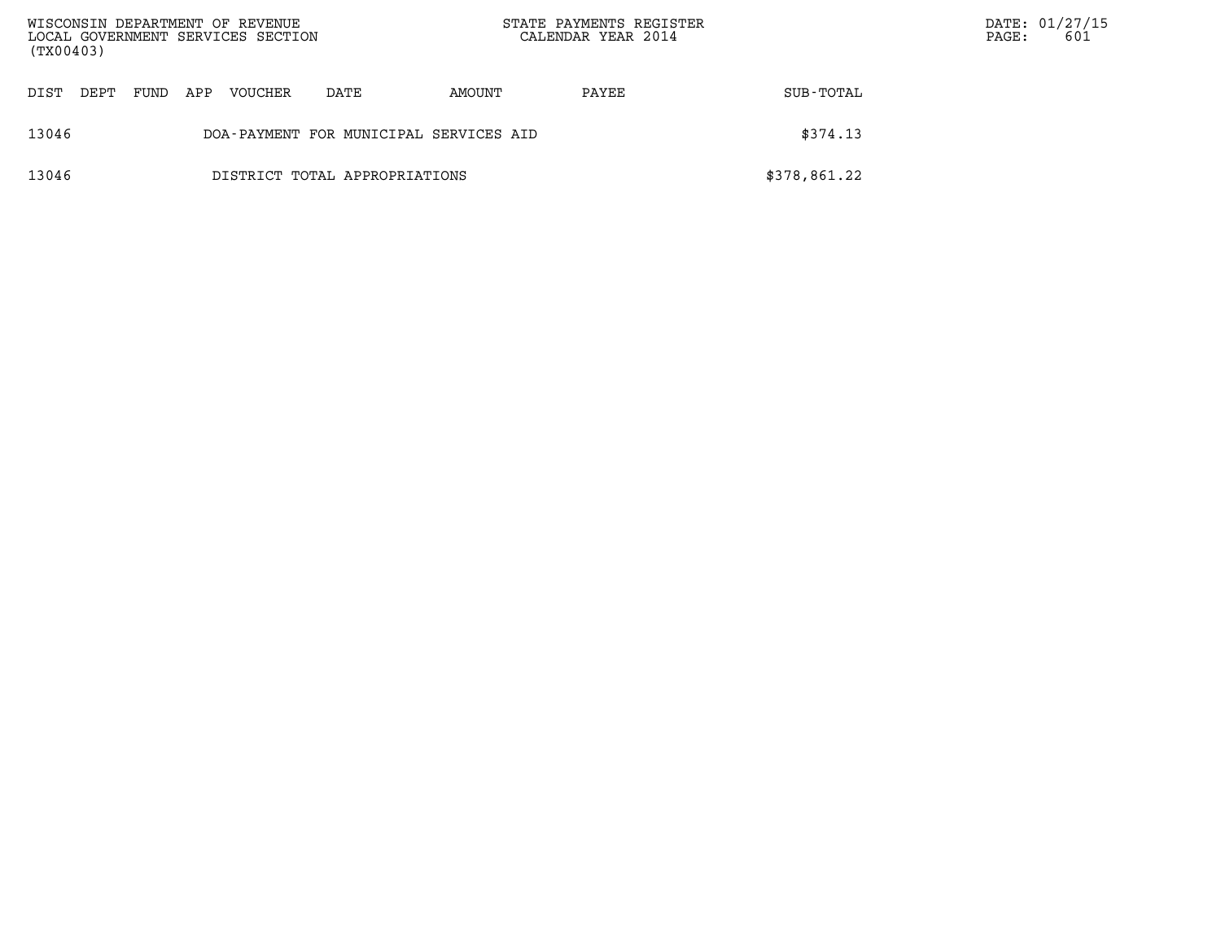| (TX00403) |      |      |     | WISCONSIN DEPARTMENT OF REVENUE<br>LOCAL GOVERNMENT SERVICES SECTION |                                        |        | STATE PAYMENTS REGISTER<br>CALENDAR YEAR 2014 |              | $\mathtt{PAGE:}$ | DATE: 01/27/15<br>601 |
|-----------|------|------|-----|----------------------------------------------------------------------|----------------------------------------|--------|-----------------------------------------------|--------------|------------------|-----------------------|
| DIST      | DEPT | FUND | APP | VOUCHER                                                              | DATE                                   | AMOUNT | PAYEE                                         | SUB-TOTAL    |                  |                       |
| 13046     |      |      |     |                                                                      | DOA-PAYMENT FOR MUNICIPAL SERVICES AID |        |                                               | \$374.13     |                  |                       |
| 13046     |      |      |     |                                                                      | DISTRICT TOTAL APPROPRIATIONS          |        |                                               | \$378,861.22 |                  |                       |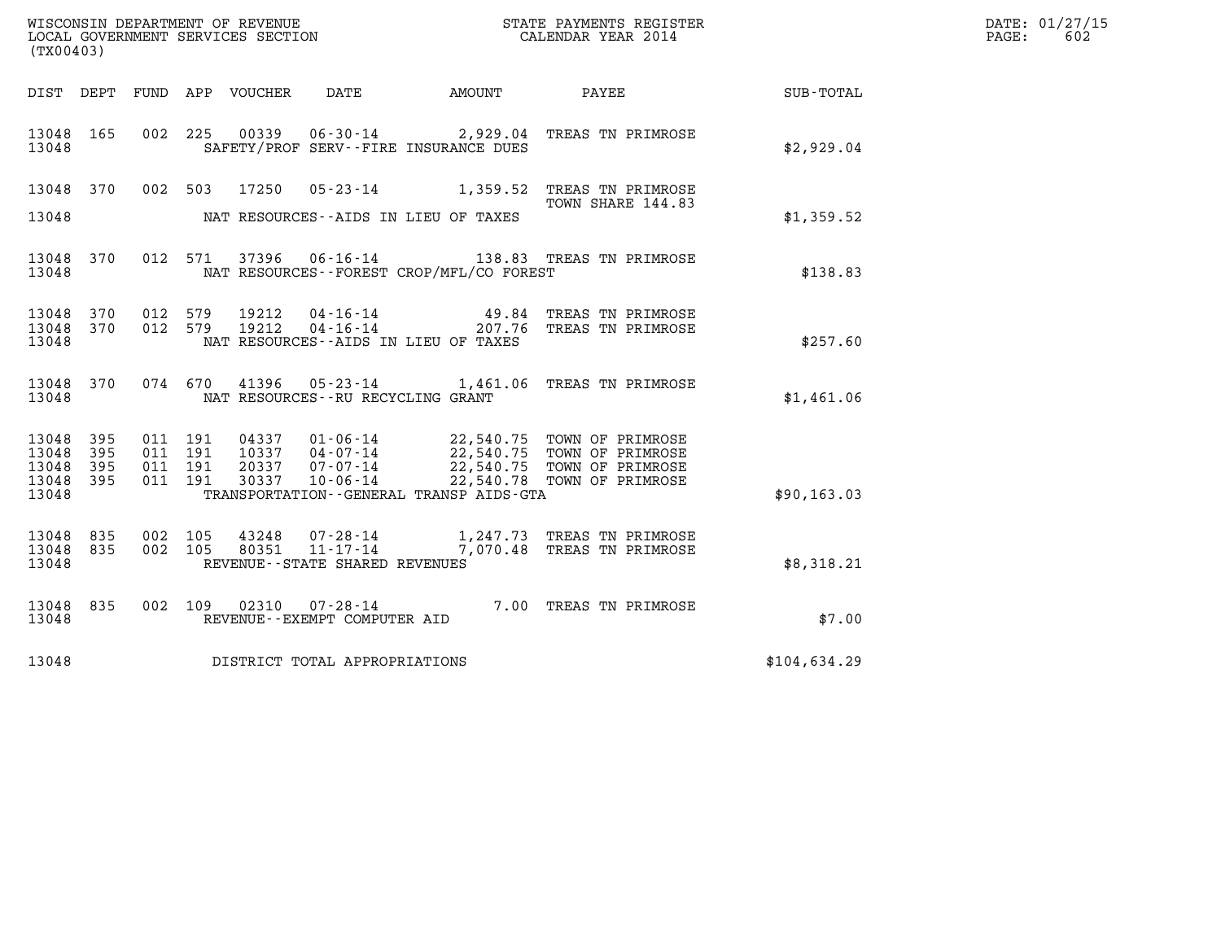| WISCONSIN DEPARTMENT OF REVENUE                             STATE PAYMENTS REGISTER LOCAL GOVERNMENT SERVICES SECTION                               CALENDAR YEAR 2014<br>(TX00403) |                          |                                          |         |                                 |                                                              |                                              |                                                                                                                                        |              | DATE: 01/27/15<br>PAGE:<br>602 |
|-------------------------------------------------------------------------------------------------------------------------------------------------------------------------------------|--------------------------|------------------------------------------|---------|---------------------------------|--------------------------------------------------------------|----------------------------------------------|----------------------------------------------------------------------------------------------------------------------------------------|--------------|--------------------------------|
|                                                                                                                                                                                     |                          |                                          |         | DIST DEPT FUND APP VOUCHER DATE |                                                              | AMOUNT                                       | PAYEE                                                                                                                                  | SUB-TOTAL    |                                |
| 13048 165<br>13048                                                                                                                                                                  |                          |                                          | 002 225 |                                 |                                                              | SAFETY/PROF SERV--FIRE INSURANCE DUES        | 00339  06-30-14  2,929.04  TREAS TN PRIMROSE                                                                                           | \$2,929.04   |                                |
| 13048 370<br>13048                                                                                                                                                                  |                          | 002 503                                  |         | 17250                           |                                                              | NAT RESOURCES--AIDS IN LIEU OF TAXES         | 05-23-14 1,359.52 TREAS TN PRIMROSE<br>TOWN SHARE 144.83                                                                               | \$1,359.52   |                                |
| 13048 370<br>13048                                                                                                                                                                  |                          |                                          |         |                                 |                                                              | NAT RESOURCES - - FOREST CROP/MFL/CO FOREST  | 012 571 37396 06-16-14 138.83 TREAS TN PRIMROSE                                                                                        | \$138.83     |                                |
| 13048 370<br>13048<br>13048                                                                                                                                                         | 370                      | 012 579<br>012 579                       |         | 19212<br>19212                  | 04-16-14<br>$04 - 16 - 14$                                   | NAT RESOURCES--AIDS IN LIEU OF TAXES         | 49.84 TREAS TN PRIMROSE<br>207.76 TREAS TN PRIMROSE                                                                                    | \$257.60     |                                |
| 13048 370<br>13048                                                                                                                                                                  |                          | 074 670                                  |         | 41396                           | NAT RESOURCES--RU RECYCLING GRANT                            |                                              | 05-23-14 1,461.06 TREAS TN PRIMROSE                                                                                                    | \$1,461.06   |                                |
| 13048<br>13048<br>13048<br>13048<br>13048                                                                                                                                           | 395<br>395<br>395<br>395 | 011 191<br>011 191<br>011 191<br>011 191 |         | 04337<br>20337<br>30337         | 10337 04-07-14<br>07-07-14<br>$10 - 06 - 14$                 | TRANSPORTATION - - GENERAL TRANSP AIDS - GTA | 01-06-14 22,540.75 TOWN OF PRIMROSE<br>04-07-14 22,540.75 TOWN OF PRIMROSE<br>22,540.75 TOWN OF PRIMROSE<br>22,540.78 TOWN OF PRIMROSE | \$90, 163.03 |                                |
| 13048 835<br>13048<br>13048                                                                                                                                                         | 835                      | 002 105<br>002 105                       |         | 43248<br>80351                  | $07 - 28 - 14$<br>11-17-14<br>REVENUE--STATE SHARED REVENUES |                                              | 1,247.73 TREAS TN PRIMROSE<br>7,070.48 TREAS TN PRIMROSE                                                                               | \$8,318.21   |                                |
| 13048 835<br>13048                                                                                                                                                                  |                          | 002 109                                  |         | 02310                           | REVENUE--EXEMPT COMPUTER AID                                 |                                              | 07-28-14 7.00 TREAS TN PRIMROSE                                                                                                        | \$7.00       |                                |
| 13048                                                                                                                                                                               |                          |                                          |         |                                 | DISTRICT TOTAL APPROPRIATIONS                                |                                              |                                                                                                                                        | \$104,634.29 |                                |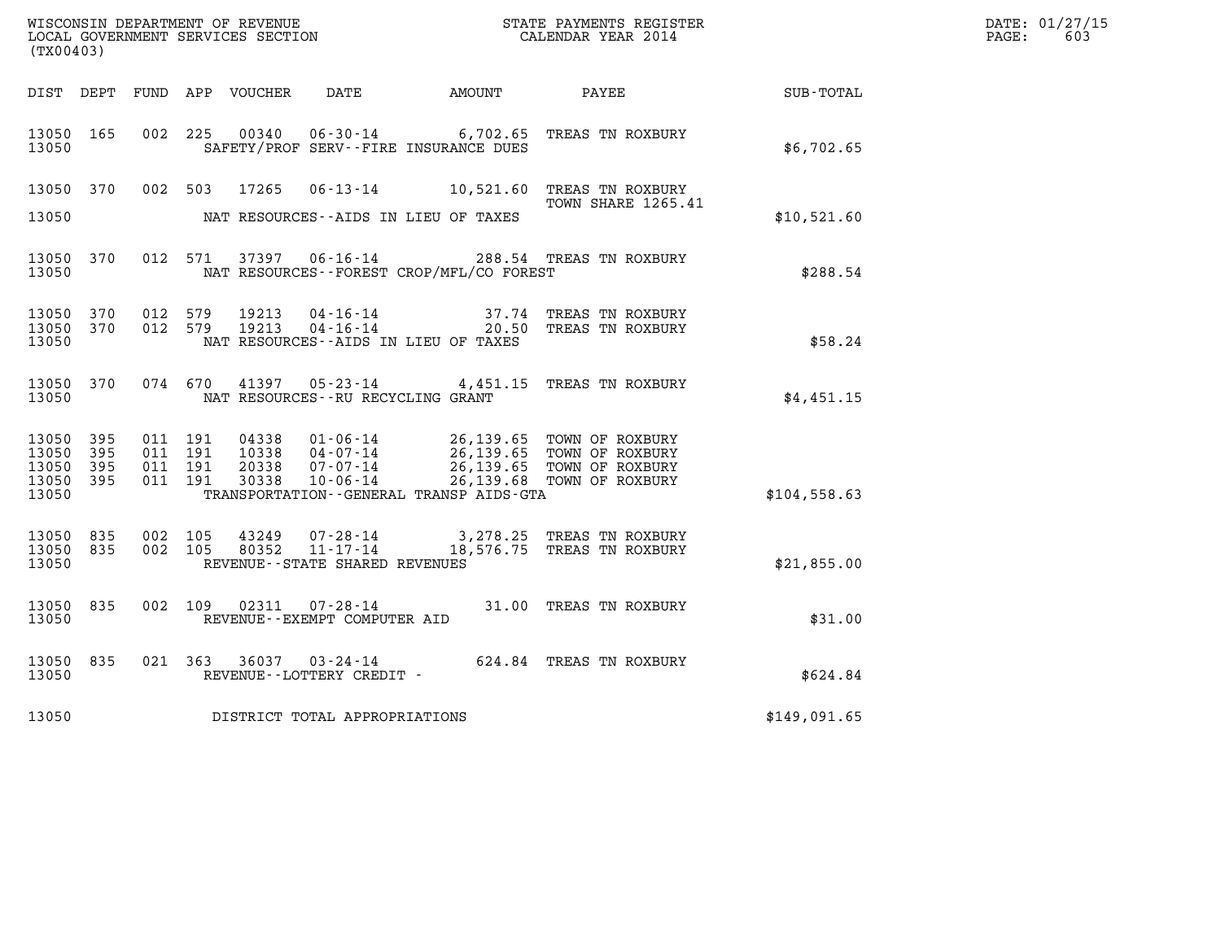| WISCONSIN DEPARTMENT OF REVENUE<br>LOCAL GOVERNMENT SERVICES SECTION<br>CALENDAR YEAR 2014<br>(TX00403) |                   |                                          |                    |                                  |                                   |                                              |                                                                                                                                                      |                                               | DATE: 01/27/15<br>$\mathtt{PAGE:}$<br>603 |
|---------------------------------------------------------------------------------------------------------|-------------------|------------------------------------------|--------------------|----------------------------------|-----------------------------------|----------------------------------------------|------------------------------------------------------------------------------------------------------------------------------------------------------|-----------------------------------------------|-------------------------------------------|
|                                                                                                         |                   |                                          |                    |                                  |                                   | DIST DEPT FUND APP VOUCHER DATE AMOUNT PAYEE |                                                                                                                                                      | $\operatorname{SUB}$ - $\operatorname{TOTAL}$ |                                           |
| 13050 165<br>13050                                                                                      |                   | 002 225                                  |                    |                                  |                                   | SAFETY/PROF SERV--FIRE INSURANCE DUES        | 00340  06-30-14   6,702.65   TREAS TN ROXBURY                                                                                                        | \$6,702.65                                    |                                           |
|                                                                                                         |                   |                                          |                    |                                  |                                   |                                              | 13050 370 002 503 17265 06-13-14 10,521.60 TREAS TN ROXBURY<br>TOWN SHARE 1265.41                                                                    |                                               |                                           |
| 13050                                                                                                   |                   | NAT RESOURCES--AIDS IN LIEU OF TAXES     |                    |                                  |                                   |                                              |                                                                                                                                                      |                                               |                                           |
| 13050 370<br>13050                                                                                      |                   |                                          |                    |                                  |                                   | NAT RESOURCES - - FOREST CROP/MFL/CO FOREST  | 012 571 37397 06-16-14 288.54 TREAS TN ROXBURY                                                                                                       | \$288.54                                      |                                           |
| 13050 370<br>13050 370<br>13050                                                                         |                   |                                          | 012 579<br>012 579 |                                  |                                   | NAT RESOURCES--AIDS IN LIEU OF TAXES         | 19213  04-16-14   37.74   TREAS TN ROXBURY<br>19213  04-16-14   20.50   TREAS TN ROXBURY                                                             | \$58.24                                       |                                           |
| 13050 370<br>13050                                                                                      |                   |                                          |                    |                                  | NAT RESOURCES--RU RECYCLING GRANT |                                              | 074 670 41397 05-23-14 4,451.15 TREAS TN ROXBURY                                                                                                     | \$4,451.15                                    |                                           |
| 13050 395<br>13050<br>13050<br>13050<br>13050                                                           | 395<br>395<br>395 | 011 191<br>011 191<br>011 191<br>011 191 |                    | 04338<br>10338<br>20338<br>30338 |                                   | TRANSPORTATION - - GENERAL TRANSP AIDS - GTA | 01-06-14 26,139.65 TOWN OF ROXBURY<br>04-07-14 26,139.65 TOWN OF ROXBURY<br>07-07-14 26,139.65 TOWN OF ROXBURY<br>10-06-14 26,139.68 TOWN OF ROXBURY | \$104,558.63                                  |                                           |
| 13050 835<br>13050 835<br>13050                                                                         |                   | 002 105<br>002 105                       |                    |                                  | REVENUE--STATE SHARED REVENUES    |                                              | 43249  07-28-14  3,278.25  TREAS TN ROXBURY<br>80352  11-17-14  18,576.75  TREAS TN ROXBURY                                                          | \$21,855.00                                   |                                           |
| 13050 835<br>13050                                                                                      |                   |                                          |                    |                                  | REVENUE--EXEMPT COMPUTER AID      |                                              | 002 109 02311 07-28-14 31.00 TREAS TN ROXBURY                                                                                                        | \$31.00                                       |                                           |
| 13050 835<br>13050                                                                                      |                   |                                          |                    |                                  | REVENUE - - LOTTERY CREDIT -      |                                              | 021 363 36037 03-24-14 624.84 TREAS TN ROXBURY                                                                                                       | \$624.84                                      |                                           |
| 13050                                                                                                   |                   |                                          |                    |                                  | DISTRICT TOTAL APPROPRIATIONS     |                                              |                                                                                                                                                      | \$149,091.65                                  |                                           |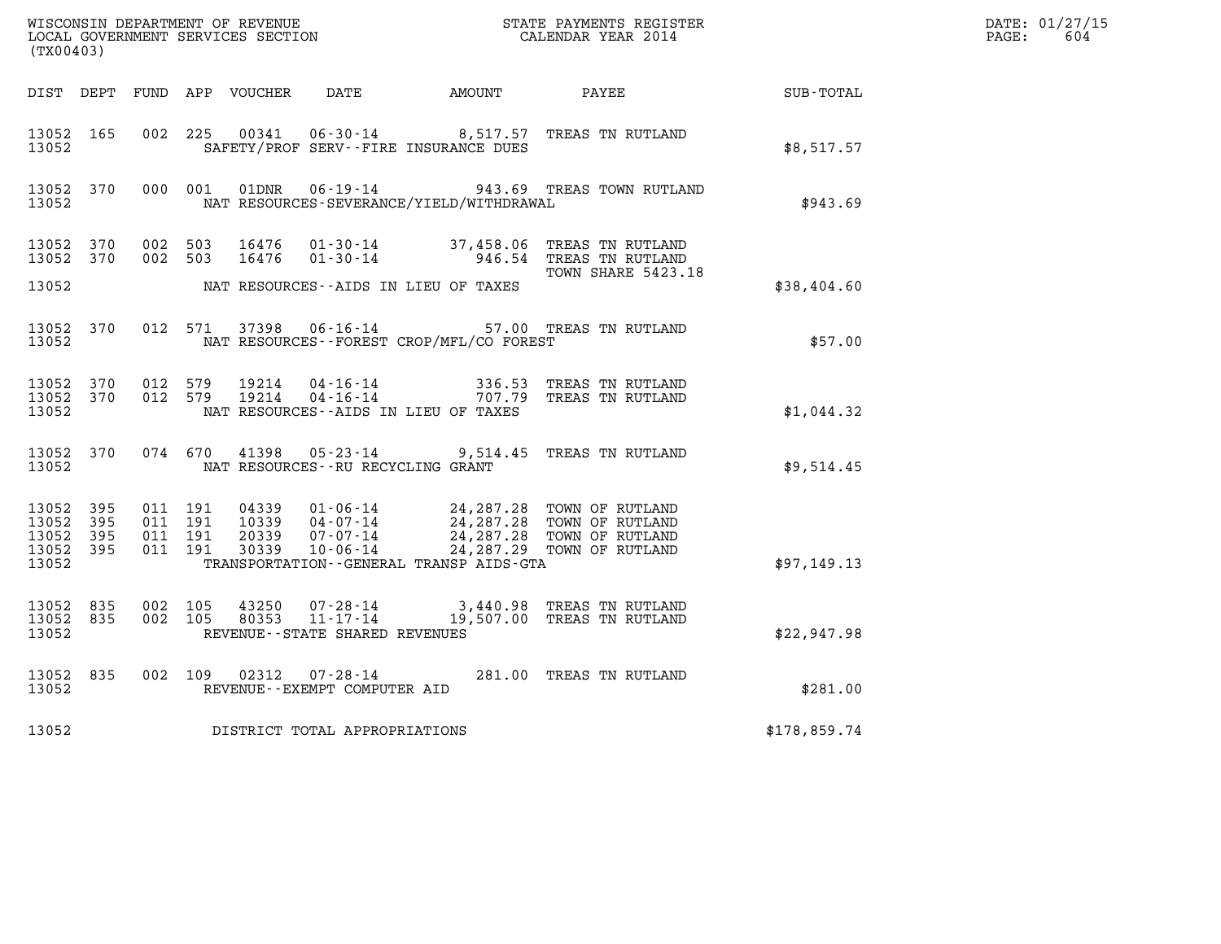|                                                           |                        |                                          |         |       |                                   |                                             | WISCONSIN DEPARTMENT OF REVENUE<br>LOCAL GOVERNMENT SERVICES SECTION<br>LOCAL GOVERNMENT SERVICES SECTION<br>CALENDAR YEAR 2014                                                                                |              | DATE: 01/27/15<br>$\mathtt{PAGE:}$<br>604 |
|-----------------------------------------------------------|------------------------|------------------------------------------|---------|-------|-----------------------------------|---------------------------------------------|----------------------------------------------------------------------------------------------------------------------------------------------------------------------------------------------------------------|--------------|-------------------------------------------|
| (TX00403)                                                 |                        |                                          |         |       |                                   |                                             |                                                                                                                                                                                                                |              |                                           |
|                                                           |                        |                                          |         |       |                                   |                                             | DIST DEPT FUND APP VOUCHER DATE AMOUNT PAYEE SUB-TOTAL                                                                                                                                                         |              |                                           |
| 13052 165<br>13052                                        |                        |                                          |         |       |                                   | SAFETY/PROF SERV--FIRE INSURANCE DUES       | 002 225 00341 06-30-14 8,517.57 TREAS TN RUTLAND                                                                                                                                                               | \$8,517.57   |                                           |
| 13052                                                     | 13052 370              |                                          | 000 001 |       |                                   | NAT RESOURCES-SEVERANCE/YIELD/WITHDRAWAL    | 01DNR  06-19-14  943.69 TREAS TOWN RUTLAND                                                                                                                                                                     | \$943.69     |                                           |
| 13052 370<br>13052 370                                    |                        | 002 503<br>002 503                       |         |       |                                   |                                             | 16476  01-30-14  37,458.06  TREAS TN RUTLAND<br>16476  01-30-14  946.54 TREAS TN RUTLAND<br>TOWN SHARE 5423.18                                                                                                 |              |                                           |
| 13052                                                     |                        |                                          |         |       |                                   | NAT RESOURCES--AIDS IN LIEU OF TAXES        |                                                                                                                                                                                                                | \$38,404.60  |                                           |
| 13052                                                     | 13052 370              |                                          |         |       |                                   | NAT RESOURCES - - FOREST CROP/MFL/CO FOREST | 012 571 37398 06-16-14 57.00 TREAS TN RUTLAND                                                                                                                                                                  | \$57.00      |                                           |
| 13052                                                     | 13052 370<br>13052 370 |                                          |         |       |                                   | NAT RESOURCES--AIDS IN LIEU OF TAXES        | 012 579 19214 04-16-14 336.53 TREAS TN RUTLAND<br>012 579 19214 04-16-14 707.79 TREAS TN RUTLAND                                                                                                               | \$1,044.32   |                                           |
| 13052                                                     |                        |                                          |         |       | NAT RESOURCES--RU RECYCLING GRANT |                                             | 13052 370 074 670 41398 05-23-14 9,514.45 TREAS TN RUTLAND                                                                                                                                                     | \$9,514.45   |                                           |
| 13052 395<br>13052 395<br>13052 395<br>13052 395<br>13052 |                        | 011 191<br>011 191<br>011 191<br>011 191 |         | 04339 |                                   | TRANSPORTATION--GENERAL TRANSP AIDS-GTA     | 01-06-14 24,287.28 TOWN OF RUTLAND<br>04-07-14 24,287.28 TOWN OF RUTLAND<br>10339 04-07-14 24,287.28 TOWN OF RUTLAND<br>20339 07-07-14 24,287.28 TOWN OF RUTLAND<br>30339 10-06-14 - 24,287.29 TOWN OF RUTLAND | \$97,149.13  |                                           |
| 13052 835<br>13052 835<br>13052                           |                        | 002 105<br>002 105                       |         |       | REVENUE - - STATE SHARED REVENUES |                                             | 43250  07-28-14  3,440.98  TREAS TN RUTLAND<br>80353  11-17-14  19,507.00  TREAS TN RUTLAND                                                                                                                    | \$22,947.98  |                                           |
| 13052                                                     | 13052 835              |                                          |         |       | REVENUE--EXEMPT COMPUTER AID      |                                             | 002 109 02312 07-28-14 281.00 TREAS TN RUTLAND                                                                                                                                                                 | \$281.00     |                                           |
| 13052                                                     |                        |                                          |         |       | DISTRICT TOTAL APPROPRIATIONS     |                                             |                                                                                                                                                                                                                | \$178,859.74 |                                           |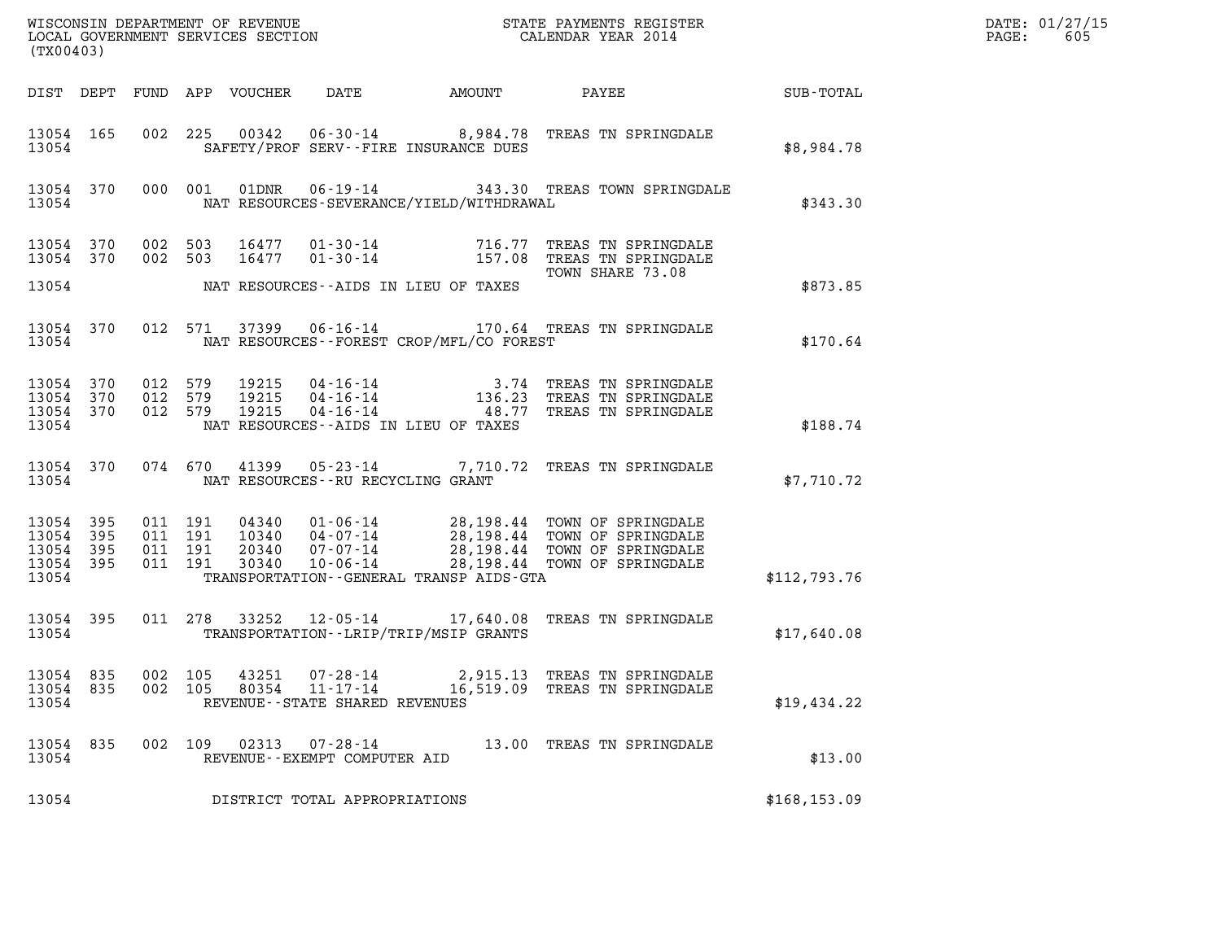| (TX00403)                                         |            |                                          |               |                                                                                         |                                             |                                                                                                                                                                                                  |               | DATE: 01/27/15<br>PAGE:<br>605 |
|---------------------------------------------------|------------|------------------------------------------|---------------|-----------------------------------------------------------------------------------------|---------------------------------------------|--------------------------------------------------------------------------------------------------------------------------------------------------------------------------------------------------|---------------|--------------------------------|
|                                                   |            |                                          |               | DIST DEPT FUND APP VOUCHER DATE                                                         |                                             |                                                                                                                                                                                                  |               |                                |
| 13054                                             | 13054 165  |                                          |               |                                                                                         | SAFETY/PROF SERV--FIRE INSURANCE DUES       | 002 225 00342 06-30-14 8,984.78 TREAS TN SPRINGDALE                                                                                                                                              | \$8,984.78    |                                |
| 13054                                             |            |                                          |               |                                                                                         | NAT RESOURCES-SEVERANCE/YIELD/WITHDRAWAL    | 13054 370 000 001 01DNR 06-19-14 343.30 TREAS TOWN SPRINGDALE                                                                                                                                    | \$343.30      |                                |
| 13054 370                                         |            | 13054 370 002 503<br>002 503             |               |                                                                                         |                                             | 16477  01-30-14  716.77  TREAS TN SPRINGDALE<br>16477  01-30-14  157.08  TREAS TN SPRINGDALE<br>TOWN SHARE 73.08                                                                                 |               |                                |
|                                                   |            |                                          |               |                                                                                         | 13054 NAT RESOURCES--AIDS IN LIEU OF TAXES  |                                                                                                                                                                                                  | \$873.85      |                                |
| 13054                                             |            |                                          |               |                                                                                         | NAT RESOURCES - - FOREST CROP/MFL/CO FOREST | 13054 370 012 571 37399 06-16-14 170.64 TREAS TN SPRINGDALE                                                                                                                                      | \$170.64      |                                |
| 13054 370<br>13054 370<br>13054                   |            | 13054 370 012 579<br>012 579<br>012 579  |               | 19215<br>19215<br>19215<br>NAT RESOURCES--AIDS IN LIEU OF TAXES                         |                                             | 04-16-14 3.74 TREAS TN SPRINGDALE<br>04-16-14 136.23 TREAS TN SPRINGDALE<br>04-16-14 48.77 TREAS TN SPRINGDALE                                                                                   | \$188.74      |                                |
| 13054                                             |            |                                          |               | NAT RESOURCES--RU RECYCLING GRANT                                                       |                                             | 13054 370 074 670 41399 05-23-14 7,710.72 TREAS TN SPRINGDALE                                                                                                                                    | \$7,710.72    |                                |
| 13054 395<br>13054<br>13054<br>13054 395<br>13054 | 395<br>395 | 011 191<br>011 191<br>011 191<br>011 191 |               |                                                                                         | TRANSPORTATION--GENERAL TRANSP AIDS-GTA     | 04340  01-06-14  28,198.44 TOWN OF SPRINGDALE<br>10340  04-07-14  28,198.44 TOWN OF SPRINGDALE<br>20340  07-07-14  28,198.44 TOWN OF SPRINGDALE<br>30340  10-06-14  28,198.44 TOWN OF SPRINGDALE | \$112,793.76  |                                |
| 13054                                             | 13054 395  |                                          |               |                                                                                         | TRANSPORTATION - - LRIP/TRIP/MSIP GRANTS    | 011 278 33252 12-05-14 17,640.08 TREAS TN SPRINGDALE                                                                                                                                             | \$17,640.08   |                                |
| 13054 835<br>13054 835<br>13054                   |            | 002 105<br>002 105                       |               | 43251<br>$07 - 28 - 14$<br>$11 - 17 - 14$<br>80354<br>REVENUE - - STATE SHARED REVENUES |                                             | 2,915.13 TREAS TN SPRINGDALE<br>16,519.09 TREAS TN SPRINGDALE                                                                                                                                    | \$19,434.22   |                                |
| 13054 835<br>13054                                |            |                                          | 002 109 02313 | 07-28-14<br>REVENUE--EXEMPT COMPUTER AID                                                |                                             | 13.00 TREAS TN SPRINGDALE                                                                                                                                                                        | \$13.00       |                                |
| 13054                                             |            |                                          |               | DISTRICT TOTAL APPROPRIATIONS                                                           |                                             |                                                                                                                                                                                                  | \$168, 153.09 |                                |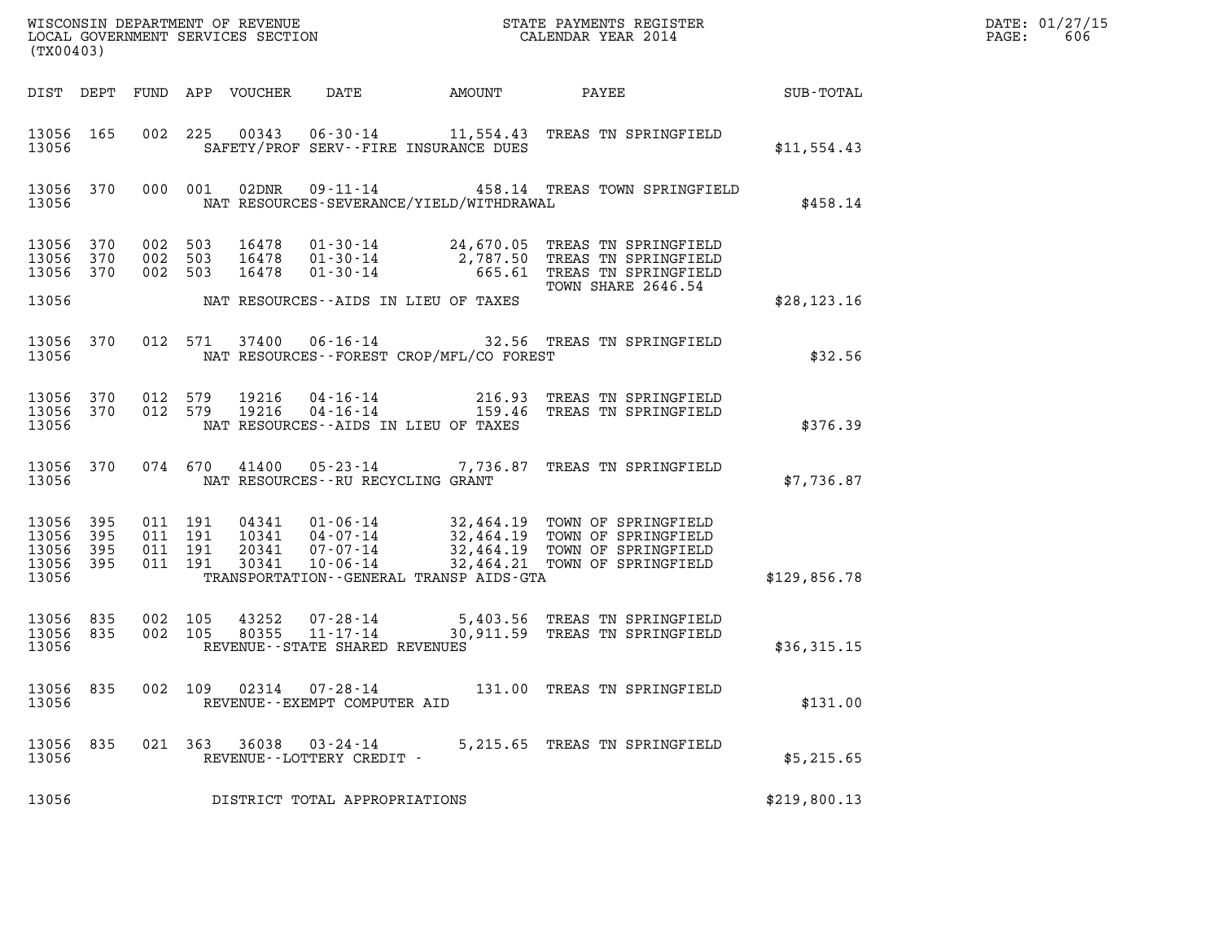| (TX00403)                                 |                          |                                          |         |                                  |                                                                 |               | WISCONSIN DEPARTMENT OF REVENUE                               STATE PAYMENTS REGISTER LOCAL GOVERNMENT SERVICES SECTION                             CALENDAR YEAR 2014 |              | DATE: 01/27/15<br>PAGE:<br>606 |
|-------------------------------------------|--------------------------|------------------------------------------|---------|----------------------------------|-----------------------------------------------------------------|---------------|------------------------------------------------------------------------------------------------------------------------------------------------------------------------|--------------|--------------------------------|
| DIST DEPT                                 |                          |                                          |         | FUND APP VOUCHER                 | DATE                                                            | <b>AMOUNT</b> |                                                                                                                                                                        |              |                                |
| 13056 165<br>13056                        |                          |                                          |         |                                  | SAFETY/PROF SERV--FIRE INSURANCE DUES                           |               | 002 225 00343 06-30-14 11,554.43 TREAS TN SPRINGFIELD                                                                                                                  | \$11,554.43  |                                |
| 13056 370<br>13056                        |                          | 000 001                                  |         | 02DNR                            | NAT RESOURCES-SEVERANCE/YIELD/WITHDRAWAL                        |               | 09-11-14  458.14 TREAS TOWN SPRINGFIELD                                                                                                                                | \$458.14     |                                |
| 13056 370<br>13056<br>13056               | 370<br>370               | 002 503<br>002 503<br>002 503            |         | 16478<br>16478<br>16478          | $01 - 30 - 14$                                                  |               | 01-30-14 24,670.05 TREAS TN SPRINGFIELD<br>01-30-14 2,787.50 TREAS TN SPRINGFIELD<br>665.61 TREAS TN SPRINGFIELD<br>TOWN SHARE 2646.54                                 |              |                                |
| 13056                                     |                          |                                          |         |                                  | NAT RESOURCES--AIDS IN LIEU OF TAXES                            |               |                                                                                                                                                                        | \$28, 123.16 |                                |
| 13056 370<br>13056                        |                          |                                          | 012 571 | 37400                            | NAT RESOURCES--FOREST CROP/MFL/CO FOREST                        |               | 06-16-14 32.56 TREAS TN SPRINGFIELD                                                                                                                                    | \$32.56      |                                |
| 13056 370<br>13056 370<br>13056           |                          | 012 579<br>012 579                       |         | 19216<br>19216                   | NAT RESOURCES--AIDS IN LIEU OF TAXES                            |               | 04-16-14 216.93 TREAS TN SPRINGFIELD<br>04-16-14 159.46 TREAS TN SPRINGFIELD                                                                                           | \$376.39     |                                |
| 13056                                     | 13056 370                |                                          | 074 670 | 41400                            | NAT RESOURCES--RU RECYCLING GRANT                               |               | 05-23-14 7,736.87 TREAS TN SPRINGFIELD                                                                                                                                 | \$7,736.87   |                                |
| 13056<br>13056<br>13056<br>13056<br>13056 | 395<br>395<br>395<br>395 | 011 191<br>011 191<br>011 191<br>011 191 |         | 04341<br>10341<br>20341<br>30341 | 07-07-14<br>10-06-14<br>TRANSPORTATION--GENERAL TRANSP AIDS-GTA |               | 01-06-14 32,464.19 TOWN OF SPRINGFIELD<br>04-07-14 32,464.19 TOWN OF SPRINGFIELD<br>32,464.19 TOWN OF SPRINGFIELD<br>32,464.21 TOWN OF SPRINGFIELD                     | \$129,856.78 |                                |
| 13056 835<br>13056 835<br>13056           |                          | 002 105<br>002 105                       |         | 43252<br>80355                   | 11-17-14<br>REVENUE--STATE SHARED REVENUES                      |               | 07-28-14 5,403.56 TREAS TN SPRINGFIELD<br>30,911.59 TREAS TN SPRINGFIELD                                                                                               | \$36,315.15  |                                |
| 13056 835<br>13056                        |                          |                                          | 002 109 | 02314                            | 07-28-14<br>REVENUE--EXEMPT COMPUTER AID                        |               | 131.00 TREAS TN SPRINGFIELD                                                                                                                                            | \$131.00     |                                |
| 13056 835<br>13056                        |                          |                                          | 021 363 | 36038                            | 03-24-14<br>REVENUE--LOTTERY CREDIT -                           |               | 5,215.65 TREAS TN SPRINGFIELD                                                                                                                                          | \$5,215.65   |                                |
| 13056                                     |                          |                                          |         |                                  | DISTRICT TOTAL APPROPRIATIONS                                   |               |                                                                                                                                                                        | \$219,800.13 |                                |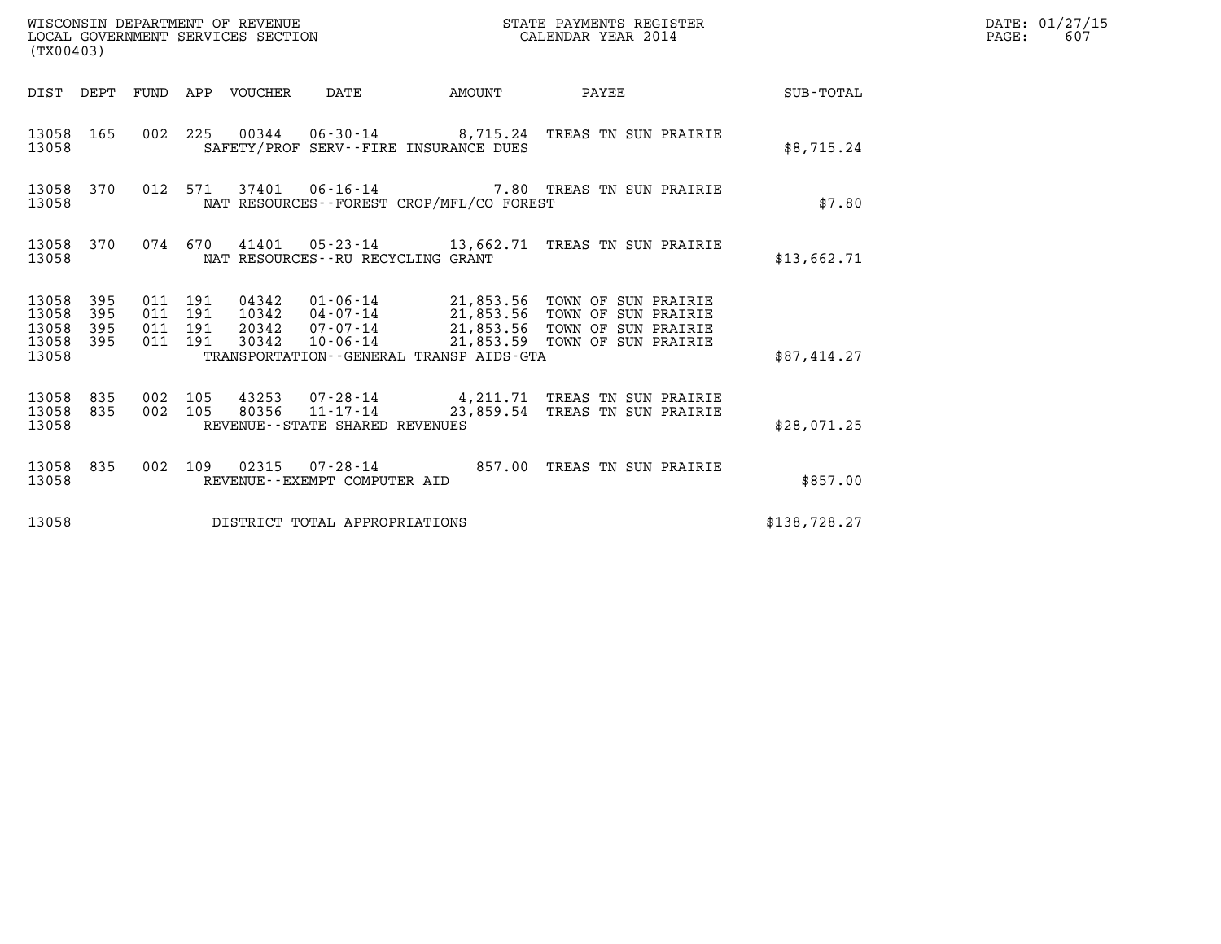| (TX00403)                                     |                   |                                          |         |                                 | WISCONSIN DEPARTMENT OF REVENUE<br>LOCAL GOVERNMENT SERVICES SECTION |                                             | STATE PAYMENTS REGISTER<br>CALENDAR YEAR 2014                                                                                                                                                   |              | DATE: 01/27/15<br>$\mathtt{PAGE:}$<br>607 |
|-----------------------------------------------|-------------------|------------------------------------------|---------|---------------------------------|----------------------------------------------------------------------|---------------------------------------------|-------------------------------------------------------------------------------------------------------------------------------------------------------------------------------------------------|--------------|-------------------------------------------|
|                                               |                   |                                          |         | DIST DEPT FUND APP VOUCHER DATE |                                                                      |                                             | AMOUNT PAYEE SUB-TOTAL                                                                                                                                                                          |              |                                           |
| 13058 165<br>13058                            |                   |                                          |         |                                 |                                                                      | SAFETY/PROF SERV--FIRE INSURANCE DUES       | 002 225 00344 06-30-14 8,715.24 TREAS TN SUN PRAIRIE                                                                                                                                            | \$8,715.24   |                                           |
| 13058                                         | 13058 370         |                                          |         |                                 |                                                                      | NAT RESOURCES - - FOREST CROP/MFL/CO FOREST | 012 571 37401 06-16-14 7.80 TREAS TN SUN PRAIRIE                                                                                                                                                | \$7.80       |                                           |
| 13058                                         | 13058 370         |                                          |         |                                 | NAT RESOURCES--RU RECYCLING GRANT                                    |                                             | 074 670 41401 05-23-14 13,662.71 TREAS TN SUN PRAIRIE                                                                                                                                           | \$13,662.71  |                                           |
| 13058<br>13058<br>13058<br>13058 395<br>13058 | 395<br>395<br>395 | 011 191<br>011 191<br>011 191<br>011 191 |         | 30342                           |                                                                      | TRANSPORTATION--GENERAL TRANSP AIDS-GTA     | 04342  01-06-14  21,853.56  TOWN OF SUN PRAIRIE<br>10342  04-07-14  21,853.56  TOWN OF SUN PRAIRIE<br>20342  07-07-14  21,853.56  TOWN OF SUN PRAIRIE<br>10-06-14 21,853.59 TOWN OF SUN PRAIRIE | \$87,414.27  |                                           |
| 13058 835<br>13058                            | 13058 835         | 002 105                                  | 002 105 |                                 | $80356$ $11 - 17 - 14$<br>REVENUE--STATE SHARED REVENUES             |                                             | 43253 07-28-14 4,211.71 TREAS TN SUN PRAIRIE<br>23,859.54 TREAS TN SUN PRAIRIE                                                                                                                  | \$28,071.25  |                                           |
| 13058                                         | 13058 835         |                                          |         |                                 | REVENUE--EXEMPT COMPUTER AID                                         |                                             | 002 109 02315 07-28-14 857.00 TREAS TN SUN PRAIRIE                                                                                                                                              | \$857.00     |                                           |
| 13058                                         |                   |                                          |         |                                 | DISTRICT TOTAL APPROPRIATIONS                                        |                                             |                                                                                                                                                                                                 | \$138,728.27 |                                           |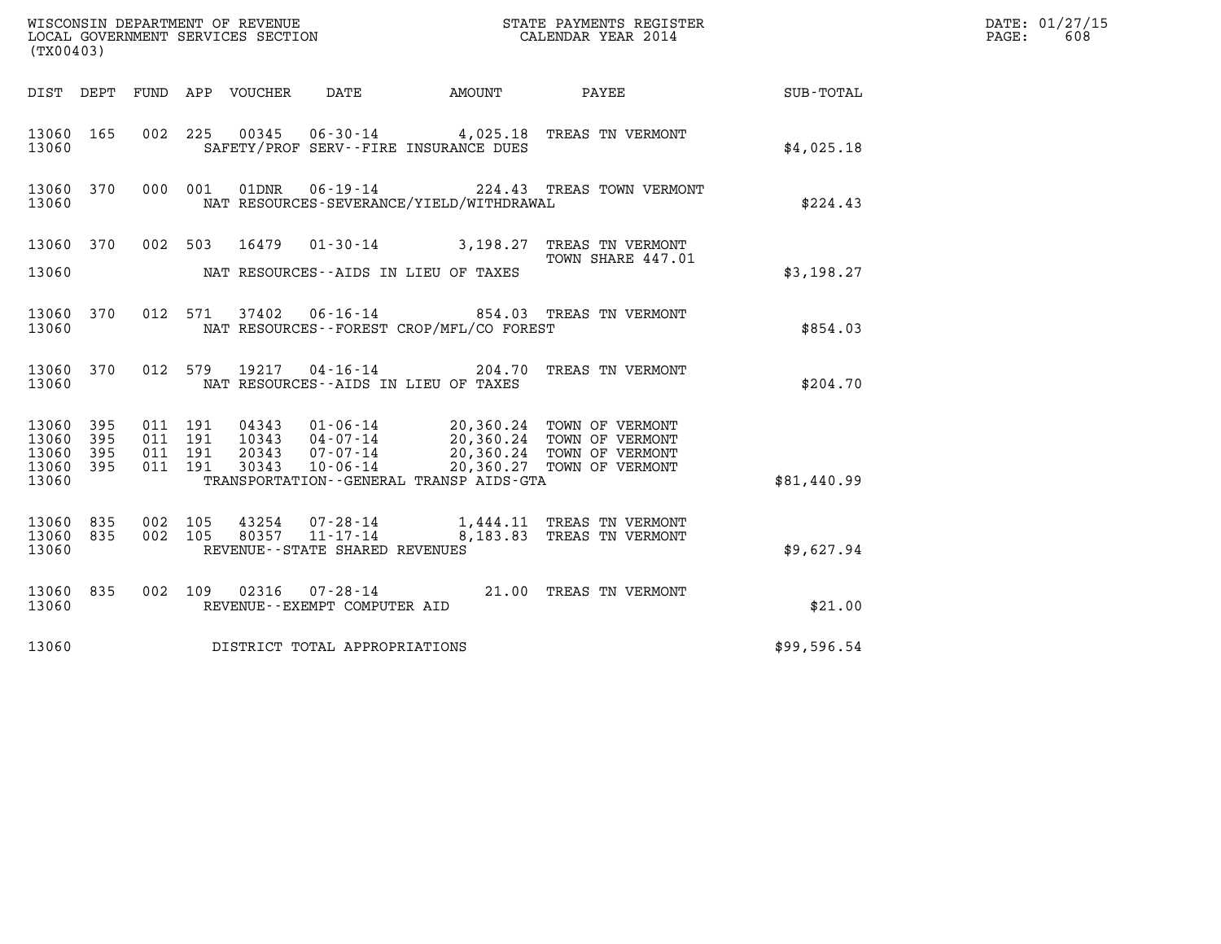| (TX00403)                                 |                            |                                          |                                      |                                                  |                                              |                                                                                                                                                                        |             | DATE: 01/27/15<br>608<br>PAGE: |
|-------------------------------------------|----------------------------|------------------------------------------|--------------------------------------|--------------------------------------------------|----------------------------------------------|------------------------------------------------------------------------------------------------------------------------------------------------------------------------|-------------|--------------------------------|
|                                           |                            |                                          | DIST DEPT FUND APP VOUCHER           | DATE                                             |                                              | AMOUNT PAYEE                                                                                                                                                           | SUB-TOTAL   |                                |
| 13060 165<br>13060                        |                            |                                          |                                      |                                                  | SAFETY/PROF SERV--FIRE INSURANCE DUES        | 002 225 00345 06-30-14 4,025.18 TREAS TN VERMONT                                                                                                                       | \$4,025.18  |                                |
| 13060 370<br>13060                        |                            |                                          | 000 001<br>01DNR                     |                                                  | NAT RESOURCES-SEVERANCE/YIELD/WITHDRAWAL     | 06-19-14 224.43 TREAS TOWN VERMONT                                                                                                                                     | \$224.43    |                                |
|                                           |                            |                                          |                                      |                                                  |                                              | 13060 370 002 503 16479 01-30-14 3,198.27 TREAS TN VERMONT<br>TOWN SHARE 447.01                                                                                        |             |                                |
| 13060                                     |                            |                                          | NAT RESOURCES--AIDS IN LIEU OF TAXES |                                                  |                                              |                                                                                                                                                                        | \$3,198.27  |                                |
| 13060 370<br>13060                        |                            |                                          | 012 571<br>37402                     |                                                  | NAT RESOURCES--FOREST CROP/MFL/CO FOREST     | 06-16-14 854.03 TREAS TN VERMONT                                                                                                                                       | \$854.03    |                                |
| 13060 370<br>13060                        |                            |                                          | 012 579                              | NAT RESOURCES -- AIDS IN LIEU OF TAXES           |                                              | 19217  04-16-14  204.70  TREAS TN VERMONT                                                                                                                              | \$204.70    |                                |
| 13060<br>13060<br>13060<br>13060<br>13060 | 395<br>395<br>- 395<br>395 | 011 191<br>011 191<br>011 191<br>011 191 | 30343                                | $10 - 06 - 14$                                   | TRANSPORTATION - - GENERAL TRANSP AIDS - GTA | 04343  01-06-14  20,360.24  TOWN OF VERMONT<br>10343  04-07-14  20,360.24  TOWN OF VERMONT<br>20343  07-07-14  20,360.24  TOWN OF VERMONT<br>20,360.27 TOWN OF VERMONT | \$81,440.99 |                                |
| 13060 835<br>13060 835<br>13060           |                            | 002 105<br>002 105                       | 43254                                | 80357 11-17-14<br>REVENUE--STATE SHARED REVENUES |                                              | 07-28-14 1,444.11 TREAS TN VERMONT<br>8,183.83 TREAS TN VERMONT                                                                                                        | \$9,627.94  |                                |
| 13060 835<br>13060                        |                            |                                          |                                      | REVENUE--EXEMPT COMPUTER AID                     |                                              | 002 109 02316 07-28-14 21.00 TREAS TN VERMONT                                                                                                                          | \$21.00     |                                |
| 13060                                     |                            |                                          | DISTRICT TOTAL APPROPRIATIONS        |                                                  |                                              |                                                                                                                                                                        | \$99,596.54 |                                |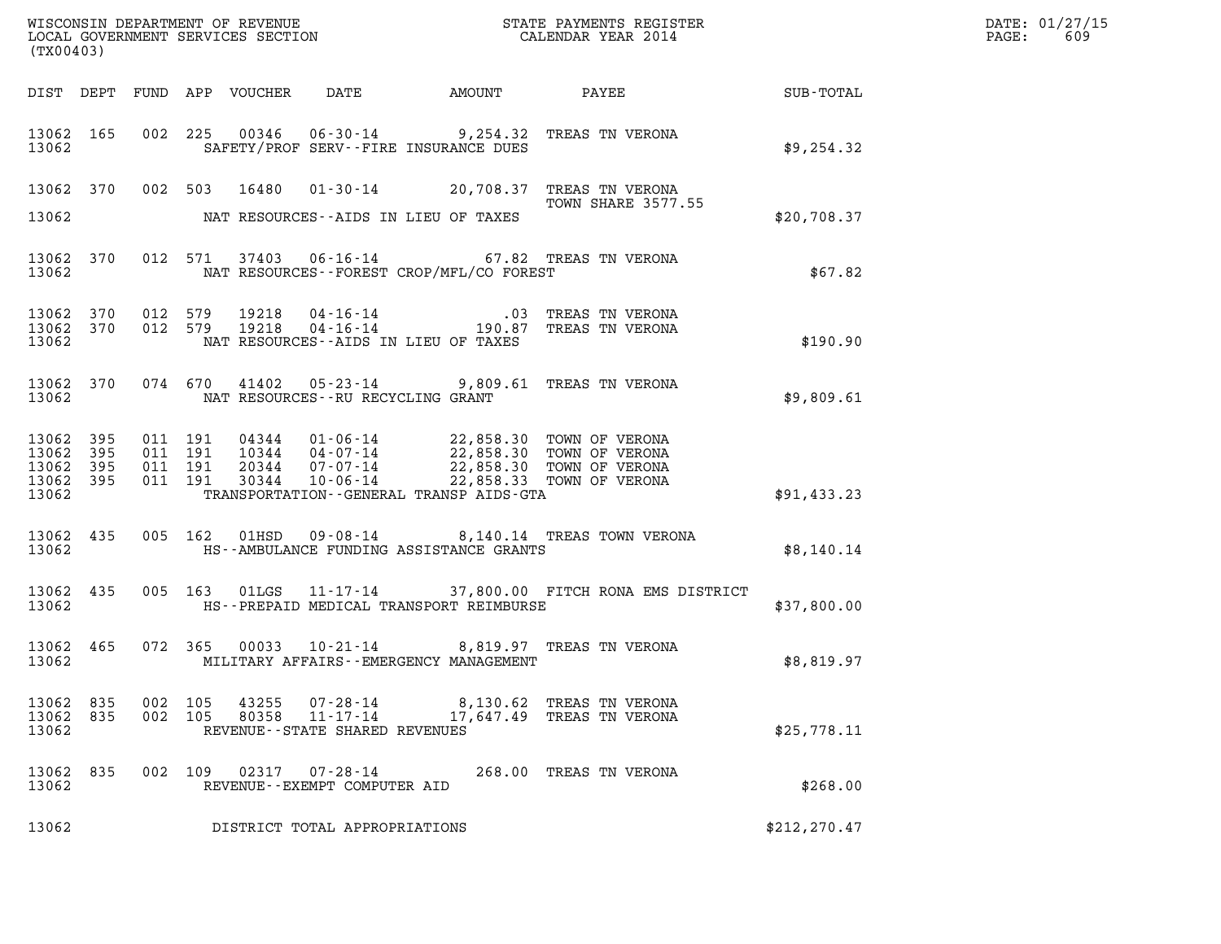| (TX00403)                       |                    |                |                                                     |                                                | WISCONSIN DEPARTMENT OF REVENUE<br>LOCAL GOVERNMENT SERVICES SECTION<br>(TWO 1001 - CALENDAR YEAR 2014                                                                                                                                                                                                                                     |               | DATE: 01/27/15<br>$\mathtt{PAGE:}$<br>609 |
|---------------------------------|--------------------|----------------|-----------------------------------------------------|------------------------------------------------|--------------------------------------------------------------------------------------------------------------------------------------------------------------------------------------------------------------------------------------------------------------------------------------------------------------------------------------------|---------------|-------------------------------------------|
|                                 |                    |                |                                                     |                                                | DIST DEPT FUND APP VOUCHER DATE AMOUNT PAYEE SUB-TOTAL                                                                                                                                                                                                                                                                                     |               |                                           |
|                                 | 13062 2003         |                |                                                     | SAFETY/PROF SERV--FIRE INSURANCE DUES          | 13062 165 002 225 00346 06-30-14 9,254.32 TREAS TN VERONA                                                                                                                                                                                                                                                                                  | \$9,254.32    |                                           |
|                                 |                    |                |                                                     | 13062 NAT RESOURCES--AIDS IN LIEU OF TAXES     | 13062 370 002 503 16480 01-30-14 20,708.37 TREAS TN VERONA<br><b>TOWN SHARE 3577.55</b>                                                                                                                                                                                                                                                    | \$20,708.37   |                                           |
|                                 |                    |                |                                                     | 13062 NAT RESOURCES--FOREST CROP/MFL/CO FOREST | 13062 370 012 571 37403 06-16-14 67.82 TREAS TN VERONA                                                                                                                                                                                                                                                                                     | \$67.82       |                                           |
| 13062                           |                    |                | NAT RESOURCES--AIDS IN LIEU OF TAXES                |                                                | $\begin{array}{cccc} 13062 & 370 & 012 & 579 & 19218 & 04\cdot 16\cdot 14 & \hspace*{1.5cm} 03 & \text{TREAS TN VERONA} \\ 13062 & 370 & 012 & 579 & 19218 & 04\cdot 16\cdot 14 & & & 190.87 & \text{TREAS TN VERONA} \end{array}$                                                                                                         | \$190.90      |                                           |
|                                 |                    |                | 13062 NAT RESOURCES--RU RECYCLING GRANT             |                                                | 13062 370 074 670 41402 05-23-14 9,809.61 TREAS TN VERONA                                                                                                                                                                                                                                                                                  | \$9,809.61    |                                           |
| 13062                           |                    |                |                                                     | TRANSPORTATION--GENERAL TRANSP AIDS-GTA        | $\begin{array}{cccccccc} 13062 & 395 & 011 & 191 & 04344 & 01\cdot 06\cdot 14 & 22\, , 858\, .30 & \text{TOWN OF VERONA} \\ 13062 & 395 & 011 & 191 & 10344 & 04\cdot 07\cdot 14 & 22\, , 858\, .30 & \text{TOWN OF VERONA} \\ 13062 & 395 & 011 & 191 & 20344 & 07\cdot 07\cdot 14 & 22\, , 858\, .30 & \text{TOWN OF VERONA} \\ 13062 &$ | \$91,433.23   |                                           |
|                                 |                    |                |                                                     | 13062 HS--AMBULANCE FUNDING ASSISTANCE GRANTS  | 13062 435 005 162 01HSD 09-08-14 8,140.14 TREAS TOWN VERONA                                                                                                                                                                                                                                                                                | \$8,140.14    |                                           |
|                                 |                    |                |                                                     |                                                | 13062 435 005 163 01LGS 11-17-14 37,800.00 FITCH RONA EMS DISTRICT<br>13062 HS--PREPAID MEDICAL TRANSPORT REIMBURSE                                                                                                                                                                                                                        | \$37,800.00   |                                           |
|                                 |                    |                |                                                     | 13062 MILITARY AFFAIRS - EMERGENCY MANAGEMENT  | 13062 465 072 365 00033 10-21-14 8,819.97 TREAS TN VERONA                                                                                                                                                                                                                                                                                  | \$8,819.97    |                                           |
| 13062 835<br>13062 835<br>13062 | 002 105<br>002 105 | 43255<br>80358 | $11 - 17 - 14$<br>REVENUE - - STATE SHARED REVENUES |                                                | 07-28-14      8,130.62  TREAS TN VERONA<br>17,647.49 TREAS TN VERONA                                                                                                                                                                                                                                                                       | \$25,778.11   |                                           |
| 13062 835<br>13062              | 002 109            | 02317          | 07-28-14<br>REVENUE--EXEMPT COMPUTER AID            |                                                | 268.00 TREAS TN VERONA                                                                                                                                                                                                                                                                                                                     | \$268.00      |                                           |
| 13062                           |                    |                | DISTRICT TOTAL APPROPRIATIONS                       |                                                |                                                                                                                                                                                                                                                                                                                                            | \$212, 270.47 |                                           |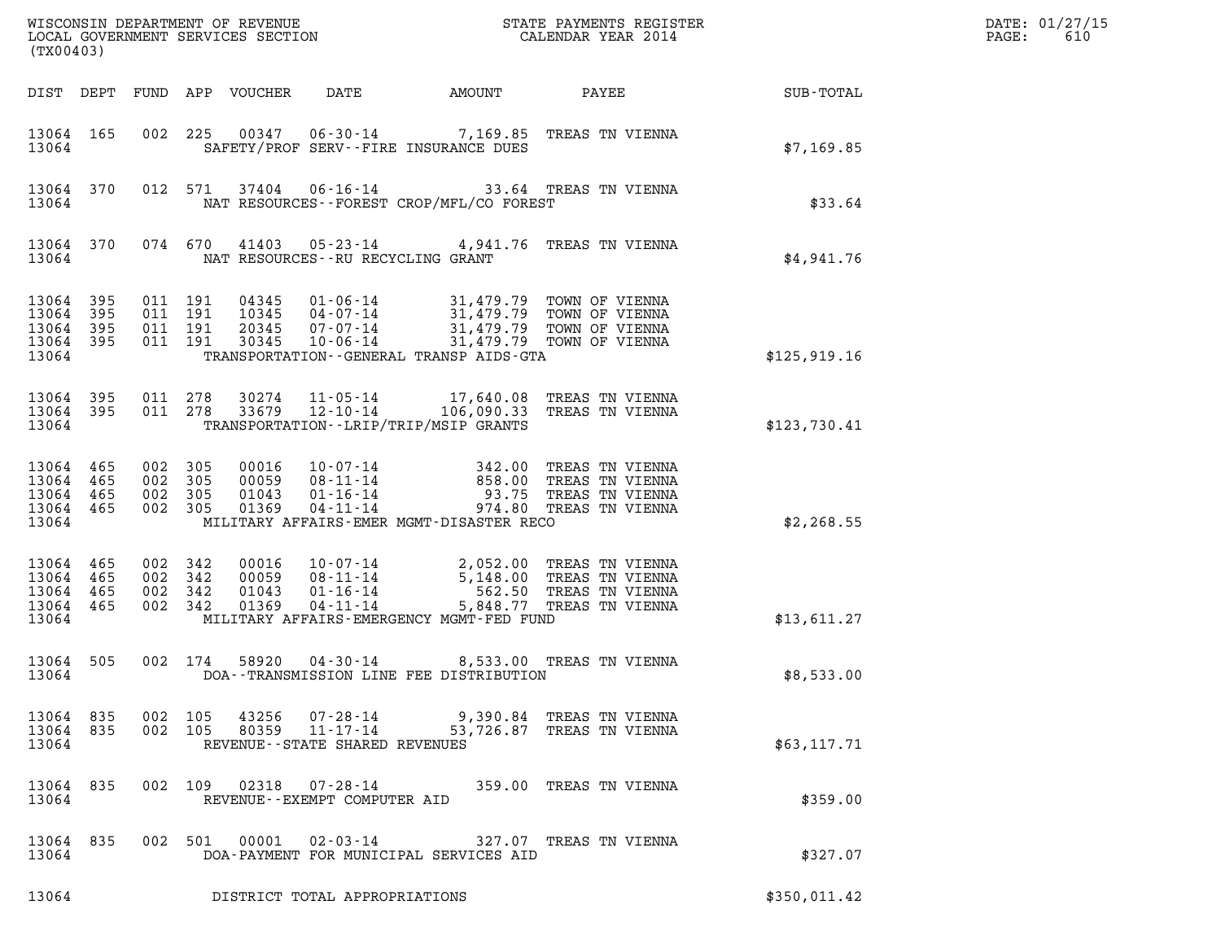| (TX00403)                                             |            |                               |                               |                                  |                                  |                                                                                                                   | ${\tt WISCOONSIM} \begin{tabular}{lcccc} DEPARTMENT OF REVIEW & \multicolumn{2}{c}{\bullet} & \multicolumn{2}{c}{\bullet} & \multicolumn{2}{c}{\bullet} & \multicolumn{2}{c}{\bullet} & \multicolumn{2}{c}{\tt STATE} \begin{tabular}{lcccc} PAPMENTS REGISTER \\ LOCALENDAR YEAR & 2014 \\ \end{tabular}$ |                                               | DATE: 01/27/15<br>PAGE:<br>610 |
|-------------------------------------------------------|------------|-------------------------------|-------------------------------|----------------------------------|----------------------------------|-------------------------------------------------------------------------------------------------------------------|------------------------------------------------------------------------------------------------------------------------------------------------------------------------------------------------------------------------------------------------------------------------------------------------------------|-----------------------------------------------|--------------------------------|
|                                                       | DIST DEPT  |                               |                               | FUND APP VOUCHER                 | DATE                             | AMOUNT                                                                                                            | PAYEE                                                                                                                                                                                                                                                                                                      | $\operatorname{SUB}$ - $\operatorname{TOTAL}$ |                                |
| 13064 165<br>13064                                    |            |                               | 002 225                       |                                  |                                  | SAFETY/PROF SERV--FIRE INSURANCE DUES                                                                             | 00347  06-30-14  7,169.85  TREAS TN VIENNA                                                                                                                                                                                                                                                                 | \$7,169.85                                    |                                |
| 13064                                                 | 13064 370  |                               |                               |                                  |                                  | NAT RESOURCES--FOREST CROP/MFL/CO FOREST                                                                          | 012 571 37404 06-16-14 33.64 TREAS TN VIENNA                                                                                                                                                                                                                                                               | \$33.64                                       |                                |
| 13064                                                 | 13064 370  |                               |                               |                                  |                                  | NAT RESOURCES--RU RECYCLING GRANT                                                                                 | 074 670 41403 05-23-14 4,941.76 TREAS TN VIENNA                                                                                                                                                                                                                                                            | \$4,941.76                                    |                                |
| 13064 395<br>13064<br>13064<br>13064 395<br>13064     | 395<br>395 | 011 191                       | 011 191<br>011 191<br>011 191 | 04345<br>10345<br>20345<br>30345 | $07 - 07 - 14$<br>$10 - 06 - 14$ | 01-06-14 31,479.79 TOWN OF VIENNA<br>04-07-14 31,479.79 TOWN OF VIENNA<br>TRANSPORTATION--GENERAL TRANSP AIDS-GTA | 31,479.79 TOWN OF VIENNA<br>31,479.79 TOWN OF VIENNA                                                                                                                                                                                                                                                       | \$125,919.16                                  |                                |
| 13064 395<br>13064 395<br>13064                       |            | 011 278                       | 011 278                       |                                  |                                  | TRANSPORTATION - - LRIP/TRIP/MSIP GRANTS                                                                          | 30274 11-05-14 17,640.08 TREAS TN VIENNA<br>33679 12-10-14 106,090.33 TREAS TN VIENNA                                                                                                                                                                                                                      | \$123,730.41                                  |                                |
| 13064 465<br>13064<br>13064 465<br>13064 465<br>13064 | 465        | 002 305<br>002 305<br>002 305 | 002 305                       | 00016<br>00059<br>01043<br>01369 |                                  | MILITARY AFFAIRS-EMER MGMT-DISASTER RECO                                                                          | 10-07-14 342.00 TREAS TN VIENNA<br>08-11-14 858.00 TREAS TN VIENNA<br>01-16-14 93.75 TREAS TN VIENNA<br>04-11-14 974.80 TREAS TN VIENNA<br>974.80 TREAS TN VIENNA                                                                                                                                          | \$2,268.55                                    |                                |
| 13064<br>13064 465<br>13064 465<br>13064 465<br>13064 | 465        | 002 342                       | 002 342<br>002 342<br>002 342 | 00016<br>00059<br>01043<br>01369 |                                  | MILITARY AFFAIRS-EMERGENCY MGMT-FED FUND                                                                          | 10-07-14<br>08-11-14<br>01-16-14<br>04-11-14<br>04-11-14<br>104-11-14<br>05,848.77<br>108.77<br>108.77<br>108.77<br>108.77<br>108.77<br>108.77<br>108.77<br>108.77<br>108.77<br>108.77<br>108.77<br>108.00<br>10.9<br>10.9<br>10.9<br>10.9<br>10.9<br>10.9<br>10.9<br>10.9<br>10.9<br>                     | \$13,611.27                                   |                                |
| 13064 505<br>13064                                    |            |                               |                               | 002 174 58920                    |                                  | DOA--TRANSMISSION LINE FEE DISTRIBUTION                                                                           | 04-30-14 8,533.00 TREAS TN VIENNA                                                                                                                                                                                                                                                                          | \$8,533.00                                    |                                |
| 13064                                                 | 13064 835  | 13064 835 002 105<br>002 105  |                               |                                  | REVENUE--STATE SHARED REVENUES   |                                                                                                                   |                                                                                                                                                                                                                                                                                                            | \$63,117.71                                   |                                |
| 13064 835<br>13064                                    |            |                               |                               |                                  | REVENUE--EXEMPT COMPUTER AID     |                                                                                                                   | 002 109 02318 07-28-14 359.00 TREAS TN VIENNA                                                                                                                                                                                                                                                              | \$359.00                                      |                                |
| 13064 835<br>13064                                    |            |                               |                               |                                  |                                  | DOA-PAYMENT FOR MUNICIPAL SERVICES AID                                                                            | 002 501 00001 02-03-14 327.07 TREAS TN VIENNA                                                                                                                                                                                                                                                              | \$327.07                                      |                                |
| 13064                                                 |            |                               |                               |                                  | DISTRICT TOTAL APPROPRIATIONS    |                                                                                                                   |                                                                                                                                                                                                                                                                                                            | \$350,011.42                                  |                                |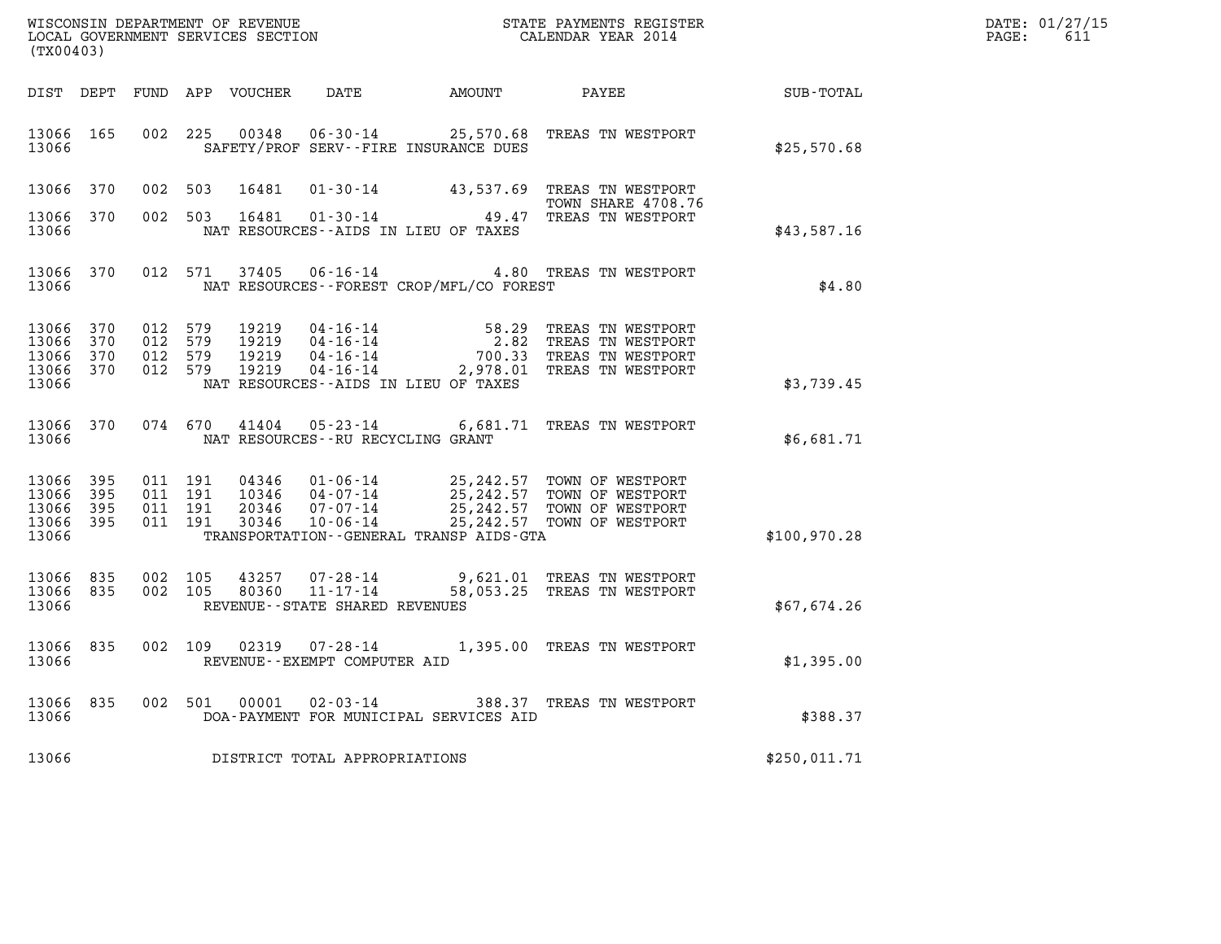| $\mathtt{DATE:}$ | 01/27/15 |
|------------------|----------|
| PAGE:            | 611      |

| (TX00403)                                             |            |                               |                                          |                  |                                                                       |                                          |                                                                                                                                                                                              |              | DATE: 01/27/15<br>$\mathtt{PAGE:}$<br>611 |
|-------------------------------------------------------|------------|-------------------------------|------------------------------------------|------------------|-----------------------------------------------------------------------|------------------------------------------|----------------------------------------------------------------------------------------------------------------------------------------------------------------------------------------------|--------------|-------------------------------------------|
| DIST DEPT                                             |            |                               |                                          | FUND APP VOUCHER |                                                                       |                                          | DATE AMOUNT PAYEE SUB-TOTAL                                                                                                                                                                  |              |                                           |
| 13066<br>13066                                        | 165        |                               | 002 225                                  | 00348            |                                                                       | SAFETY/PROF SERV--FIRE INSURANCE DUES    | 06-30-14 25,570.68 TREAS TN WESTPORT                                                                                                                                                         | \$25,570.68  |                                           |
| 13066 370                                             |            |                               | 002 503                                  | 16481            |                                                                       |                                          | 01-30-14 43,537.69 TREAS TN WESTPORT<br>TOWN SHARE 4708.76                                                                                                                                   |              |                                           |
| 13066<br>13066                                        | 370        |                               | 002 503                                  | 16481            |                                                                       | NAT RESOURCES--AIDS IN LIEU OF TAXES     | 70WN SHARE 4708.76<br>49.47 TREAS TN WESTPORT 49.47 TREAS TN                                                                                                                                 | \$43,587.16  |                                           |
| 13066<br>13066                                        | 370        |                               | 012 571                                  | 37405            | $06 - 16 - 14$                                                        | NAT RESOURCES--FOREST CROP/MFL/CO FOREST | 4.80 TREAS TN WESTPORT                                                                                                                                                                       | \$4.80       |                                           |
| 13066<br>13066<br>13066 370<br>13066 370<br>13066     | 370<br>370 | 012 579<br>012 579<br>012 579 | 012 579                                  |                  | NAT RESOURCES--AIDS IN LIEU OF TAXES                                  |                                          | 19219  04-16-14  58.29  TREAS TN WESTPORT<br>19219  04-16-14  2.82  TREAS TN WESTPORT<br>19219  04-16-14  700.33  TREAS TN WESTPORT<br>19219  04-16-14  2,978.01  TREAS TN WESTPORT          | \$3,739.45   |                                           |
| 13066 370<br>13066                                    |            |                               | 074 670                                  | 41404            | NAT RESOURCES--RU RECYCLING GRANT                                     |                                          | 05-23-14 6,681.71 TREAS TN WESTPORT                                                                                                                                                          | \$6,681.71   |                                           |
| 13066 395<br>13066<br>13066 395<br>13066 395<br>13066 | 395        |                               | 011 191<br>011 191<br>011 191<br>011 191 |                  |                                                                       | TRANSPORTATION--GENERAL TRANSP AIDS-GTA  | 04346  01-06-14  25,242.57  TOWN OF WESTPORT<br>10346  04-07-14  25,242.57  TOWN OF WESTPORT<br>20346  07-07-14  25,242.57  TOWN OF WESTPORT<br>30346  10-06-14  25,242.57  TOWN OF WESTPORT | \$100,970.28 |                                           |
| 13066 835<br>13066 835<br>13066                       |            |                               | 002 105<br>002 105                       | 43257<br>80360   | $07 - 28 - 14$<br>$11 - 17 - 14$<br>REVENUE - - STATE SHARED REVENUES |                                          | 9,621.01 TREAS TN WESTPORT<br>58,053.25 TREAS TN WESTPORT                                                                                                                                    | \$67,674.26  |                                           |
| 13066<br>13066                                        | 835        |                               | 002 109                                  | 02319            | REVENUE--EXEMPT COMPUTER AID                                          |                                          | 07-28-14 1,395.00 TREAS TN WESTPORT                                                                                                                                                          | \$1,395.00   |                                           |
| 13066<br>13066                                        | 835        |                               |                                          | 002 501 00001    |                                                                       | DOA-PAYMENT FOR MUNICIPAL SERVICES AID   | 02-03-14 388.37 TREAS TN WESTPORT                                                                                                                                                            | \$388.37     |                                           |
| 13066                                                 |            |                               |                                          |                  | DISTRICT TOTAL APPROPRIATIONS                                         |                                          |                                                                                                                                                                                              | \$250,011.71 |                                           |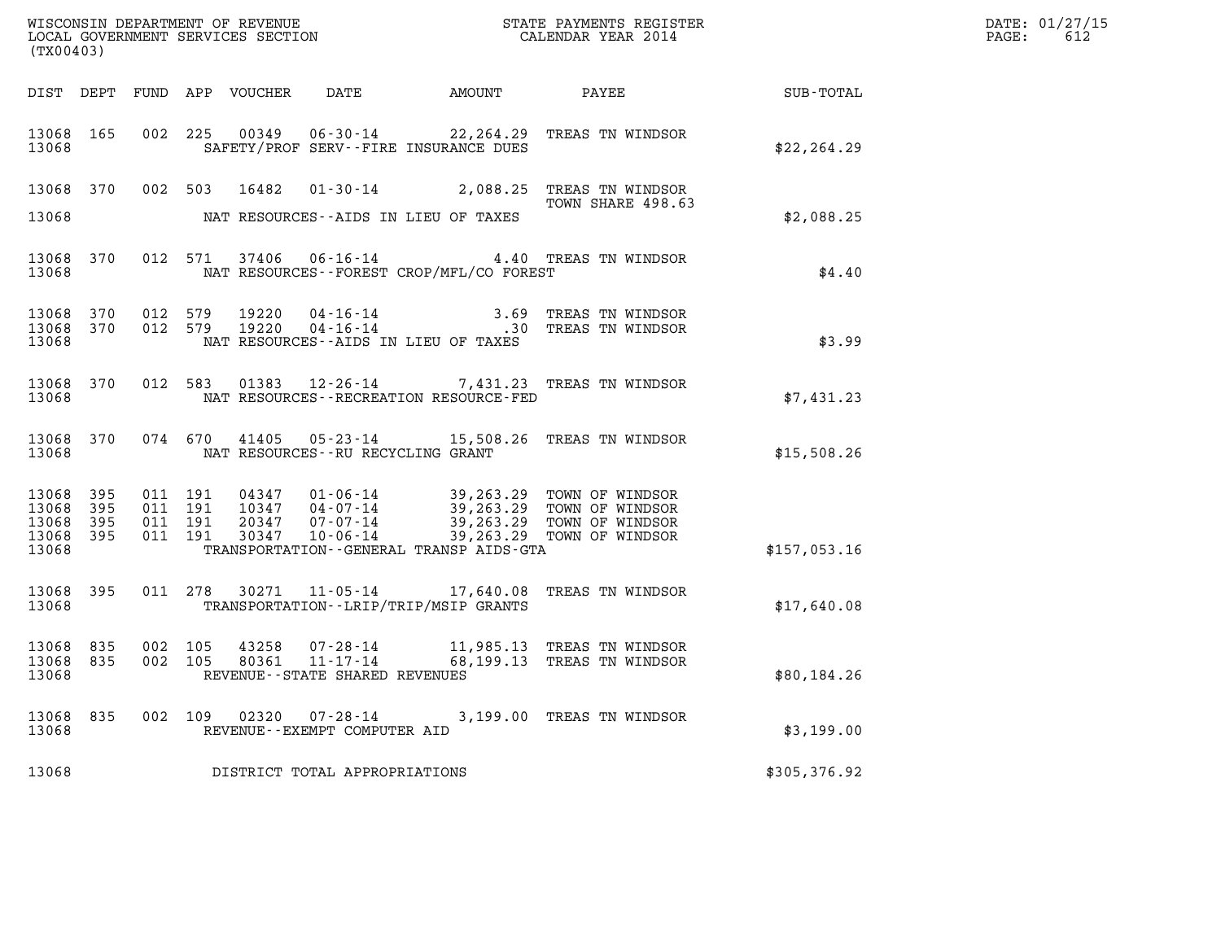| (TX00403)                                     |                                  |                                          |       |                                                        |                                             |                                                                                                                                                                              |              | DATE: 01/27/15<br>$\mathtt{PAGE}$ :<br>612 |
|-----------------------------------------------|----------------------------------|------------------------------------------|-------|--------------------------------------------------------|---------------------------------------------|------------------------------------------------------------------------------------------------------------------------------------------------------------------------------|--------------|--------------------------------------------|
|                                               |                                  |                                          |       |                                                        |                                             |                                                                                                                                                                              |              |                                            |
| 13068                                         | 13068 165                        |                                          |       |                                                        | SAFETY/PROF SERV--FIRE INSURANCE DUES       | 002 225 00349 06-30-14 22,264.29 TREAS TN WINDSOR                                                                                                                            | \$22, 264.29 |                                            |
| 13068                                         |                                  |                                          |       |                                                        | NAT RESOURCES--AIDS IN LIEU OF TAXES        | 13068 370 002 503 16482 01-30-14 2,088.25 TREAS TN WINDSOR<br>TOWN SHARE 498.63                                                                                              | \$2,088.25   |                                            |
| 13068                                         | 13068 370                        |                                          |       |                                                        | NAT RESOURCES--FOREST CROP/MFL/CO FOREST    | 012 571 37406 06-16-14 4.40 TREAS TN WINDSOR                                                                                                                                 | \$4.40       |                                            |
| 13068<br>13068                                | 370 012 579<br>13068 370 012 579 |                                          |       |                                                        | NAT RESOURCES--AIDS IN LIEU OF TAXES        | 19220  04-16-14  3.69 TREAS TN WINDSOR<br>19220  04-16-14   30 TREAS TN WINDSOR                                                                                              | \$3.99       |                                            |
| 13068                                         |                                  |                                          |       |                                                        | NAT RESOURCES - - RECREATION RESOURCE - FED | 13068 370 012 583 01383 12-26-14 7,431.23 TREAS TN WINDSOR                                                                                                                   | \$7,431.23   |                                            |
| 13068                                         |                                  |                                          |       | NAT RESOURCES--RU RECYCLING GRANT                      |                                             | 13068 370 074 670 41405 05-23-14 15,508.26 TREAS TN WINDSOR                                                                                                                  | \$15,508.26  |                                            |
| 13068 395<br>13068<br>13068<br>13068<br>13068 | 395<br>395<br>395                | 011 191<br>011 191<br>011 191<br>011 191 |       |                                                        | TRANSPORTATION--GENERAL TRANSP AIDS-GTA     | 04347 01-06-14 39,263.29 TOWN OF WINDSOR<br>10347 04-07-14 39,263.29 TOWN OF WINDSOR<br>20347 07-07-14 39,263.29 TOWN OF WINDSOR<br>30347 10-06-14 39,263.29 TOWN OF WINDSOR | \$157,053.16 |                                            |
| 13068                                         | 13068 395                        |                                          |       |                                                        | TRANSPORTATION - - LRIP/TRIP/MSIP GRANTS    | 011 278 30271 11-05-14 17,640.08 TREAS TN WINDSOR                                                                                                                            | \$17,640.08  |                                            |
| 13068 835<br>13068 835<br>13068               |                                  | 002 105<br>002 105                       | 43258 | 80361 11-17-14<br>REVENUE - - STATE SHARED REVENUES    |                                             | 07-28-14 11,985.13 TREAS TN WINDSOR<br>68,199.13 TREAS TN WINDSOR                                                                                                            | \$80,184.26  |                                            |
| 13068 835<br>13068                            |                                  |                                          |       | 002 109 02320 07-28-14<br>REVENUE--EXEMPT COMPUTER AID |                                             | 3,199.00 TREAS TN WINDSOR                                                                                                                                                    | \$3,199.00   |                                            |
| 13068                                         |                                  |                                          |       | DISTRICT TOTAL APPROPRIATIONS                          |                                             |                                                                                                                                                                              | \$305,376.92 |                                            |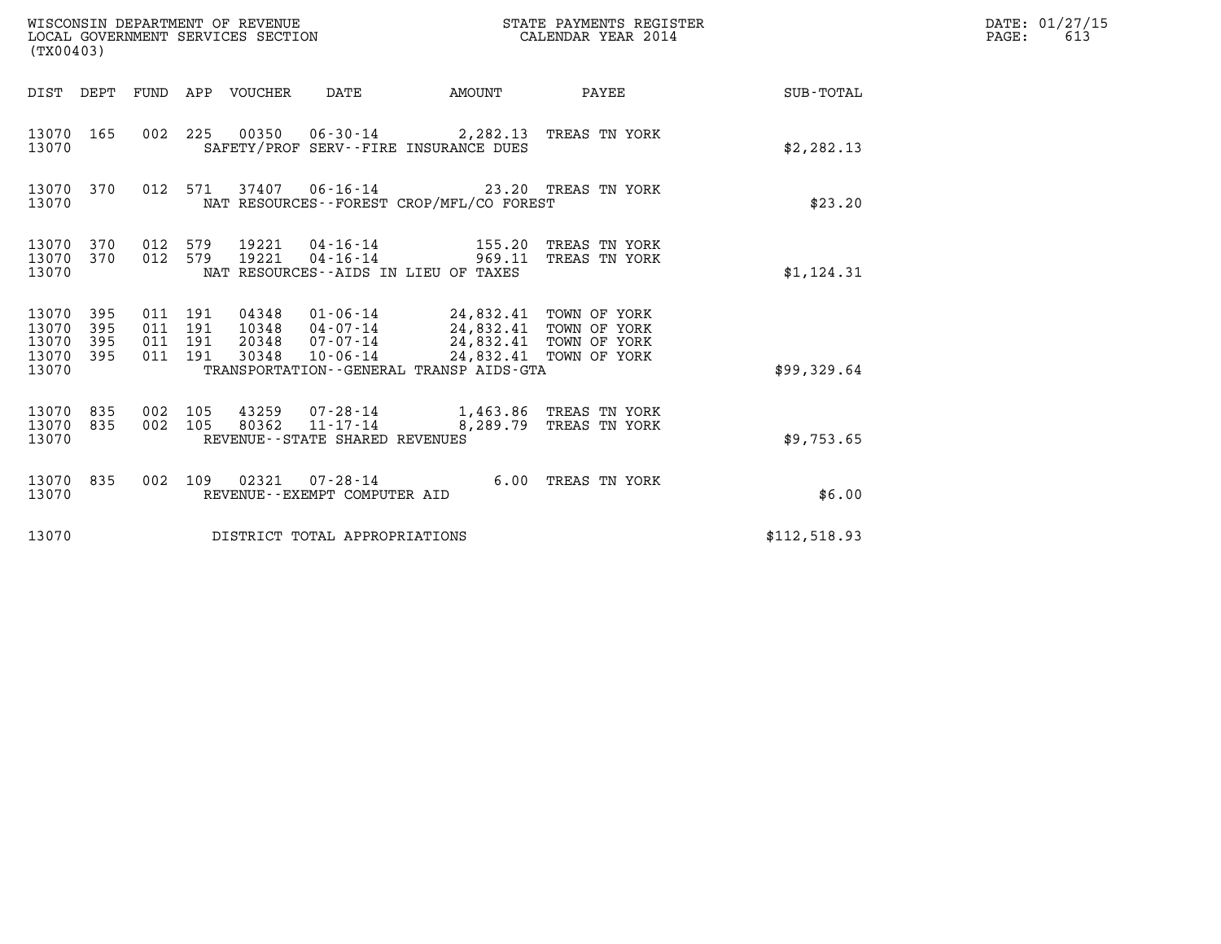| (TX00403)                                                                                                   | WISCONSIN DEPARTMENT OF REVENUE<br>LOCAL GOVERNMENT SERVICES SECTION                                                                                                      | STATE PAYMENTS REGISTER<br>CALENDAR YEAR 2014                   | DATE: 01/27/15<br>$\mathtt{PAGE}$ :<br>613 |
|-------------------------------------------------------------------------------------------------------------|---------------------------------------------------------------------------------------------------------------------------------------------------------------------------|-----------------------------------------------------------------|--------------------------------------------|
| DIST DEPT FUND APP VOUCHER                                                                                  | DATE                                                                                                                                                                      | AMOUNT PAYEE SUB-TOTAL                                          |                                            |
| 13070 165<br>13070                                                                                          | 002 225 00350 06-30-14 2,282.13 TREAS TN YORK<br>SAFETY/PROF SERV--FIRE INSURANCE DUES                                                                                    | \$2,282.13                                                      |                                            |
| 13070 370<br>13070                                                                                          | 012 571 37407 06-16-14 23.20 TREAS TN YORK<br>NAT RESOURCES--FOREST CROP/MFL/CO FOREST                                                                                    | \$23.20                                                         |                                            |
| 13070 370<br>012 579<br>012 579<br>13070 370<br>13070                                                       | 19221   04-16-14<br>155.20<br>04-16-14 969.11 TREAS TN YORK<br>19221<br>NAT RESOURCES--AIDS IN LIEU OF TAXES                                                              | TREAS TN YORK<br>\$1,124.31                                     |                                            |
| 13070 395<br>011 191<br>011 191<br>13070<br>395<br>011 191<br>13070<br>395<br>011 191<br>13070 395<br>13070 | 01-06-14 24,832.41 TOWN OF YORK<br>04348<br>10348  04-07-14  24,832.41  TOWN OF YORK<br>20348<br>07-07-14<br>30348<br>10-06-14<br>TRANSPORTATION--GENERAL TRANSP AIDS-GTA | 24,832.41 TOWN OF YORK<br>24,832.41 TOWN OF YORK<br>\$99,329.64 |                                            |
| 13070 835<br>002 105<br>002 105<br>13070 835<br>13070                                                       | 43259 07-28-14 1,463.86 TREAS TN YORK<br>80362  11-17-14  8,289.79  TREAS TN YORK<br>REVENUE--STATE SHARED REVENUES                                                       | \$9,753.65                                                      |                                            |
| 13070 835<br>002 109<br>13070                                                                               | 02321  07-28-14  6.00 TREAS TN YORK<br>REVENUE--EXEMPT COMPUTER AID                                                                                                       | \$6.00                                                          |                                            |
| 13070                                                                                                       | DISTRICT TOTAL APPROPRIATIONS                                                                                                                                             | \$112,518.93                                                    |                                            |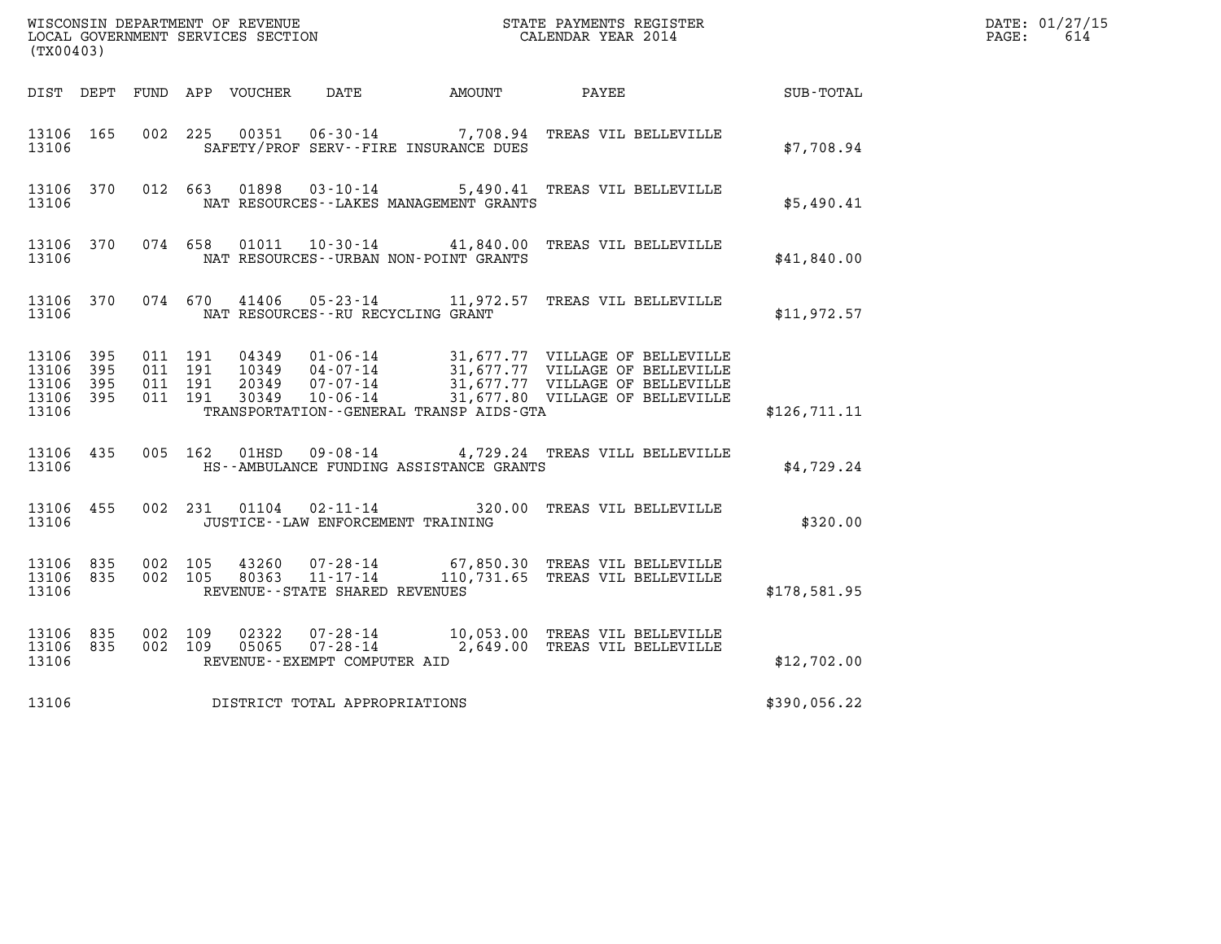| (TX00403)                                         |            |                                          |                |                                   |                                              |                                                                                         |                  | DATE: 01/27/15<br>$\mathtt{PAGE:}$<br>614 |
|---------------------------------------------------|------------|------------------------------------------|----------------|-----------------------------------|----------------------------------------------|-----------------------------------------------------------------------------------------|------------------|-------------------------------------------|
|                                                   |            |                                          |                |                                   | DIST DEPT FUND APP VOUCHER DATE AMOUNT PAYEE |                                                                                         | <b>SUB-TOTAL</b> |                                           |
| 13106 165<br>13106                                |            |                                          |                |                                   | SAFETY/PROF SERV--FIRE INSURANCE DUES        | 002 225 00351 06-30-14 7,708.94 TREAS VIL BELLEVILLE                                    | \$7,708.94       |                                           |
| 13106 370<br>13106                                |            |                                          |                |                                   | NAT RESOURCES - - LAKES MANAGEMENT GRANTS    | 012 663 01898 03-10-14 5,490.41 TREAS VIL BELLEVILLE                                    | \$5,490.41       |                                           |
| 13106 370<br>13106                                |            |                                          |                |                                   | NAT RESOURCES - - URBAN NON-POINT GRANTS     | 074 658 01011 10-30-14 41,840.00 TREAS VIL BELLEVILLE                                   | \$41,840.00      |                                           |
| 13106 370<br>13106                                |            |                                          |                |                                   | NAT RESOURCES -- RU RECYCLING GRANT          | 074 670 41406 05-23-14 11,972.57 TREAS VIL BELLEVILLE                                   | \$11,972.57      |                                           |
| 13106 395<br>13106<br>13106<br>13106 395<br>13106 | 395<br>395 | 011 191<br>011 191<br>011 191<br>011 191 |                |                                   | TRANSPORTATION--GENERAL TRANSP AIDS-GTA      |                                                                                         | \$126,711.11     |                                           |
| 13106 435<br>13106                                |            |                                          |                |                                   | HS--AMBULANCE FUNDING ASSISTANCE GRANTS      | 005 162 01HSD 09-08-14 4,729.24 TREAS VILL BELLEVILLE                                   | \$4,729.24       |                                           |
| 13106 455<br>13106                                |            |                                          |                | 002 231 01104 02-11-14            | JUSTICE - - LAW ENFORCEMENT TRAINING         | 320.00 TREAS VIL BELLEVILLE                                                             | \$320.00         |                                           |
| 13106 835<br>13106 835<br>13106                   |            | 002 105<br>002 105                       |                | REVENUE - - STATE SHARED REVENUES |                                              |                                                                                         | \$178,581.95     |                                           |
| 13106 835<br>13106 835<br>13106                   |            | 002 109<br>002 109                       | 02322<br>05065 | REVENUE--EXEMPT COMPUTER AID      |                                              | 07-28-14 10,053.00 TREAS VIL BELLEVILLE<br>$07 - 28 - 14$ 2,649.00 TREAS VIL BELLEVILLE | \$12,702.00      |                                           |
| 13106                                             |            |                                          |                | DISTRICT TOTAL APPROPRIATIONS     |                                              |                                                                                         | \$390,056.22     |                                           |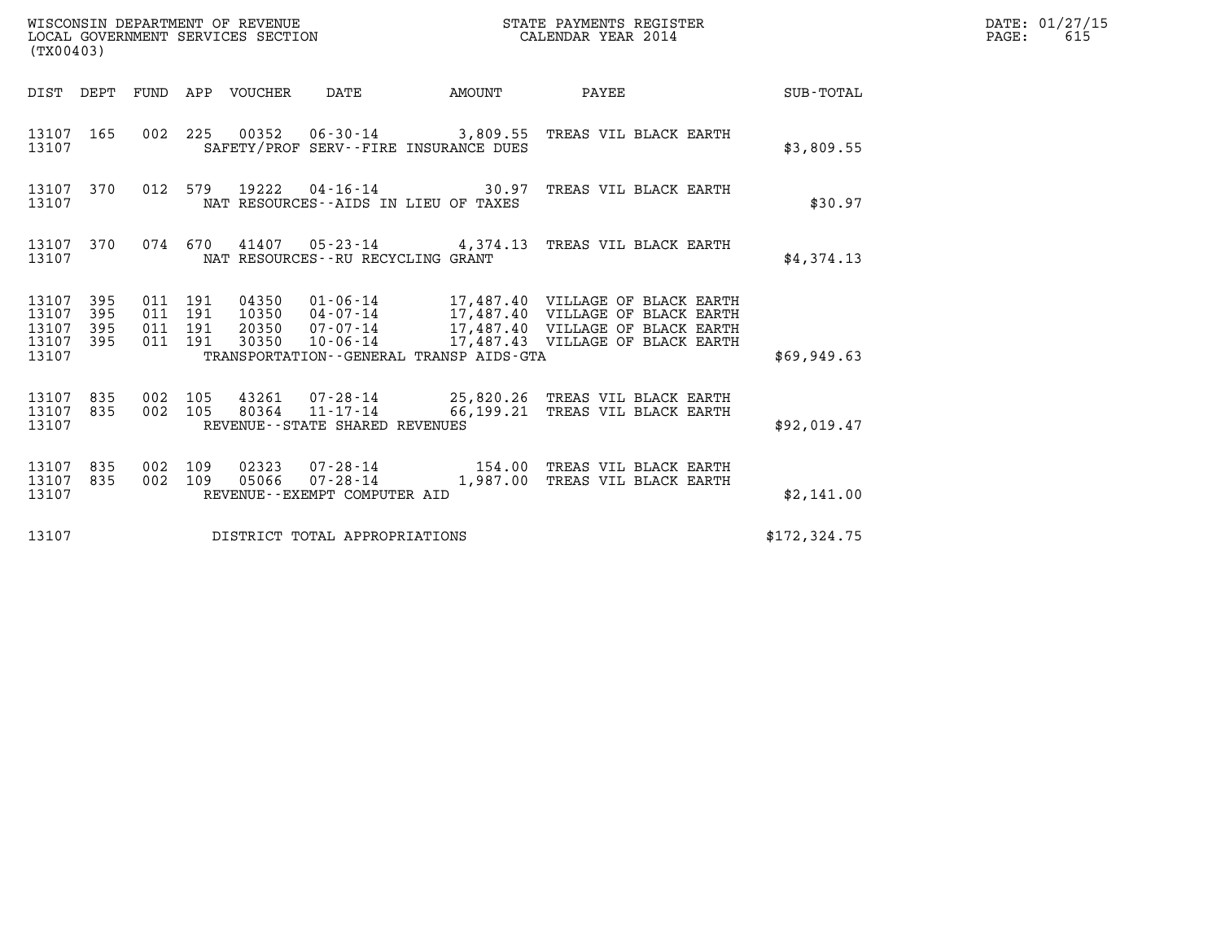| (TX00403)                                                               | WISCONSIN DEPARTMENT OF REVENUE<br>LOCAL GOVERNMENT SERVICES SECTION                                                                                        | STATE PAYMENTS REGISTER<br>CALENDAR YEAR 2014 |              | DATE: 01/27/15<br>$\mathtt{PAGE}$ :<br>615 |
|-------------------------------------------------------------------------|-------------------------------------------------------------------------------------------------------------------------------------------------------------|-----------------------------------------------|--------------|--------------------------------------------|
|                                                                         | DIST DEPT FUND APP VOUCHER DATE                                                                                                                             | AMOUNT PAYEE                                  | SUB-TOTAL    |                                            |
| 13107 165<br>13107                                                      | 002 225 00352 06-30-14 3,809.55 TREAS VIL BLACK EARTH<br>SAFETY/PROF SERV--FIRE INSURANCE DUES                                                              |                                               | \$3,809.55   |                                            |
| 13107 370<br>13107                                                      | 012 579 19222 04-16-14 30.97 TREAS VIL BLACK EARTH<br>NAT RESOURCES--AIDS IN LIEU OF TAXES                                                                  |                                               | \$30.97      |                                            |
| 13107 370<br>13107                                                      | 074 670 41407 05-23-14 4,374.13 TREAS VIL BLACK EARTH<br>NAT RESOURCES - - RU RECYCLING GRANT                                                               |                                               | \$4,374.13   |                                            |
| 13107<br>- 395<br>13107<br>395<br>13107<br>395<br>13107<br>395<br>13107 | 011 191<br>011 191<br>011 191<br>011 191<br>TRANSPORTATION - - GENERAL TRANSP AIDS - GTA                                                                    |                                               | \$69,949.63  |                                            |
| 13107 835<br>13107<br>835<br>13107                                      | 002 105<br>43261 07-28-14 25,820.26 TREAS VIL BLACK EARTH<br>80364 11-17-14 66,199.21 TREAS VIL BLACK EARTH<br>002 105<br>REVENUE - - STATE SHARED REVENUES |                                               | \$92,019.47  |                                            |
| 13107 835<br>835<br>13107<br>13107                                      | 02323  07-28-14  154.00  TREAS VIL BLACK EARTH<br>002 109<br>002 109<br>05066<br>REVENUE--EXEMPT COMPUTER AID                                               | 07-28-14 1,987.00 TREAS VIL BLACK EARTH       | \$2,141.00   |                                            |
| 13107                                                                   | DISTRICT TOTAL APPROPRIATIONS                                                                                                                               |                                               | \$172,324.75 |                                            |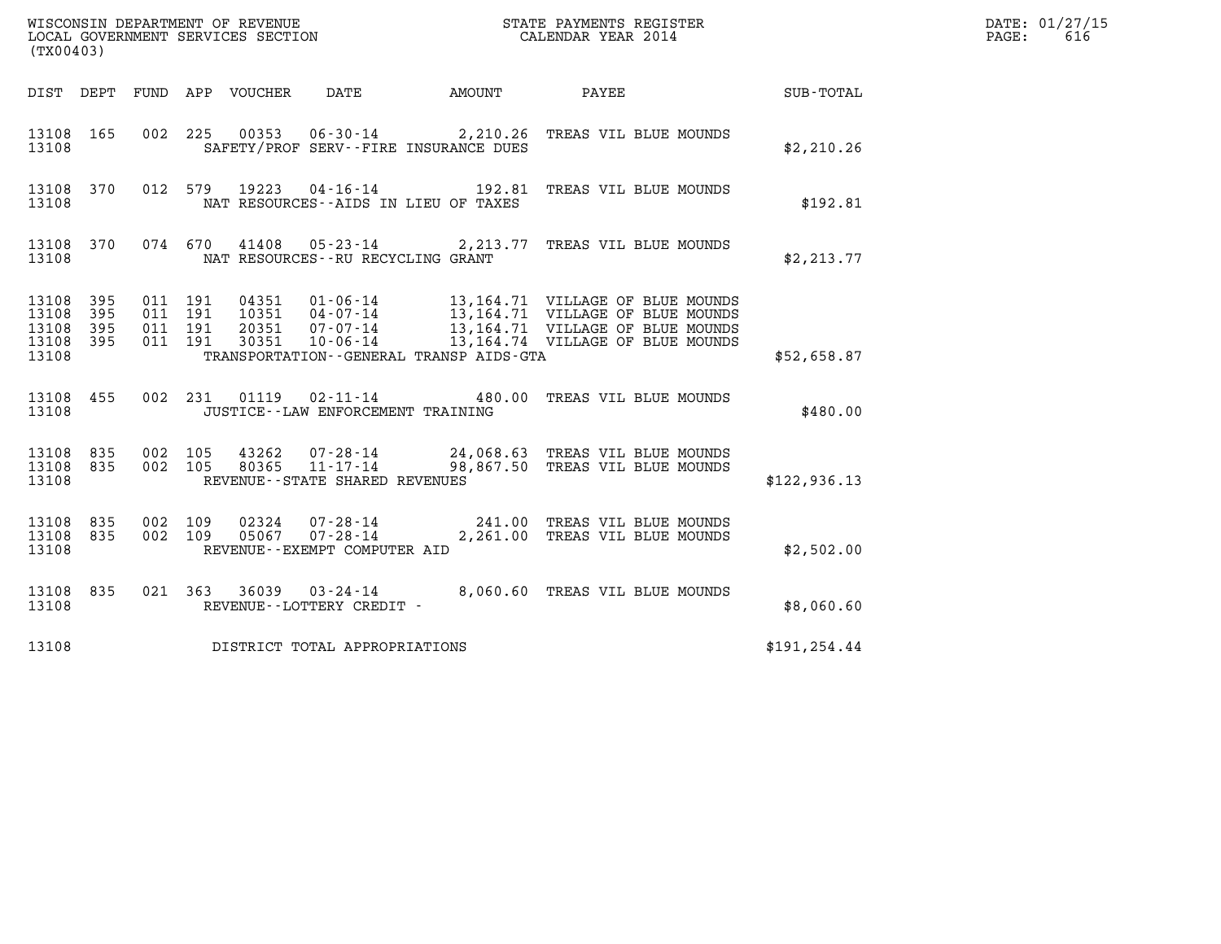| WISCONSIN DEPARTMENT OF REVENUE<br>LOCAL GOVERNMENT SERVICES SECTION<br>STATE PAYMENTS REGISTER<br>CALENDAR YEAR 2014<br>(TX00403) |                            |                                          |         |                                  |                                                                                                           |        |                                                                                                                                              |               | DATE: 01/27/15<br>616<br>PAGE: |
|------------------------------------------------------------------------------------------------------------------------------------|----------------------------|------------------------------------------|---------|----------------------------------|-----------------------------------------------------------------------------------------------------------|--------|----------------------------------------------------------------------------------------------------------------------------------------------|---------------|--------------------------------|
| DIST DEPT                                                                                                                          |                            |                                          |         | FUND APP VOUCHER                 | DATE                                                                                                      | AMOUNT | PAYEE                                                                                                                                        | SUB-TOTAL     |                                |
| 13108 165<br>13108                                                                                                                 |                            | 002                                      | 225     |                                  | SAFETY/PROF SERV--FIRE INSURANCE DUES                                                                     |        | 00353  06-30-14  2,210.26  TREAS VIL BLUE MOUNDS                                                                                             | \$2,210.26    |                                |
| 13108 370<br>13108                                                                                                                 |                            |                                          | 012 579 | 19223                            | 04 - 16 - 14 192.81<br>NAT RESOURCES--AIDS IN LIEU OF TAXES                                               |        | TREAS VIL BLUE MOUNDS                                                                                                                        | \$192.81      |                                |
| 13108 370<br>13108                                                                                                                 |                            | 074 670                                  |         | 41408                            | NAT RESOURCES--RU RECYCLING GRANT                                                                         |        | 05-23-14 2,213.77 TREAS VIL BLUE MOUNDS                                                                                                      | \$2,213.77    |                                |
| 13108<br>13108<br>13108<br>13108<br>13108                                                                                          | 395<br>395<br>395<br>- 395 | 011 191<br>011 191<br>011 191<br>011 191 |         | 04351<br>10351<br>20351<br>30351 | 01-06-14<br>$04 - 07 - 14$<br>$07 - 07 - 14$<br>$10 - 06 - 14$<br>TRANSPORTATION--GENERAL TRANSP AIDS-GTA |        | 13,164.71 VILLAGE OF BLUE MOUNDS<br>13,164.71 VILLAGE OF BLUE MOUNDS<br>13,164.71 VILLAGE OF BLUE MOUNDS<br>13,164.74 VILLAGE OF BLUE MOUNDS | \$52,658.87   |                                |
| 13108 455<br>13108                                                                                                                 |                            |                                          | 002 231 | 01119                            | 02-11-14<br>JUSTICE - - LAW ENFORCEMENT TRAINING                                                          |        | 480.00 TREAS VIL BLUE MOUNDS                                                                                                                 | \$480.00      |                                |
| 13108 835<br>13108<br>13108                                                                                                        | 835                        | 002 105<br>002 105                       |         | 43262<br>80365                   | $07 - 28 - 14$<br>11-17-14<br>REVENUE--STATE SHARED REVENUES                                              |        | 24,068.63 TREAS VIL BLUE MOUNDS<br>98,867.50 TREAS VIL BLUE MOUNDS                                                                           | \$122,936.13  |                                |
| 13108<br>13108 835<br>13108                                                                                                        | 835                        | 002<br>002 109                           | 109     | 02324<br>05067                   | 07-28-14<br>$07 - 28 - 14$<br>REVENUE - - EXEMPT COMPUTER AID                                             |        | 241.00 TREAS VIL BLUE MOUNDS<br>2,261.00 TREAS VIL BLUE MOUNDS                                                                               | \$2,502.00    |                                |
| 13108 835<br>13108                                                                                                                 |                            |                                          | 021 363 |                                  | 36039 03-24-14<br>REVENUE--LOTTERY CREDIT -                                                               |        | 8,060.60 TREAS VIL BLUE MOUNDS                                                                                                               | \$8,060.60    |                                |
| 13108                                                                                                                              |                            |                                          |         |                                  | DISTRICT TOTAL APPROPRIATIONS                                                                             |        |                                                                                                                                              | \$191, 254.44 |                                |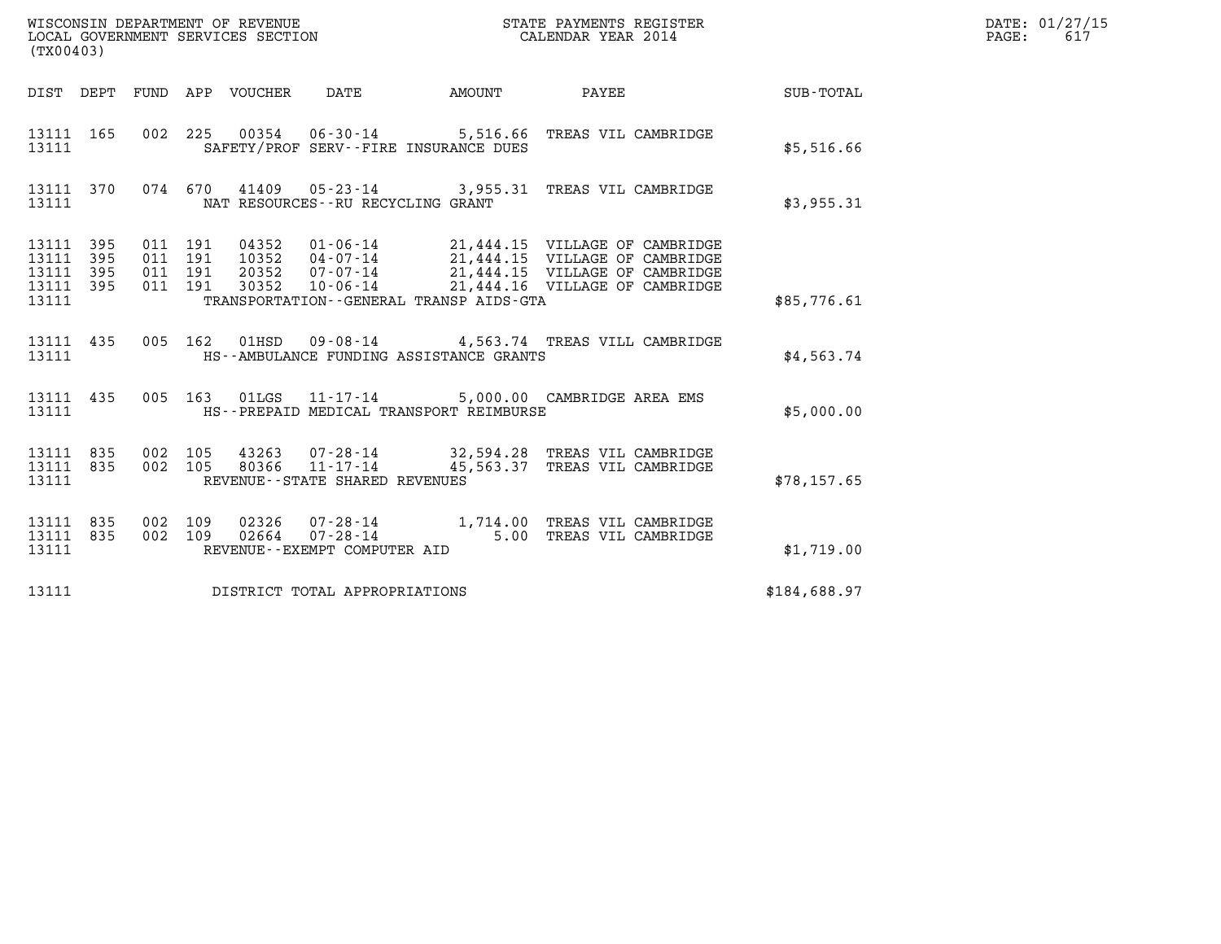| (TX00403)                                                                                                   |                                                                                                                                                                                                                                                         |  |              | DATE: 01/27/15<br>$\mathtt{PAGE:}$<br>617 |
|-------------------------------------------------------------------------------------------------------------|---------------------------------------------------------------------------------------------------------------------------------------------------------------------------------------------------------------------------------------------------------|--|--------------|-------------------------------------------|
|                                                                                                             | DIST DEPT FUND APP VOUCHER DATE AMOUNT PAYEE                                                                                                                                                                                                            |  | SUB-TOTAL    |                                           |
| 13111 165<br>13111                                                                                          | 002 225 00354 06-30-14 5,516.66 TREAS VIL CAMBRIDGE<br>SAFETY/PROF SERV--FIRE INSURANCE DUES                                                                                                                                                            |  | \$5,516.66   |                                           |
| 13111 370<br>13111                                                                                          | 074 670 41409 05-23-14 3,955.31 TREAS VIL CAMBRIDGE<br>NAT RESOURCES - - RU RECYCLING GRANT                                                                                                                                                             |  | \$3,955.31   |                                           |
| 13111 395<br>011 191<br>395<br>011 191<br>13111<br>395<br>011 191<br>13111<br>13111 395<br>011 191<br>13111 | 04352  01-06-14  21,444.15  VILLAGE OF CAMBRIDGE<br>10352  04-07-14  21,444.15  VILLAGE OF CAMBRIDGE<br>20352  07-07-14  21,444.15  VILLAGE OF CAMBRIDGE<br>30352  10-06-14  21,444.16  VILLAGE OF CAMBRIDGE<br>TRANSPORTATION--GENERAL TRANSP AIDS-GTA |  | \$85,776.61  |                                           |
| 13111 435<br>13111                                                                                          | 005 162 01HSD 09-08-14 4,563.74 TREAS VILL CAMBRIDGE<br>HS--AMBULANCE FUNDING ASSISTANCE GRANTS                                                                                                                                                         |  | \$4,563.74   |                                           |
| 13111 435<br>13111                                                                                          | 005  163  01LGS  11-17-14  5,000.00  CAMBRIDGE AREA EMS<br>HS--PREPAID MEDICAL TRANSPORT REIMBURSE                                                                                                                                                      |  | \$5,000.00   |                                           |
| 13111 835<br>002 105<br>002 105<br>13111 835<br>13111                                                       | 43263 07-28-14 32,594.28 TREAS VIL CAMBRIDGE<br>80366  11-17-14  45,563.37  TREAS VIL CAMBRIDGE<br>REVENUE--STATE SHARED REVENUES                                                                                                                       |  | \$78,157.65  |                                           |
| 002 109<br>13111 835<br>002 109<br>13111<br>835<br>13111                                                    | 02326  07-28-14   1,714.00 TREAS VIL CAMBRIDGE<br>02664  07-28-14   5.00 TREAS VIL CAMBRIDGE<br>REVENUE--EXEMPT COMPUTER AID                                                                                                                            |  | \$1,719.00   |                                           |
| 13111                                                                                                       | DISTRICT TOTAL APPROPRIATIONS                                                                                                                                                                                                                           |  | \$184,688.97 |                                           |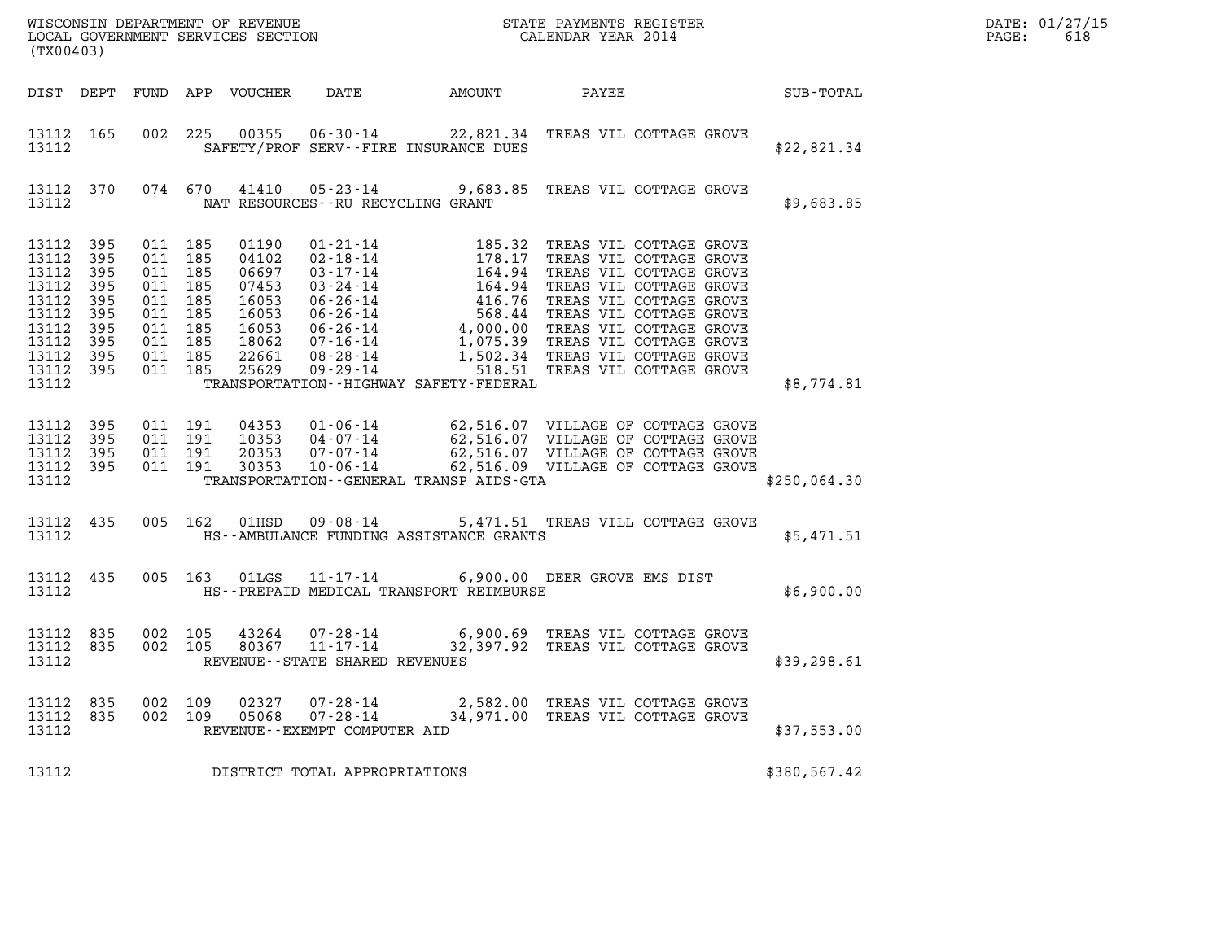| DATE: | 01/27/15 |
|-------|----------|
| PAGE: | 618      |

| WISCONSIN DEPARTMENT OF REVENUE<br>LOCAL GOVERNMENT SERVICES SECTION<br>CALENDAR YEAR 2014<br>(TX00403)             |                                               |                                                                                                 |     |                |                                                      |                                                      |                                                                             |              | DATE: 01/27/15<br>$\mathtt{PAGE}$ :<br>618 |
|---------------------------------------------------------------------------------------------------------------------|-----------------------------------------------|-------------------------------------------------------------------------------------------------|-----|----------------|------------------------------------------------------|------------------------------------------------------|-----------------------------------------------------------------------------|--------------|--------------------------------------------|
|                                                                                                                     |                                               |                                                                                                 |     |                |                                                      |                                                      |                                                                             |              |                                            |
| 13112                                                                                                               |                                               |                                                                                                 |     |                |                                                      | SAFETY/PROF SERV--FIRE INSURANCE DUES                | 13112 165 002 225 00355 06-30-14 22,821.34 TREAS VIL COTTAGE GROVE          | \$22,821.34  |                                            |
| 13112                                                                                                               |                                               |                                                                                                 |     |                | NAT RESOURCES--RU RECYCLING GRANT                    |                                                      | 13112 370 074 670 41410 05-23-14 9,683.85 TREAS VIL COTTAGE GROVE           | \$9,683.85   |                                            |
| 13112 395<br>13112<br>13112<br>13112<br>13112<br>13112<br>13112<br>13112<br>13112 395<br>13112 395 011 185<br>13112 | 395<br>395<br>395<br>395<br>395<br>395<br>395 | 011 185<br>011 185<br>011 185<br>011 185<br>011 185<br>011 185<br>011 185<br>011 185<br>011 185 |     |                |                                                      |                                                      | TRANSPORTATION - - HIGHWAY SAFETY - FEDERAL                                 | \$8,774.81   |                                            |
| 13112 395<br>13112 395<br>13112 395<br>13112 395 011 191<br>13112                                                   |                                               | 011 191<br>011 191<br>011 191                                                                   |     |                |                                                      |                                                      | TRANSPORTATION - - GENERAL TRANSP AIDS - GTA                                | \$250,064.30 |                                            |
|                                                                                                                     |                                               |                                                                                                 |     |                |                                                      | 13112 <b>HS--AMBULANCE FUNDING ASSISTANCE GRANTS</b> | 13112 435 005 162 01HSD 09-08-14 5,471.51 TREAS VILL COTTAGE GROVE          | \$5,471.51   |                                            |
| 13112                                                                                                               |                                               |                                                                                                 |     |                |                                                      | HS--PREPAID MEDICAL TRANSPORT REIMBURSE              | 13112 435 005 163 01LGS 11-17-14 6,900.00 DEER GROVE EMS DIST<br>\$6,900.00 |              |                                            |
| 13112 835 002 105<br>13112 835<br>13112                                                                             |                                               | 002 105                                                                                         |     |                | REVENUE--STATE SHARED REVENUES                       |                                                      |                                                                             | \$39,298.61  |                                            |
| 13112 835<br>13112 835<br>13112                                                                                     |                                               | 002<br>002 109                                                                                  | 109 | 02327<br>05068 | 07-28-14<br>07-28-14<br>REVENUE--EXEMPT COMPUTER AID |                                                      | 2,582.00 TREAS VIL COTTAGE GROVE<br>34,971.00 TREAS VIL COTTAGE GROVE       | \$37,553.00  |                                            |
| 13112                                                                                                               | DISTRICT TOTAL APPROPRIATIONS                 |                                                                                                 |     |                |                                                      |                                                      |                                                                             | \$380,567.42 |                                            |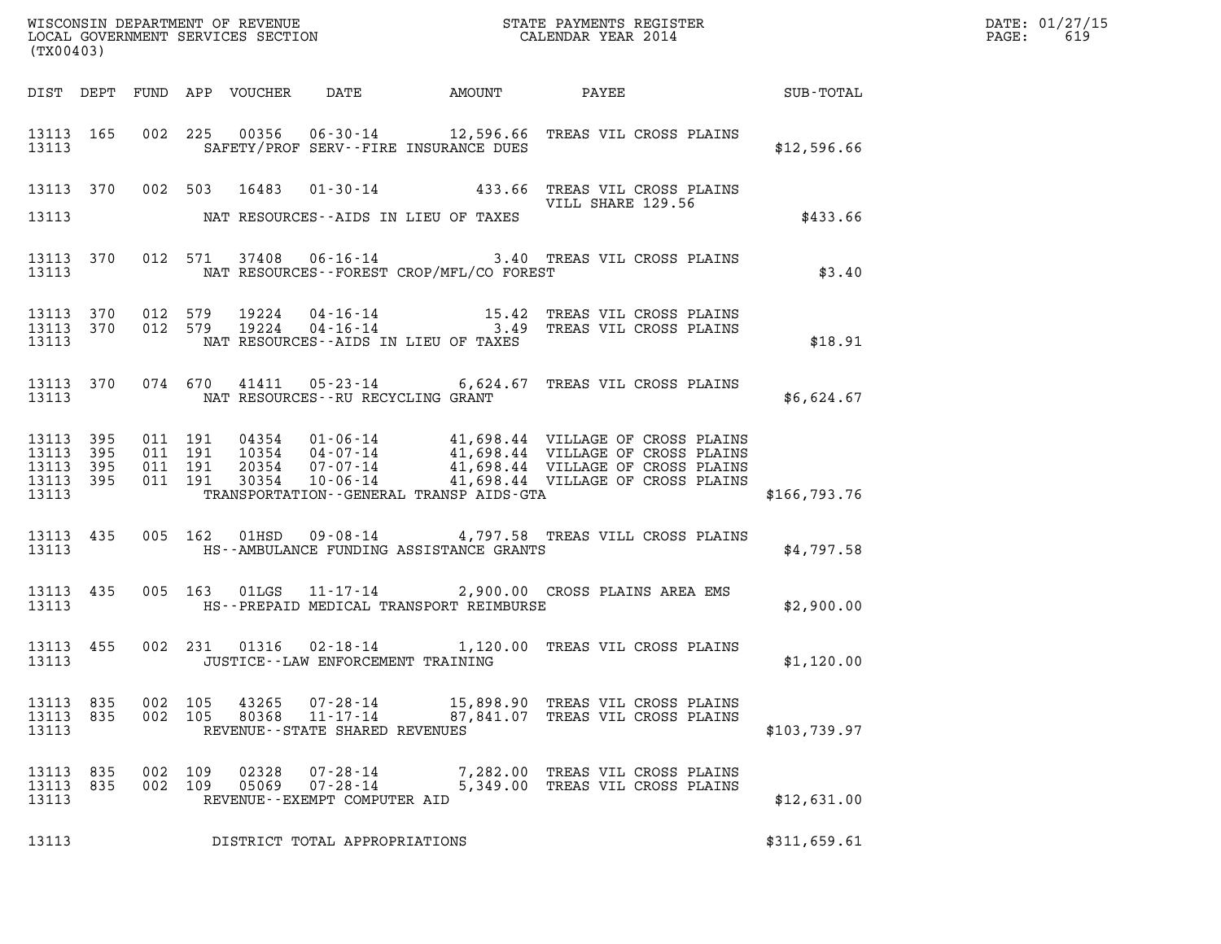|                                                           | WISCONSIN DEPARTMENT OF REVENUE<br>LOCAL GOVERNMENT SERVICES SECTION CALENDAR YEAR 2014<br>CALENDAR YEAR 2014<br>(TX00403) |  |                    |                |                                                  |                                                |                                                                                                                                                                                                                                                                                                                      |              |  |
|-----------------------------------------------------------|----------------------------------------------------------------------------------------------------------------------------|--|--------------------|----------------|--------------------------------------------------|------------------------------------------------|----------------------------------------------------------------------------------------------------------------------------------------------------------------------------------------------------------------------------------------------------------------------------------------------------------------------|--------------|--|
|                                                           |                                                                                                                            |  |                    |                |                                                  |                                                | DIST DEPT FUND APP VOUCHER DATE AMOUNT PAYEE SUB-TOTAL                                                                                                                                                                                                                                                               |              |  |
|                                                           |                                                                                                                            |  |                    |                |                                                  |                                                | 13113 165 002 225 00356 06-30-14 12,596.66 TREAS VIL CROSS PLAINS<br>13113 SAFETY/PROF SERV--FIRE INSURANCE DUES 512,596.66                                                                                                                                                                                          |              |  |
|                                                           |                                                                                                                            |  |                    |                |                                                  | 13113 NAT RESOURCES--AIDS IN LIEU OF TAXES     | 13113 370 002 503 16483 01-30-14 433.66 TREAS VIL CROSS PLAINS<br>VILL SHARE 129.56                                                                                                                                                                                                                                  | \$433.66     |  |
|                                                           |                                                                                                                            |  |                    |                |                                                  | 13113 NAT RESOURCES--FOREST CROP/MFL/CO FOREST | $\begin{tabular}{llllll} 13113 & 370 & 012 & 571 & 37408 & 06-16-14 & & 3.40 \end{tabular} \begin{tabular}{llllll} 3.40 & TREAS VIL CROS PLAINS & & & & & \text{\$3.40$ & $TREAS VIL CROS PLAINS & & & \text{\$3.40$ & $TRESOURCES--FOREST CROP/MFL/CO FOREST & & & \text{\$3.40$ & $TREAS VIL CROS.} \end{tabular}$ |              |  |
|                                                           |                                                                                                                            |  |                    |                |                                                  | 13113 NAT RESOURCES--AIDS IN LIEU OF TAXES     | 13113 370 012 579 19224 04-16-14 15.42 TREAS VIL CROSS PLAINS<br>13113 370 012 579 19224 04-16-14 3.49 TREAS VIL CROSS PLAINS<br>13113 370 012 579 19224 04-16-14 1.TRIIOF TAXES                                                                                                                                     |              |  |
|                                                           |                                                                                                                            |  |                    |                |                                                  | 13113 NAT RESOURCES--RU RECYCLING GRANT        | 13113 370 074 670 41411 05-23-14 6,624.67 TREAS VIL CROSS PLAINS<br>13113 19113 NAT RESOURCES--RU RECYCLING GRANT \$6,624.67                                                                                                                                                                                         |              |  |
| 13113 395<br>13113 395<br>13113 395<br>13113 395<br>13113 |                                                                                                                            |  |                    |                |                                                  |                                                | 011 191 04354 01-06-14 41,698.44 VILLAGE OF CROSS PLAINS<br>011 191 10354 04-07-14 41,698.44 VILLAGE OF CROSS PLAINS<br>011 191 20354 07-07-14 41,698.44 VILLAGE OF CROSS PLAINS<br>011 191 30354 10-06-14 41,698.44 VILLAGE OF CROSS P<br>TRANSPORTATION - GENERAL TRANSP AIDS - GTA                                | \$166,793.76 |  |
|                                                           |                                                                                                                            |  |                    |                |                                                  |                                                | 13113 435 005 162 01HSD 09-08-14 4,797.58 TREAS VILL CROSS PLAINS<br>13113 HS--AMBULANCE FUNDING ASSISTANCE GRANTS \$4,797.58                                                                                                                                                                                        |              |  |
|                                                           |                                                                                                                            |  |                    |                |                                                  |                                                | 13113 435 005 163 01LGS 11-17-14 2,900.00 CROSS PLAINS AREA EMS \$2,900.00<br>13113 HS--PREPAID MEDICAL TRANSPORT REIMBURSE                                                                                                                                                                                          |              |  |
| 13113                                                     |                                                                                                                            |  |                    |                |                                                  | JUSTICE--LAW ENFORCEMENT TRAINING              | 13113 455 002 231 01316 02-18-14 1,120.00 TREAS VIL CROSS PLAINS                                                                                                                                                                                                                                                     | \$1,120.00   |  |
| 13113 835<br>13113 835<br>13113                           |                                                                                                                            |  | 002 105<br>002 105 | 43265<br>80368 | $11 - 17 - 14$<br>REVENUE--STATE SHARED REVENUES |                                                | 07-28-14 15,898.90 TREAS VIL CROSS PLAINS<br>87,841.07 TREAS VIL CROSS PLAINS                                                                                                                                                                                                                                        | \$103,739.97 |  |
| 13113 835<br>13113 835<br>13113                           |                                                                                                                            |  | 002 109<br>002 109 | 02328          | 05069 07-28-14<br>REVENUE--EXEMPT COMPUTER AID   |                                                | 07-28-14 7,282.00 TREAS VIL CROSS PLAINS<br>5,349.00 TREAS VIL CROSS PLAINS                                                                                                                                                                                                                                          | \$12,631.00  |  |
| 13113                                                     |                                                                                                                            |  |                    |                | DISTRICT TOTAL APPROPRIATIONS                    |                                                |                                                                                                                                                                                                                                                                                                                      | \$311,659.61 |  |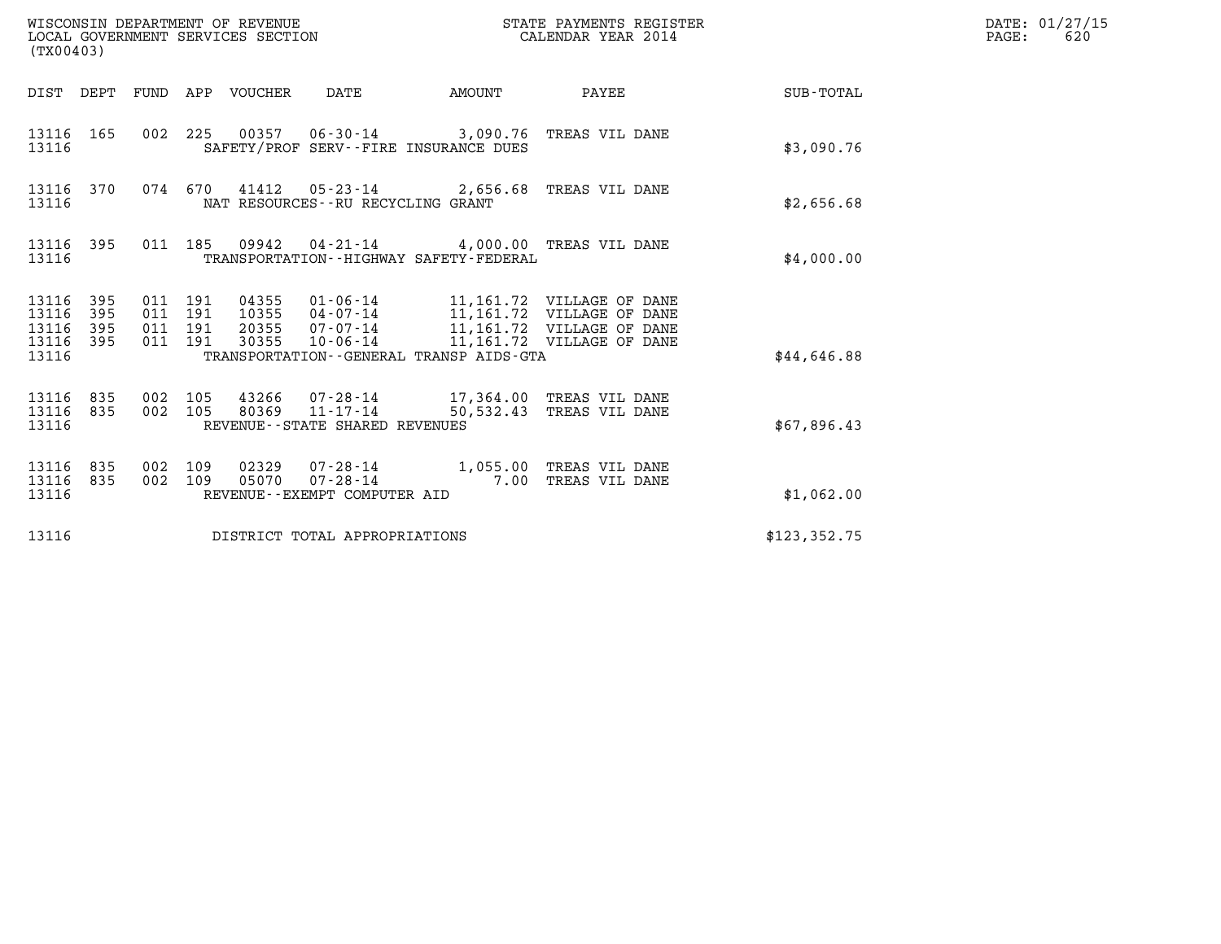| WISCONSIN DEPARTMENT OF REVENUE<br>LOCAL GOVERNMENT SERVICES SECTION<br>(TX00403) |                   |                                          |  |                                 |                                      |                                             | STATE PAYMENTS REGISTER<br>CALENDAR YEAR 2014                                                                                                                             |               | DATE: 01/27/15<br>$\mathtt{PAGE}$ :<br>620 |
|-----------------------------------------------------------------------------------|-------------------|------------------------------------------|--|---------------------------------|--------------------------------------|---------------------------------------------|---------------------------------------------------------------------------------------------------------------------------------------------------------------------------|---------------|--------------------------------------------|
|                                                                                   |                   |                                          |  | DIST DEPT FUND APP VOUCHER DATE |                                      |                                             |                                                                                                                                                                           |               |                                            |
| 13116 165<br>13116                                                                |                   |                                          |  |                                 |                                      | SAFETY/PROF SERV--FIRE INSURANCE DUES       | 002 225 00357 06-30-14 3,090.76 TREAS VIL DANE                                                                                                                            | \$3,090.76    |                                            |
| 13116                                                                             |                   |                                          |  |                                 | NAT RESOURCES - - RU RECYCLING GRANT |                                             | 13116 370 074 670 41412 05-23-14 2,656.68 TREAS VIL DANE                                                                                                                  | \$2,656.68    |                                            |
| 13116 395<br>13116                                                                |                   |                                          |  |                                 |                                      | TRANSPORTATION - - HIGHWAY SAFETY - FEDERAL | 011 185 09942 04-21-14 4,000.00 TREAS VIL DANE                                                                                                                            | \$4,000.00    |                                            |
| 13116 395<br>13116<br>13116<br>13116<br>13116                                     | 395<br>395<br>395 | 011 191<br>011 191<br>011 191<br>011 191 |  | 30355                           | 10-06-14                             | TRANSPORTATION--GENERAL TRANSP AIDS-GTA     | 04355  01-06-14   11,161.72  VILLAGE OF DANE<br>10355  04-07-14   11,161.72  VILLAGE OF DANE<br>20355  07-07-14   11,161.72  VILLAGE OF DANE<br>11,161.72 VILLAGE OF DANE | \$44,646.88   |                                            |
| 13116 835<br>13116 835<br>13116                                                   |                   | 002 105<br>002 105                       |  |                                 | REVENUE - - STATE SHARED REVENUES    |                                             | 43266  07-28-14   17,364.00 TREAS VIL DANE<br>80369  11-17-14  50,532.43  TREAS VIL DANE                                                                                  | \$67,896.43   |                                            |
| 13116 835<br>13116<br>13116                                                       | 835               | 002 109<br>002 109                       |  | 05070                           | REVENUE--EXEMPT COMPUTER AID         |                                             | 02329  07-28-14  1,055.00 TREAS VIL DANE<br>07-28-14 7.00 TREAS VIL DANE                                                                                                  | \$1,062.00    |                                            |
| 13116                                                                             |                   |                                          |  |                                 | DISTRICT TOTAL APPROPRIATIONS        |                                             |                                                                                                                                                                           | \$123, 352.75 |                                            |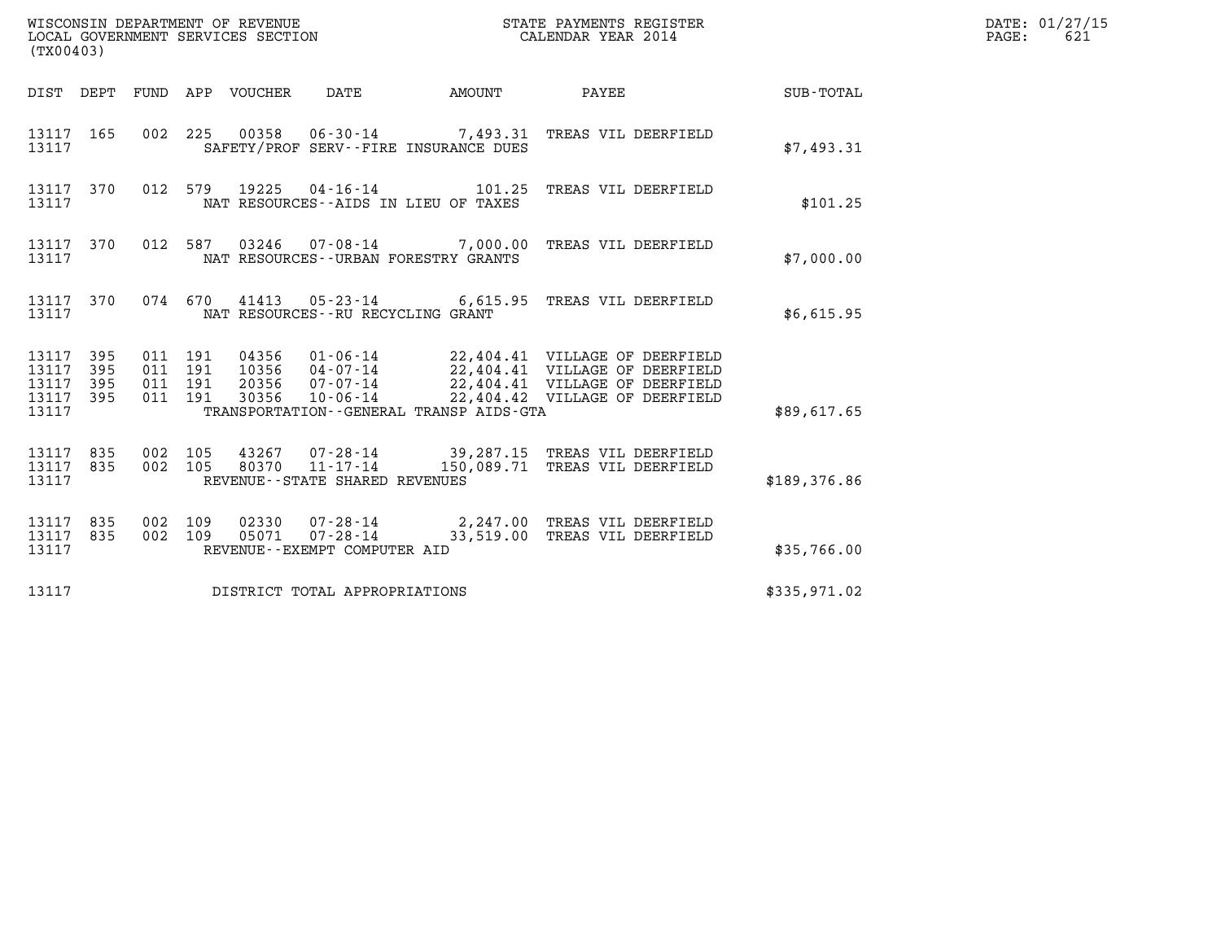| (TX00403)                                                       |                                          | ${\tt WISCONSIM\ DEPARTMENT\ OF\ REVENUE}\qquad \qquad {\tt STATE\ PAYMENTS\ REGISTER}\nonumber\\ {\tt LOCAL\ GOVERNMENT\ SERVICES\ SECTION}\qquad \qquad {\tt CALENDAR\ YEAR\ 2014}$                                                            |              |              | DATE: 01/27/15<br>$\mathtt{PAGE}$ :<br>621 |
|-----------------------------------------------------------------|------------------------------------------|--------------------------------------------------------------------------------------------------------------------------------------------------------------------------------------------------------------------------------------------------|--------------|--------------|--------------------------------------------|
|                                                                 |                                          | DIST DEPT FUND APP VOUCHER DATE AMOUNT                                                                                                                                                                                                           | <b>PAYEE</b> | SUB-TOTAL    |                                            |
| 13117 165<br>13117                                              |                                          | 002 225 00358 06-30-14 7,493.31 TREAS VIL DEERFIELD<br>SAFETY/PROF SERV--FIRE INSURANCE DUES                                                                                                                                                     |              | \$7,493.31   |                                            |
| 13117 370<br>13117                                              |                                          | 012 579 19225 04-16-14 101.25 TREAS VIL DEERFIELD<br>NAT RESOURCES -- AIDS IN LIEU OF TAXES                                                                                                                                                      |              | \$101.25     |                                            |
| 13117 370<br>13117                                              |                                          | 012 587 03246 07-08-14 7,000.00 TREAS VIL DEERFIELD<br>NAT RESOURCES--URBAN FORESTRY GRANTS                                                                                                                                                      |              | \$7,000.00   |                                            |
| 13117 370<br>13117                                              |                                          | 074  670  41413  05-23-14  6,615.95  TREAS VIL DEERFIELD<br>NAT RESOURCES--RU RECYCLING GRANT                                                                                                                                                    |              | \$6,615.95   |                                            |
| 13117 395<br>13117<br>395<br>395<br>13117<br>13117 395<br>13117 | 011 191<br>011 191<br>011 191<br>011 191 | 04356 01-06-14 22,404.41 VILLAGE OF DEERFIELD<br>10356 04-07-14 22,404.41 VILLAGE OF DEERFIELD<br>20356 07-07-14 22,404.41 VILLAGE OF DEERFIELD<br>30356 10-06-14 22,404.42 VILLAGE OF DEERFIELD<br>TRANSPORTATION - - GENERAL TRANSP AIDS - GTA |              | \$89,617.65  |                                            |
| 13117 835<br>13117 835<br>13117                                 | 002 105<br>002 105                       | 43267 07-28-14 39,287.15 TREAS VIL DEERFIELD<br>80370  11-17-14  150,089.71  TREAS VIL DEERFIELD<br>REVENUE - - STATE SHARED REVENUES                                                                                                            |              | \$189,376.86 |                                            |
| 13117 835<br>13117 835<br>13117                                 | 002 109<br>002 109                       | 02330  07-28-14  2,247.00  TREAS VIL DEERFIELD<br>05071  07-28-14  33,519.00 TREAS VIL DEERFIELD<br>REVENUE--EXEMPT COMPUTER AID                                                                                                                 |              | \$35,766.00  |                                            |
| 13117                                                           |                                          | DISTRICT TOTAL APPROPRIATIONS                                                                                                                                                                                                                    |              | \$335,971.02 |                                            |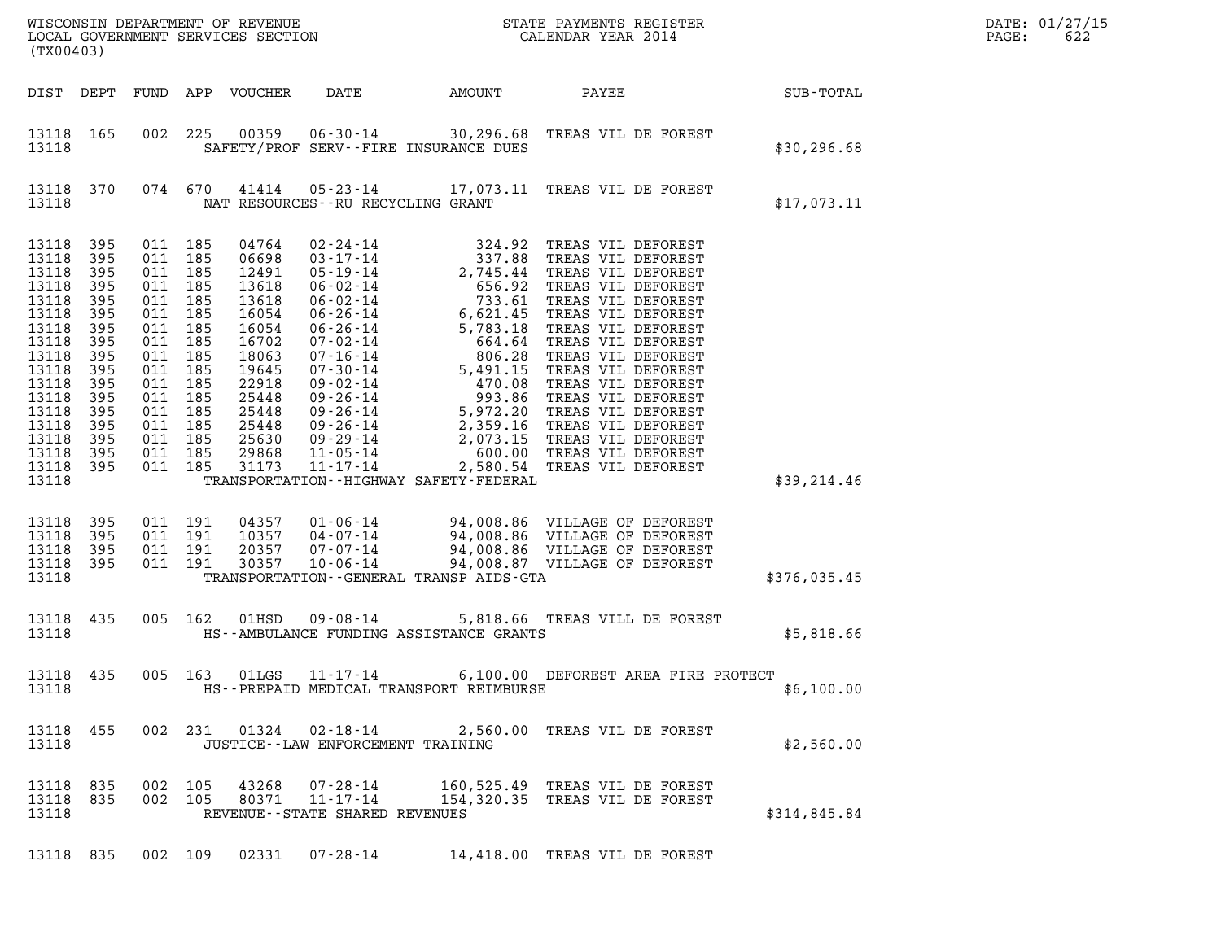| DATE: | 01/27/15 |
|-------|----------|
| PAGE: | 622      |

| ${\tt WISCONSIM\ DEPARTMENT\ OF\ REVENUE}\qquad \qquad {\tt STATE\ PAYMENTS\ REGISTER} \\ {\tt LOCAL\ GOVERNMENT\ SERVICES\ SECTION}\qquad \qquad {\tt CALENDAR\ YEAR\ 2014}$<br>(TX00403) |                                                                                                                     |            |                                                                                                                                                                                 |                                                                                                                                                       |                                                                |                                             |                                                                                                                                                             |              | DATE: 01/27/15<br>PAGE:<br>622 |
|--------------------------------------------------------------------------------------------------------------------------------------------------------------------------------------------|---------------------------------------------------------------------------------------------------------------------|------------|---------------------------------------------------------------------------------------------------------------------------------------------------------------------------------|-------------------------------------------------------------------------------------------------------------------------------------------------------|----------------------------------------------------------------|---------------------------------------------|-------------------------------------------------------------------------------------------------------------------------------------------------------------|--------------|--------------------------------|
| DIST DEPT                                                                                                                                                                                  |                                                                                                                     |            |                                                                                                                                                                                 | FUND APP VOUCHER                                                                                                                                      | DATE                                                           | AMOUNT                                      | PAYEE SUB-TOTAL                                                                                                                                             |              |                                |
| 13118 165<br>13118                                                                                                                                                                         |                                                                                                                     | 002        | 225                                                                                                                                                                             |                                                                                                                                                       |                                                                | SAFETY/PROF SERV--FIRE INSURANCE DUES       | 00359  06-30-14  30,296.68  TREAS VIL DE FOREST                                                                                                             | \$30, 296.68 |                                |
| 13118 370<br>13118                                                                                                                                                                         |                                                                                                                     |            | 074 670                                                                                                                                                                         |                                                                                                                                                       | NAT RESOURCES -- RU RECYCLING GRANT                            |                                             | 41414  05-23-14   17,073.11   TREAS VIL DE FOREST                                                                                                           | \$17,073.11  |                                |
| 13118<br>13118<br>13118<br>13118<br>13118<br>13118<br>13118<br>13118<br>13118<br>13118<br>13118<br>13118<br>13118<br>13118<br>13118<br>13118<br>13118<br>13118                             | 395<br>395<br>395<br>395<br>395<br>395<br>395<br>395<br>395<br>395<br>395<br>395<br>395<br>395<br>395<br>395<br>395 | 011<br>011 | 011 185<br>011 185<br>011 185<br>011 185<br>011 185<br>011 185<br>011 185<br>185<br>011 185<br>185<br>011 185<br>011 185<br>011 185<br>011 185<br>011 185<br>011 185<br>011 185 | 04764<br>06698<br>12491<br>13618<br>13618<br>16054<br>16054<br>16702<br>18063<br>19645<br>22918<br>25448<br>25448<br>25448<br>25630<br>29868<br>31173 | 11-17-14                                                       | TRANSPORTATION - - HIGHWAY SAFETY - FEDERAL | 2,580.54 TREAS VIL DEFOREST                                                                                                                                 | \$39, 214.46 |                                |
| 13118<br>13118<br>13118<br>13118<br>13118                                                                                                                                                  | 395<br>395<br>395<br>395                                                                                            |            | 011 191<br>011 191<br>011 191<br>011 191                                                                                                                                        | 04357<br>10357<br>20357<br>30357                                                                                                                      | $10 - 06 - 14$                                                 | TRANSPORTATION--GENERAL TRANSP AIDS-GTA     | 01-06-14 94,008.86 VILLAGE OF DEFOREST<br>04-07-14 94,008.86 VILLAGE OF DEFOREST<br>07-07-14 94,008.86 VILLAGE OF DEFOREST<br>94,008.87 VILLAGE OF DEFOREST | \$376,035.45 |                                |
| 13118<br>13118                                                                                                                                                                             | 435                                                                                                                 |            | 005 162                                                                                                                                                                         | 01HSD                                                                                                                                                 |                                                                | HS--AMBULANCE FUNDING ASSISTANCE GRANTS     | 09-08-14 5,818.66 TREAS VILL DE FOREST                                                                                                                      | \$5,818.66   |                                |
| 13118 435<br>13118                                                                                                                                                                         |                                                                                                                     |            |                                                                                                                                                                                 |                                                                                                                                                       |                                                                | HS--PREPAID MEDICAL TRANSPORT REIMBURSE     | 005 163 01LGS 11-17-14 6,100.00 DEFOREST AREA FIRE PROTECT                                                                                                  | \$6,100.00   |                                |
| 13118 455<br>13118                                                                                                                                                                         |                                                                                                                     |            |                                                                                                                                                                                 |                                                                                                                                                       | 002 231 01324 02-18-14<br>JUSTICE - - LAW ENFORCEMENT TRAINING |                                             | 2,560.00 TREAS VIL DE FOREST                                                                                                                                | \$2,560.00   |                                |
| 13118 835<br>13118 835<br>13118                                                                                                                                                            |                                                                                                                     |            | 002 105<br>002 105                                                                                                                                                              | 43268<br>80371                                                                                                                                        | 07-28-14<br>11-17-14<br>REVENUE--STATE SHARED REVENUES         |                                             | 160,525.49 TREAS VIL DE FOREST<br>154,320.35 TREAS VIL DE FOREST                                                                                            | \$314,845.84 |                                |
| 13118 835                                                                                                                                                                                  |                                                                                                                     |            | 002 109                                                                                                                                                                         | 02331                                                                                                                                                 | 07-28-14                                                       |                                             | 14,418.00 TREAS VIL DE FOREST                                                                                                                               |              |                                |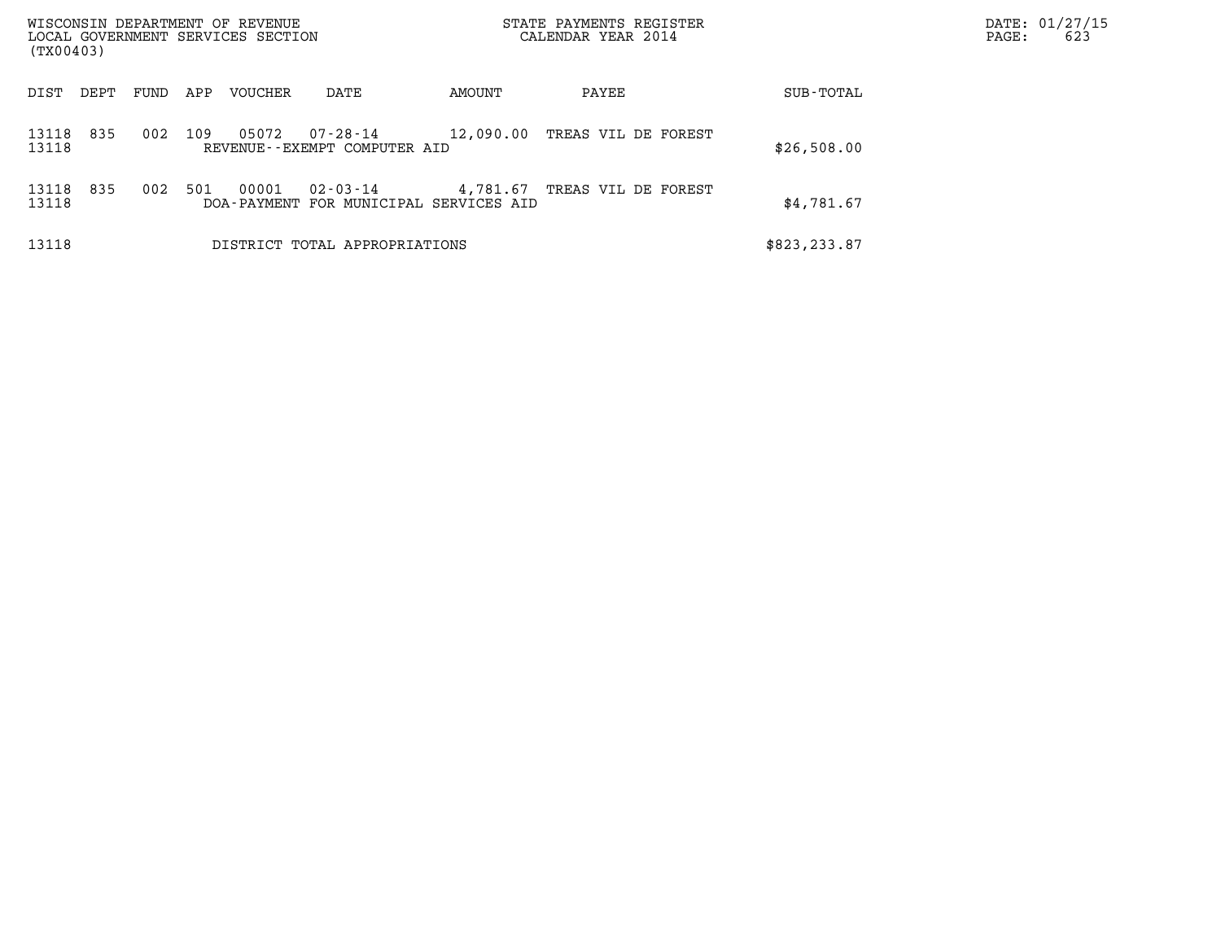| (TX00403)             | WISCONSIN DEPARTMENT OF REVENUE<br>LOCAL GOVERNMENT SERVICES SECTION |     |                        |                                                |                          | STATE PAYMENTS REGISTER<br>CALENDAR YEAR 2014 |              | DATE: 01/27/15<br>PAGE:<br>623 |
|-----------------------|----------------------------------------------------------------------|-----|------------------------|------------------------------------------------|--------------------------|-----------------------------------------------|--------------|--------------------------------|
| DIST<br>DEPT          | FUND                                                                 | APP | VOUCHER                | DATE                                           | AMOUNT                   | PAYEE                                         | SUB-TOTAL    |                                |
| 835<br>13118<br>13118 | 002                                                                  | 109 | 05072                  | $07 - 28 - 14$<br>REVENUE--EXEMPT COMPUTER AID | 12,090.00                | TREAS VIL DE FOREST                           | \$26,508.00  |                                |
| 835<br>13118<br>13118 | 002                                                                  | 501 | 00001<br>DOA - PAYMENT | $02 - 03 - 14$<br>FOR MUNICIPAL                | 4,781.67<br>SERVICES AID | TREAS VIL DE FOREST                           | \$4,781.67   |                                |
| 13118                 |                                                                      |     |                        | DISTRICT TOTAL APPROPRIATIONS                  |                          |                                               | \$823,233.87 |                                |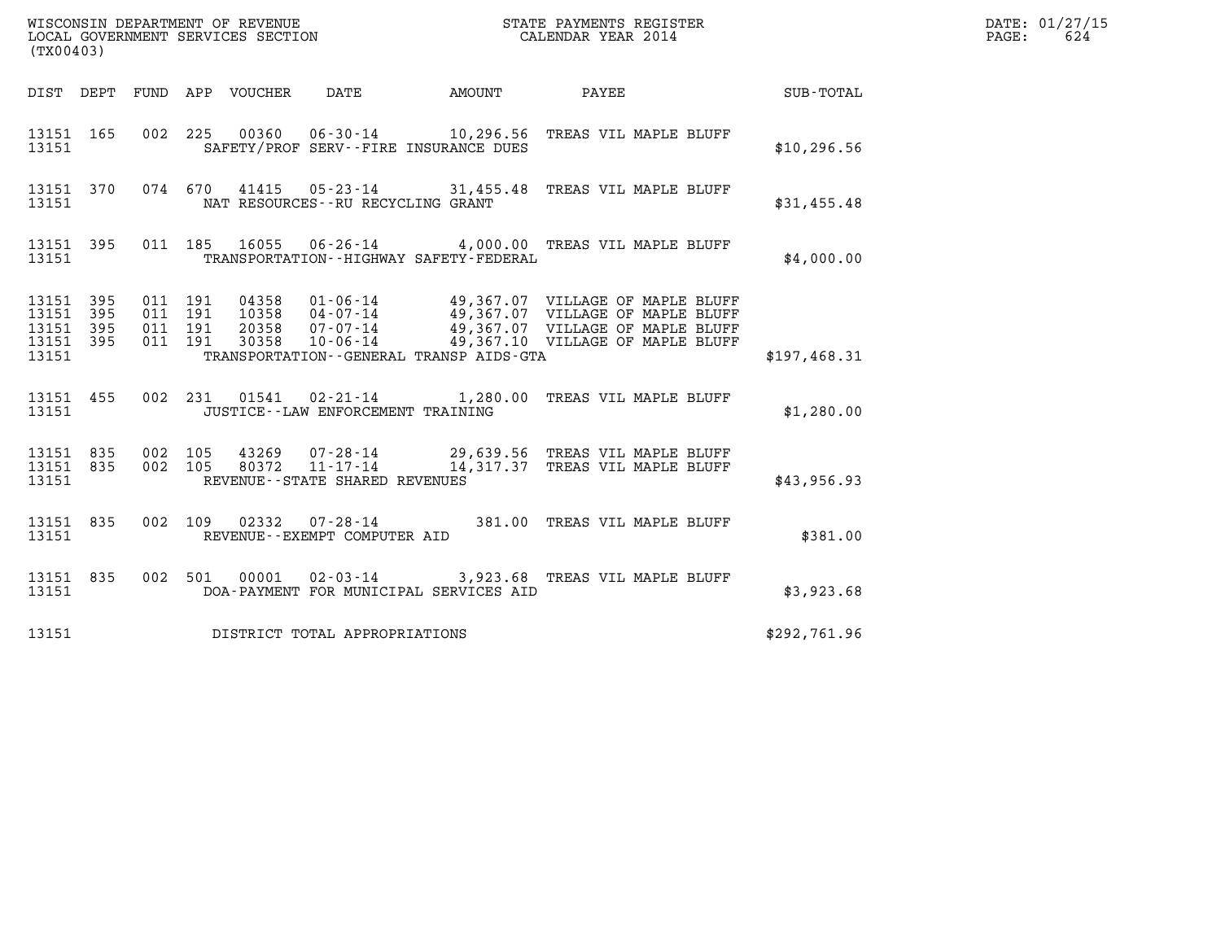| (TX00403)                                                    |                                                                                     |                                                                                                                                                                                                                      |              | DATE: 01/27/15<br>PAGE:<br>624 |
|--------------------------------------------------------------|-------------------------------------------------------------------------------------|----------------------------------------------------------------------------------------------------------------------------------------------------------------------------------------------------------------------|--------------|--------------------------------|
|                                                              | DIST DEPT FUND APP VOUCHER DATE                                                     | AMOUNT PAYEE SUB-TOTAL                                                                                                                                                                                               |              |                                |
| 13151 165<br>13151                                           | 002 225<br>SAFETY/PROF SERV--FIRE INSURANCE DUES                                    | 00360  06-30-14   10,296.56   TREAS VIL MAPLE BLUFF                                                                                                                                                                  | \$10, 296.56 |                                |
| 13151 370<br>13151                                           | NAT RESOURCES--RU RECYCLING GRANT                                                   | 074 670 41415 05-23-14 31,455.48 TREAS VIL MAPLE BLUFF                                                                                                                                                               | \$31,455.48  |                                |
| 13151 395<br>13151                                           | TRANSPORTATION - - HIGHWAY SAFETY - FEDERAL                                         | 011 185 16055 06-26-14 4,000.00 TREAS VIL MAPLE BLUFF                                                                                                                                                                | \$4,000.00   |                                |
| 13151 395<br>395<br>13151<br>13151 395<br>13151 395<br>13151 | 011 191<br>011 191<br>011 191<br>011 191<br>TRANSPORTATION--GENERAL TRANSP AIDS-GTA | 04358  01-06-14  49,367.07  VILLAGE OF MAPLE BLUFF<br>10358  04-07-14  49,367.07  VILLAGE OF MAPLE BLUFF<br>20358  07-07-14  49,367.07  VILLAGE OF MAPLE BLUFF<br>30358  10-06-14  49,367.10  VILLAGE OF MAPLE BLUFF | \$197,468.31 |                                |
| 13151 455<br>13151                                           | JUSTICE - - LAW ENFORCEMENT TRAINING                                                | 002 231 01541 02-21-14 1,280.00 TREAS VIL MAPLE BLUFF                                                                                                                                                                | \$1,280.00   |                                |
| 13151 835 002 105<br>13151 835<br>13151                      | REVENUE - - STATE SHARED REVENUES                                                   | 002 105 43269 07-28-14 29,639.56 TREAS VIL MAPLE BLUFF 002 105 80372 11-17-14 14,317.37 TREAS VIL MAPLE BLUFF                                                                                                        | \$43,956.93  |                                |
| 13151 835<br>13151                                           | REVENUE--EXEMPT COMPUTER AID                                                        | 002 109 02332 07-28-14 381.00 TREAS VIL MAPLE BLUFF                                                                                                                                                                  | \$381.00     |                                |
| 13151 835<br>13151                                           | DOA-PAYMENT FOR MUNICIPAL SERVICES AID                                              | 002 501 00001 02-03-14 3,923.68 TREAS VIL MAPLE BLUFF                                                                                                                                                                | \$3,923.68   |                                |
| 13151                                                        | DISTRICT TOTAL APPROPRIATIONS                                                       |                                                                                                                                                                                                                      | \$292,761.96 |                                |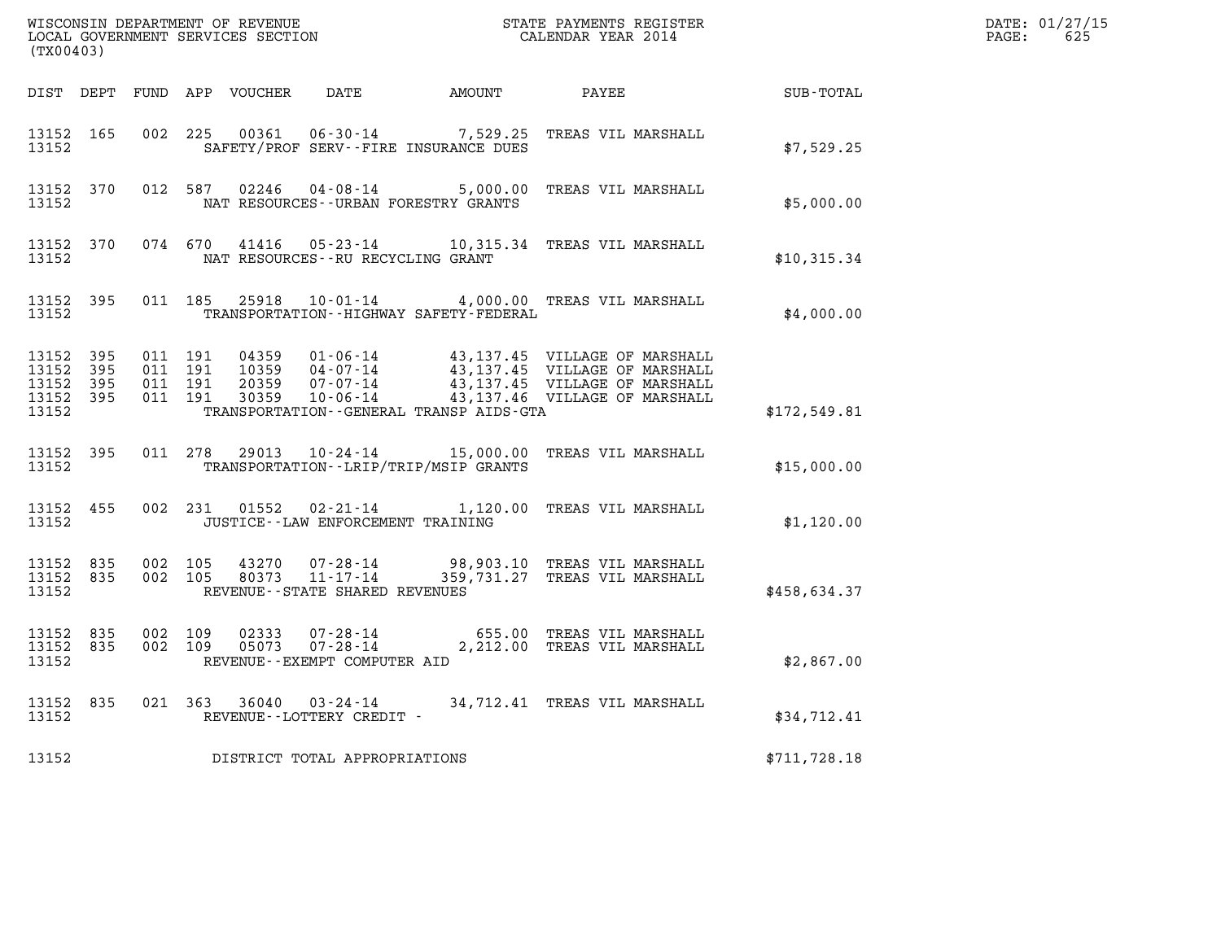| (TX00403)                                                 |           |                   |                                          |               |                                |                                             | %WISCONSIN DEPARTMENT OF REVENUE $$\tt STATE~PAYMEMTS~REGISTER~LOCAL~GOVERNMENT~SERVICES~SECTION~CALENDAR~YEAR~2014$ |               | DATE: 01/27/15<br>$\mathtt{PAGE:}$<br>625 |
|-----------------------------------------------------------|-----------|-------------------|------------------------------------------|---------------|--------------------------------|---------------------------------------------|----------------------------------------------------------------------------------------------------------------------|---------------|-------------------------------------------|
|                                                           |           |                   |                                          |               |                                |                                             | DIST DEPT FUND APP VOUCHER DATE AMOUNT PAYEE PAYER SUB-TOTAL                                                         |               |                                           |
| 13152                                                     | 13152 165 |                   |                                          | 002 225 00361 |                                | SAFETY/PROF SERV--FIRE INSURANCE DUES       | 06-30-14 7,529.25 TREAS VIL MARSHALL                                                                                 | \$7,529.25    |                                           |
| 13152                                                     | 13152 370 |                   |                                          | 012 587 02246 |                                | NAT RESOURCES--URBAN FORESTRY GRANTS        | 04-08-14 5,000.00 TREAS VIL MARSHALL                                                                                 | \$5,000.00    |                                           |
| 13152                                                     |           |                   |                                          |               |                                | NAT RESOURCES--RU RECYCLING GRANT           | 13152 370 074 670 41416 05-23-14 10,315.34 TREAS VIL MARSHALL                                                        | \$10,315.34   |                                           |
| 13152                                                     | 13152 395 |                   |                                          |               |                                | TRANSPORTATION - - HIGHWAY SAFETY - FEDERAL | 011 185 25918 10-01-14 4,000.00 TREAS VIL MARSHALL                                                                   | \$4,000.00    |                                           |
| 13152 395<br>13152 395<br>13152 395<br>13152 395<br>13152 |           |                   | 011 191<br>011 191<br>011 191<br>011 191 |               |                                | TRANSPORTATION--GENERAL TRANSP AIDS-GTA     |                                                                                                                      | \$172,549.81  |                                           |
| 13152                                                     | 13152 395 |                   |                                          |               |                                | TRANSPORTATION--LRIP/TRIP/MSIP GRANTS       | 011 278 29013 10-24-14 15,000.00 TREAS VIL MARSHALL                                                                  | \$15,000.00   |                                           |
| 13152                                                     | 13152 455 |                   |                                          |               |                                | JUSTICE - - LAW ENFORCEMENT TRAINING        | 002 231 01552 02-21-14 1,120.00 TREAS VIL MARSHALL                                                                   | \$1,120.00    |                                           |
| 13152                                                     | 13152 835 | 13152 835 002 105 | 002 105                                  |               | REVENUE--STATE SHARED REVENUES |                                             | 43270  07-28-14  98,903.10 TREAS VIL MARSHALL<br>80373  11-17-14  359,731.27 TREAS VIL MARSHALL                      | \$458,634.37  |                                           |
| 13152 835<br>13152                                        | 13152 835 |                   | 002 109<br>002 109                       |               | REVENUE--EXEMPT COMPUTER AID   |                                             | 02333  07-28-14  655.00  TREAS VIL MARSHALL<br>05073  07-28-14  2,212.00  TREAS VIL MARSHALL                         | \$2,867.00    |                                           |
| 13152                                                     | 13152 835 |                   |                                          |               | REVENUE--LOTTERY CREDIT -      |                                             | 021 363 36040 03-24-14 34,712.41 TREAS VIL MARSHALL                                                                  | \$34,712.41   |                                           |
| 13152                                                     |           |                   |                                          |               | DISTRICT TOTAL APPROPRIATIONS  |                                             |                                                                                                                      | \$711, 728.18 |                                           |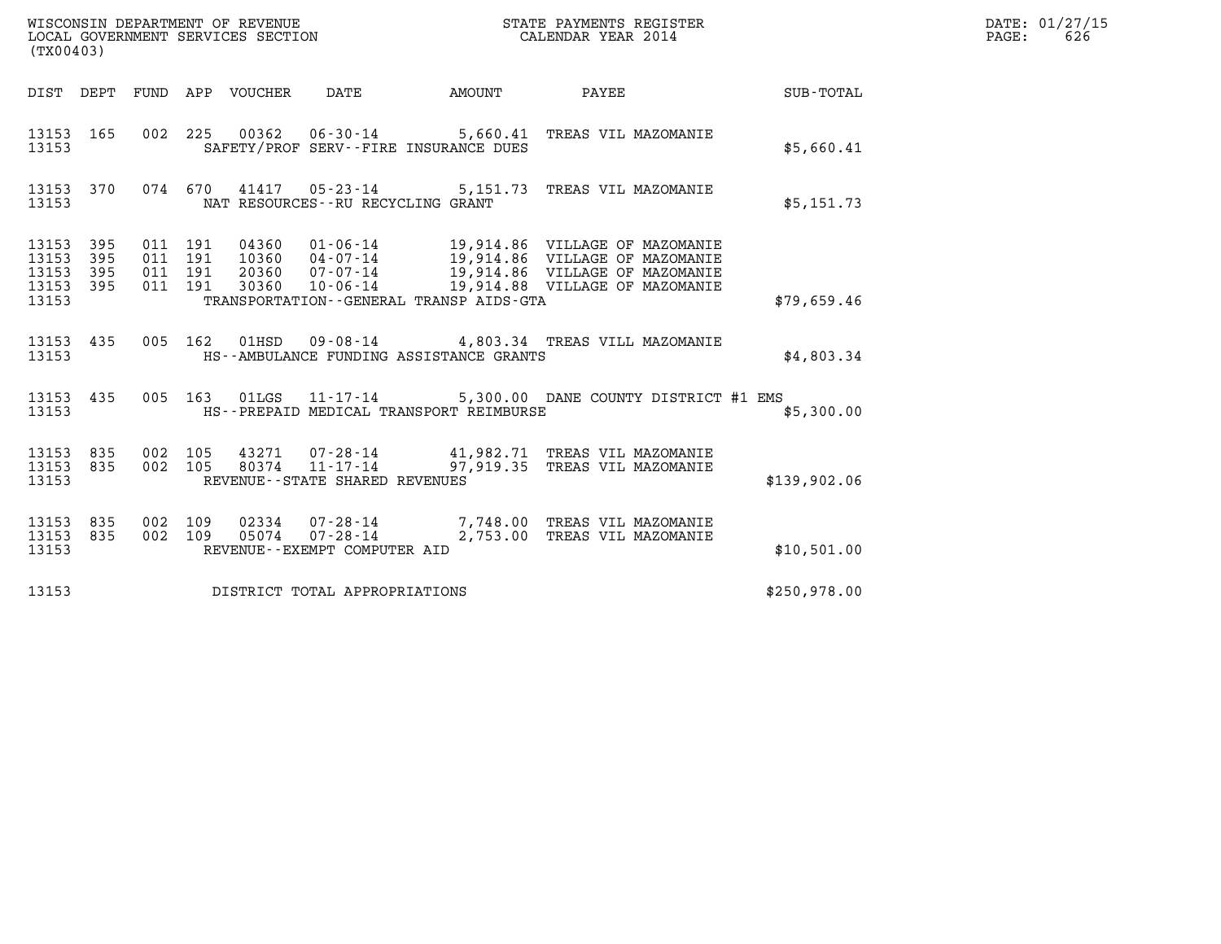| (TX00403)                                                       |                                          | WISCONSIN DEPARTMENT OF REVENUE<br>LOCAL GOVERNMENT SERVICES SECTION | STATE PAYMENTS REGISTER<br>CALENDAR YEAR 2014                                                                                                                                                                |              | DATE: 01/27/15<br>$\mathtt{PAGE}$ :<br>626 |
|-----------------------------------------------------------------|------------------------------------------|----------------------------------------------------------------------|--------------------------------------------------------------------------------------------------------------------------------------------------------------------------------------------------------------|--------------|--------------------------------------------|
| DIST DEPT FUND APP VOUCHER DATE                                 |                                          | <b>AMOUNT</b>                                                        | PAYEE                                                                                                                                                                                                        | SUB-TOTAL    |                                            |
| 13153 165<br>13153                                              |                                          | SAFETY/PROF SERV--FIRE INSURANCE DUES                                | 002 225 00362 06-30-14 5,660.41 TREAS VIL MAZOMANIE                                                                                                                                                          | \$5,660.41   |                                            |
| 13153 370<br>13153                                              |                                          | NAT RESOURCES - - RU RECYCLING GRANT                                 | 074 670 41417 05-23-14 5,151.73 TREAS VIL MAZOMANIE                                                                                                                                                          | \$5,151.73   |                                            |
| 13153 395<br>395<br>13153<br>13153<br>395<br>13153 395<br>13153 | 011 191<br>011 191<br>011 191<br>011 191 | TRANSPORTATION--GENERAL TRANSP AIDS-GTA                              | 04360  01-06-14  19,914.86  VILLAGE OF MAZOMANIE<br>10360  04-07-14  19,914.86  VILLAGE OF MAZOMANIE<br>20360  07-07-14  19,914.86  VILLAGE OF MAZOMANIE<br>30360  10-06-14  19,914.88  VILLAGE OF MAZOMANIE | \$79,659.46  |                                            |
| 13153 435<br>13153                                              |                                          | HS--AMBULANCE FUNDING ASSISTANCE GRANTS                              | 005 162 01HSD 09-08-14 4,803.34 TREAS VILL MAZOMANIE                                                                                                                                                         | \$4,803.34   |                                            |
| 13153 435<br>13153                                              |                                          | HS--PREPAID MEDICAL TRANSPORT REIMBURSE                              | 005 163 01LGS 11-17-14 5,300.00 DANE COUNTY DISTRICT #1 EMS                                                                                                                                                  | \$5,300.00   |                                            |
| 13153 835<br>13153 835<br>13153                                 | 002 105<br>002 105                       | REVENUE - - STATE SHARED REVENUES                                    | 43271 07-28-14 41,982.71 TREAS VIL MAZOMANIE<br>80374  11-17-14  97,919.35  TREAS VIL MAZOMANIE                                                                                                              | \$139,902.06 |                                            |
| 13153 835<br>13153 835<br>13153                                 | 002 109<br>002 109                       | REVENUE--EXEMPT COMPUTER AID                                         | 02334  07-28-14  7,748.00  TREAS VIL MAZOMANIE<br>05074  07-28-14  2,753.00 TREAS VIL MAZOMANIE                                                                                                              | \$10,501.00  |                                            |
| 13153                                                           |                                          | DISTRICT TOTAL APPROPRIATIONS                                        |                                                                                                                                                                                                              | \$250,978.00 |                                            |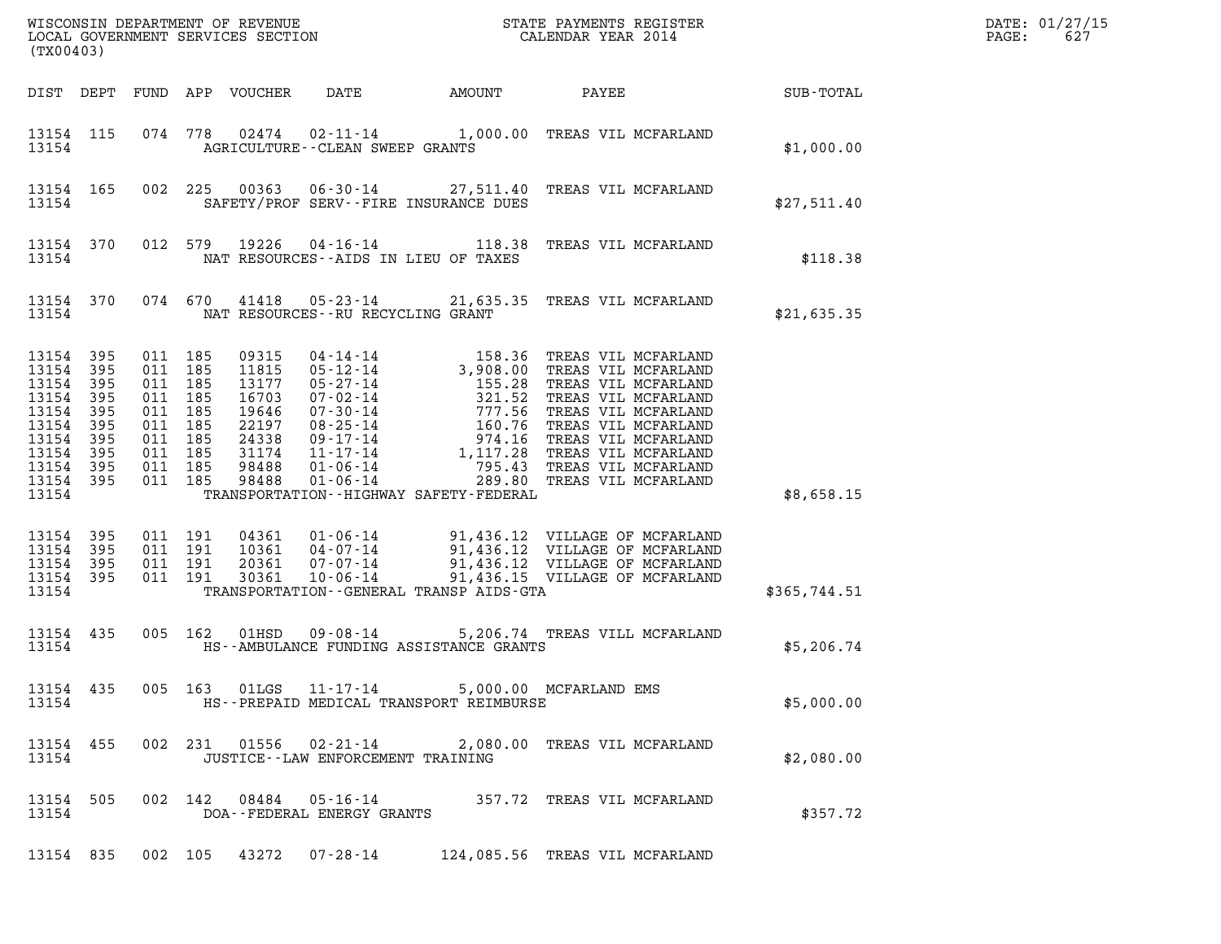| (TX00403)                                                                                               |                                                      |                                                                                                            |         |                                                                                        |                                                               |                                             | %WISCONSIN DEPARTMENT OF REVENUE $$\tt STATE$ PAYMENTS REGISTER LOCAL GOVERNMENT SERVICES SECTION $$\tt CALENDAR$ YEAR 2014                                                                                                                                  |              | DATE: 01/27/15<br>PAGE:<br>627 |
|---------------------------------------------------------------------------------------------------------|------------------------------------------------------|------------------------------------------------------------------------------------------------------------|---------|----------------------------------------------------------------------------------------|---------------------------------------------------------------|---------------------------------------------|--------------------------------------------------------------------------------------------------------------------------------------------------------------------------------------------------------------------------------------------------------------|--------------|--------------------------------|
|                                                                                                         |                                                      |                                                                                                            |         |                                                                                        | DIST DEPT FUND APP VOUCHER DATE AMOUNT                        |                                             | PAYEE SUB-TOTAL                                                                                                                                                                                                                                              |              |                                |
| 13154 115<br>13154                                                                                      |                                                      |                                                                                                            |         |                                                                                        | <b>AGRICULTURE--CLEAN SWEEP GRANTS</b>                        |                                             | 074 778 02474 02-11-14 1,000.00 TREAS VIL MCFARLAND                                                                                                                                                                                                          | \$1,000.00   |                                |
| 13154 165<br>13154                                                                                      |                                                      |                                                                                                            |         |                                                                                        |                                                               | SAFETY/PROF SERV--FIRE INSURANCE DUES       | 002 225 00363 06-30-14 27,511.40 TREAS VIL MCFARLAND                                                                                                                                                                                                         | \$27,511.40  |                                |
| 13154 370<br>13154                                                                                      |                                                      |                                                                                                            |         |                                                                                        |                                                               | NAT RESOURCES -- AIDS IN LIEU OF TAXES      | 012 579 19226 04-16-14 118.38 TREAS VIL MCFARLAND                                                                                                                                                                                                            | \$118.38     |                                |
| 13154                                                                                                   |                                                      |                                                                                                            |         |                                                                                        | NAT RESOURCES--RU RECYCLING GRANT                             |                                             | 13154 370 074 670 41418 05-23-14 21,635.35 TREAS VIL MCFARLAND                                                                                                                                                                                               | \$21,635.35  |                                |
| 13154<br>13154<br>13154<br>13154<br>13154<br>13154<br>13154<br>13154<br>13154 395<br>13154 395<br>13154 | 395<br>395<br>395<br>395<br>395<br>395<br>395<br>395 | 011 185<br>011 185<br>011 185<br>011 185<br>011 185<br>011 185<br>011 185<br>011 185<br>011 185<br>011 185 |         | 09315<br>11815<br>13177<br>16703<br>19646<br>22197<br>24338<br>31174<br>98488<br>98488 |                                                               | TRANSPORTATION - - HIGHWAY SAFETY - FEDERAL | 04-14-14<br>05-12-14<br>05-27-14<br>07-02-14<br>07-02-14<br>07-30-14<br>08-25-14<br>08-25-14<br>09-17-14<br>160.76 TREAS VIL MCFARLAND<br>09-17-14<br>160.76 TREAS VIL MCFARLAND<br>09-17-14<br>160.76 TREAS VIL MCFARLAND<br>01-06-14<br>11.117.28 TREAS VI | \$8,658.15   |                                |
| 13154<br>13154 395<br>13154 395<br>13154 395<br>13154                                                   | 395                                                  | 011 191<br>011 191<br>011 191                                                                              | 011 191 |                                                                                        |                                                               | TRANSPORTATION--GENERAL TRANSP AIDS-GTA     | 04361  01-06-14  91,436.12  VILLAGE OF MCFARLAND<br>10361  04-07-14  91,436.12  VILLAGE OF MCFARLAND<br>20361  07-07-14  91,436.12  VILLAGE OF MCFARLAND<br>30361  10-06-14  91,436.15  VILLAGE OF MCFARLAND                                                 | \$365,744.51 |                                |
| 13154 435<br>13154                                                                                      |                                                      |                                                                                                            |         |                                                                                        |                                                               | HS--AMBULANCE FUNDING ASSISTANCE GRANTS     | 005 162 01HSD 09-08-14 5,206.74 TREAS VILL MCFARLAND                                                                                                                                                                                                         | \$5,206.74   |                                |
| 13154 435<br>13154                                                                                      |                                                      |                                                                                                            |         |                                                                                        | 005 163 01LGS 11-17-14                                        | HS--PREPAID MEDICAL TRANSPORT REIMBURSE     | 5,000.00 MCFARLAND EMS                                                                                                                                                                                                                                       | \$5,000.00   |                                |
| 13154 455<br>13154                                                                                      |                                                      |                                                                                                            |         |                                                                                        | 002 231 01556 02-21-14<br>JUSTICE -- LAW ENFORCEMENT TRAINING |                                             | 2,080.00 TREAS VIL MCFARLAND                                                                                                                                                                                                                                 | \$2,080.00   |                                |
| 13154 505<br>13154                                                                                      |                                                      |                                                                                                            |         |                                                                                        | DOA--FEDERAL ENERGY GRANTS                                    |                                             | 002 142 08484 05-16-14 357.72 TREAS VIL MCFARLAND                                                                                                                                                                                                            | \$357.72     |                                |
|                                                                                                         |                                                      |                                                                                                            |         |                                                                                        | 13154 835 002 105 43272 07-28-14                              |                                             | 124,085.56 TREAS VIL MCFARLAND                                                                                                                                                                                                                               |              |                                |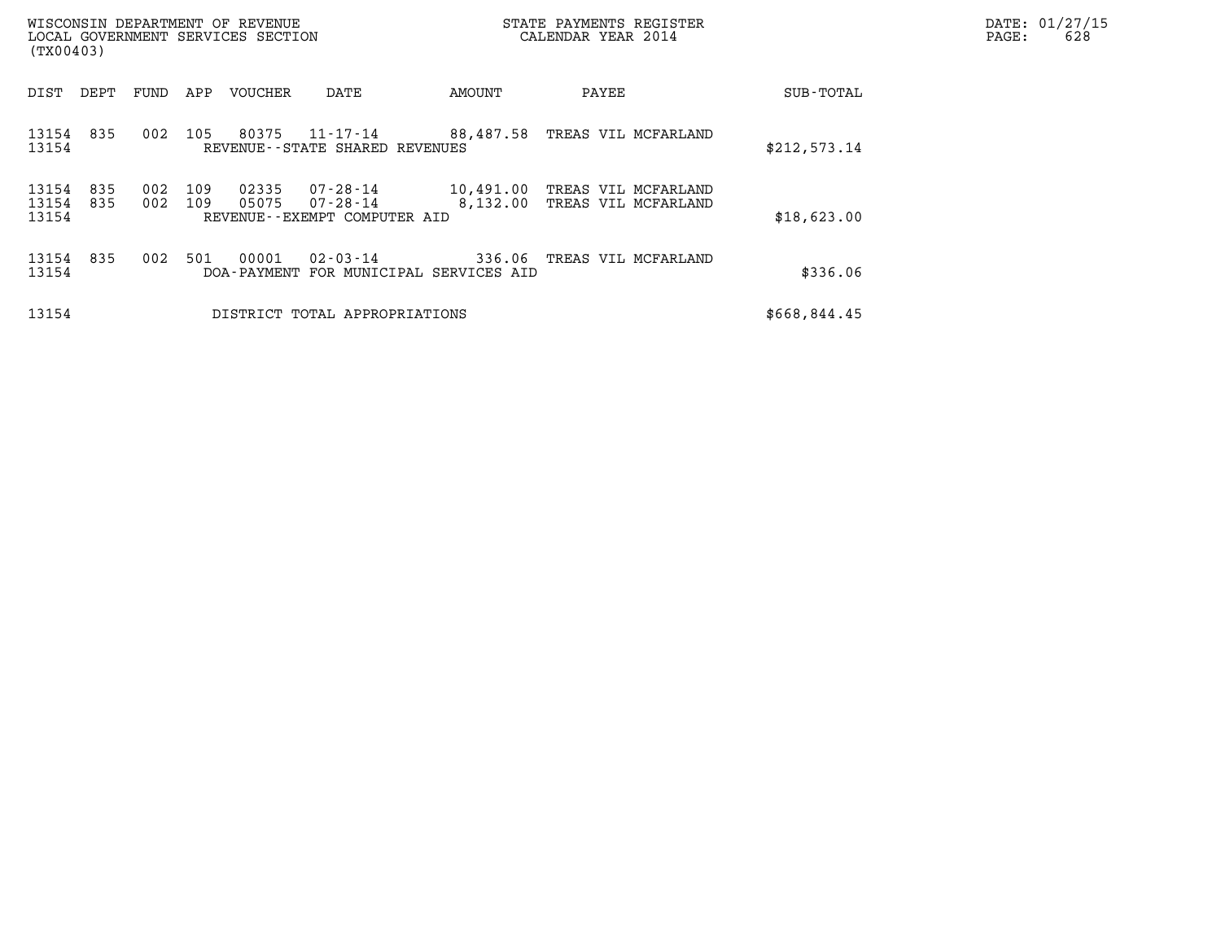| WISCONSIN DEPARTMENT OF REVENUE<br>LOCAL GOVERNMENT SERVICES SECTION<br>(TX00403) |            |                              |                                                            |                       | STATE PAYMENTS REGISTER<br>CALENDAR YEAR 2014 |              | DATE: 01/27/15<br>PAGE:<br>628 |
|-----------------------------------------------------------------------------------|------------|------------------------------|------------------------------------------------------------|-----------------------|-----------------------------------------------|--------------|--------------------------------|
| DEPT<br>DIST                                                                      | FUND       | APP<br><b>VOUCHER</b>        | DATE                                                       | AMOUNT                | PAYEE                                         | SUB-TOTAL    |                                |
| 835<br>13154<br>13154                                                             | 002        | 105<br>80375                 | 11-17-14<br>REVENUE--STATE SHARED REVENUES                 | 88,487.58             | TREAS VIL MCFARLAND                           | \$212,573.14 |                                |
| 835<br>13154<br>13154<br>835<br>13154                                             | 002<br>002 | 109<br>02335<br>109<br>05075 | 07-28-14<br>$07 - 28 - 14$<br>REVENUE--EXEMPT COMPUTER AID | 10,491.00<br>8,132.00 | TREAS VIL MCFARLAND<br>TREAS VIL MCFARLAND    | \$18,623.00  |                                |
| 835<br>13154<br>13154                                                             | 002        | 00001<br>501                 | $02 - 03 - 14$<br>DOA-PAYMENT FOR MUNICIPAL SERVICES AID   | 336.06                | TREAS VIL MCFARLAND                           | \$336.06     |                                |
| 13154                                                                             |            |                              | DISTRICT TOTAL APPROPRIATIONS                              |                       |                                               | \$668,844.45 |                                |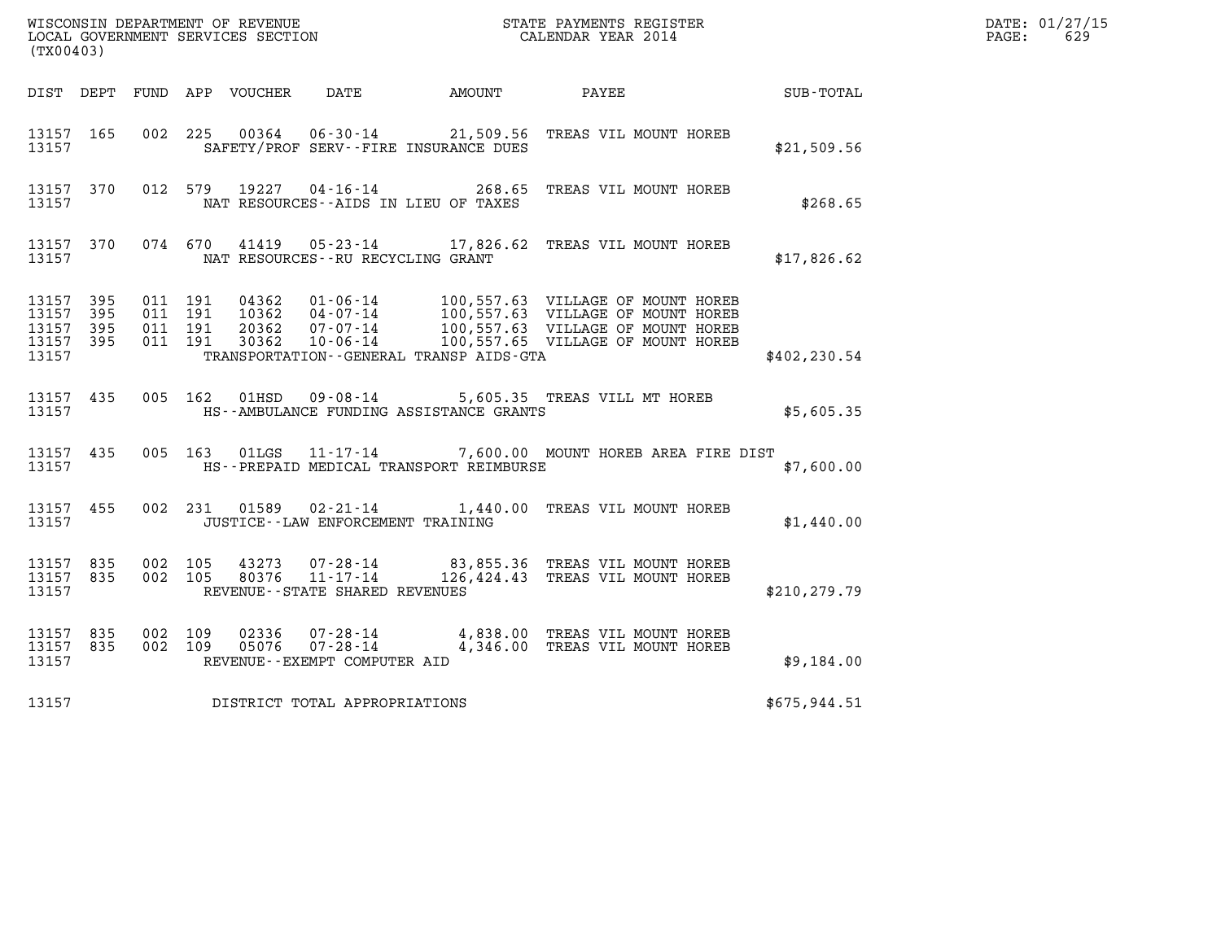| (TX00403)                                |                  |                                          |       |                                      |                                              |                                                                                             |               | DATE: 01/27/15<br>$\mathtt{PAGE:}$<br>629 |
|------------------------------------------|------------------|------------------------------------------|-------|--------------------------------------|----------------------------------------------|---------------------------------------------------------------------------------------------|---------------|-------------------------------------------|
|                                          |                  |                                          |       |                                      |                                              |                                                                                             |               |                                           |
|                                          |                  |                                          |       |                                      | DIST DEPT FUND APP VOUCHER DATE AMOUNT PAYEE |                                                                                             | SUB-TOTAL     |                                           |
| 13157 165<br>13157                       |                  |                                          |       |                                      | SAFETY/PROF SERV--FIRE INSURANCE DUES        | 002 225 00364 06-30-14 21,509.56 TREAS VIL MOUNT HOREB                                      | \$21,509.56   |                                           |
| 13157 370<br>13157                       |                  |                                          |       |                                      | NAT RESOURCES--AIDS IN LIEU OF TAXES         | 012 579 19227 04-16-14 268.65 TREAS VIL MOUNT HOREB                                         | \$268.65      |                                           |
| 13157                                    |                  |                                          |       | NAT RESOURCES - - RU RECYCLING GRANT |                                              | 13157 370 074 670 41419 05-23-14 17,826.62 TREAS VIL MOUNT HOREB                            | \$17,826.62   |                                           |
| 13157 395<br>13157<br>13157 395<br>13157 | 395<br>13157 395 | 011 191<br>011 191<br>011 191<br>011 191 |       |                                      | TRANSPORTATION--GENERAL TRANSP AIDS-GTA      |                                                                                             | \$402, 230.54 |                                           |
| 13157                                    | 13157 435        |                                          |       |                                      | HS--AMBULANCE FUNDING ASSISTANCE GRANTS      | 005 162 01HSD 09-08-14 5,605.35 TREAS VILL MT HOREB                                         | \$5,605.35    |                                           |
| 13157                                    | 13157 435        |                                          |       |                                      | HS--PREPAID MEDICAL TRANSPORT REIMBURSE      | 005 163 01LGS 11-17-14 7,600.00 MOUNT HOREB AREA FIRE DIST                                  | \$7,600.00    |                                           |
| 13157 455<br>13157                       |                  |                                          |       | JUSTICE -- LAW ENFORCEMENT TRAINING  |                                              | 002 231 01589 02-21-14 1,440.00 TREAS VIL MOUNT HOREB                                       | \$1,440.00    |                                           |
| 13157 835<br>13157                       | 13157 835        | 002 105<br>002 105                       |       | REVENUE - - STATE SHARED REVENUES    |                                              |                                                                                             | \$210, 279.79 |                                           |
| 13157 835<br>13157 835<br>13157          |                  | 002 109<br>002 109                       | 05076 | REVENUE--EXEMPT COMPUTER AID         |                                              | 02336  07-28-14  4,838.00  TREAS VIL MOUNT HOREB<br>07-28-14 4,346.00 TREAS VIL MOUNT HOREB | \$9,184.00    |                                           |
| 13157                                    |                  |                                          |       | DISTRICT TOTAL APPROPRIATIONS        |                                              |                                                                                             | \$675,944.51  |                                           |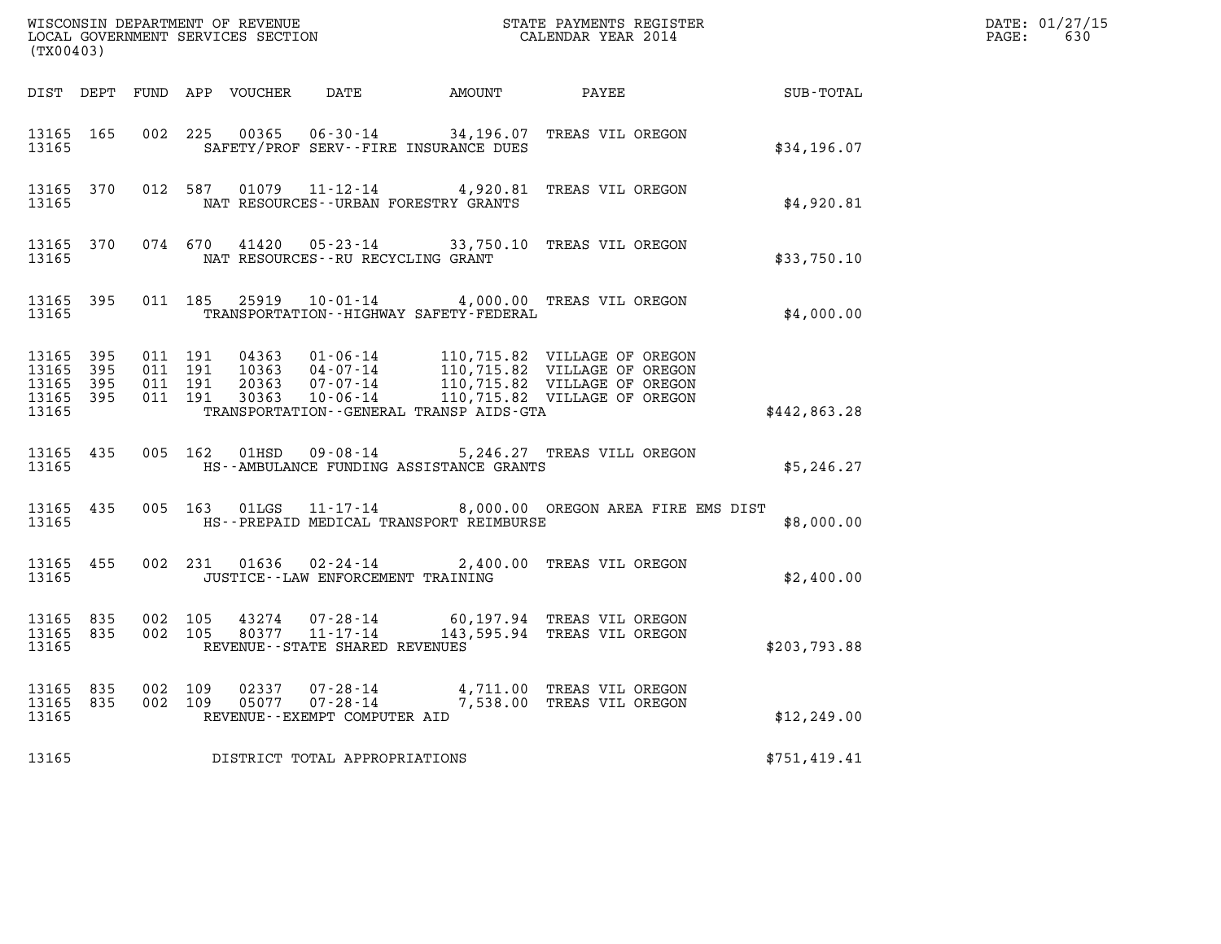| (TX00403)                                                 |           |                    |                               |                |                                                                                               |                                              | $\tt WISCONSIM DEPARTMENT OF REVENUE$ $\tt WISCONSIMENT$ SERVICES SECTION $\tt CALENDAR$ YEAR 2014                                                                                                   |              | DATE: 01/27/15<br>$\mathtt{PAGE:}$<br>630 |
|-----------------------------------------------------------|-----------|--------------------|-------------------------------|----------------|-----------------------------------------------------------------------------------------------|----------------------------------------------|------------------------------------------------------------------------------------------------------------------------------------------------------------------------------------------------------|--------------|-------------------------------------------|
|                                                           |           |                    |                               |                |                                                                                               |                                              | DIST DEPT FUND APP VOUCHER DATE AMOUNT PAYEE TOTAL                                                                                                                                                   |              |                                           |
| 13165 165<br>13165                                        |           |                    | 002 225                       | 00365          |                                                                                               | SAFETY/PROF SERV--FIRE INSURANCE DUES        | 06-30-14 34,196.07 TREAS VIL OREGON                                                                                                                                                                  | \$34,196.07  |                                           |
| 13165                                                     | 13165 370 |                    |                               |                |                                                                                               | NAT RESOURCES--URBAN FORESTRY GRANTS         | 012 587 01079 11-12-14 4,920.81 TREAS VIL OREGON                                                                                                                                                     | \$4,920.81   |                                           |
| 13165                                                     |           |                    |                               |                | NAT RESOURCES - - RU RECYCLING GRANT                                                          |                                              | 13165 370 074 670 41420 05-23-14 33,750.10 TREAS VIL OREGON                                                                                                                                          | \$33,750.10  |                                           |
| 13165                                                     | 13165 395 |                    |                               |                |                                                                                               | TRANSPORTATION - - HIGHWAY SAFETY - FEDERAL  | 011 185 25919 10-01-14 4,000.00 TREAS VIL OREGON                                                                                                                                                     | \$4,000.00   |                                           |
| 13165 395<br>13165 395<br>13165 395<br>13165 395<br>13165 |           | 011 191            | 011 191<br>011 191<br>011 191 |                |                                                                                               | TRANSPORTATION - - GENERAL TRANSP AIDS - GTA | 04363  01-06-14  110,715.82  VILLAGE OF OREGON<br>10363  04-07-14  110,715.82  VILLAGE OF OREGON<br>20363  07-07-14  110,715.82  VILLAGE OF OREGON<br>30363  10-06-14  110,715.82  VILLAGE OF OREGON | \$442,863.28 |                                           |
| 13165 435<br>13165                                        |           |                    |                               | 005 162 01HSD  |                                                                                               | HS--AMBULANCE FUNDING ASSISTANCE GRANTS      | 09-08-14 5,246.27 TREAS VILL OREGON                                                                                                                                                                  | \$5,246.27   |                                           |
| 13165 435<br>13165                                        |           |                    |                               | 005 163 01LGS  |                                                                                               | HS--PREPAID MEDICAL TRANSPORT REIMBURSE      | 11-17-14 8,000.00 OREGON AREA FIRE EMS DIST                                                                                                                                                          | \$8,000.00   |                                           |
| 13165                                                     | 13165 455 |                    |                               |                | JUSTICE - - LAW ENFORCEMENT TRAINING                                                          |                                              | 002 231 01636 02-24-14 2,400.00 TREAS VIL OREGON                                                                                                                                                     | \$2,400.00   |                                           |
| 13165 835<br>13165                                        | 13165 835 | 002 105            | 002 105                       | 43274          | 07-28-14<br>$80377$ $11 - \overline{17} - \overline{14}$<br>REVENUE - - STATE SHARED REVENUES |                                              | 60,197.94 TREAS VIL OREGON<br>143,595.94 TREAS VIL OREGON                                                                                                                                            | \$203,793.88 |                                           |
| 13165 835<br>13165 835<br>13165                           |           | 002 109<br>002 109 |                               | 02337<br>05077 | REVENUE--EXEMPT COMPUTER AID                                                                  |                                              | 07-28-14 4,711.00 TREAS VIL OREGON<br>07-28-14 7,538.00 TREAS VIL OREGON                                                                                                                             | \$12, 249.00 |                                           |
| 13165                                                     |           |                    |                               |                | DISTRICT TOTAL APPROPRIATIONS                                                                 |                                              |                                                                                                                                                                                                      | \$751,419.41 |                                           |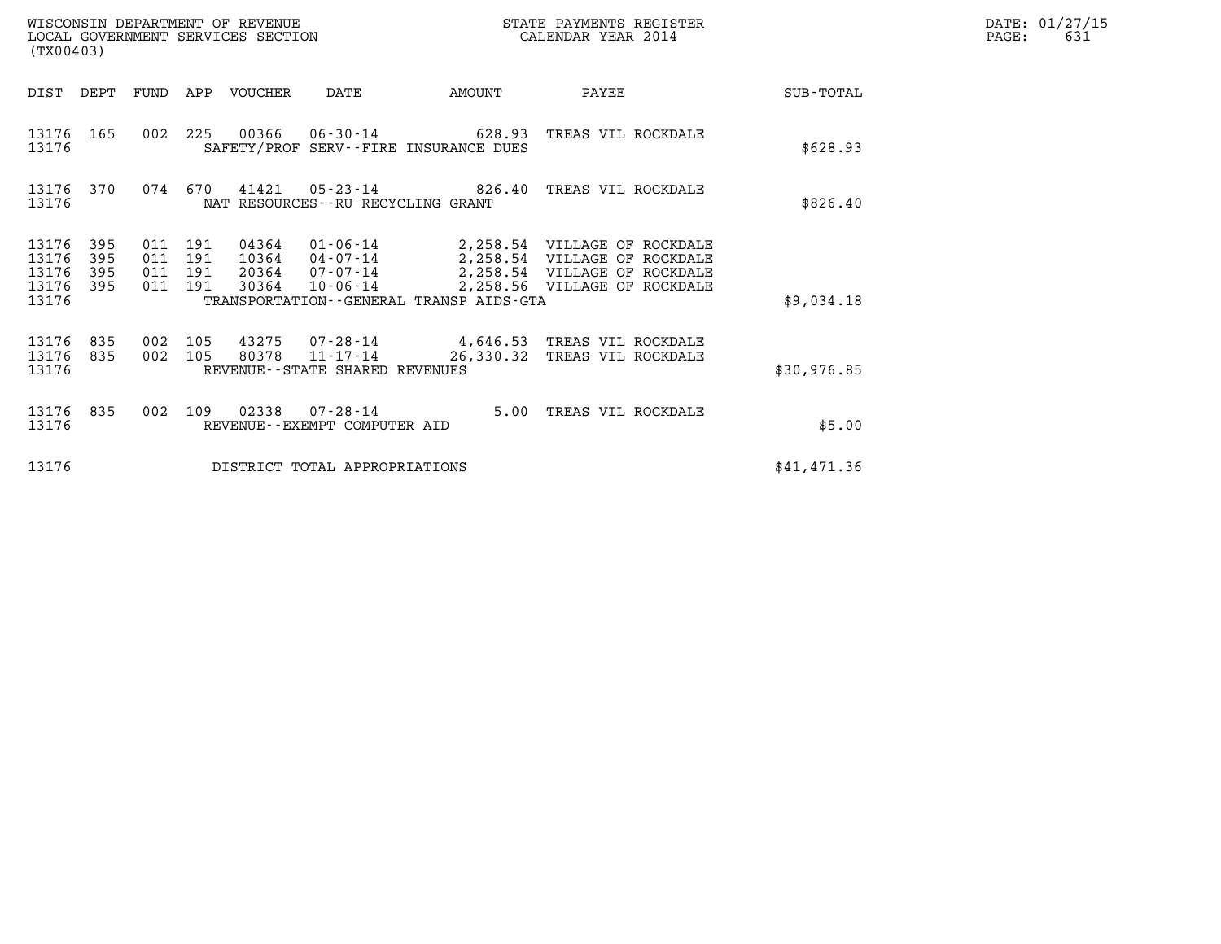| WISCONSIN DEPARTMENT OF REVENUE<br>LOCAL GOVERNMENT SERVICES SECTION<br>. | STATE PAYMENTS REGISTER<br>CALENDAR YEAR 2014 | DATE: 01/27/15<br>د 63<br>PAGE: |
|---------------------------------------------------------------------------|-----------------------------------------------|---------------------------------|

| (TX00403)                                 |                          |                           |                | WISCONSIN DEPARTMENT OF REVENUE<br>LOCAL GOVERNMENT SERVICES SECTION |                                                          |                                                                    | STATE PAYMENTS REGISTER<br>CALENDAR YEAR 2014                                                                                | DATE: 01/27/15<br>PAGE:<br>631 |  |
|-------------------------------------------|--------------------------|---------------------------|----------------|----------------------------------------------------------------------|----------------------------------------------------------|--------------------------------------------------------------------|------------------------------------------------------------------------------------------------------------------------------|--------------------------------|--|
| DIST DEPT                                 |                          | FUND                      |                | APP VOUCHER                                                          | DATE                                                     | <b>AMOUNT</b>                                                      | PAYEE                                                                                                                        | SUB-TOTAL                      |  |
| 13176 165<br>13176                        |                          | 002                       |                |                                                                      |                                                          | 225 00366 06-30-14 628.93<br>SAFETY/PROF SERV--FIRE INSURANCE DUES | TREAS VIL ROCKDALE                                                                                                           | \$628.93                       |  |
| 13176 370<br>13176                        |                          | 074                       | 670            |                                                                      | NAT RESOURCES--RU RECYCLING GRANT                        |                                                                    | 41421  05-23-14  826.40 TREAS VIL ROCKDALE                                                                                   | \$826.40                       |  |
| 13176<br>13176<br>13176<br>13176<br>13176 | 395<br>395<br>395<br>395 | 011<br>011 191<br>011 191 | 191<br>011 191 | 04364<br>10364<br>30364                                              | $01 - 06 - 14$<br>04-07-14<br>20364 07-07-14<br>10-06-14 | TRANSPORTATION - - GENERAL TRANSP AIDS - GTA                       | 2,258.54 VILLAGE OF ROCKDALE<br>2,258.54 VILLAGE OF ROCKDALE<br>2,258.54 VILLAGE OF ROCKDALE<br>2,258.56 VILLAGE OF ROCKDALE | \$9,034.18                     |  |
| 13176<br>13176 835<br>13176               | 835                      | 002                       | 105<br>002 105 | 43275<br>80378                                                       | 11-17-14<br>REVENUE--STATE SHARED REVENUES               | 26,330.32                                                          | 07-28-14 4,646.53 TREAS VIL ROCKDALE<br>TREAS VIL ROCKDALE                                                                   | \$30,976.85                    |  |
| 13176 835<br>13176                        |                          | 002                       | 109            |                                                                      | REVENUE - - EXEMPT COMPUTER AID                          |                                                                    | 5.00 TREAS VIL ROCKDALE                                                                                                      | \$5.00                         |  |
| 13176                                     |                          |                           |                |                                                                      | DISTRICT TOTAL APPROPRIATIONS                            |                                                                    |                                                                                                                              | \$41,471.36                    |  |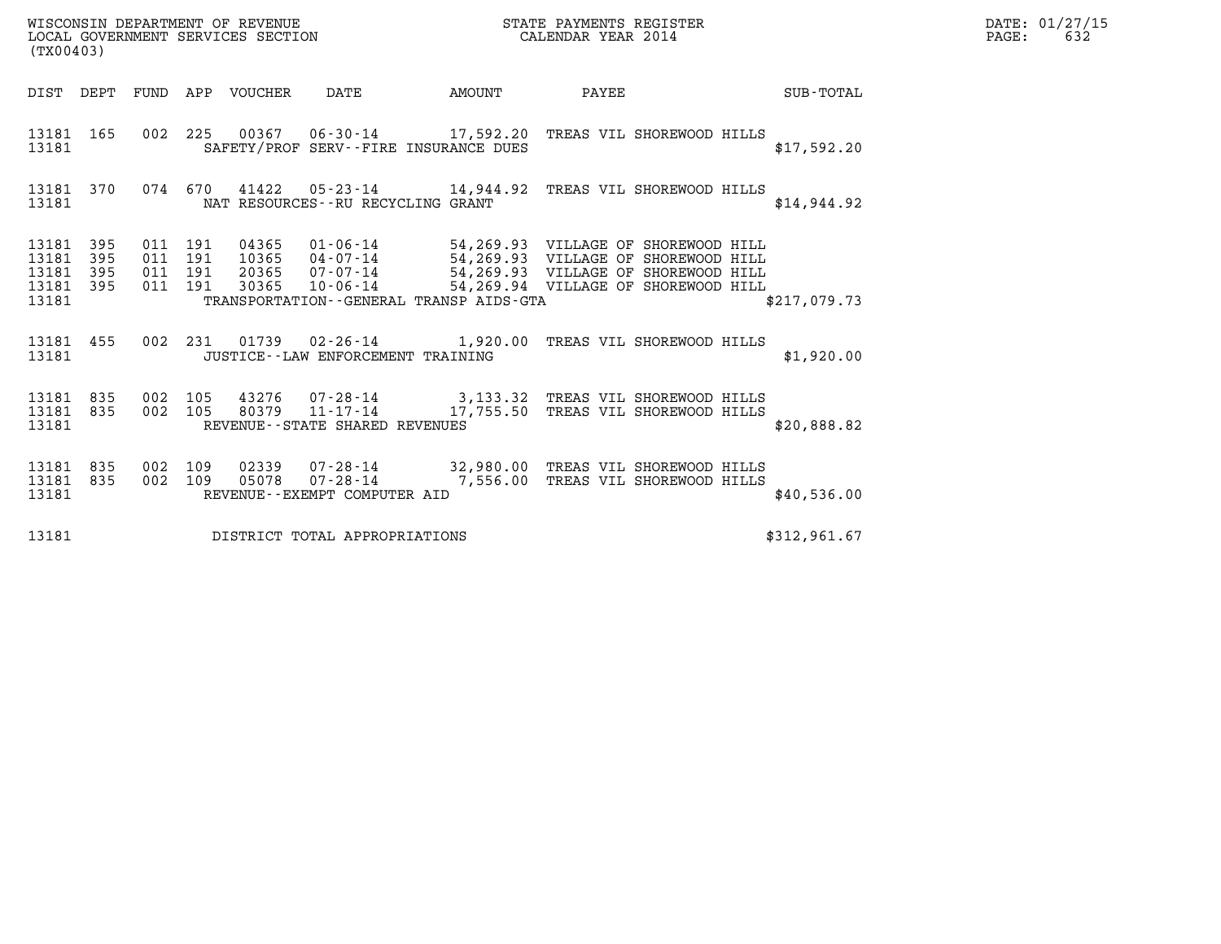| WISCONSIN DEPARTMENT OF REVENUE<br>LOCAL GOVERNMENT SERVICES SECTION | STATE PAYMENTS REGISTER<br>CALENDAR YEAR 2014 | DATE: 01/27/15<br>632<br>PAGE: |
|----------------------------------------------------------------------|-----------------------------------------------|--------------------------------|

| (TX00403)                                             |     |                                          |       |                                            |                                                                                                                                                                                                                                  |              | PAGE: | DATE: 01/27/15<br>632 |
|-------------------------------------------------------|-----|------------------------------------------|-------|--------------------------------------------|----------------------------------------------------------------------------------------------------------------------------------------------------------------------------------------------------------------------------------|--------------|-------|-----------------------|
|                                                       |     |                                          |       | DIST DEPT FUND APP VOUCHER DATE AMOUNT     | PAYEE                                                                                                                                                                                                                            | SUB-TOTAL    |       |                       |
| 13181                                                 |     |                                          |       | SAFETY/PROF SERV--FIRE INSURANCE DUES      | 13181 165 002 225 00367 06-30-14 17,592.20 TREAS VIL SHOREWOOD HILLS                                                                                                                                                             | \$17,592.20  |       |                       |
| 13181 370<br>13181                                    |     |                                          |       | NAT RESOURCES--RU RECYCLING GRANT          | 074 670 41422 05-23-14 14,944.92 TREAS VIL SHOREWOOD HILLS                                                                                                                                                                       | \$14,944.92  |       |                       |
| 13181 395<br>13181 395<br>13181<br>13181 395<br>13181 | 395 | 011 191<br>011 191<br>011 191<br>011 191 |       | TRANSPORTATION - GENERAL TRANSP AIDS - GTA | 04365  01-06-14  54,269.93  VILLAGE OF SHOREWOOD HILL<br>10365  04-07-14  54,269.93  VILLAGE OF SHOREWOOD HILL<br>20365  07-07-14  54,269.93  VILLAGE OF SHOREWOOD HILL<br>30365  10-06-14  54,269.94  VILLAGE OF SHOREWOOD HILL | \$217,079.73 |       |                       |
| 13181                                                 |     |                                          |       | JUSTICE -- LAW ENFORCEMENT TRAINING        | 13181 455 002 231 01739 02-26-14 1,920.00 TREAS VIL SHOREWOOD HILLS                                                                                                                                                              | \$1,920.00   |       |                       |
| 13181 835<br>13181 835<br>13181                       |     |                                          |       | REVENUE--STATE SHARED REVENUES             | 002 105 43276 07-28-14 3,133.32 TREAS VIL SHOREWOOD HILLS<br>002 105 80379 11-17-14 17,755.50 TREAS VIL SHOREWOOD HILLS                                                                                                          | \$20,888.82  |       |                       |
| 13181 835<br>13181 835<br>13181                       |     | 002 109<br>002 109                       | 02339 | REVENUE--EXEMPT COMPUTER AID               | 07-28-14 32,980.00 TREAS VIL SHOREWOOD HILLS<br>05078  07-28-14  7,556.00 TREAS VIL SHOREWOOD HILLS                                                                                                                              | \$40,536.00  |       |                       |
| 13181                                                 |     |                                          |       | DISTRICT TOTAL APPROPRIATIONS              |                                                                                                                                                                                                                                  | \$312,961.67 |       |                       |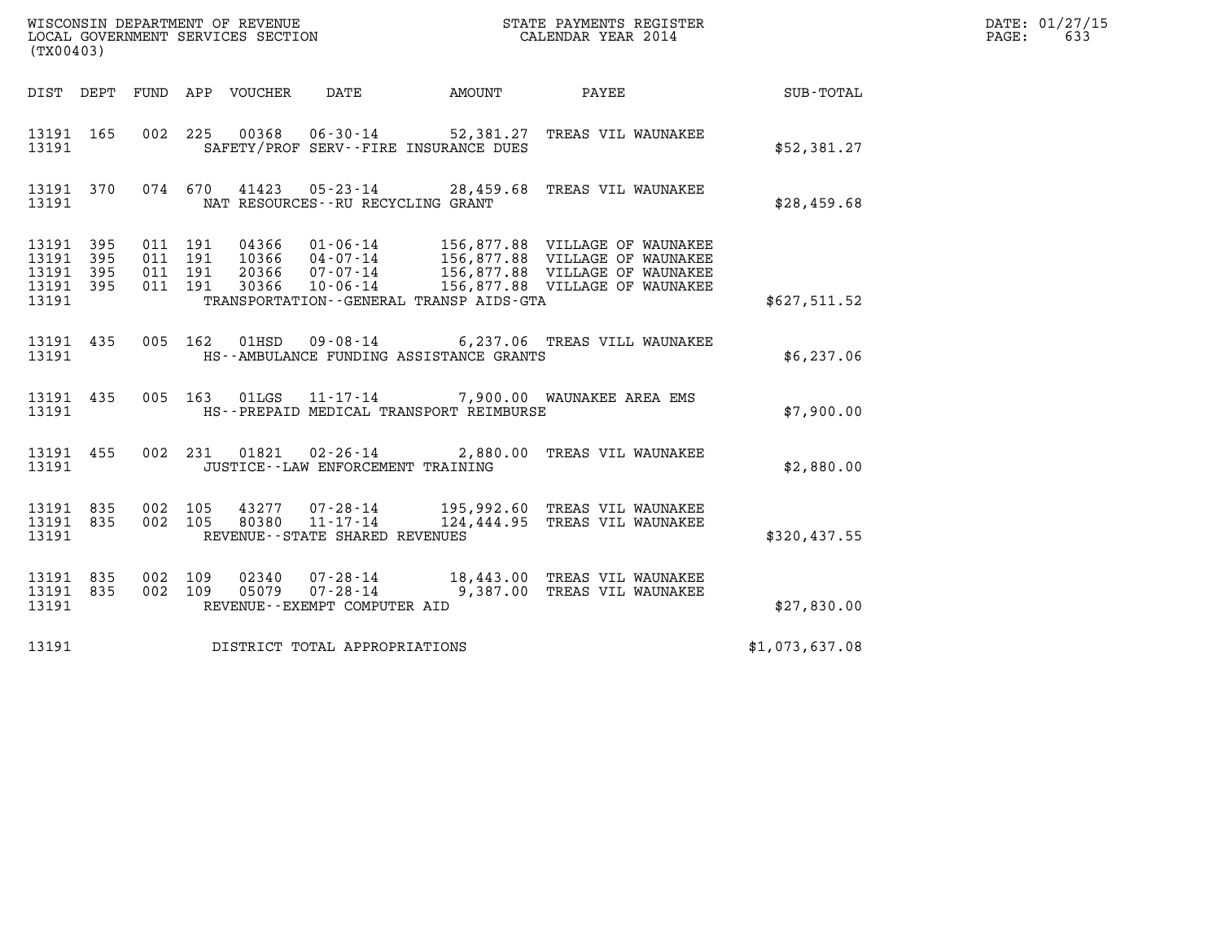| (TX00403)                                             |     |                    |                    |                            |                                                                       |                                         |                                                                                                                                                                                                  |                | DATE: 01/27/15<br>633<br>PAGE: |
|-------------------------------------------------------|-----|--------------------|--------------------|----------------------------|-----------------------------------------------------------------------|-----------------------------------------|--------------------------------------------------------------------------------------------------------------------------------------------------------------------------------------------------|----------------|--------------------------------|
|                                                       |     |                    |                    | DIST DEPT FUND APP VOUCHER | DATE                                                                  | AMOUNT                                  | PAYEE                                                                                                                                                                                            | SUB-TOTAL      |                                |
| 13191 165<br>13191                                    |     |                    |                    |                            |                                                                       | SAFETY/PROF SERV--FIRE INSURANCE DUES   | 002 225 00368 06-30-14 52,381.27 TREAS VIL WAUNAKEE                                                                                                                                              | \$52,381.27    |                                |
| 13191 370<br>13191                                    |     |                    |                    |                            | NAT RESOURCES--RU RECYCLING GRANT                                     |                                         | 074 670 41423 05-23-14 28,459.68 TREAS VIL WAUNAKEE                                                                                                                                              | \$28,459.68    |                                |
| 13191 395<br>13191<br>13191 395<br>13191 395<br>13191 | 395 | 011 191<br>011 191 | 011 191<br>011 191 |                            |                                                                       | TRANSPORTATION--GENERAL TRANSP AIDS-GTA | 04366 01-06-14 156,877.88 VILLAGE OF WAUNAKEE<br>10366 04-07-14 156,877.88 VILLAGE OF WAUNAKEE<br>20366 07-07-14 156,877.88 VILLAGE OF WAUNAKEE<br>30366 10-06-14 156,877.88 VILLAGE OF WAUNAKEE | \$627,511.52   |                                |
| 13191 435<br>13191                                    |     |                    | 005 162            | 01HSD                      |                                                                       | HS--AMBULANCE FUNDING ASSISTANCE GRANTS | 09-08-14 6,237.06 TREAS VILL WAUNAKEE                                                                                                                                                            | \$6,237.06     |                                |
| 13191 435<br>13191                                    |     |                    | 005 163            |                            | $01LGS$ $11-17-14$                                                    | HS--PREPAID MEDICAL TRANSPORT REIMBURSE | 7,900.00 WAUNAKEE AREA EMS                                                                                                                                                                       | \$7,900.00     |                                |
| 13191 455<br>13191                                    |     |                    |                    |                            | 002 231 01821 02-26-14<br>JUSTICE - - LAW ENFORCEMENT TRAINING        |                                         | 2,880.00 TREAS VIL WAUNAKEE                                                                                                                                                                      | \$2,880.00     |                                |
| 13191 835<br>13191 835<br>13191                       |     | 002 105<br>002 105 |                    | 80380                      | 43277 07-28-14<br>$11 - 17 - 14$<br>REVENUE - - STATE SHARED REVENUES |                                         | 195,992.60 TREAS VIL WAUNAKEE<br>124,444.95 TREAS VIL WAUNAKEE                                                                                                                                   | \$320,437.55   |                                |
| 13191 835<br>13191 835<br>13191                       |     | 002 109<br>002 109 |                    | 02340<br>05079             | 07-28-14<br>REVENUE--EXEMPT COMPUTER AID                              |                                         | 07-28-14 18,443.00 TREAS VIL WAUNAKEE<br>9,387.00 TREAS VIL WAUNAKEE                                                                                                                             | \$27,830.00    |                                |
| 13191                                                 |     |                    |                    |                            | DISTRICT TOTAL APPROPRIATIONS                                         |                                         |                                                                                                                                                                                                  | \$1,073,637.08 |                                |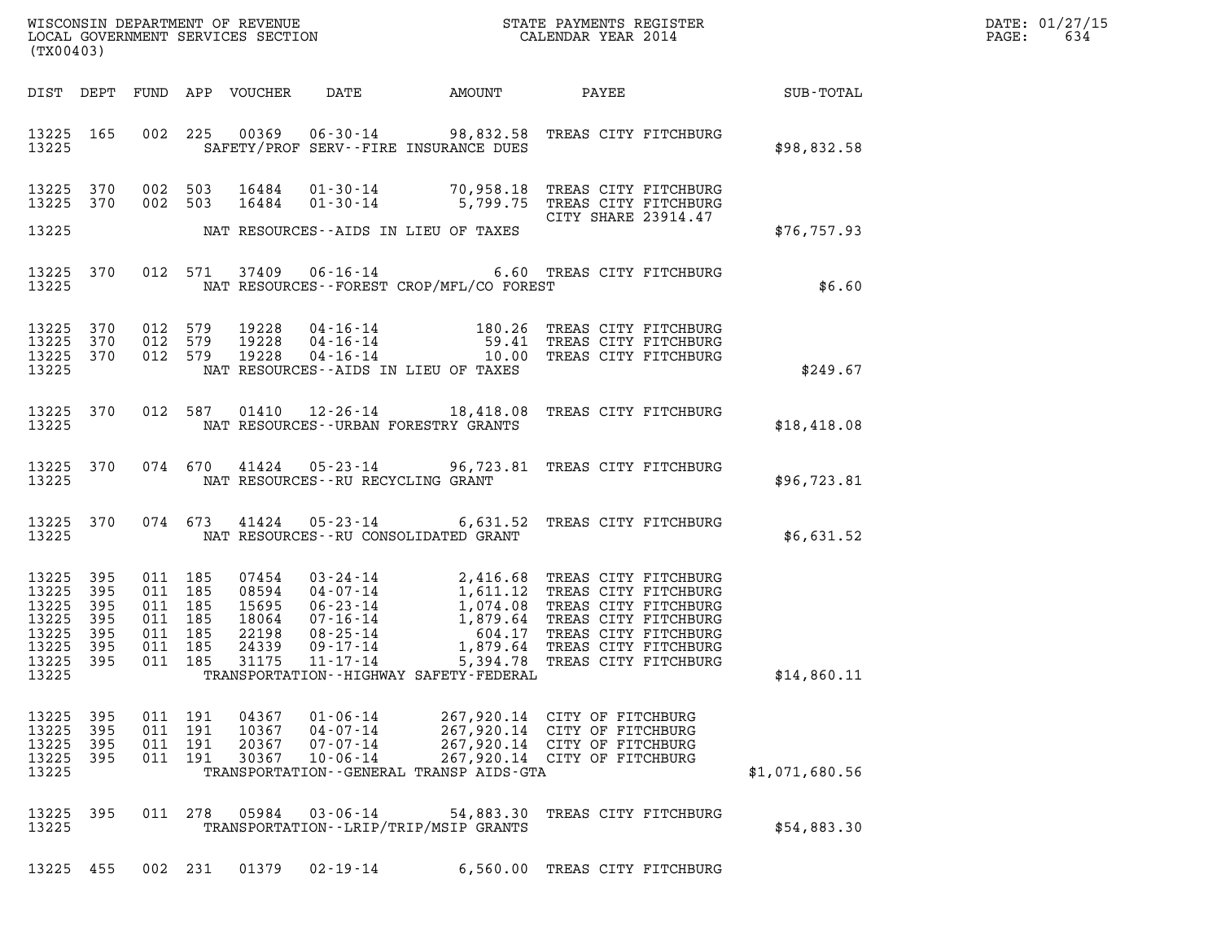| DATE: | 01/27/15 |
|-------|----------|
| PAGE: | 634      |

| (TX00403)                                                                                                          |                                                                                                                                                                                                                                             |                                                                                                                                                                                                                                                                  | R              | DATE: 01/27/15<br>$\mathtt{PAGE:}$<br>634 |
|--------------------------------------------------------------------------------------------------------------------|---------------------------------------------------------------------------------------------------------------------------------------------------------------------------------------------------------------------------------------------|------------------------------------------------------------------------------------------------------------------------------------------------------------------------------------------------------------------------------------------------------------------|----------------|-------------------------------------------|
|                                                                                                                    |                                                                                                                                                                                                                                             |                                                                                                                                                                                                                                                                  |                |                                           |
| 13225                                                                                                              | 13225 165 002 225 00369 06-30-14 98,832.58 TREAS CITY FITCHBURG<br>SAFETY/PROF SERV--FIRE INSURANCE DUES                                                                                                                                    |                                                                                                                                                                                                                                                                  | \$98,832.58    |                                           |
| 13225 370<br>13225 370<br>13225                                                                                    | 002 503 16484 01-30-14 70,958.18 TREAS CITY FITCHBURG<br>002 503 16484 01-30-14 5,799.75 TREAS CITY FITCHBURG<br>NAT RESOURCES--AIDS IN LIEU OF TAXES                                                                                       | CITY SHARE 23914.47                                                                                                                                                                                                                                              | \$76, 757.93   |                                           |
|                                                                                                                    | $\begin{tabular}{lllll} 13225 & 370 & 012 & 571 & 37409 & 06-16-14 & & 6.60 \end{tabular} \begin{tabular}{lllll} 6.60 FERS CITY FITCHBURG \\ \hline & \multicolumn{2}{l}{\texttt{NAT RESOURCES}}--FOREST CROP/MFL/CO FOREST} \end{tabular}$ |                                                                                                                                                                                                                                                                  | \$6.60         |                                           |
| 13225 370<br>13225 370<br>13225 370<br>13225                                                                       | 012 579 19228 04-16-14 180.26 TREAS CITY FITCHBURG<br>012 579 19228 04-16-14 59.41 TREAS CITY FITCHBURG<br>012 579 19228 04-16-14 10.00 TREAS CITY FITCHBURG<br>NAT RESOURCES--AIDS IN LIEU OF TAXES                                        |                                                                                                                                                                                                                                                                  | \$249.67       |                                           |
| 13225                                                                                                              | 13225 370 012 587 01410 12-26-14 18,418.08 TREAS CITY FITCHBURG<br>NAT RESOURCES--URBAN FORESTRY GRANTS                                                                                                                                     |                                                                                                                                                                                                                                                                  | \$18,418.08    |                                           |
| 13225                                                                                                              | 13225 370 074 670 41424 05-23-14 96,723.81 TREAS CITY FITCHBURG<br>NAT RESOURCES--RU RECYCLING GRANT                                                                                                                                        |                                                                                                                                                                                                                                                                  | \$96,723.81    |                                           |
| 13225                                                                                                              | 13225 370 074 673 41424 05-23-14 6,631.52 TREAS CITY FITCHBURG<br>NAT RESOURCES--RU CONSOLIDATED GRANT                                                                                                                                      |                                                                                                                                                                                                                                                                  | \$6,631.52     |                                           |
| 13225<br>395<br>13225<br>395<br>13225<br>395<br>13225<br>395<br>13225<br>395<br>13225<br>395<br>13225 395<br>13225 | 011 185<br>07454<br>011 185<br>08594<br>011 185<br>15695<br>011 185<br>18064<br>011 185<br>22198<br>011 185<br>24339<br>011 185<br>31175<br>TRANSPORTATION - - HIGHWAY SAFETY - FEDERAL                                                     | 03-24-14<br>04-07-14<br>06-23-14<br>1,611.12<br>1,611.12<br>TREAS CITY FITCHBURG<br>06-23-14<br>1,074.08<br>TREAS CITY FITCHBURG<br>07-16-14<br>1,879.64<br>TREAS CITY FITCHBURG<br>09-17-14<br>1,879.64<br>TREAS CITY FITCHBURG<br>09-17-14<br>1,879.64<br>TREA | \$14,860.11    |                                           |
| 13225 395<br>13225 395<br>13225 395<br>13225 395<br>13225                                                          | 011 191 04367 01-06-14<br>011 191<br>011 191<br>$10 - 06 - 14$<br>011 191<br>30367<br>TRANSPORTATION--GENERAL TRANSP AIDS-GTA                                                                                                               | 267,920.14 CITY OF FITCHBURG<br>10367  04-07-14  267,920.14  CITY OF FITCHBURG<br>267,920.14 CITY OF FITCHBURG<br>267,920.14 CITY OF FITCHBURG                                                                                                                   | \$1,071,680.56 |                                           |
| 13225 395<br>13225                                                                                                 | 011 278 05984 03-06-14<br>TRANSPORTATION - - LRIP/TRIP/MSIP GRANTS                                                                                                                                                                          | 54,883.30 TREAS CITY FITCHBURG                                                                                                                                                                                                                                   | \$54,883.30    |                                           |

13225 455 002 231 01379 02-19-14 6,560.00 TREAS CITY FITCHBURG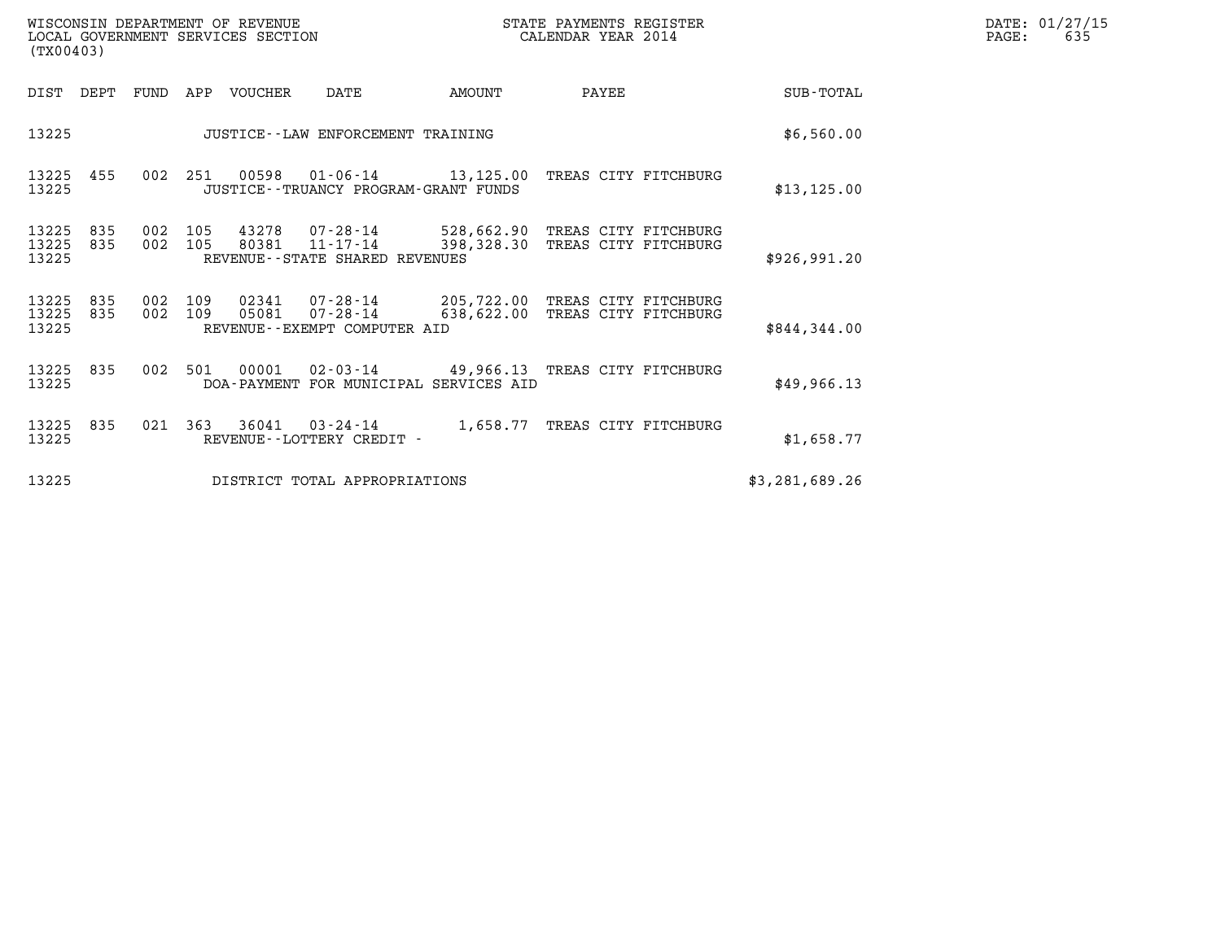| (TX00403)               |            |            |            | WISCONSIN DEPARTMENT OF REVENUE<br>LOCAL GOVERNMENT SERVICES SECTION |                                                                 |            | STATE PAYMENTS REGISTER<br>CALENDAR YEAR 2014                      | DATE: 01/27/15<br>PAGE:<br>635 |  |
|-------------------------|------------|------------|------------|----------------------------------------------------------------------|-----------------------------------------------------------------|------------|--------------------------------------------------------------------|--------------------------------|--|
| DIST                    | DEPT       | FUND       |            | APP VOUCHER                                                          | DATE                                                            | AMOUNT     | PAYEE                                                              | SUB-TOTAL                      |  |
| 13225                   |            |            |            |                                                                      | JUSTICE - - LAW ENFORCEMENT TRAINING                            | \$6,560.00 |                                                                    |                                |  |
| 13225<br>13225          | 455        | 002        | 251        | 00598                                                                | JUSTICE - - TRUANCY PROGRAM - GRANT FUNDS                       |            | 01-06-14 13,125.00 TREAS CITY FITCHBURG                            | \$13, 125.00                   |  |
| 13225<br>13225<br>13225 | 835<br>835 | 002<br>002 | 105<br>105 | 43278<br>80381                                                       | 07-28-14<br>$11 - 17 - 14$<br>REVENUE - - STATE SHARED REVENUES |            | 528,662.90 TREAS CITY FITCHBURG<br>398,328.30 TREAS CITY FITCHBURG | \$926,991.20                   |  |
| 13225<br>13225<br>13225 | 835<br>835 | 002<br>002 | 109<br>109 | 02341<br>05081                                                       | 07-28-14<br>07-28-14<br>REVENUE--EXEMPT COMPUTER AID            |            | 205,722.00 TREAS CITY FITCHBURG<br>638,622.00 TREAS CITY FITCHBURG | \$844,344.00                   |  |
| 13225<br>13225          | 835        | 002        | 501        | 00001                                                                | 02-03-14<br>DOA-PAYMENT FOR MUNICIPAL SERVICES AID              |            | 49,966.13 TREAS CITY FITCHBURG                                     | \$49,966.13                    |  |
| 13225<br>13225          | 835        | 021        | 363        | 36041                                                                | 03-24-14<br>REVENUE--LOTTERY CREDIT -                           | 1,658.77   | TREAS CITY FITCHBURG                                               | \$1,658.77                     |  |
| 13225                   |            |            |            |                                                                      | DISTRICT TOTAL APPROPRIATIONS                                   |            |                                                                    | \$3,281,689.26                 |  |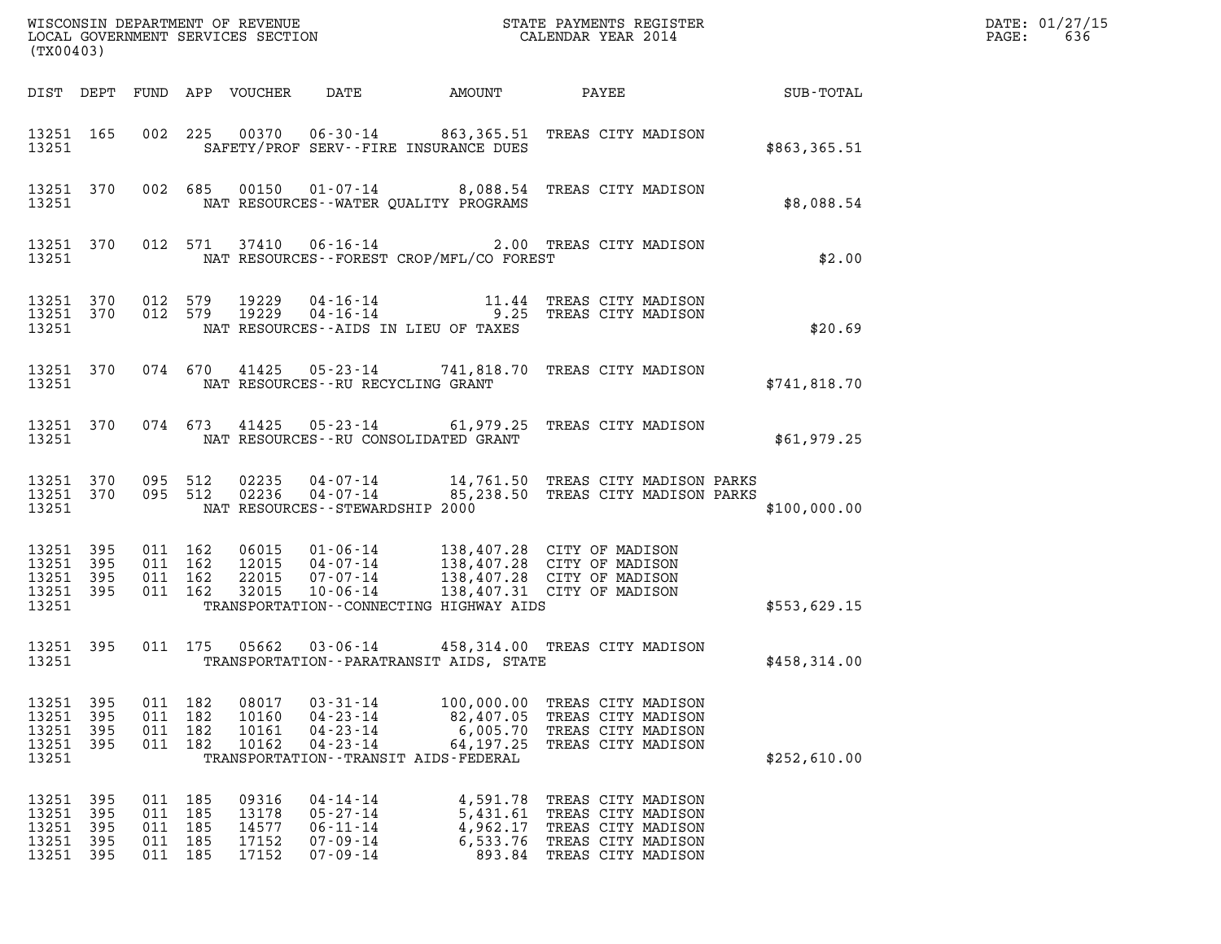| (TX00403)                                                 |                                 |                                     |                          |                                           |                                                                                        |                                                                                                 |                                                                                                                                                                                                                                                                                                                                                         |              | DATE: 01/27/15<br>$\mathtt{PAGE}$ :<br>636 |
|-----------------------------------------------------------|---------------------------------|-------------------------------------|--------------------------|-------------------------------------------|----------------------------------------------------------------------------------------|-------------------------------------------------------------------------------------------------|---------------------------------------------------------------------------------------------------------------------------------------------------------------------------------------------------------------------------------------------------------------------------------------------------------------------------------------------------------|--------------|--------------------------------------------|
|                                                           |                                 |                                     |                          |                                           |                                                                                        |                                                                                                 |                                                                                                                                                                                                                                                                                                                                                         |              |                                            |
| 13251                                                     |                                 |                                     |                          |                                           |                                                                                        | SAFETY/PROF SERV--FIRE INSURANCE DUES                                                           | 13251 165 002 225 00370 06-30-14 863,365.51 TREAS CITY MADISON                                                                                                                                                                                                                                                                                          | \$863,365.51 |                                            |
| 13251                                                     |                                 |                                     |                          |                                           |                                                                                        | NAT RESOURCES--WATER OUALITY PROGRAMS                                                           | 13251 370 002 685 00150 01-07-14 8,088.54 TREAS CITY MADISON                                                                                                                                                                                                                                                                                            | \$8,088.54   |                                            |
| 13251                                                     |                                 |                                     |                          |                                           |                                                                                        | NAT RESOURCES - - FOREST CROP/MFL/CO FOREST                                                     | 13251 370 012 571 37410 06-16-14 2.00 TREAS CITY MADISON                                                                                                                                                                                                                                                                                                | \$2.00       |                                            |
| 13251                                                     |                                 |                                     |                          |                                           |                                                                                        | NAT RESOURCES--AIDS IN LIEU OF TAXES                                                            | $\begin{array}{cccc} 13251 & 370 & 012 & 579 & 19229 & 04\cdot 16\cdot 14 & & & & 11.44 & \text{TREAS CITY MADISON} \\ 13251 & 370 & 012 & 579 & 19229 & 04\cdot 16\cdot 14 & & & & 9.25 & \text{TREAS CITY MADISON} \end{array}$                                                                                                                       | \$20.69      |                                            |
|                                                           |                                 |                                     |                          |                                           |                                                                                        | 13251 NAT RESOURCES--RU RECYCLING GRANT                                                         | 13251 370 074 670 41425 05-23-14 741,818.70 TREAS CITY MADISON                                                                                                                                                                                                                                                                                          | \$741,818.70 |                                            |
|                                                           |                                 |                                     |                          |                                           |                                                                                        | 13251 NAT RESOURCES--RU CONSOLIDATED GRANT                                                      | 13251 370 074 673 41425 05-23-14 61,979.25 TREAS CITY MADISON                                                                                                                                                                                                                                                                                           | \$61,979.25  |                                            |
| 13251                                                     |                                 |                                     |                          |                                           | NAT RESOURCES--STEWARDSHIP 2000                                                        |                                                                                                 | $13251$ 370 095 512 02235 04-07-14 14,761.50 TREAS CITY MADISON PARKS<br>13251 370 095 512 02236 04-07-14 85,238.50 TREAS CITY MADISON PARKS                                                                                                                                                                                                            | \$100,000.00 |                                            |
| 13251 395<br>13251 395<br>13251 395<br>13251 395<br>13251 |                                 |                                     |                          |                                           |                                                                                        | TRANSPORTATION--CONNECTING HIGHWAY AIDS                                                         | $\begin{array}{cccc} 011 & 162 & 06015 & 01\cdot 06\cdot 14 & 138,407.28 & \text{CITY OF MADISON} \\ 011 & 162 & 12015 & 04\cdot 07\cdot 14 & 138,407.28 & \text{CITY OF MADISON} \\ 011 & 162 & 22015 & 07\cdot 07\cdot 14 & 138,407.28 & \text{CITY OF MADISON} \\ 011 & 162 & 32015 & 10\cdot 06\cdot 14 & 138,407.31 & \text{CITY OF MADISON} \end$ | \$553,629.15 |                                            |
| 13251                                                     |                                 |                                     |                          |                                           |                                                                                        | TRANSPORTATION - - PARATRANSIT AIDS, STATE                                                      | 13251 395 011 175 05662 03-06-14 458,314.00 TREAS CITY MADISON                                                                                                                                                                                                                                                                                          | \$458,314.00 |                                            |
| 13251<br>13251<br>13251<br>13251<br>13251                 | 395<br>395<br>395<br>395        | 011 182<br>011 182<br>011 182       | 011 182                  | 08017<br>10160<br>10161<br>10162          | $03 - 31 - 14$<br>$04 - 23 - 14$<br>$04 - 23 - 14$<br>$04 - 23 - 14$                   | 100,000.00<br>82,407.05<br>6,005.70<br>64, 197. 25<br>TRANSPORTATION - - TRANSIT AIDS - FEDERAL | TREAS CITY MADISON<br>TREAS CITY MADISON<br>TREAS CITY MADISON<br>TREAS CITY MADISON                                                                                                                                                                                                                                                                    | \$252,610.00 |                                            |
| 13251<br>13251<br>13251<br>13251<br>13251                 | 395<br>395<br>395<br>395<br>395 | 011 185<br>011<br>011<br>011<br>011 | 185<br>185<br>185<br>185 | 09316<br>13178<br>14577<br>17152<br>17152 | $04 - 14 - 14$<br>$05 - 27 - 14$<br>$06 - 11 - 14$<br>$07 - 09 - 14$<br>$07 - 09 - 14$ | 4,591.78<br>5,431.61<br>4,962.17<br>6,533.76<br>893.84                                          | TREAS CITY MADISON<br>TREAS CITY MADISON<br>TREAS CITY MADISON<br>TREAS CITY MADISON<br>TREAS CITY MADISON                                                                                                                                                                                                                                              |              |                                            |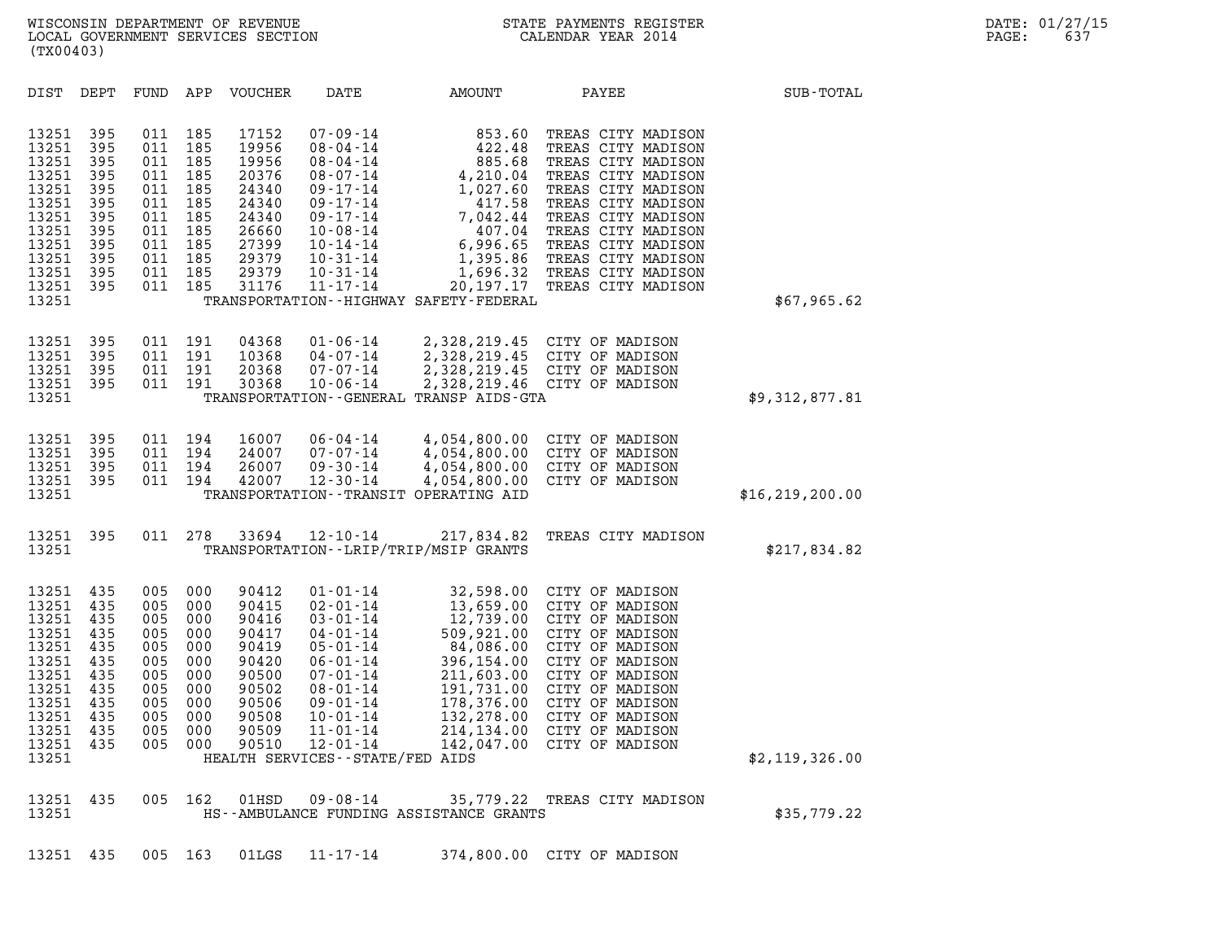| (TX00403)                                                                                                             |                                                                                  |                                                                                  |                                                                                      |                                                                                                          |                                                                                                                                                                                                                                          |                                                                                                                                   |                                                                                                                                                                                                                                                                                                                     |                   |  |
|-----------------------------------------------------------------------------------------------------------------------|----------------------------------------------------------------------------------|----------------------------------------------------------------------------------|--------------------------------------------------------------------------------------|----------------------------------------------------------------------------------------------------------|------------------------------------------------------------------------------------------------------------------------------------------------------------------------------------------------------------------------------------------|-----------------------------------------------------------------------------------------------------------------------------------|---------------------------------------------------------------------------------------------------------------------------------------------------------------------------------------------------------------------------------------------------------------------------------------------------------------------|-------------------|--|
| DIST                                                                                                                  | DEPT                                                                             | FUND                                                                             | APP                                                                                  | VOUCHER                                                                                                  | DATE                                                                                                                                                                                                                                     | AMOUNT                                                                                                                            | PAYEE                                                                                                                                                                                                                                                                                                               | SUB-TOTAL         |  |
| 13251<br>13251<br>13251<br>13251<br>13251<br>13251<br>13251<br>13251<br>13251<br>13251<br>13251<br>13251<br>13251     | 395<br>395<br>395<br>395<br>395<br>395<br>395<br>395<br>395<br>395<br>395<br>395 | 011<br>011<br>011<br>011<br>011<br>011<br>011<br>011<br>011<br>011<br>011<br>011 | 185<br>185<br>185<br>185<br>185<br>185<br>185<br>185<br>185<br>185<br>185<br>185     | 17152<br>19956<br>19956<br>20376<br>24340<br>24340<br>24340<br>26660<br>27399<br>29379<br>29379<br>31176 | $07 - 09 - 14$<br>$08 - 04 - 14$<br>$08 - 04 - 14$<br>$08 - 07 - 14$<br>$09 - 17 - 14$<br>09 - 17 - 14<br>$09 - 17 - 14$<br>$10 - 08 - 14$<br>$10 - 14 - 14$<br>$10 - 31 - 14$<br>$10 - 31 - 14$<br>$11 - 17 - 14$                       | 853.60<br>422.48<br>885.68<br>4,210.04<br>1,027.60<br>417.58<br>7,042.44<br>407.04<br>TRANSPORTATION - - HIGHWAY SAFETY - FEDERAL | TREAS CITY MADISON<br>TREAS CITY MADISON<br>TREAS CITY MADISON<br>TREAS CITY MADISON<br>TREAS CITY MADISON<br>TREAS CITY MADISON<br>TREAS CITY MADISON<br>TREAS CITY MADISON<br>6,996.65 TREAS CITY MADISON<br>1,395.86 TREAS CITY MADISON<br>1,696.32 TREAS CITY MADISON<br>20,197.17 TREAS CITY MADISON           | \$67,965.62       |  |
| 13251<br>13251<br>13251<br>13251<br>13251                                                                             | 395<br>395<br>395<br>395                                                         | 011<br>011<br>011<br>011                                                         | 191<br>191<br>191<br>191                                                             | 04368<br>10368<br>20368<br>30368                                                                         | $01 - 06 - 14$<br>04-07-14<br>$07 - 07 - 14$<br>$10 - 06 - 14$                                                                                                                                                                           | TRANSPORTATION--GENERAL TRANSP AIDS-GTA                                                                                           | 2,328,219.45 CITY OF MADISON<br>2,328,219.45 CITY OF MADISON<br>2,328,219.45 CITY OF MADISON<br>2,328,219.46 CITY OF MADISON                                                                                                                                                                                        | \$9,312,877.81    |  |
| 13251<br>13251<br>13251<br>13251<br>13251                                                                             | 395<br>395<br>395<br>395                                                         | 011<br>011<br>011<br>011                                                         | 194<br>194<br>194<br>194                                                             | 16007<br>24007<br>26007<br>42007                                                                         | $06 - 04 - 14$<br>$07 - 07 - 14$<br>$09 - 30 - 14$<br>$12 - 30 - 14$                                                                                                                                                                     | 4,054,800.00<br>4,054,800.00<br>TRANSPORTATION - - TRANSIT OPERATING AID                                                          | 4,054,800.00 CITY OF MADISON<br>4,054,800.00 CITY OF MADISON<br>CITY OF MADISON<br>CITY OF MADISON                                                                                                                                                                                                                  | \$16, 219, 200.00 |  |
| 13251<br>13251                                                                                                        | 395                                                                              | 011                                                                              | 278                                                                                  | 33694                                                                                                    | $12 - 10 - 14$                                                                                                                                                                                                                           | 217,834.82<br>TRANSPORTATION - - LRIP/TRIP/MSIP GRANTS                                                                            | TREAS CITY MADISON                                                                                                                                                                                                                                                                                                  | \$217,834.82      |  |
| 13251<br>13251<br>13251<br>13251<br>13251<br>13251<br>13251<br>13251<br>13251<br>13251<br>13251<br>13251 435<br>13251 | 435<br>435<br>435<br>435<br>435<br>435<br>435<br>435<br>435<br>435<br>435        | 005<br>005<br>005<br>005<br>005<br>005<br>005<br>005<br>005<br>005<br>005        | 000<br>000<br>000<br>000<br>000<br>000<br>000<br>000<br>000<br>000<br>000<br>005 000 | 90412<br>90415<br>90416<br>90417<br>90419<br>90420<br>90500<br>90502<br>90506<br>90508<br>90509          | $01 - 01 - 14$<br>$02 - 01 - 14$<br>$03 - 01 - 14$<br>$04 - 01 - 14$<br>$05 - 01 - 14$<br>$06 - 01 - 14$<br>$07 - 01 - 14$<br>$08 - 01 - 14$<br>$09 - 01 - 14$<br>$10 - 01 - 14$<br>$11 - 01 - 14$<br>HEALTH SERVICES - - STATE/FED AIDS | 32,598.00<br>13,659.00<br>509,921.00<br>84,086.00<br>132,278.00<br>214,134.00                                                     | CITY OF MADISON<br>CITY OF MADISON<br>12,739.00 CITY OF MADISON<br>CITY OF MADISON<br>CITY OF MADISON<br>396,154.00 CITY OF MADISON<br>211,603.00 CITY OF MADISON<br>191,731.00 CITY OF MADISON<br>178,376.00 CITY OF MADISON<br>CITY OF MADISON<br>CITY OF MADISON<br>90510  12-01-14  142,047.00  CITY OF MADISON | \$2,119,326.00    |  |
| 13251 435<br>13251                                                                                                    |                                                                                  |                                                                                  | 005 162                                                                              | 01HSD                                                                                                    |                                                                                                                                                                                                                                          | HS--AMBULANCE FUNDING ASSISTANCE GRANTS                                                                                           | 09-08-14 35,779.22 TREAS CITY MADISON                                                                                                                                                                                                                                                                               | \$35,779.22       |  |
| 13251 435                                                                                                             |                                                                                  |                                                                                  | 005 163                                                                              |                                                                                                          | 01LGS 11-17-14                                                                                                                                                                                                                           |                                                                                                                                   | 374,800.00 CITY OF MADISON                                                                                                                                                                                                                                                                                          |                   |  |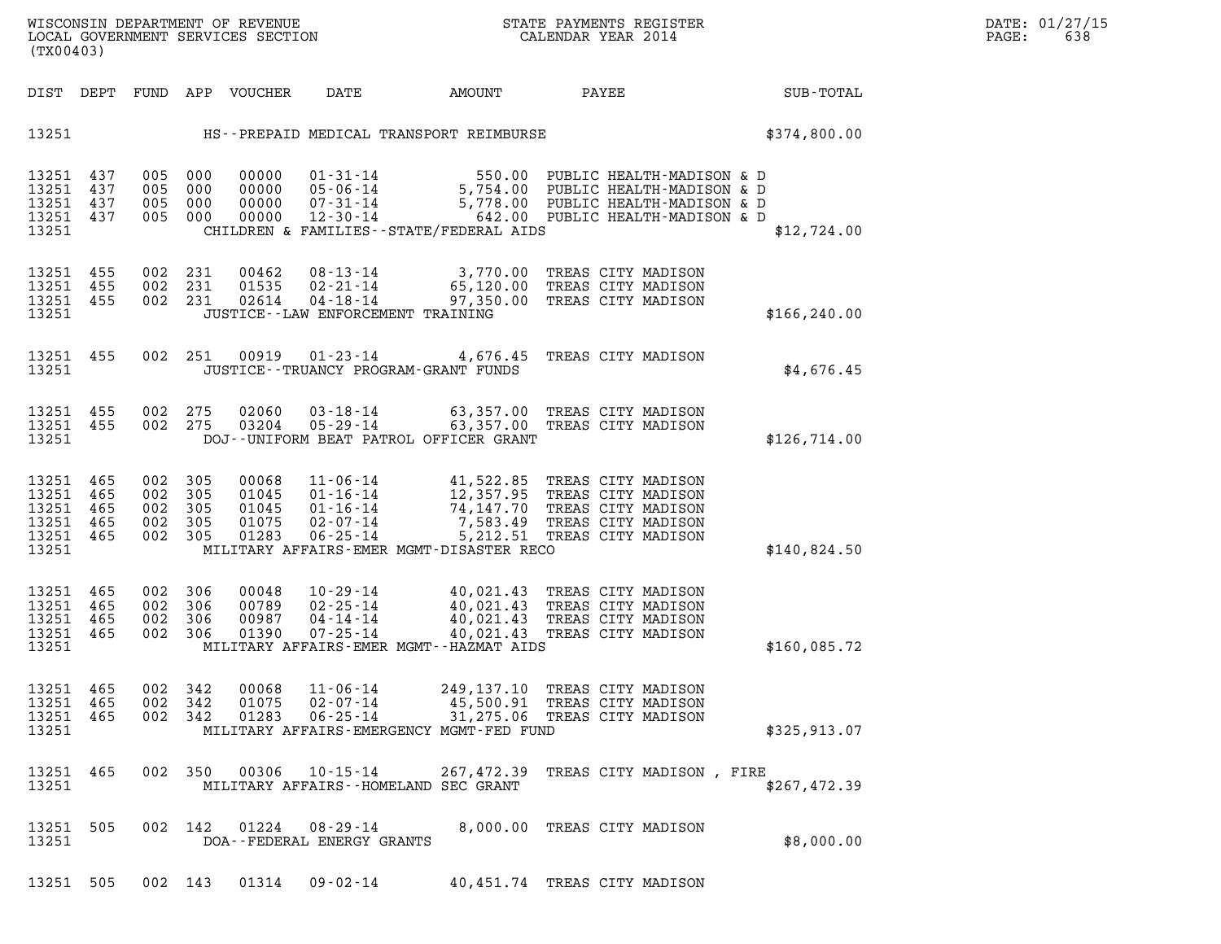| (TX00403)                                                              |                        |                                                     |     |                                 | WISCONSIN DEPARTMENT OF REVENUE<br>LOCAL GOVERNMENT SERVICES SECTION TERMS OF CALENDAR YEAR 2014                                                                                                                                                                              |  | DATE: 01/27/15<br>$\mathtt{PAGE}$ :<br>638                                                    |                        |  |
|------------------------------------------------------------------------|------------------------|-----------------------------------------------------|-----|---------------------------------|-------------------------------------------------------------------------------------------------------------------------------------------------------------------------------------------------------------------------------------------------------------------------------|--|-----------------------------------------------------------------------------------------------|------------------------|--|
|                                                                        |                        |                                                     |     | DIST DEPT FUND APP VOUCHER DATE |                                                                                                                                                                                                                                                                               |  |                                                                                               | AMOUNT PAYEE SUB-TOTAL |  |
|                                                                        |                        |                                                     |     |                                 | 13251 HS--PREPAID MEDICAL TRANSPORT REIMBURSE 674,800.00                                                                                                                                                                                                                      |  |                                                                                               |                        |  |
| 13251 437<br>13251<br>13251 437<br>13251 437<br>13251                  | 437                    | 005 000<br>005 000<br>005 000<br>005 000            |     |                                 | 00000 01-31-14 550.00 PUBLIC HEALTH-MADISON & D<br>00000 05-06-14 5,754.00 PUBLIC HEALTH-MADISON & D<br>00000 07-31-14 5,778.00 PUBLIC HEALTH-MADISON & D<br>00000 12-30-14 642.00 PUBLIC HEALTH-MADISON & D<br>CHILDREN & FAMILIES--STATE/FEDERAL AIDS                       |  |                                                                                               | \$12,724.00            |  |
| 13251 455<br>13251 455<br>13251                                        | 13251 455              | 002 231<br>002 231<br>002 231                       |     |                                 | JUSTICE -- LAW ENFORCEMENT TRAINING                                                                                                                                                                                                                                           |  |                                                                                               | \$166, 240.00          |  |
| 13251                                                                  | 13251 455              |                                                     |     |                                 | 002 251 00919 01-23-14 4,676.45 TREAS CITY MADISON<br>JUSTICE - - TRUANCY PROGRAM - GRANT FUNDS                                                                                                                                                                               |  |                                                                                               | \$4,676.45             |  |
| 13251                                                                  | 13251 455<br>13251 455 | 002 275<br>002 275                                  |     |                                 | DOJ--UNIFORM BEAT PATROL OFFICER GRANT                                                                                                                                                                                                                                        |  |                                                                                               | \$126,714.00           |  |
| 13251 465<br>13251 465<br>13251 465<br>13251 465<br>13251 465<br>13251 |                        | 002 305<br>002 305<br>002 305<br>002 305<br>002 305 |     | 01283                           | 00068   11-06-14   41,522.85   TREAS CITY MADISON<br>01045   01-16-14   12,357.95   TREAS CITY MADISON<br>01045   01-16-14   74,147.70   TREAS CITY MADISON<br>01075   02-07-14   7,583.49   TREAS CITY MADISON<br>$06 - 25 - 14$<br>MILITARY AFFAIRS-EMER MGMT-DISASTER RECO |  | 5,212.51 TREAS CITY MADISON                                                                   | \$140,824.50           |  |
| 13251 465<br>13251<br>13251<br>13251 465<br>13251                      | 465<br>465             | 002 306<br>002 306<br>002 306<br>002 306            |     |                                 | 00048  10-29-14  40,021.43 TREAS CITY MADISON<br>00789  02-25-14  40,021.43 TREAS CITY MADISON<br>00987  04-14-14  40,021.43 TREAS CITY MADISON<br>01390  07-25-14  40,021.43 TREAS CITY MADISON<br>MILITARY AFFAIRS-EMER MGMT--HAZMAT AIDS                                   |  |                                                                                               | \$160,085.72           |  |
| 13251<br>13251<br>13251<br>13251                                       | 465<br>465<br>465      | 002<br>002 342<br>002 342                           | 342 | 00068<br>01075<br>01283         | $11 - 06 - 14$<br>$02 - 07 - 14$<br>$06 - 25 - 14$<br>MILITARY AFFAIRS-EMERGENCY MGMT-FED FUND                                                                                                                                                                                |  | 249,137.10 TREAS CITY MADISON<br>45,500.91 TREAS CITY MADISON<br>31,275.06 TREAS CITY MADISON | \$325,913.07           |  |
| 13251 465<br>13251                                                     |                        | 002 350                                             |     | 00306                           | 10-15-14<br>MILITARY AFFAIRS--HOMELAND SEC GRANT                                                                                                                                                                                                                              |  | 267,472.39 TREAS CITY MADISON, FIRE                                                           | \$267,472.39           |  |
| 13251 505<br>13251                                                     |                        | 002 142                                             |     | 01224                           | 08-29-14<br>DOA--FEDERAL ENERGY GRANTS                                                                                                                                                                                                                                        |  | 8,000.00 TREAS CITY MADISON                                                                   | \$8,000.00             |  |

13251 505 002 143 01314 09-02-14 40,451.74 TREAS CITY MADISON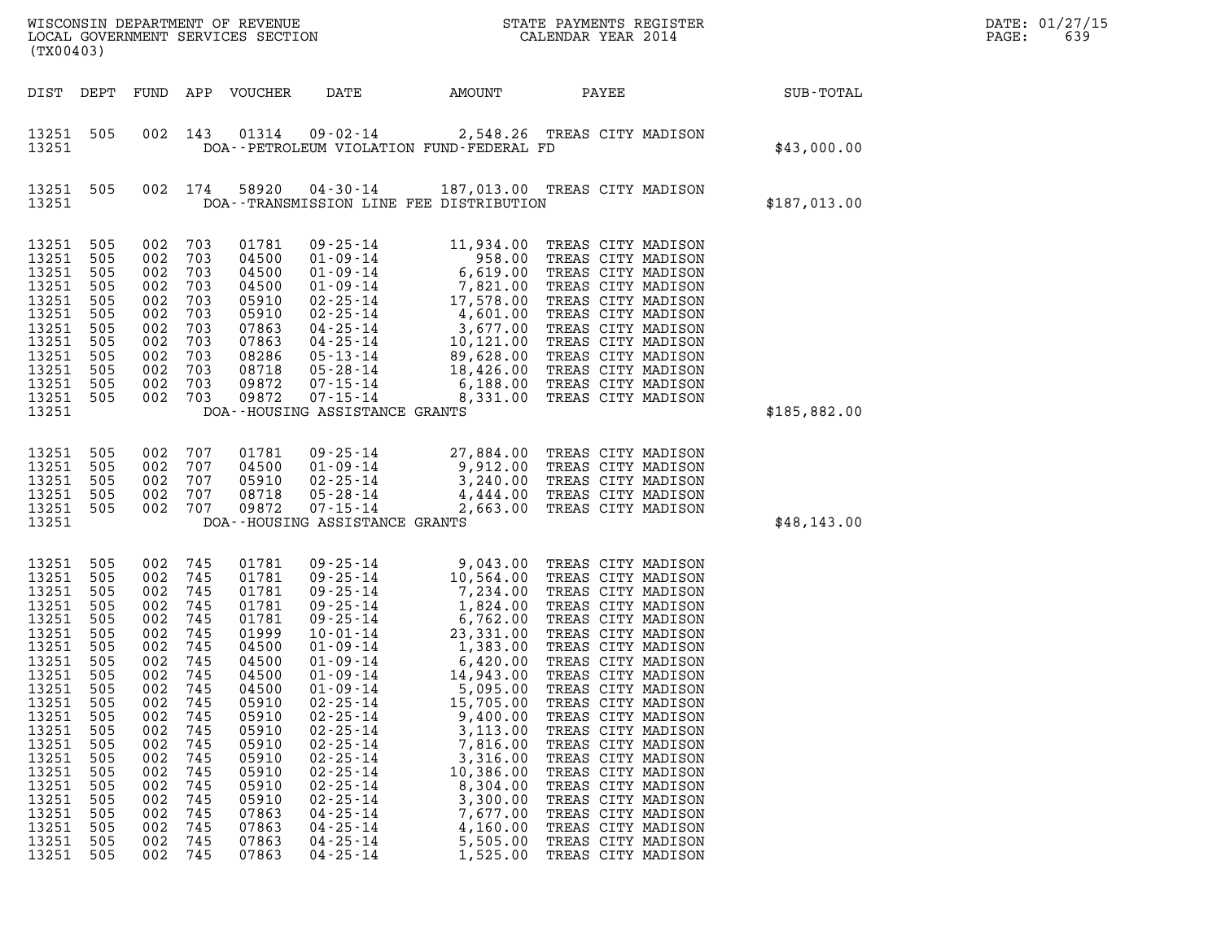| (TX00403)                                                                                                                                                                                          |                                                                                                                                                        |                                                                                                                                                        |                                                                                                                                                        | WISCONSIN DEPARTMENT OF REVENUE<br>LOCAL GOVERNMENT SERVICES SECTION                                                                                                                               | $\mathbf N$                                                                                                                                                                                                                                                                                                                                                                                              |                                                                                                                                                                                                                                                                           | STATE PAYMENTS REGISTER<br>CALENDAR YEAR 2014                                                                                                                                                                                                                                                                                                                                                                                                                                                    |              | DATE: 01/27/15<br>639<br>PAGE: |
|----------------------------------------------------------------------------------------------------------------------------------------------------------------------------------------------------|--------------------------------------------------------------------------------------------------------------------------------------------------------|--------------------------------------------------------------------------------------------------------------------------------------------------------|--------------------------------------------------------------------------------------------------------------------------------------------------------|----------------------------------------------------------------------------------------------------------------------------------------------------------------------------------------------------|----------------------------------------------------------------------------------------------------------------------------------------------------------------------------------------------------------------------------------------------------------------------------------------------------------------------------------------------------------------------------------------------------------|---------------------------------------------------------------------------------------------------------------------------------------------------------------------------------------------------------------------------------------------------------------------------|--------------------------------------------------------------------------------------------------------------------------------------------------------------------------------------------------------------------------------------------------------------------------------------------------------------------------------------------------------------------------------------------------------------------------------------------------------------------------------------------------|--------------|--------------------------------|
| DIST DEPT                                                                                                                                                                                          |                                                                                                                                                        | FUND                                                                                                                                                   |                                                                                                                                                        | APP VOUCHER                                                                                                                                                                                        | DATE                                                                                                                                                                                                                                                                                                                                                                                                     | AMOUNT                                                                                                                                                                                                                                                                    | PAYEE                                                                                                                                                                                                                                                                                                                                                                                                                                                                                            | SUB-TOTAL    |                                |
| 13251<br>13251                                                                                                                                                                                     | 505                                                                                                                                                    | 002                                                                                                                                                    | 143                                                                                                                                                    | 01314                                                                                                                                                                                              |                                                                                                                                                                                                                                                                                                                                                                                                          | DOA--PETROLEUM VIOLATION FUND-FEDERAL FD                                                                                                                                                                                                                                  | 09-02-14 2,548.26 TREAS CITY MADISON                                                                                                                                                                                                                                                                                                                                                                                                                                                             | \$43,000.00  |                                |
| 13251<br>13251                                                                                                                                                                                     | 505                                                                                                                                                    | 002                                                                                                                                                    | 174                                                                                                                                                    | 58920                                                                                                                                                                                              | 04-30-14                                                                                                                                                                                                                                                                                                                                                                                                 | DOA--TRANSMISSION LINE FEE DISTRIBUTION                                                                                                                                                                                                                                   | 187,013.00 TREAS CITY MADISON                                                                                                                                                                                                                                                                                                                                                                                                                                                                    | \$187,013.00 |                                |
| 13251<br>13251<br>13251<br>13251<br>13251<br>13251<br>13251<br>13251<br>13251<br>13251<br>13251<br>13251                                                                                           | 505<br>505<br>505<br>505<br>505<br>505<br>505<br>505<br>505<br>505<br>505<br>505                                                                       | 002<br>002<br>002<br>002<br>002<br>002<br>002<br>002<br>002<br>002<br>002<br>002                                                                       | 703<br>703<br>703<br>703<br>703<br>703<br>703<br>703<br>703<br>703<br>703<br>703                                                                       | 01781<br>04500<br>04500<br>04500<br>05910<br>05910<br>07863<br>07863<br>08286<br>08718<br>09872<br>09872                                                                                           | $09 - 25 - 14$<br>$01 - 09 - 14$<br>$01 - 09 - 14$<br>$01 - 09 - 14$<br>$02 - 25 - 14$<br>$02 - 25 - 14$<br>04-25-14<br>$04 - 25 - 14$<br>$05 - 13 - 14$<br>$05 - 28 - 14$<br>$07 - 15 - 14$<br>$07 - 15 - 14$                                                                                                                                                                                           | 11,934.00<br>$\begin{array}{r} 117958.00 \ 6,619.00 \ 7,821.00 \ 17,578.00 \ 4,601.00 \ 3,677.00 \ 10,121.00 \ 89,628.00 \end{array}$<br>18,426.00<br>6,188.00<br>8,331.00                                                                                                | TREAS CITY MADISON<br>TREAS CITY MADISON<br>TREAS CITY MADISON<br>TREAS CITY MADISON<br>TREAS CITY MADISON<br>TREAS CITY MADISON<br>TREAS CITY MADISON<br>TREAS CITY MADISON<br>TREAS CITY MADISON<br>TREAS CITY MADISON<br>TREAS CITY MADISON<br>TREAS CITY MADISON                                                                                                                                                                                                                             |              |                                |
| 13251                                                                                                                                                                                              |                                                                                                                                                        |                                                                                                                                                        |                                                                                                                                                        |                                                                                                                                                                                                    | DOA--HOUSING ASSISTANCE GRANTS                                                                                                                                                                                                                                                                                                                                                                           |                                                                                                                                                                                                                                                                           |                                                                                                                                                                                                                                                                                                                                                                                                                                                                                                  | \$185,882.00 |                                |
| 13251<br>13251<br>13251<br>13251<br>13251<br>13251                                                                                                                                                 | 505<br>505<br>505<br>505<br>505                                                                                                                        | 002<br>002<br>002<br>002<br>002                                                                                                                        | 707<br>707<br>707<br>707<br>707                                                                                                                        | 01781<br>04500<br>05910<br>08718<br>09872                                                                                                                                                          | $09 - 25 - 14$<br>$01 - 09 - 14$<br>$02 - 25 - 14$<br>$05 - 28 - 14$<br>$07 - 15 - 14$<br>DOA--HOUSING ASSISTANCE GRANTS                                                                                                                                                                                                                                                                                 | 27,884.00<br>9,912.00<br>3,240.00<br>4,444.00<br>2,663.00                                                                                                                                                                                                                 | TREAS CITY MADISON<br>TREAS CITY MADISON<br>TREAS CITY MADISON<br>TREAS CITY MADISON<br>TREAS CITY MADISON                                                                                                                                                                                                                                                                                                                                                                                       | \$48,143.00  |                                |
| 13251<br>13251<br>13251<br>13251<br>13251<br>13251<br>13251<br>13251<br>13251<br>13251<br>13251<br>13251<br>13251<br>13251<br>13251<br>13251<br>13251<br>13251<br>13251<br>13251<br>13251<br>13251 | 505<br>505<br>505<br>505<br>505<br>505<br>505<br>505<br>505<br>505<br>505<br>505<br>505<br>505<br>505<br>505<br>505<br>505<br>505<br>505<br>505<br>505 | 002<br>002<br>002<br>002<br>002<br>002<br>002<br>002<br>002<br>002<br>002<br>002<br>002<br>002<br>002<br>002<br>002<br>002<br>002<br>002<br>002<br>002 | 745<br>745<br>745<br>745<br>745<br>745<br>745<br>745<br>745<br>745<br>745<br>745<br>745<br>745<br>745<br>745<br>745<br>745<br>745<br>745<br>745<br>745 | 01781<br>01781<br>01781<br>01781<br>01781<br>01999<br>04500<br>04500<br>04500<br>04500<br>05910<br>05910<br>05910<br>05910<br>05910<br>05910<br>05910<br>05910<br>07863<br>07863<br>07863<br>07863 | $09 - 25 - 14$<br>$09 - 25 - 14$<br>$09 - 25 - 14$<br>$09 - 25 - 14$<br>$09 - 25 - 14$<br>$10 - 01 - 14$<br>$01 - 09 - 14$<br>$01 - 09 - 14$<br>$01 - 09 - 14$<br>$01 - 09 - 14$<br>$02 - 25 - 14$<br>$02 - 25 - 14$<br>$02 - 25 - 14$<br>$02 - 25 - 14$<br>$02 - 25 - 14$<br>$02 - 25 - 14$<br>$02 - 25 - 14$<br>$02 - 25 - 14$<br>$04 - 25 - 14$<br>$04 - 25 - 14$<br>$04 - 25 - 14$<br>$04 - 25 - 14$ | 9,043.00<br>10,564.00<br>7,234.00<br>1,824.00<br>6,762.00<br>23,331.00<br>1,383.00<br>6,420.00<br>14,943.00<br>5,095.00<br>15,705.00<br>9,400.00<br>3,113.00<br>7,816.00<br>3,316.00<br>10,386.00<br>8,304.00<br>3,300.00<br>7,677.00<br>4,160.00<br>5,505.00<br>1,525.00 | TREAS CITY MADISON<br>TREAS CITY MADISON<br>TREAS CITY MADISON<br>TREAS CITY MADISON<br>TREAS CITY MADISON<br>TREAS CITY MADISON<br>TREAS CITY MADISON<br>TREAS CITY MADISON<br>TREAS CITY MADISON<br>TREAS CITY MADISON<br>TREAS CITY MADISON<br>TREAS CITY MADISON<br>TREAS CITY MADISON<br>TREAS CITY MADISON<br>TREAS CITY MADISON<br>TREAS CITY MADISON<br>TREAS CITY MADISON<br>TREAS CITY MADISON<br>TREAS CITY MADISON<br>TREAS CITY MADISON<br>TREAS CITY MADISON<br>TREAS CITY MADISON |              |                                |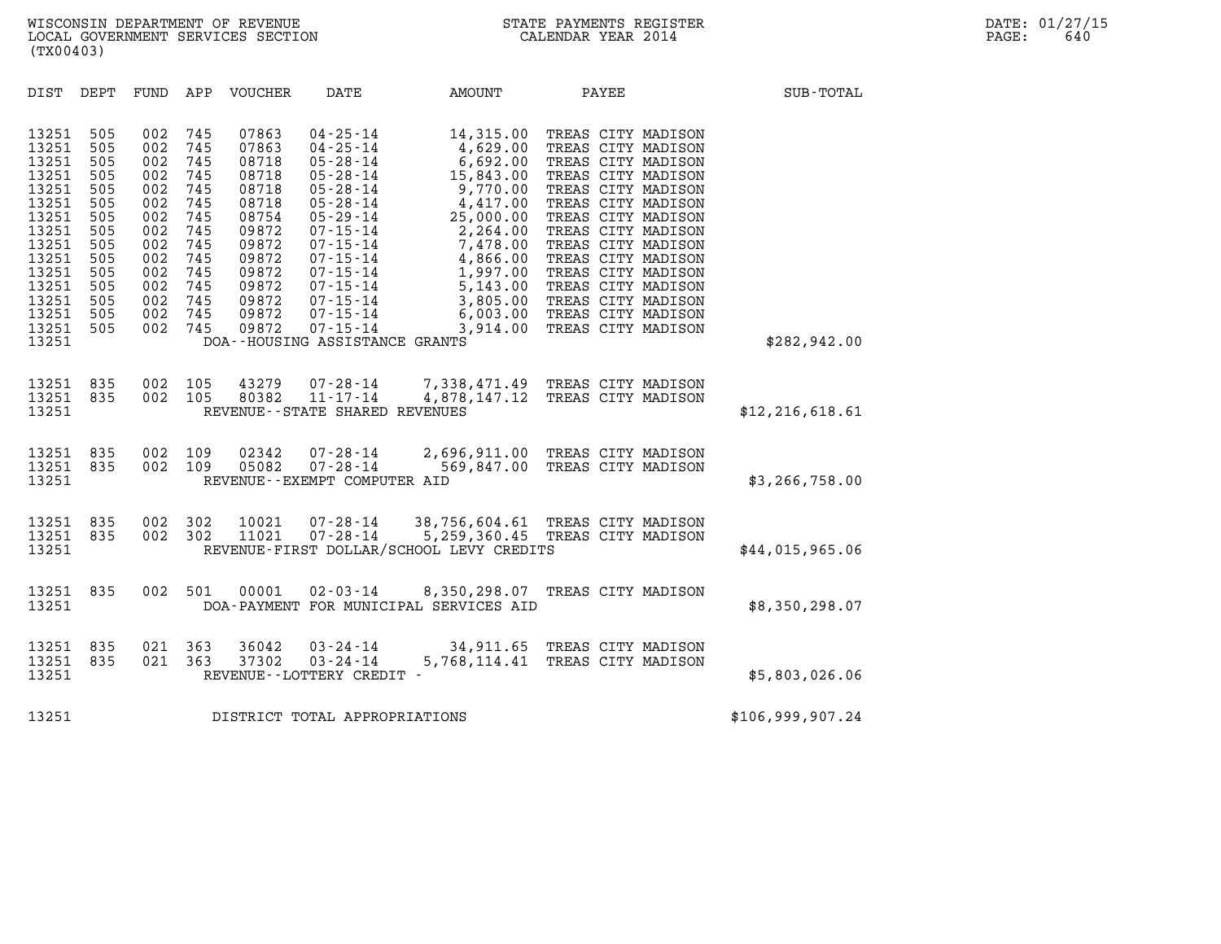| (TX00403)                                                                                                                                                                                                                                             |                                                                                                       |                                                                                                       |                                                                                                                                     |                                                                                                                                                                                                                                                                                                              |                                                                                                                                     |                                                                                                                                                                                                                                                                                                                                                                            |                   |
|-------------------------------------------------------------------------------------------------------------------------------------------------------------------------------------------------------------------------------------------------------|-------------------------------------------------------------------------------------------------------|-------------------------------------------------------------------------------------------------------|-------------------------------------------------------------------------------------------------------------------------------------|--------------------------------------------------------------------------------------------------------------------------------------------------------------------------------------------------------------------------------------------------------------------------------------------------------------|-------------------------------------------------------------------------------------------------------------------------------------|----------------------------------------------------------------------------------------------------------------------------------------------------------------------------------------------------------------------------------------------------------------------------------------------------------------------------------------------------------------------------|-------------------|
| DIST<br>DEPT                                                                                                                                                                                                                                          | FUND                                                                                                  | APP                                                                                                   | VOUCHER                                                                                                                             | DATE                                                                                                                                                                                                                                                                                                         | AMOUNT                                                                                                                              | PAYEE                                                                                                                                                                                                                                                                                                                                                                      | SUB-TOTAL         |
| 505<br>13251<br>13251<br>505<br>13251<br>505<br>13251<br>505<br>13251<br>505<br>13251<br>505<br>13251<br>505<br>13251<br>505<br>13251<br>505<br>13251<br>505<br>13251<br>505<br>13251<br>505<br>13251<br>505<br>13251<br>505<br>13251<br>505<br>13251 | 002<br>002<br>002<br>002<br>002<br>002<br>002<br>002<br>002<br>002<br>002<br>002<br>002<br>002<br>002 | 745<br>745<br>745<br>745<br>745<br>745<br>745<br>745<br>745<br>745<br>745<br>745<br>745<br>745<br>745 | 07863<br>07863<br>08718<br>08718<br>08718<br>08718<br>08754<br>09872<br>09872<br>09872<br>09872<br>09872<br>09872<br>09872<br>09872 | $04 - 25 - 14$<br>$04 - 25 - 14$<br>$05 - 28 - 14$<br>$05 - 28 - 14$<br>$05 - 28 - 14$<br>$05 - 28 - 14$<br>$05 - 29 - 14$<br>$07 - 15 - 14$<br>$07 - 15 - 14$<br>$07 - 15 - 14$<br>$07 - 15 - 14$<br>$07 - 15 - 14$<br>$07 - 15 - 14$<br>$07 - 15 - 14$<br>$07 - 15 - 14$<br>DOA--HOUSING ASSISTANCE GRANTS | 14,315.00<br>4,629.00<br>6,692.00<br>15,843.00<br>9,770.00<br>4,417.00<br>25,000.00<br>2,264.00<br>7,478.00<br>4,866.00<br>5,143.00 | TREAS CITY MADISON<br>TREAS CITY MADISON<br>TREAS CITY MADISON<br>TREAS CITY MADISON<br>TREAS CITY MADISON<br>TREAS CITY MADISON<br>TREAS CITY MADISON<br>TREAS CITY MADISON<br>TREAS CITY MADISON<br>TREAS CITY MADISON<br>1,997.00 TREAS CITY MADISON<br>TREAS CITY MADISON<br>3,805.00 TREAS CITY MADISON<br>6,003.00 TREAS CITY MADISON<br>3,914.00 TREAS CITY MADISON | \$282,942.00      |
| 835<br>13251<br>13251<br>835<br>13251                                                                                                                                                                                                                 | 002<br>002                                                                                            | 105<br>105                                                                                            | 43279<br>80382                                                                                                                      | $07 - 28 - 14$<br>$11 - 17 - 14$<br>REVENUE - - STATE SHARED REVENUES                                                                                                                                                                                                                                        |                                                                                                                                     | 7,338,471.49 TREAS CITY MADISON<br>4,878,147.12 TREAS CITY MADISON                                                                                                                                                                                                                                                                                                         | \$12, 216, 618.61 |
| 835<br>13251<br>13251<br>835<br>13251                                                                                                                                                                                                                 | 002<br>002                                                                                            | 109<br>109                                                                                            | 02342<br>05082                                                                                                                      | $07 - 28 - 14$<br>$07 - 28 - 14$<br>REVENUE - - EXEMPT COMPUTER AID                                                                                                                                                                                                                                          |                                                                                                                                     | 2,696,911.00 TREAS CITY MADISON<br>569,847.00 TREAS CITY MADISON                                                                                                                                                                                                                                                                                                           | \$3,266,758.00    |
| 835<br>13251<br>13251<br>835<br>13251                                                                                                                                                                                                                 | 002<br>002                                                                                            | 302<br>302                                                                                            | 10021<br>11021                                                                                                                      | $07 - 28 - 14$<br>$07 - 28 - 14$                                                                                                                                                                                                                                                                             | REVENUE-FIRST DOLLAR/SCHOOL LEVY CREDITS                                                                                            | 38,756,604.61 TREAS CITY MADISON<br>5,259,360.45 TREAS CITY MADISON                                                                                                                                                                                                                                                                                                        | \$44,015,965.06   |
| 13251<br>835<br>13251                                                                                                                                                                                                                                 | 002                                                                                                   | 501                                                                                                   | 00001                                                                                                                               | $02 - 03 - 14$                                                                                                                                                                                                                                                                                               | 8,350,298.07<br>DOA-PAYMENT FOR MUNICIPAL SERVICES AID                                                                              | TREAS CITY MADISON                                                                                                                                                                                                                                                                                                                                                         | \$8,350,298.07    |
| 13251<br>835<br>13251<br>835<br>13251                                                                                                                                                                                                                 | 021<br>021                                                                                            | 363<br>363                                                                                            | 36042<br>37302                                                                                                                      | $03 - 24 - 14$<br>$03 - 24 - 14$<br>REVENUE--LOTTERY CREDIT -                                                                                                                                                                                                                                                | 34,911.65<br>5,768,114.41                                                                                                           | TREAS CITY MADISON<br>TREAS CITY MADISON                                                                                                                                                                                                                                                                                                                                   | \$5,803,026.06    |
| 13251                                                                                                                                                                                                                                                 |                                                                                                       |                                                                                                       |                                                                                                                                     | DISTRICT TOTAL APPROPRIATIONS                                                                                                                                                                                                                                                                                |                                                                                                                                     |                                                                                                                                                                                                                                                                                                                                                                            | \$106,999,907.24  |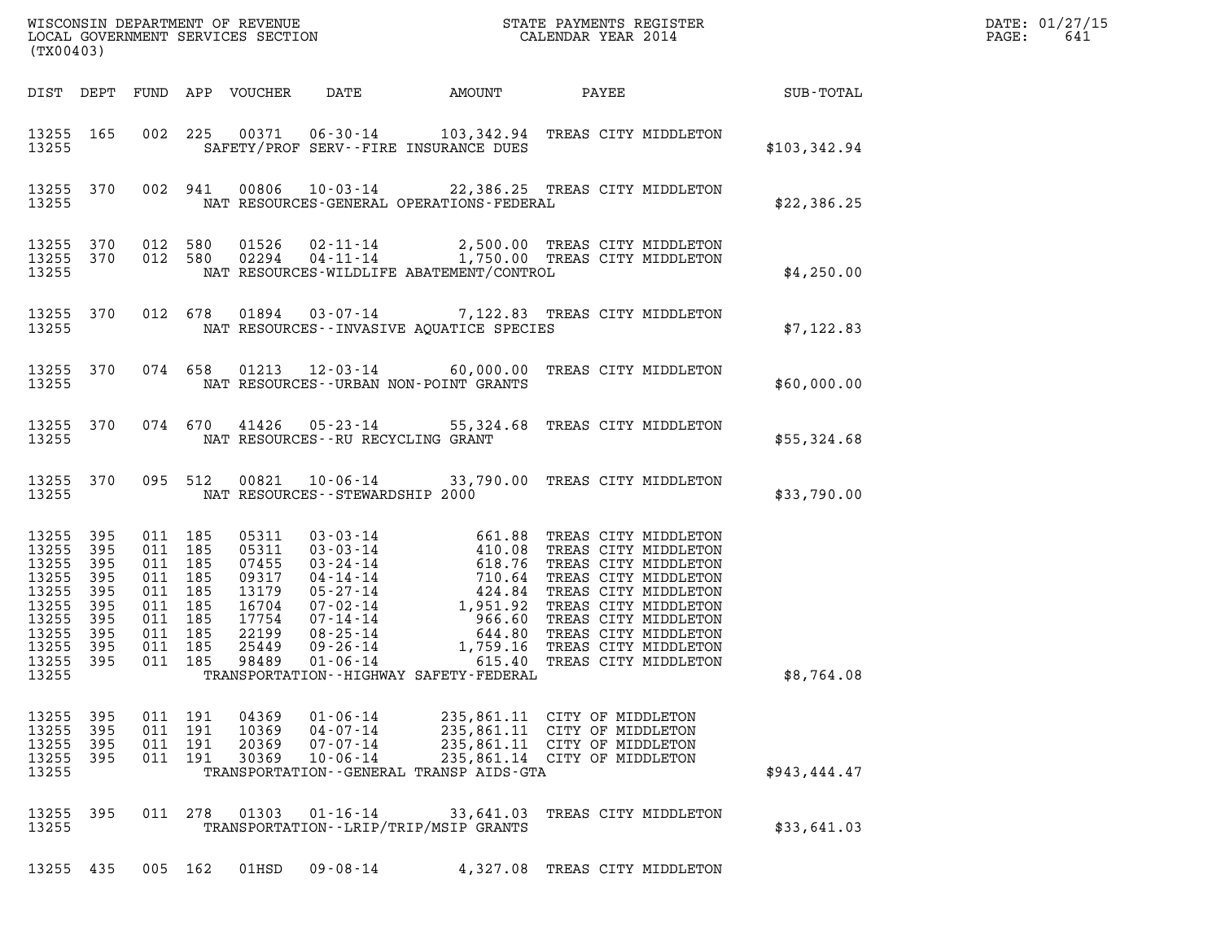|       | DATE: 01/27/15 |
|-------|----------------|
| PAGE: | 641            |

| (TX00403)                                                                                                                                                          |                                                                                                            |                                                                                        |                                                          |                                             | WISCONSIN DEPARTMENT OF REVENUE<br>LOCAL GOVERNMENT SERVICES SECTION CALENDAR YEAR 2014                                      |              | DATE:<br>PAGE:<br>DATE: 01/27/15<br>641 |
|--------------------------------------------------------------------------------------------------------------------------------------------------------------------|------------------------------------------------------------------------------------------------------------|----------------------------------------------------------------------------------------|----------------------------------------------------------|---------------------------------------------|------------------------------------------------------------------------------------------------------------------------------|--------------|-----------------------------------------|
|                                                                                                                                                                    |                                                                                                            |                                                                                        |                                                          |                                             | DIST DEPT FUND APP VOUCHER DATE AMOUNT PAYEE SUB-TOTAL                                                                       |              |                                         |
| 13255 165<br>13255                                                                                                                                                 |                                                                                                            |                                                                                        |                                                          |                                             | 002 225 00371 06-30-14 103,342.94 TREAS CITY MIDDLETON<br>SAFETY/PROF SERV--FIRE INSURANCE DUES                              | \$103,342.94 |                                         |
| 13255 370<br>13255                                                                                                                                                 |                                                                                                            |                                                                                        |                                                          | NAT RESOURCES-GENERAL OPERATIONS-FEDERAL    | 002 941 00806 10-03-14 22,386.25 TREAS CITY MIDDLETON                                                                        | \$22,386.25  |                                         |
| 13255 370<br>13255 370<br>13255                                                                                                                                    |                                                                                                            |                                                                                        |                                                          | NAT RESOURCES-WILDLIFE ABATEMENT/CONTROL    | 012 580 01526 02-11-14 2,500.00 TREAS CITY MIDDLETON<br>012 580 02294 04-11-14 1,750.00 TREAS CITY MIDDLETON                 | \$4,250.00   |                                         |
| 13255 370<br>13255                                                                                                                                                 |                                                                                                            |                                                                                        |                                                          | NAT RESOURCES - INVASIVE AQUATICE SPECIES   | 012 678 01894 03-07-14 7,122.83 TREAS CITY MIDDLETON                                                                         | \$7,122.83   |                                         |
| 13255 370                                                                                                                                                          |                                                                                                            |                                                                                        |                                                          | 13255 NAT RESOURCES--URBAN NON-POINT GRANTS | 074 658 01213 12-03-14 60,000.00 TREAS CITY MIDDLETON                                                                        | \$60,000.00  |                                         |
| 13255 370                                                                                                                                                          |                                                                                                            |                                                                                        | 13255 NAT RESOURCES--RU RECYCLING GRANT                  |                                             | 074 670 41426 05-23-14 55,324.68 TREAS CITY MIDDLETON                                                                        | \$55,324.68  |                                         |
|                                                                                                                                                                    |                                                                                                            |                                                                                        |                                                          | 13255 NAT RESOURCES - STEWARDSHIP 2000      | 13255 370 095 512 00821 10-06-14 33,790.00 TREAS CITY MIDDLETON                                                              | \$33,790.00  |                                         |
| 13255<br>395<br>13255<br>395<br>13255<br>395<br>13255<br>395<br>13255<br>395<br>13255<br>395<br>13255<br>395<br>13255<br>395<br>13255<br>395<br>13255 395<br>13255 | 011 185<br>011 185<br>011 185<br>011 185<br>011 185<br>011 185<br>011 185<br>011 185<br>011 185<br>011 185 | 05311<br>05311<br>07455<br>09317<br>13179<br>16704<br>17754<br>22199<br>25449<br>98489 |                                                          | TRANSPORTATION - - HIGHWAY SAFETY - FEDERAL |                                                                                                                              | \$8,764.08   |                                         |
| 13255<br>395<br>13255<br>395<br>13255<br>395<br>13255<br>395<br>13255                                                                                              | 011 191<br>011 191<br>011 191<br>011 191                                                                   | 04369<br>10369<br>20369<br>30369                                                       | $01 - 06 - 14$<br>04-07-14<br>07-07-14<br>$10 - 06 - 14$ | TRANSPORTATION--GENERAL TRANSP AIDS-GTA     | 235,861.11 CITY OF MIDDLETON<br>235,861.11 CITY OF MIDDLETON<br>235,861.11 CITY OF MIDDLETON<br>235,861.14 CITY OF MIDDLETON | \$943,444.47 |                                         |
| 13255<br>395<br>13255                                                                                                                                              | 011 278                                                                                                    | 01303                                                                                  | $01 - 16 - 14$                                           | TRANSPORTATION - - LRIP/TRIP/MSIP GRANTS    | 33,641.03 TREAS CITY MIDDLETON                                                                                               | \$33,641.03  |                                         |
| 13255 435                                                                                                                                                          | 005 162                                                                                                    | 01HSD                                                                                  | $09 - 08 - 14$                                           |                                             | 4,327.08 TREAS CITY MIDDLETON                                                                                                |              |                                         |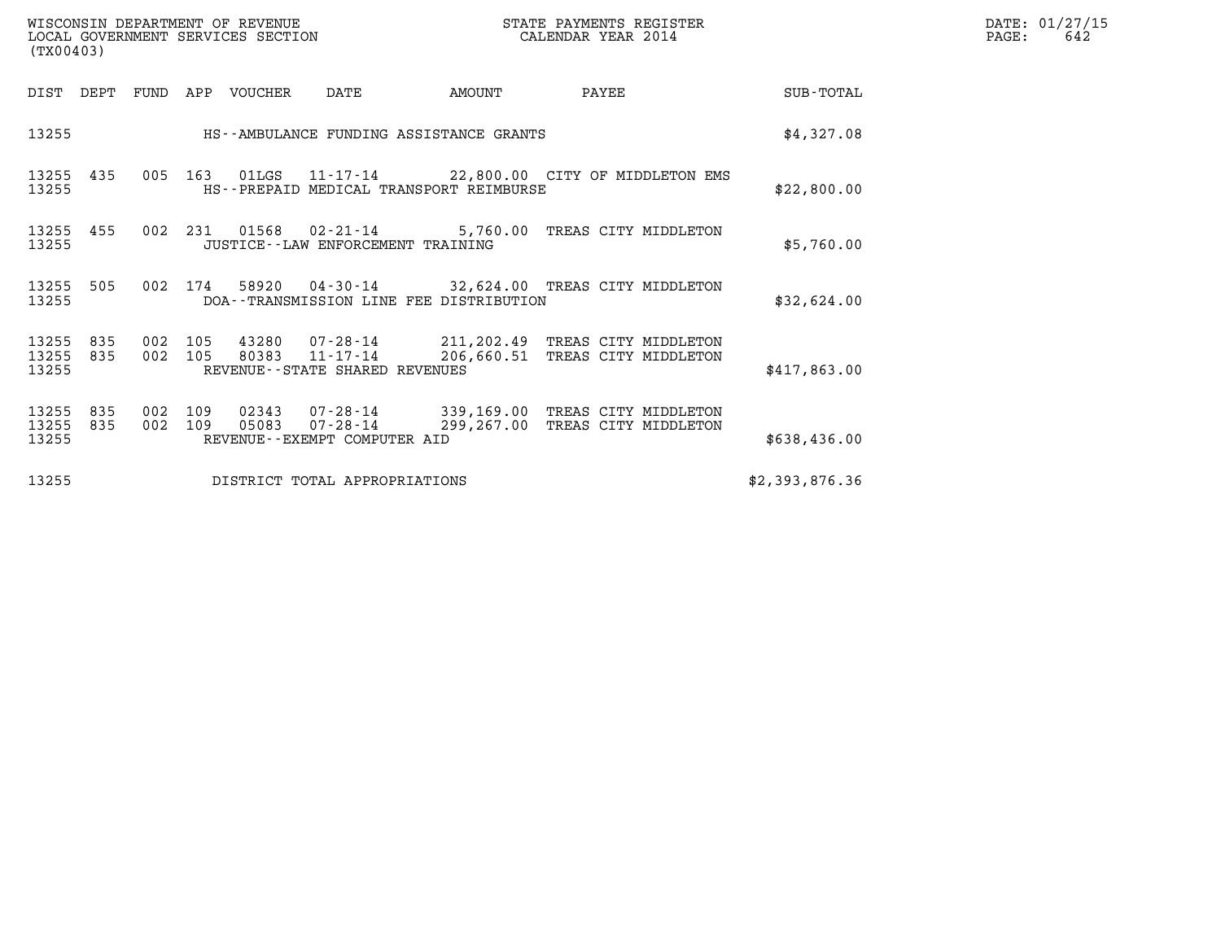| WISCONSIN DEPARTMENT OF REVENUE<br>LOCAL GOVERNMENT SERVICES SECTION<br>(TX00403) |                    |         |                |                                                  |        | STATE PAYMENTS REGISTER<br>CALENDAR YEAR 2014                                        |                | DATE: 01/27/15<br>PAGE:<br>642 |
|-----------------------------------------------------------------------------------|--------------------|---------|----------------|--------------------------------------------------|--------|--------------------------------------------------------------------------------------|----------------|--------------------------------|
| DIST DEPT FUND APP VOUCHER                                                        |                    |         |                | DATE                                             | AMOUNT | PAYEE                                                                                | SUB-TOTAL      |                                |
| 13255                                                                             |                    |         |                | HS--AMBULANCE FUNDING ASSISTANCE GRANTS          |        |                                                                                      | \$4,327.08     |                                |
| 13255 435<br>13255                                                                |                    |         |                | HS--PREPAID MEDICAL TRANSPORT REIMBURSE          |        | 005 163 01LGS 11-17-14 22,800.00 CITY OF MIDDLETON EMS                               | \$22,800.00    |                                |
| 13255 455<br>13255                                                                |                    |         |                | JUSTICE - - LAW ENFORCEMENT TRAINING             |        | 002 231 01568 02-21-14 5,760.00 TREAS CITY MIDDLETON                                 | \$5,760.00     |                                |
| 13255 505<br>13255                                                                |                    | 002 174 |                | DOA--TRANSMISSION LINE FEE DISTRIBUTION          |        | 58920  04-30-14  32,624.00  TREAS CITY MIDDLETON                                     | \$32,624.00    |                                |
| 13255<br>835<br>13255<br>835<br>13255                                             | 002 105<br>002 105 |         | 43280<br>80383 | $11 - 17 - 14$<br>REVENUE--STATE SHARED REVENUES |        | 07-28-14 211,202.49 TREAS CITY MIDDLETON<br>206,660.51 TREAS CITY MIDDLETON          | \$417,863.00   |                                |
| 13255<br>835<br>13255<br>835<br>13255                                             | 002<br>002 109     | 109     | 02343<br>05083 | REVENUE--EXEMPT COMPUTER AID                     |        | 07-28-14 339,169.00 TREAS CITY MIDDLETON<br>07-28-14 299,267.00 TREAS CITY MIDDLETON | \$638,436.00   |                                |
| 13255                                                                             |                    |         |                | DISTRICT TOTAL APPROPRIATIONS                    |        |                                                                                      | \$2,393,876.36 |                                |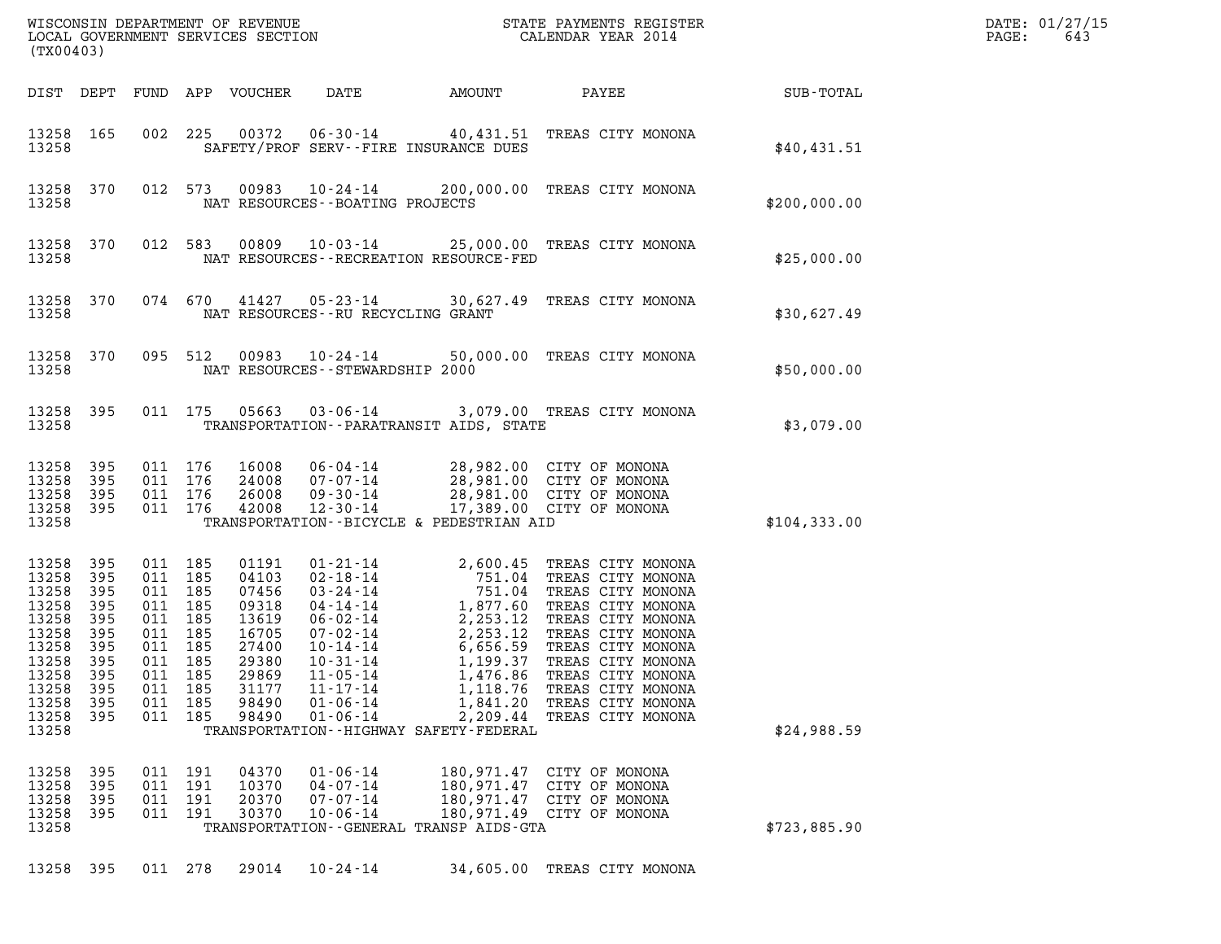| (TX00403)                                                                                                                                                                                             |                                               |                                                                                                      |                                                                                                          |                                                                                                                      |                                                                                                         |                                                                                                                                                                                                                                                                                                                                                                                                         |              | DATE: 01/27/15<br>PAGE:<br>643 |
|-------------------------------------------------------------------------------------------------------------------------------------------------------------------------------------------------------|-----------------------------------------------|------------------------------------------------------------------------------------------------------|----------------------------------------------------------------------------------------------------------|----------------------------------------------------------------------------------------------------------------------|---------------------------------------------------------------------------------------------------------|---------------------------------------------------------------------------------------------------------------------------------------------------------------------------------------------------------------------------------------------------------------------------------------------------------------------------------------------------------------------------------------------------------|--------------|--------------------------------|
| DIST DEPT                                                                                                                                                                                             |                                               |                                                                                                      | FUND APP VOUCHER                                                                                         | DATE                                                                                                                 | AMOUNT                                                                                                  | PAYEE                                                                                                                                                                                                                                                                                                                                                                                                   | SUB-TOTAL    |                                |
| 13258 165<br>13258                                                                                                                                                                                    | 002                                           | 225                                                                                                  | 00372                                                                                                    |                                                                                                                      | SAFETY/PROF SERV--FIRE INSURANCE DUES                                                                   | 06-30-14 40,431.51 TREAS CITY MONONA                                                                                                                                                                                                                                                                                                                                                                    | \$40,431.51  |                                |
| 13258 370<br>13258                                                                                                                                                                                    |                                               | 012 573                                                                                              | 00983                                                                                                    | $10 - 24 - 14$                                                                                                       | NAT RESOURCES - - BOATING PROJECTS                                                                      | 200,000.00 TREAS CITY MONONA                                                                                                                                                                                                                                                                                                                                                                            | \$200,000.00 |                                |
| 13258<br>370<br>13258                                                                                                                                                                                 | 012                                           | 583                                                                                                  | 00809                                                                                                    |                                                                                                                      | NAT RESOURCES - - RECREATION RESOURCE - FED                                                             | 10-03-14 25,000.00 TREAS CITY MONONA                                                                                                                                                                                                                                                                                                                                                                    | \$25,000.00  |                                |
| 13258<br>370<br>13258                                                                                                                                                                                 |                                               | 074 670                                                                                              | 41427                                                                                                    |                                                                                                                      | NAT RESOURCES - - RU RECYCLING GRANT                                                                    | 05-23-14 30,627.49 TREAS CITY MONONA                                                                                                                                                                                                                                                                                                                                                                    | \$30,627.49  |                                |
| 13258<br>370<br>13258                                                                                                                                                                                 |                                               | 095 512                                                                                              | 00983                                                                                                    | $10 - 24 - 14$                                                                                                       | NAT RESOURCES - - STEWARDSHIP 2000                                                                      | 50,000.00 TREAS CITY MONONA                                                                                                                                                                                                                                                                                                                                                                             | \$50,000.00  |                                |
| 13258<br>395<br>13258                                                                                                                                                                                 |                                               | 011 175                                                                                              | 05663                                                                                                    | 03-06-14                                                                                                             | TRANSPORTATION - - PARATRANSIT AIDS, STATE                                                              | 3,079.00 TREAS CITY MONONA                                                                                                                                                                                                                                                                                                                                                                              | \$3,079.00   |                                |
| 13258<br>395<br>13258<br>395<br>13258<br>395<br>13258 395<br>13258                                                                                                                                    |                                               | 011 176<br>011 176<br>011 176<br>011 176                                                             | 16008<br>24008<br>26008<br>42008                                                                         | 06-04-14<br>07-07-14<br>09-30-14<br>$12 - 30 - 14$                                                                   | TRANSPORTATION--BICYCLE & PEDESTRIAN AID                                                                | 28,982.00 CITY OF MONONA<br>28,981.00 CITY OF MONONA<br>28,981.00 CITY OF MONONA<br>17,389.00 CITY OF MONONA                                                                                                                                                                                                                                                                                            | \$104,333.00 |                                |
| 13258<br>395<br>13258<br>395<br>13258<br>395<br>13258<br>395<br>13258<br>395<br>13258<br>395<br>13258<br>395<br>13258<br>395<br>13258<br>395<br>13258<br>395<br>13258<br>395<br>13258<br>395<br>13258 | 011<br>011<br>011<br>011<br>011<br>011<br>011 | 011 185<br>011 185<br>185<br>011 185<br>011 185<br>185<br>185<br>011 185<br>185<br>185<br>185<br>185 | 01191<br>04103<br>07456<br>09318<br>13619<br>16705<br>27400<br>29380<br>29869<br>31177<br>98490<br>98490 | 07-02-14<br>$10 - 14 - 14$<br>$10 - 31 - 14$<br>$11 - 05 - 14$<br>$11 - 17 - 14$<br>$01 - 06 - 14$<br>$01 - 06 - 14$ | 1,199.37<br>1,476.86<br>1,118.76<br>1,841.20<br>2,209.44<br>TRANSPORTATION - - HIGHWAY SAFETY - FEDERAL | 01-21-14<br>02-18-14<br>02-18-14<br>751.04 TREAS CITY MONONA<br>03-24-14<br>751.04 TREAS CITY MONONA<br>04-14-14<br>1,877.60 TREAS CITY MONONA<br>06-02-14<br>2,253.12 TREAS CITY MONONA<br>07-02-14<br>2.253.12 TREAS CITY MONONA<br>2,253.12 TREAS CITY MONONA<br>6,656.59 TREAS CITY MONONA<br>TREAS CITY MONONA<br>TREAS CITY MONONA<br>TREAS CITY MONONA<br>TREAS CITY MONONA<br>TREAS CITY MONONA | \$24,988.59  |                                |
| 13258<br>395<br>13258<br>395<br>13258<br>395<br>13258<br>-395<br>13258                                                                                                                                | 011<br>011<br>011                             | 191<br>191<br>191<br>011 191                                                                         | 04370<br>10370<br>20370<br>30370                                                                         | $01 - 06 - 14$<br>$04 - 07 - 14$<br>$07 - 07 - 14$<br>$10 - 06 - 14$                                                 | 180,971.47<br>180,971.47<br>TRANSPORTATION - - GENERAL TRANSP AIDS - GTA                                | 180,971.47 CITY OF MONONA<br>CITY OF MONONA<br>CITY OF MONONA<br>180,971.49 CITY OF MONONA                                                                                                                                                                                                                                                                                                              | \$723,885.90 |                                |
| 13258<br>395                                                                                                                                                                                          |                                               | 011 278                                                                                              | 29014                                                                                                    | $10 - 24 - 14$                                                                                                       | 34,605.00                                                                                               | TREAS CITY MONONA                                                                                                                                                                                                                                                                                                                                                                                       |              |                                |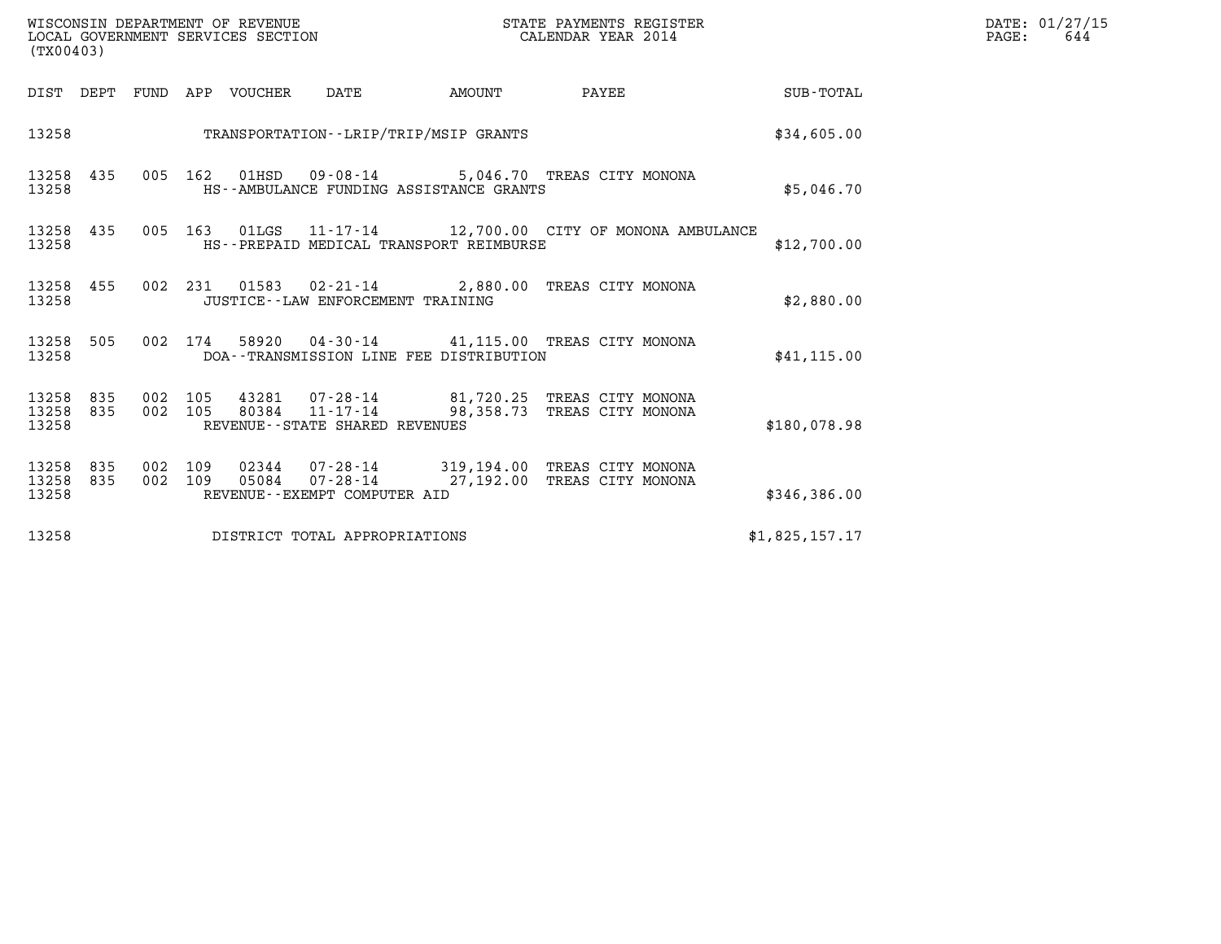| WISCONSIN DEPARTMENT OF REVENUE<br>LOCAL GOVERNMENT SERVICES SECTION<br>(TX00403)   |                                                                                                                                    | STATE PAYMENTS REGISTER<br>CALENDAR YEAR 2014 |                | DATE: 01/27/15<br>$\mathtt{PAGE:}$<br>644 |
|-------------------------------------------------------------------------------------|------------------------------------------------------------------------------------------------------------------------------------|-----------------------------------------------|----------------|-------------------------------------------|
| DIST DEPT FUND APP VOUCHER                                                          | DATE                                                                                                                               | AMOUNT PAYEE SUB-TOTAL                        |                |                                           |
| 13258 TRANSPORTATION--LRIP/TRIP/MSIP GRANTS                                         |                                                                                                                                    |                                               | \$34,605.00    |                                           |
| 13258 435<br>13258                                                                  | 005 162 01HSD 09-08-14 5,046.70 TREAS CITY MONONA<br>HS--AMBULANCE FUNDING ASSISTANCE GRANTS                                       |                                               | \$5,046.70     |                                           |
| 13258 435<br>13258                                                                  | 005 163 01LGS 11-17-14 12,700.00 CITY OF MONONA AMBULANCE<br>HS--PREPAID MEDICAL TRANSPORT REIMBURSE                               |                                               | \$12,700.00    |                                           |
| 13258 455<br>13258                                                                  | 002 231 01583 02-21-14 2,880.00 TREAS CITY MONONA<br>JUSTICE -- LAW ENFORCEMENT TRAINING                                           |                                               | \$2,880.00     |                                           |
| 13258 505<br>13258                                                                  | 002 174 58920 04-30-14 41,115.00 TREAS CITY MONONA<br>DOA--TRANSMISSION LINE FEE DISTRIBUTION                                      |                                               | \$41, 115.00   |                                           |
| 13258 835<br>13258 835<br>002 105<br>13258                                          | 002 105 43281 07-28-14 81,720.25 TREAS CITY MONONA<br>80384 11-17-14 98,358.73 TREAS CITY MONONA<br>REVENUE--STATE SHARED REVENUES |                                               | \$180,078.98   |                                           |
| 13258 835<br>13258 835<br>002 109<br>05084<br>13258<br>REVENUE--EXEMPT COMPUTER AID | 002 109 02344 07-28-14 319,194.00 TREAS CITY MONONA<br>$07 - 28 - 14$<br>27,192.00 TREAS CITY MONONA                               |                                               | \$346,386.00   |                                           |
| 13258<br>DISTRICT TOTAL APPROPRIATIONS                                              |                                                                                                                                    |                                               | \$1,825,157.17 |                                           |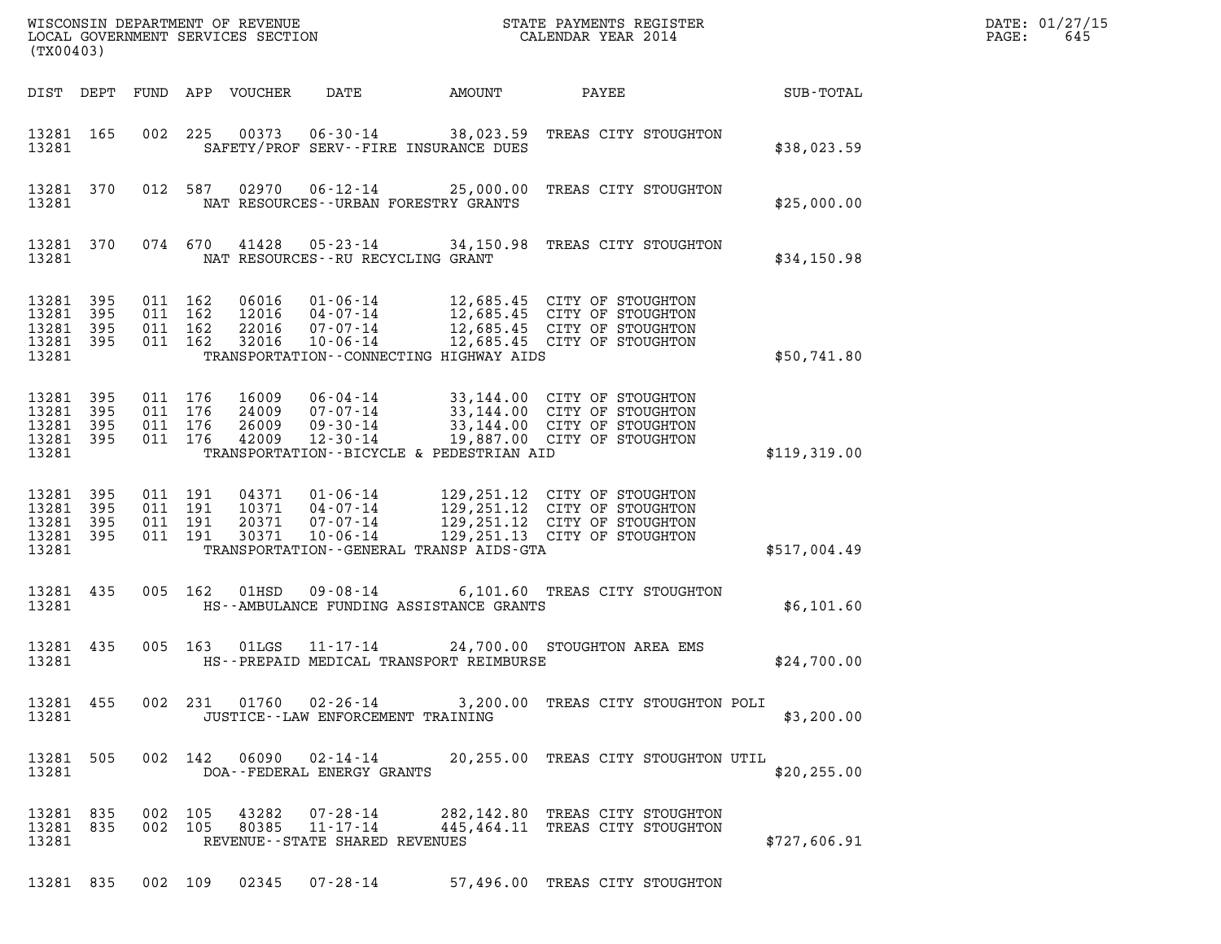| (TX00403)                                             |           |                                          |                    |                                  |                                                          |                                            |                                                                                                                                                                |              | DATE: 01/27/15<br>PAGE:<br>645 |
|-------------------------------------------------------|-----------|------------------------------------------|--------------------|----------------------------------|----------------------------------------------------------|--------------------------------------------|----------------------------------------------------------------------------------------------------------------------------------------------------------------|--------------|--------------------------------|
|                                                       |           |                                          |                    | DIST DEPT FUND APP VOUCHER       | DATE                                                     | AMOUNT                                     | PAYEE                                                                                                                                                          | SUB-TOTAL    |                                |
| 13281 165<br>13281                                    |           |                                          |                    |                                  |                                                          | SAFETY/PROF SERV--FIRE INSURANCE DUES      | 002 225 00373 06-30-14 38,023.59 TREAS CITY STOUGHTON                                                                                                          | \$38,023.59  |                                |
| 13281 370<br>13281                                    |           |                                          | 012 587            | 02970                            |                                                          | NAT RESOURCES - - URBAN FORESTRY GRANTS    | 06-12-14 25,000.00 TREAS CITY STOUGHTON                                                                                                                        | \$25,000.00  |                                |
| 13281 370<br>13281                                    |           |                                          | 074 670            | 41428                            |                                                          | NAT RESOURCES - - RU RECYCLING GRANT       | 05-23-14 34,150.98 TREAS CITY STOUGHTON                                                                                                                        | \$34,150.98  |                                |
| 13281 395<br>13281<br>13281 395<br>13281 395<br>13281 | 395       | 011 162<br>011 162<br>011 162<br>011 162 |                    | 06016<br>12016<br>22016<br>32016 | $01 - 06 - 14$<br>04-07-14<br>07-07-14<br>$10 - 06 - 14$ | TRANSPORTATION--CONNECTING HIGHWAY AIDS    | 12,685.45 CITY OF STOUGHTON<br>12,685.45 CITY OF STOUGHTON<br>12,685.45 CITY OF STOUGHTON<br>12,685.45 CITY OF STOUGHTON                                       | \$50,741.80  |                                |
| 13281 395<br>13281<br>13281 395<br>13281 395<br>13281 | 395       | 011 176<br>011 176                       | 011 176<br>011 176 | 16009<br>24009<br>26009<br>42009 | $06 - 04 - 14$<br>07-07-14<br>$09 - 30 - 14$<br>12-30-14 | TRANSPORTATION--BICYCLE & PEDESTRIAN AID   | 33,144.00 CITY OF STOUGHTON<br>33,144.00 CITY OF STOUGHTON<br>33,144.00 CITY OF STOUGHTON<br>19,887.00 CITY OF STOUGHTON                                       | \$119,319.00 |                                |
| 13281 395<br>13281<br>13281 395<br>13281 395<br>13281 | 395       | 011 191<br>011 191                       | 011 191<br>011 191 | 10371<br>30371                   | 04-07-14<br>20371 07-07-14<br>$10 - 06 - 14$             | TRANSPORTATION - - GENERAL TRANSP AIDS-GTA | 129,251.12 CITY OF STOUGHTON<br>129,251.12 CITY OF STOUGHTON<br>129,251.12 CITY OF STOUGHTON<br>129, 251.12 CITY OF STOUGHTON<br>129, 251.13 CITY OF STOUGHTON | \$517,004.49 |                                |
| 13281 435<br>13281                                    |           |                                          | 005 162            | 01HSD                            |                                                          | HS--AMBULANCE FUNDING ASSISTANCE GRANTS    | 09-08-14 6,101.60 TREAS CITY STOUGHTON                                                                                                                         | \$6,101.60   |                                |
| 13281 435<br>13281                                    |           |                                          | 005 163            | 01LGS                            | 11-17-14                                                 | HS--PREPAID MEDICAL TRANSPORT REIMBURSE    | 24,700.00 STOUGHTON AREA EMS                                                                                                                                   | \$24,700.00  |                                |
| 13281                                                 |           |                                          |                    |                                  |                                                          | JUSTICE - - LAW ENFORCEMENT TRAINING       | 13281 455 002 231 01760 02-26-14 3,200.00 TREAS CITY STOUGHTON POLI                                                                                            | \$3,200.00   |                                |
| 13281                                                 | 13281 505 |                                          |                    |                                  | DOA--FEDERAL ENERGY GRANTS                               |                                            | 002 142 06090 02-14-14 20,255.00 TREAS CITY STOUGHTON UTIL                                                                                                     | \$20, 255.00 |                                |
| 13281 835<br>13281 835<br>13281                       |           |                                          | 002 105<br>002 105 | 43282<br>80385                   | $11 - 17 - 14$<br>REVENUE--STATE SHARED REVENUES         |                                            | 07-28-14 282, 142.80 TREAS CITY STOUGHTON<br>445,464.11 TREAS CITY STOUGHTON                                                                                   | \$727,606.91 |                                |
|                                                       |           |                                          |                    |                                  |                                                          |                                            | 13281 835 002 109 02345 07-28-14 57,496.00 TREAS CITY STOUGHTON                                                                                                |              |                                |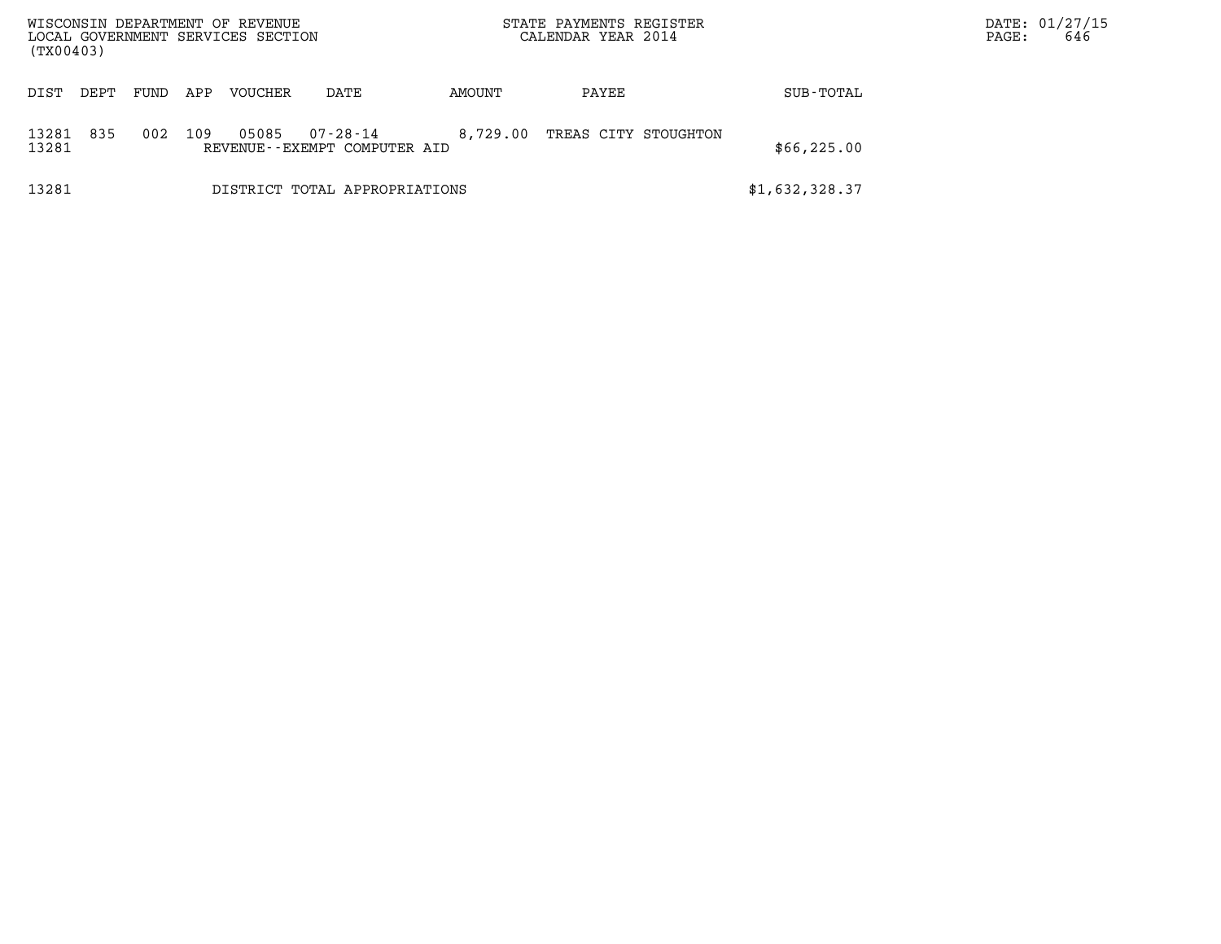| WISCONSIN DEPARTMENT OF REVENUE<br>LOCAL GOVERNMENT SERVICES SECTION<br>(TX00403) |      |     |         |                                                |          | STATE PAYMENTS REGISTER<br>CALENDAR YEAR 2014 |                | PAGE: | DATE: 01/27/15<br>646 |
|-----------------------------------------------------------------------------------|------|-----|---------|------------------------------------------------|----------|-----------------------------------------------|----------------|-------|-----------------------|
| DEPT<br>DIST                                                                      | FUND | APP | VOUCHER | DATE                                           | AMOUNT   | PAYEE                                         | SUB-TOTAL      |       |                       |
| 835<br>13281<br>13281                                                             | 002  | 109 | 05085   | $07 - 28 - 14$<br>REVENUE--EXEMPT COMPUTER AID | 8,729.00 | TREAS CITY STOUGHTON                          | \$66, 225.00   |       |                       |
| 13281                                                                             |      |     |         | DISTRICT TOTAL APPROPRIATIONS                  |          |                                               | \$1,632,328.37 |       |                       |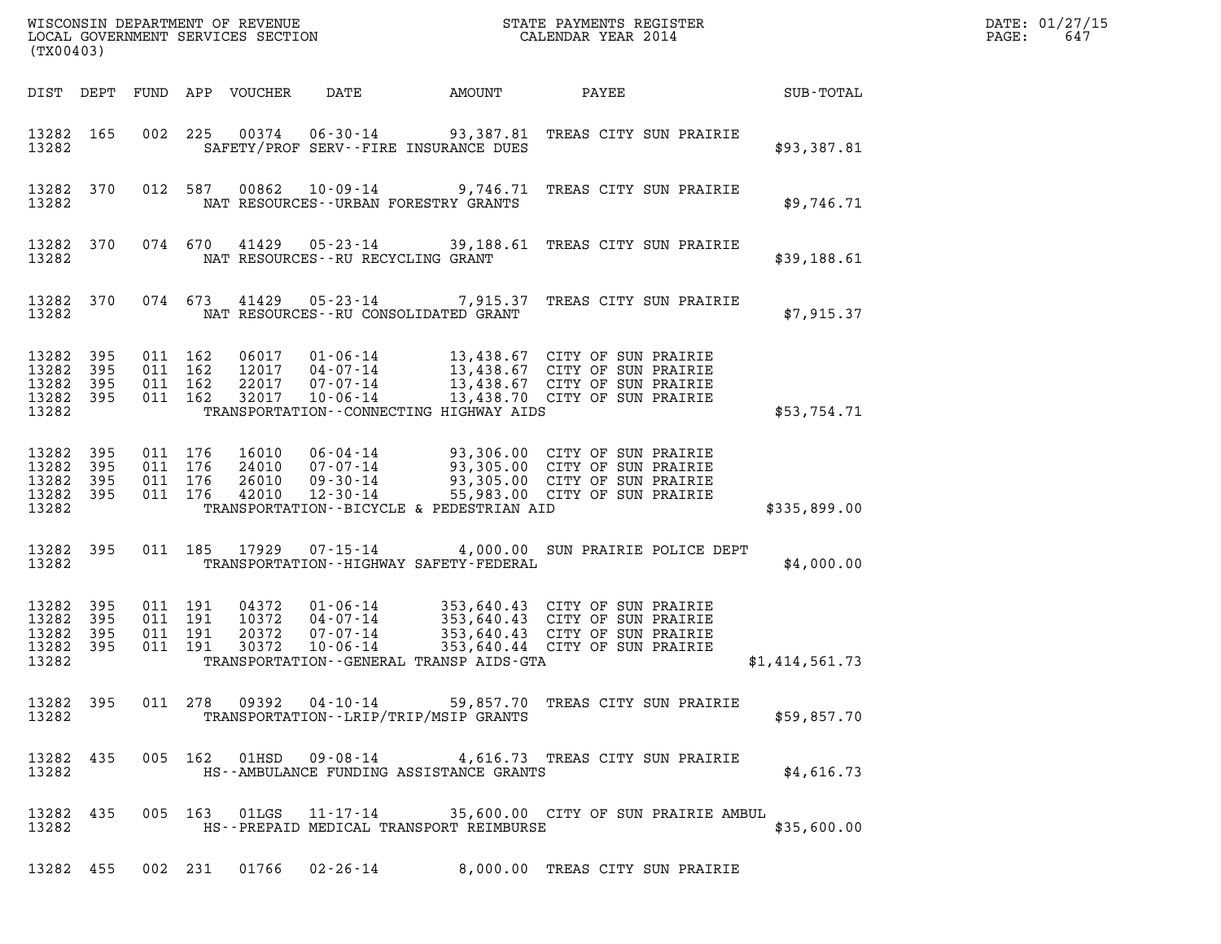| (TX00403)                                                 |            |                                          |         |                                  |                                                                |                                             |                                                                                                                                                                     |                | DATE: 01/27/15<br>PAGE:<br>647 |
|-----------------------------------------------------------|------------|------------------------------------------|---------|----------------------------------|----------------------------------------------------------------|---------------------------------------------|---------------------------------------------------------------------------------------------------------------------------------------------------------------------|----------------|--------------------------------|
|                                                           |            |                                          |         | DIST DEPT FUND APP VOUCHER       | DATE                                                           | AMOUNT                                      | PAYEE                                                                                                                                                               | SUB-TOTAL      |                                |
| 13282 165<br>13282                                        |            |                                          |         |                                  |                                                                | SAFETY/PROF SERV--FIRE INSURANCE DUES       | 002 225 00374 06-30-14 93,387.81 TREAS CITY SUN PRAIRIE                                                                                                             | \$93,387.81    |                                |
| 13282 370<br>13282                                        |            |                                          |         | 012 587 00862                    |                                                                | NAT RESOURCES - - URBAN FORESTRY GRANTS     | 10-09-14 9,746.71 TREAS CITY SUN PRAIRIE                                                                                                                            | \$9,746.71     |                                |
| 13282 370<br>13282                                        |            |                                          | 074 670 | 41429                            | NAT RESOURCES - - RU RECYCLING GRANT                           |                                             | 05-23-14 39,188.61 TREAS CITY SUN PRAIRIE                                                                                                                           | \$39,188.61    |                                |
| 13282 370<br>13282                                        |            |                                          | 074 673 | 41429                            |                                                                | NAT RESOURCES -- RU CONSOLIDATED GRANT      | 05-23-14 7,915.37 TREAS CITY SUN PRAIRIE                                                                                                                            | \$7,915.37     |                                |
| 13282 395<br>13282 395<br>13282 395<br>13282 395<br>13282 |            | 011 162<br>011 162<br>011 162<br>011 162 |         | 06017<br>12017<br>22017<br>32017 | 07-07-14<br>$10 - 06 - 14$                                     | TRANSPORTATION--CONNECTING HIGHWAY AIDS     | 01-06-14 13,438.67 CITY OF SUN PRAIRIE<br>04-07-14 13,438.67 CITY OF SUN PRAIRIE<br>13,438.67 CITY OF SUN PRAIRIE<br>13,438.70 CITY OF SUN PRAIRIE                  | \$53,754.71    |                                |
| 13282 395<br>13282 395<br>13282 395<br>13282 395<br>13282 |            | 011 176<br>011 176<br>011 176<br>011 176 |         | 16010<br>24010<br>26010<br>42010 | 09-30-14                                                       | TRANSPORTATION--BICYCLE & PEDESTRIAN AID    | 06-04-14     93,306.00 CITY OF SUN PRAIRIE<br>07-07-14     93,305.00 CITY OF SUN PRAIRIE<br>93,305.00 CITY OF SUN PRAIRIE<br>12-30-14 55,983.00 CITY OF SUN PRAIRIE | \$335,899.00   |                                |
| 13282 395<br>13282                                        |            |                                          |         | 011 185 17929                    |                                                                | TRANSPORTATION - - HIGHWAY SAFETY - FEDERAL | 07-15-14 4,000.00 SUN PRAIRIE POLICE DEPT                                                                                                                           | \$4,000.00     |                                |
| 13282 395<br>13282<br>13282<br>13282 395<br>13282         | 395<br>395 | 011 191<br>011 191<br>011 191<br>011 191 |         | 04372<br>10372<br>20372<br>30372 | $01 - 06 - 14$<br>04 - 07 - 14<br>07 - 07 - 14<br>10 - 06 - 14 | TRANSPORTATION--GENERAL TRANSP AIDS-GTA     | 353,640.43 CITY OF SUN PRAIRIE<br>353,640.43 CITY OF SUN PRAIRIE<br>353,640.43 CITY OF SUN PRAIRIE<br>353,640.44 CITY OF SUN PRAIRIE                                | \$1,414,561.73 |                                |
| 13282 395<br>13282                                        |            |                                          |         |                                  |                                                                | TRANSPORTATION - - LRIP/TRIP/MSIP GRANTS    | 011 278 09392 04-10-14 59,857.70 TREAS CITY SUN PRAIRIE                                                                                                             | \$59,857.70    |                                |
| 13282 435<br>13282                                        |            |                                          |         |                                  |                                                                | HS--AMBULANCE FUNDING ASSISTANCE GRANTS     | 005 162 01HSD 09-08-14 4,616.73 TREAS CITY SUN PRAIRIE                                                                                                              | \$4,616.73     |                                |
| 13282 435<br>13282                                        |            |                                          |         |                                  |                                                                | HS--PREPAID MEDICAL TRANSPORT REIMBURSE     | 005 163 01LGS 11-17-14 35,600.00 CITY OF SUN PRAIRIE AMBUL                                                                                                          | \$35,600.00    |                                |
| 13282 455                                                 |            |                                          |         |                                  |                                                                |                                             | 002 231 01766 02-26-14 8,000.00 TREAS CITY SUN PRAIRIE                                                                                                              |                |                                |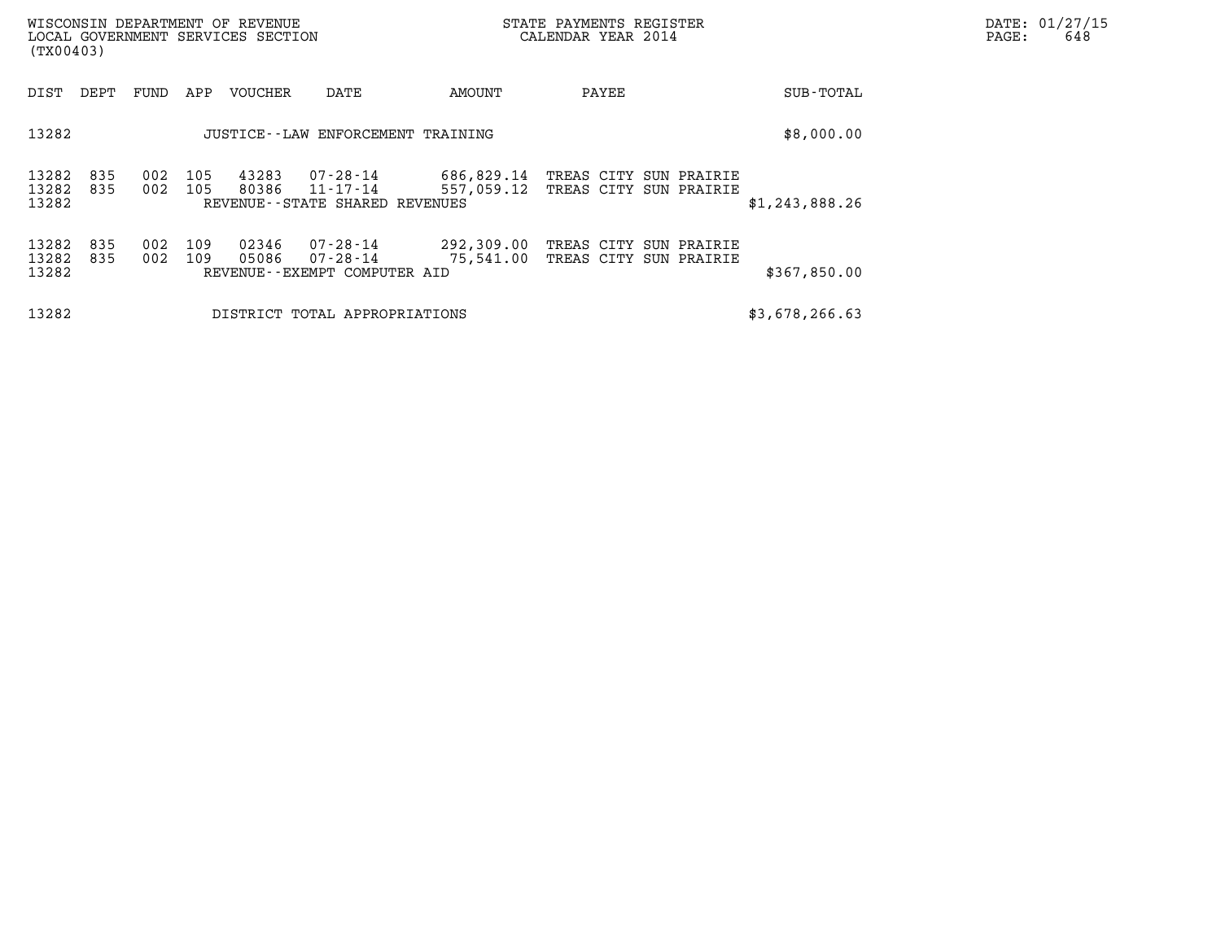| DATE: | 01/27/15 |
|-------|----------|
| PAGE: | 648      |

| (TX00403)               |            |            |            | WISCONSIN DEPARTMENT OF REVENUE<br>LOCAL GOVERNMENT SERVICES SECTION |                                                                 |                                   | STATE PAYMENTS REGISTER<br>CALENDAR YEAR 2014 | DATE: 01/27/15<br>648<br>PAGE:                   |                |  |
|-------------------------|------------|------------|------------|----------------------------------------------------------------------|-----------------------------------------------------------------|-----------------------------------|-----------------------------------------------|--------------------------------------------------|----------------|--|
| DIST                    | DEPT       | FUND       | APP        | VOUCHER                                                              | DATE                                                            | AMOUNT                            | PAYEE                                         |                                                  | SUB-TOTAL      |  |
| 13282                   |            |            |            |                                                                      | JUSTICE - - LAW ENFORCEMENT TRAINING                            |                                   |                                               |                                                  | \$8,000.00     |  |
| 13282<br>13282<br>13282 | 835<br>835 | 002<br>002 | 105<br>105 | 43283<br>80386                                                       | 07-28-14<br>$11 - 17 - 14$<br>REVENUE - - STATE SHARED REVENUES | 686,829.14 TREAS CITY SUN PRAIRIE |                                               | 557,059.12 TREAS CITY SUN PRAIRIE                | \$1,243,888.26 |  |
| 13282<br>13282<br>13282 | 835<br>835 | 002<br>002 | 109<br>109 | 02346<br>05086                                                       | 07-28-14<br>$07 - 28 - 14$<br>REVENUE--EXEMPT COMPUTER AID      | 292,309.00<br>75,541.00           |                                               | TREAS CITY SUN PRAIRIE<br>TREAS CITY SUN PRAIRIE | \$367,850.00   |  |
| 13282                   |            |            |            |                                                                      | DISTRICT TOTAL APPROPRIATIONS                                   |                                   |                                               |                                                  | \$3,678,266.63 |  |